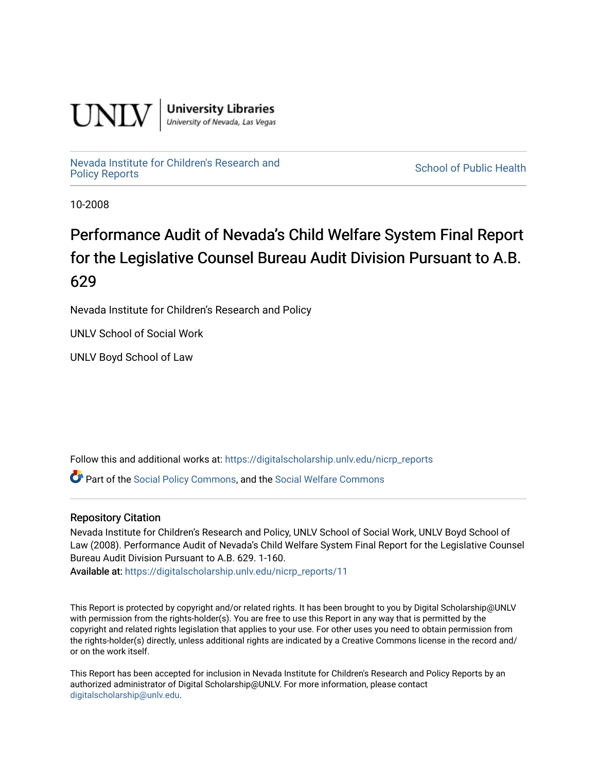

**University Libraries**<br>University of Nevada, Las Vegas

## [Nevada Institute for Children's Research and](https://digitalscholarship.unlv.edu/nicrp_reports)

**School of Public Health** 

10-2008

## Performance Audit of Nevada's Child Welfare System Final Report for the Legislative Counsel Bureau Audit Division Pursuant to A.B. 629

Nevada Institute for Children's Research and Policy

UNLV School of Social Work

UNLV Boyd School of Law

Follow this and additional works at: [https://digitalscholarship.unlv.edu/nicrp\\_reports](https://digitalscholarship.unlv.edu/nicrp_reports?utm_source=digitalscholarship.unlv.edu%2Fnicrp_reports%2F11&utm_medium=PDF&utm_campaign=PDFCoverPages)

Part of the [Social Policy Commons](http://network.bepress.com/hgg/discipline/1030?utm_source=digitalscholarship.unlv.edu%2Fnicrp_reports%2F11&utm_medium=PDF&utm_campaign=PDFCoverPages), and the [Social Welfare Commons](http://network.bepress.com/hgg/discipline/401?utm_source=digitalscholarship.unlv.edu%2Fnicrp_reports%2F11&utm_medium=PDF&utm_campaign=PDFCoverPages)

#### Repository Citation

Nevada Institute for Children's Research and Policy, UNLV School of Social Work, UNLV Boyd School of Law (2008). Performance Audit of Nevada's Child Welfare System Final Report for the Legislative Counsel Bureau Audit Division Pursuant to A.B. 629. 1-160.

Available at: [https://digitalscholarship.unlv.edu/nicrp\\_reports/11](https://digitalscholarship.unlv.edu/nicrp_reports/11) 

This Report is protected by copyright and/or related rights. It has been brought to you by Digital Scholarship@UNLV with permission from the rights-holder(s). You are free to use this Report in any way that is permitted by the copyright and related rights legislation that applies to your use. For other uses you need to obtain permission from the rights-holder(s) directly, unless additional rights are indicated by a Creative Commons license in the record and/ or on the work itself.

This Report has been accepted for inclusion in Nevada Institute for Children's Research and Policy Reports by an authorized administrator of Digital Scholarship@UNLV. For more information, please contact [digitalscholarship@unlv.edu](mailto:digitalscholarship@unlv.edu).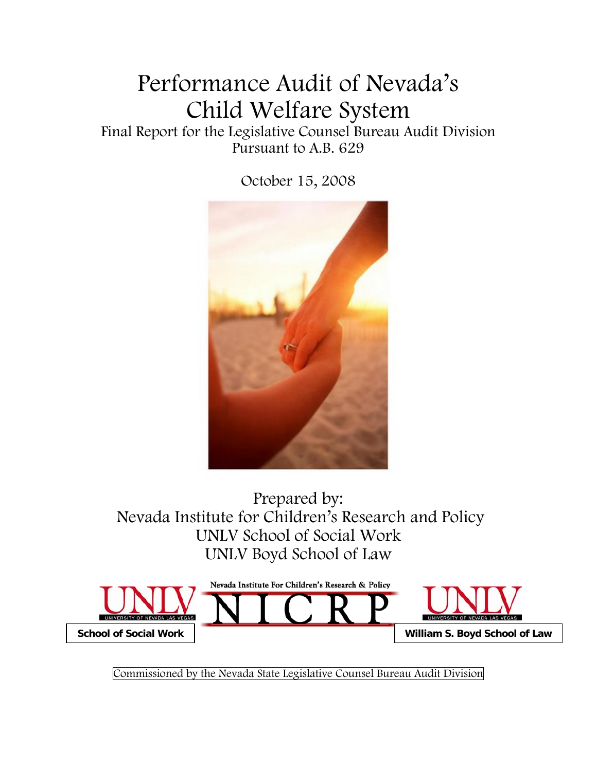# Performance Audit of Nevada's Child Welfare System

Final Report for the Legislative Counsel Bureau Audit Division Pursuant to A.B. 629

October 15, 2008



Prepared by: Nevada Institute for Children's Research and Policy UNLV School of Social Work UNLV Boyd School of Law



Commissioned by the Nevada State Legislative Counsel Bureau Audit Division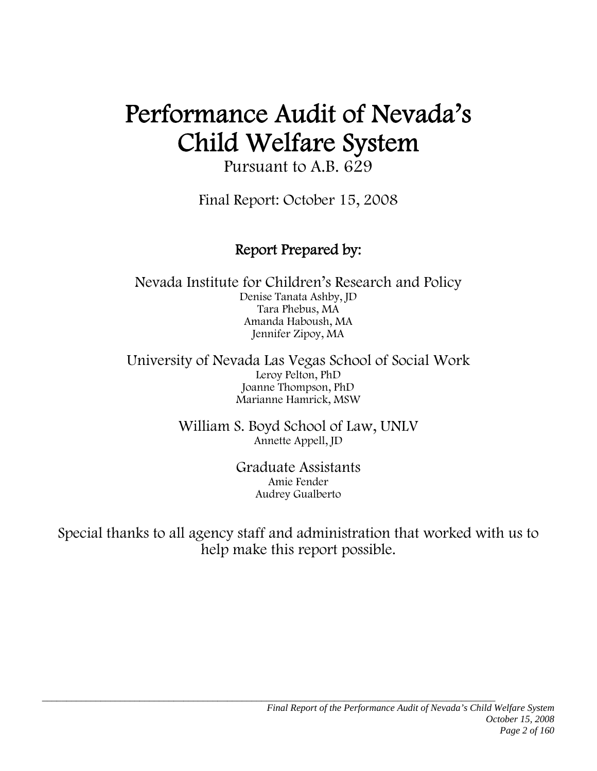# Performance Audit of Nevada's Child Welfare System

Pursuant to A.B. 629

Final Report: October 15, 2008

## Report Prepared by:

Nevada Institute for Children's Research and Policy Denise Tanata Ashby, JD Tara Phebus, MA Amanda Haboush, MA Jennifer Zipoy, MA

University of Nevada Las Vegas School of Social Work Leroy Pelton, PhD Joanne Thompson, PhD Marianne Hamrick, MSW

> William S. Boyd School of Law, UNLV Annette Appell, JD

> > Graduate Assistants Amie Fender Audrey Gualberto

Special thanks to all agency staff and administration that worked with us to help make this report possible.

*\_\_\_\_\_\_\_\_\_\_\_\_\_\_\_\_\_\_\_\_\_\_\_\_\_\_\_\_\_\_\_\_\_\_\_\_\_\_\_\_\_\_\_\_\_\_\_\_\_\_\_\_\_\_\_\_\_\_\_\_\_\_\_\_\_\_\_\_\_\_\_\_\_\_\_\_\_\_\_\_\_\_\_\_\_\_\_\_\_\_\_\_\_*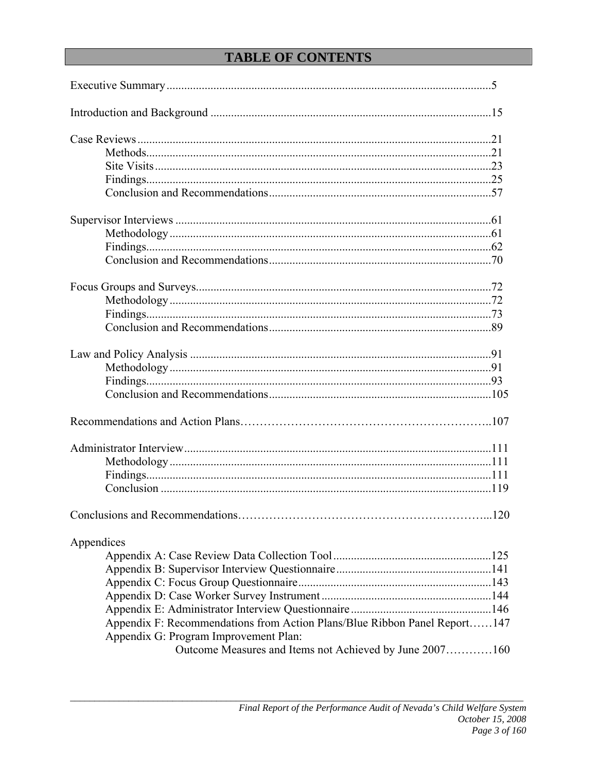## **TABLE OF CONTENTS**

| Appendices                                                                                                                                                                    |  |
|-------------------------------------------------------------------------------------------------------------------------------------------------------------------------------|--|
|                                                                                                                                                                               |  |
|                                                                                                                                                                               |  |
|                                                                                                                                                                               |  |
|                                                                                                                                                                               |  |
|                                                                                                                                                                               |  |
| Appendix F: Recommendations from Action Plans/Blue Ribbon Panel Report147<br>Appendix G: Program Improvement Plan:<br>Outcome Measures and Items not Achieved by June 2007160 |  |
|                                                                                                                                                                               |  |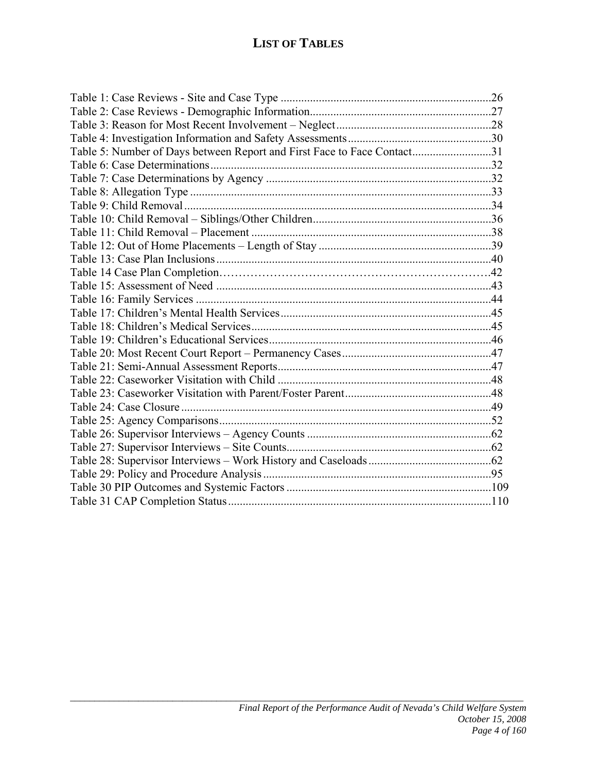## **LIST OF TABLES**

| Table 5: Number of Days between Report and First Face to Face Contact31 |  |
|-------------------------------------------------------------------------|--|
|                                                                         |  |
|                                                                         |  |
|                                                                         |  |
|                                                                         |  |
|                                                                         |  |
|                                                                         |  |
|                                                                         |  |
|                                                                         |  |
|                                                                         |  |
|                                                                         |  |
|                                                                         |  |
|                                                                         |  |
|                                                                         |  |
|                                                                         |  |
|                                                                         |  |
|                                                                         |  |
|                                                                         |  |
|                                                                         |  |
|                                                                         |  |
|                                                                         |  |
|                                                                         |  |
|                                                                         |  |
|                                                                         |  |
|                                                                         |  |
|                                                                         |  |
|                                                                         |  |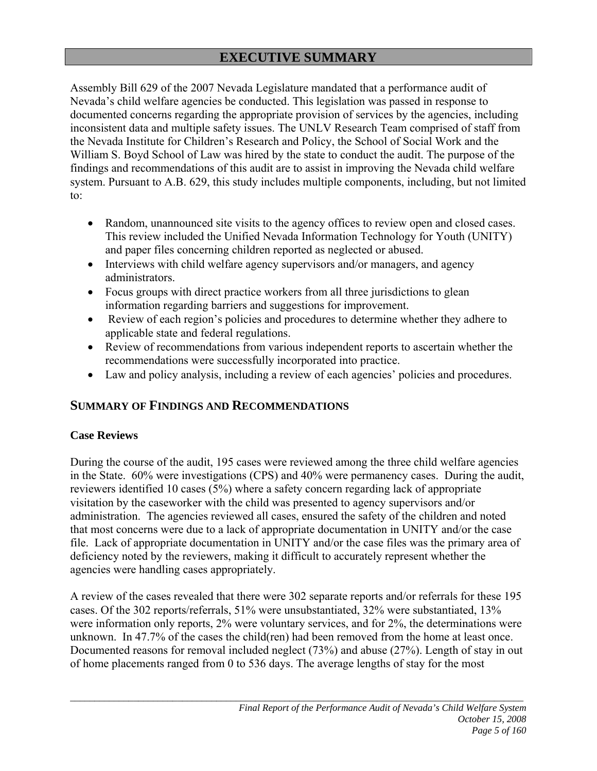#### **EXECUTIVE SUMMARY**

Assembly Bill 629 of the 2007 Nevada Legislature mandated that a performance audit of Nevada's child welfare agencies be conducted. This legislation was passed in response to documented concerns regarding the appropriate provision of services by the agencies, including inconsistent data and multiple safety issues. The UNLV Research Team comprised of staff from the Nevada Institute for Children's Research and Policy, the School of Social Work and the William S. Boyd School of Law was hired by the state to conduct the audit. The purpose of the findings and recommendations of this audit are to assist in improving the Nevada child welfare system. Pursuant to A.B. 629, this study includes multiple components, including, but not limited to:

- Random, unannounced site visits to the agency offices to review open and closed cases. This review included the Unified Nevada Information Technology for Youth (UNITY) and paper files concerning children reported as neglected or abused.
- Interviews with child welfare agency supervisors and/or managers, and agency administrators.
- Focus groups with direct practice workers from all three jurisdictions to glean information regarding barriers and suggestions for improvement.
- Review of each region's policies and procedures to determine whether they adhere to applicable state and federal regulations.
- Review of recommendations from various independent reports to ascertain whether the recommendations were successfully incorporated into practice.
- Law and policy analysis, including a review of each agencies' policies and procedures.

#### **SUMMARY OF FINDINGS AND RECOMMENDATIONS**

#### **Case Reviews**

During the course of the audit, 195 cases were reviewed among the three child welfare agencies in the State. 60% were investigations (CPS) and 40% were permanency cases. During the audit, reviewers identified 10 cases (5%) where a safety concern regarding lack of appropriate visitation by the caseworker with the child was presented to agency supervisors and/or administration. The agencies reviewed all cases, ensured the safety of the children and noted that most concerns were due to a lack of appropriate documentation in UNITY and/or the case file. Lack of appropriate documentation in UNITY and/or the case files was the primary area of deficiency noted by the reviewers, making it difficult to accurately represent whether the agencies were handling cases appropriately.

A review of the cases revealed that there were 302 separate reports and/or referrals for these 195 cases. Of the 302 reports/referrals, 51% were unsubstantiated, 32% were substantiated, 13% were information only reports, 2% were voluntary services, and for 2%, the determinations were unknown. In 47.7% of the cases the child(ren) had been removed from the home at least once. Documented reasons for removal included neglect (73%) and abuse (27%). Length of stay in out of home placements ranged from 0 to 536 days. The average lengths of stay for the most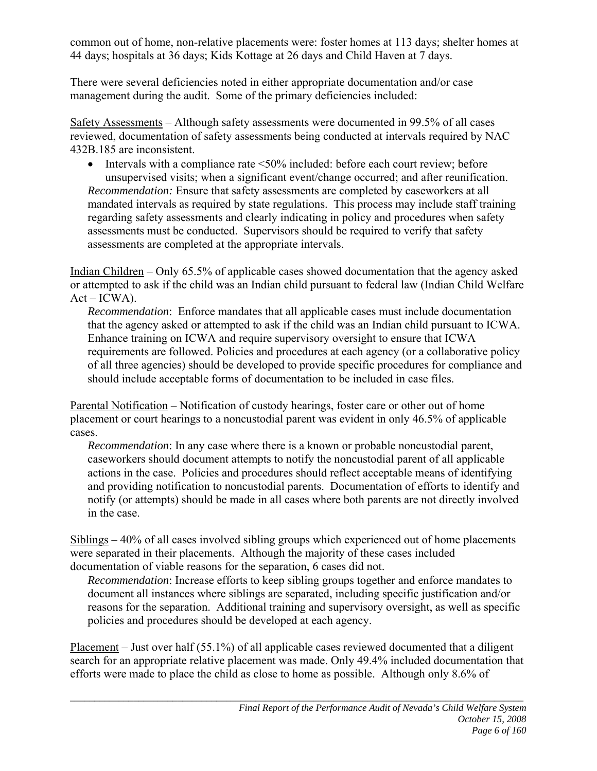common out of home, non-relative placements were: foster homes at 113 days; shelter homes at 44 days; hospitals at 36 days; Kids Kottage at 26 days and Child Haven at 7 days.

There were several deficiencies noted in either appropriate documentation and/or case management during the audit. Some of the primary deficiencies included:

Safety Assessments – Although safety assessments were documented in 99.5% of all cases reviewed, documentation of safety assessments being conducted at intervals required by NAC 432B.185 are inconsistent.

• Intervals with a compliance rate <50% included: before each court review; before unsupervised visits; when a significant event/change occurred; and after reunification. *Recommendation:* Ensure that safety assessments are completed by caseworkers at all mandated intervals as required by state regulations. This process may include staff training regarding safety assessments and clearly indicating in policy and procedures when safety assessments must be conducted. Supervisors should be required to verify that safety assessments are completed at the appropriate intervals.

Indian Children – Only 65.5% of applicable cases showed documentation that the agency asked or attempted to ask if the child was an Indian child pursuant to federal law (Indian Child Welfare  $Act-ICWA)$ .

*Recommendation*: Enforce mandates that all applicable cases must include documentation that the agency asked or attempted to ask if the child was an Indian child pursuant to ICWA. Enhance training on ICWA and require supervisory oversight to ensure that ICWA requirements are followed. Policies and procedures at each agency (or a collaborative policy of all three agencies) should be developed to provide specific procedures for compliance and should include acceptable forms of documentation to be included in case files.

Parental Notification – Notification of custody hearings, foster care or other out of home placement or court hearings to a noncustodial parent was evident in only 46.5% of applicable cases.

*Recommendation*: In any case where there is a known or probable noncustodial parent, caseworkers should document attempts to notify the noncustodial parent of all applicable actions in the case. Policies and procedures should reflect acceptable means of identifying and providing notification to noncustodial parents. Documentation of efforts to identify and notify (or attempts) should be made in all cases where both parents are not directly involved in the case.

Siblings – 40% of all cases involved sibling groups which experienced out of home placements were separated in their placements. Although the majority of these cases included documentation of viable reasons for the separation, 6 cases did not.

*Recommendation*: Increase efforts to keep sibling groups together and enforce mandates to document all instances where siblings are separated, including specific justification and/or reasons for the separation. Additional training and supervisory oversight, as well as specific policies and procedures should be developed at each agency.

Placement – Just over half (55.1%) of all applicable cases reviewed documented that a diligent search for an appropriate relative placement was made. Only 49.4% included documentation that efforts were made to place the child as close to home as possible. Although only 8.6% of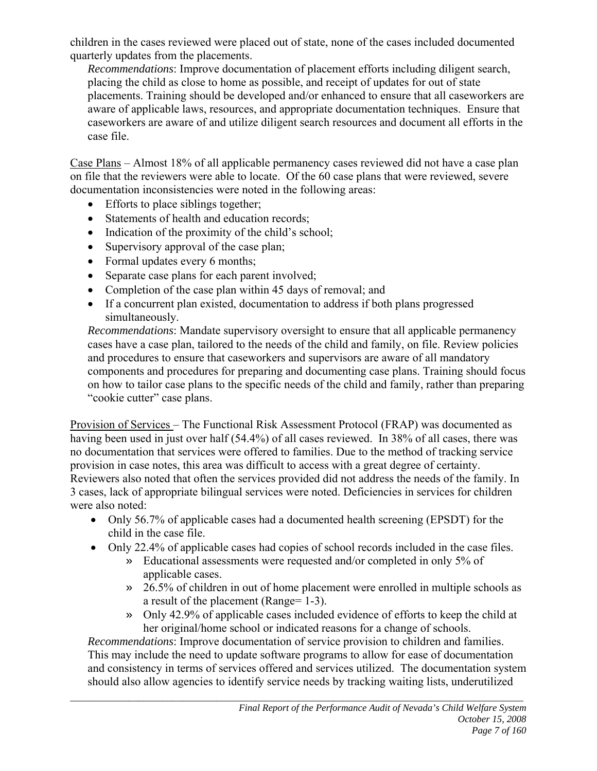children in the cases reviewed were placed out of state, none of the cases included documented quarterly updates from the placements.

*Recommendations*: Improve documentation of placement efforts including diligent search, placing the child as close to home as possible, and receipt of updates for out of state placements. Training should be developed and/or enhanced to ensure that all caseworkers are aware of applicable laws, resources, and appropriate documentation techniques. Ensure that caseworkers are aware of and utilize diligent search resources and document all efforts in the case file.

Case Plans – Almost 18% of all applicable permanency cases reviewed did not have a case plan on file that the reviewers were able to locate. Of the 60 case plans that were reviewed, severe documentation inconsistencies were noted in the following areas:

- Efforts to place siblings together;
- Statements of health and education records;
- Indication of the proximity of the child's school;
- Supervisory approval of the case plan;
- Formal updates every 6 months;
- Separate case plans for each parent involved;
- Completion of the case plan within 45 days of removal; and
- If a concurrent plan existed, documentation to address if both plans progressed simultaneously.

*Recommendations*: Mandate supervisory oversight to ensure that all applicable permanency cases have a case plan, tailored to the needs of the child and family, on file. Review policies and procedures to ensure that caseworkers and supervisors are aware of all mandatory components and procedures for preparing and documenting case plans. Training should focus on how to tailor case plans to the specific needs of the child and family, rather than preparing "cookie cutter" case plans.

Provision of Services – The Functional Risk Assessment Protocol (FRAP) was documented as having been used in just over half (54.4%) of all cases reviewed. In 38% of all cases, there was no documentation that services were offered to families. Due to the method of tracking service provision in case notes, this area was difficult to access with a great degree of certainty. Reviewers also noted that often the services provided did not address the needs of the family. In 3 cases, lack of appropriate bilingual services were noted. Deficiencies in services for children were also noted:

- Only 56.7% of applicable cases had a documented health screening (EPSDT) for the child in the case file.
- Only 22.4% of applicable cases had copies of school records included in the case files.
	- » Educational assessments were requested and/or completed in only 5% of applicable cases.
	- » 26.5% of children in out of home placement were enrolled in multiple schools as a result of the placement (Range= 1-3).
	- » Only 42.9% of applicable cases included evidence of efforts to keep the child at her original/home school or indicated reasons for a change of schools.

*Recommendations*: Improve documentation of service provision to children and families. This may include the need to update software programs to allow for ease of documentation and consistency in terms of services offered and services utilized. The documentation system should also allow agencies to identify service needs by tracking waiting lists, underutilized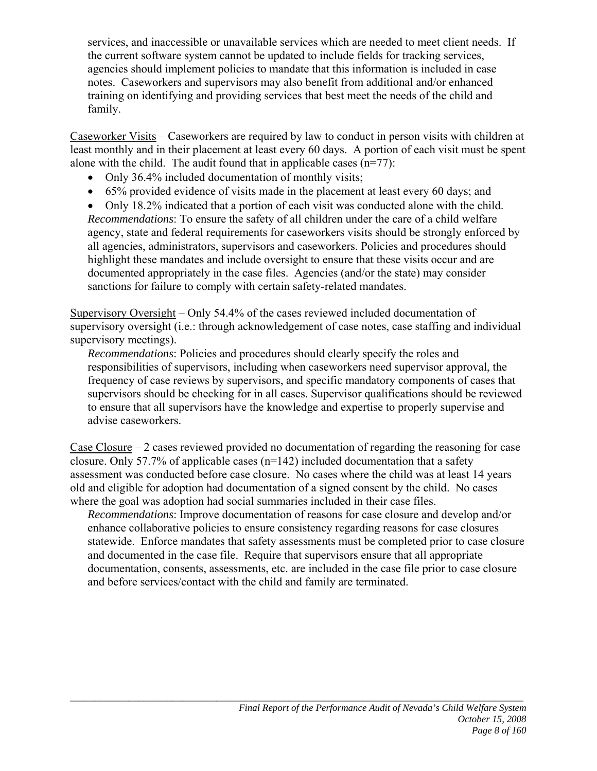services, and inaccessible or unavailable services which are needed to meet client needs. If the current software system cannot be updated to include fields for tracking services, agencies should implement policies to mandate that this information is included in case notes. Caseworkers and supervisors may also benefit from additional and/or enhanced training on identifying and providing services that best meet the needs of the child and family.

Caseworker Visits – Caseworkers are required by law to conduct in person visits with children at least monthly and in their placement at least every 60 days. A portion of each visit must be spent alone with the child. The audit found that in applicable cases  $(n=77)$ :

- Only 36.4% included documentation of monthly visits;
- 65% provided evidence of visits made in the placement at least every 60 days; and

• Only 18.2% indicated that a portion of each visit was conducted alone with the child. *Recommendations*: To ensure the safety of all children under the care of a child welfare agency, state and federal requirements for caseworkers visits should be strongly enforced by all agencies, administrators, supervisors and caseworkers. Policies and procedures should highlight these mandates and include oversight to ensure that these visits occur and are documented appropriately in the case files. Agencies (and/or the state) may consider sanctions for failure to comply with certain safety-related mandates.

Supervisory Oversight – Only 54.4% of the cases reviewed included documentation of supervisory oversight (i.e.: through acknowledgement of case notes, case staffing and individual supervisory meetings).

*Recommendations*: Policies and procedures should clearly specify the roles and responsibilities of supervisors, including when caseworkers need supervisor approval, the frequency of case reviews by supervisors, and specific mandatory components of cases that supervisors should be checking for in all cases. Supervisor qualifications should be reviewed to ensure that all supervisors have the knowledge and expertise to properly supervise and advise caseworkers.

Case Closure – 2 cases reviewed provided no documentation of regarding the reasoning for case closure. Only 57.7% of applicable cases (n=142) included documentation that a safety assessment was conducted before case closure. No cases where the child was at least 14 years old and eligible for adoption had documentation of a signed consent by the child. No cases where the goal was adoption had social summaries included in their case files.

*Recommendations*: Improve documentation of reasons for case closure and develop and/or enhance collaborative policies to ensure consistency regarding reasons for case closures statewide. Enforce mandates that safety assessments must be completed prior to case closure and documented in the case file. Require that supervisors ensure that all appropriate documentation, consents, assessments, etc. are included in the case file prior to case closure and before services/contact with the child and family are terminated.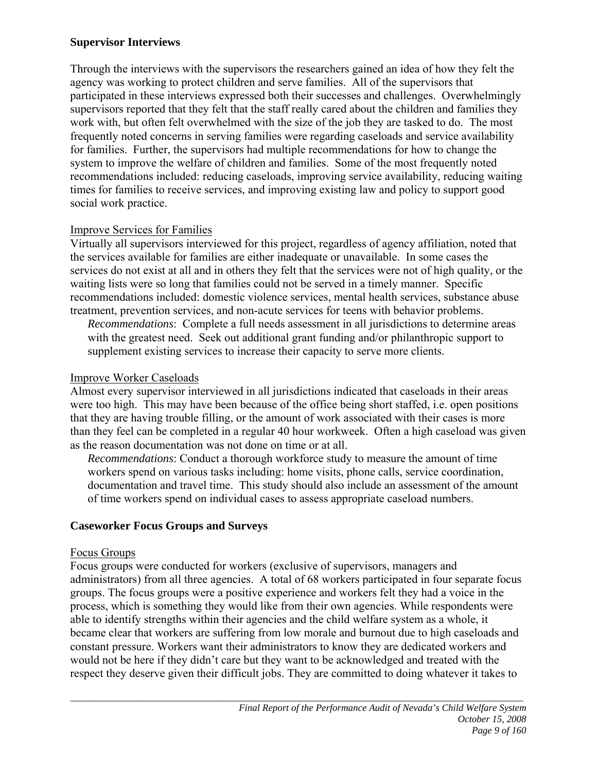#### **Supervisor Interviews**

Through the interviews with the supervisors the researchers gained an idea of how they felt the agency was working to protect children and serve families. All of the supervisors that participated in these interviews expressed both their successes and challenges. Overwhelmingly supervisors reported that they felt that the staff really cared about the children and families they work with, but often felt overwhelmed with the size of the job they are tasked to do. The most frequently noted concerns in serving families were regarding caseloads and service availability for families. Further, the supervisors had multiple recommendations for how to change the system to improve the welfare of children and families. Some of the most frequently noted recommendations included: reducing caseloads, improving service availability, reducing waiting times for families to receive services, and improving existing law and policy to support good social work practice.

#### Improve Services for Families

Virtually all supervisors interviewed for this project, regardless of agency affiliation, noted that the services available for families are either inadequate or unavailable. In some cases the services do not exist at all and in others they felt that the services were not of high quality, or the waiting lists were so long that families could not be served in a timely manner. Specific recommendations included: domestic violence services, mental health services, substance abuse treatment, prevention services, and non-acute services for teens with behavior problems.

*Recommendations*: Complete a full needs assessment in all jurisdictions to determine areas with the greatest need. Seek out additional grant funding and/or philanthropic support to supplement existing services to increase their capacity to serve more clients.

#### Improve Worker Caseloads

Almost every supervisor interviewed in all jurisdictions indicated that caseloads in their areas were too high. This may have been because of the office being short staffed, i.e. open positions that they are having trouble filling, or the amount of work associated with their cases is more than they feel can be completed in a regular 40 hour workweek. Often a high caseload was given as the reason documentation was not done on time or at all.

*Recommendations*: Conduct a thorough workforce study to measure the amount of time workers spend on various tasks including: home visits, phone calls, service coordination, documentation and travel time. This study should also include an assessment of the amount of time workers spend on individual cases to assess appropriate caseload numbers.

#### **Caseworker Focus Groups and Surveys**

#### Focus Groups

Focus groups were conducted for workers (exclusive of supervisors, managers and administrators) from all three agencies. A total of 68 workers participated in four separate focus groups. The focus groups were a positive experience and workers felt they had a voice in the process, which is something they would like from their own agencies. While respondents were able to identify strengths within their agencies and the child welfare system as a whole, it became clear that workers are suffering from low morale and burnout due to high caseloads and constant pressure. Workers want their administrators to know they are dedicated workers and would not be here if they didn't care but they want to be acknowledged and treated with the respect they deserve given their difficult jobs. They are committed to doing whatever it takes to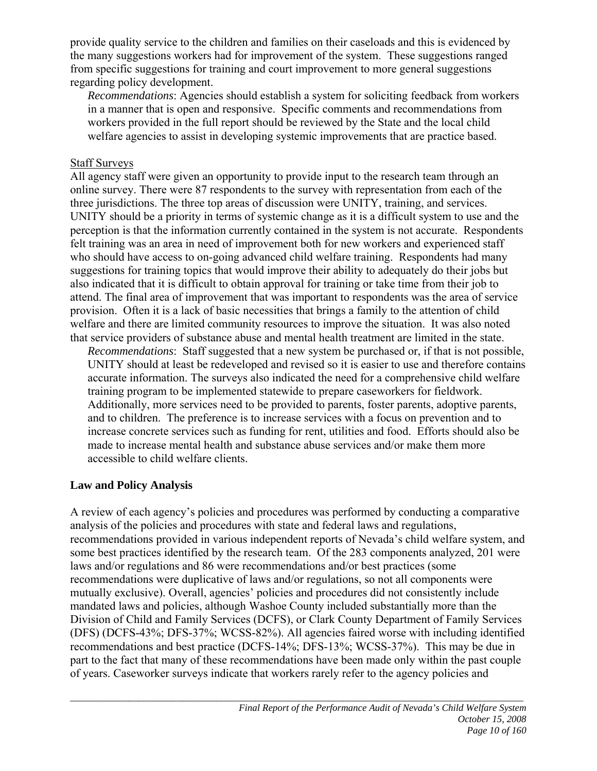provide quality service to the children and families on their caseloads and this is evidenced by the many suggestions workers had for improvement of the system. These suggestions ranged from specific suggestions for training and court improvement to more general suggestions regarding policy development.

*Recommendations*: Agencies should establish a system for soliciting feedback from workers in a manner that is open and responsive. Specific comments and recommendations from workers provided in the full report should be reviewed by the State and the local child welfare agencies to assist in developing systemic improvements that are practice based.

#### Staff Surveys

All agency staff were given an opportunity to provide input to the research team through an online survey. There were 87 respondents to the survey with representation from each of the three jurisdictions. The three top areas of discussion were UNITY, training, and services. UNITY should be a priority in terms of systemic change as it is a difficult system to use and the perception is that the information currently contained in the system is not accurate. Respondents felt training was an area in need of improvement both for new workers and experienced staff who should have access to on-going advanced child welfare training. Respondents had many suggestions for training topics that would improve their ability to adequately do their jobs but also indicated that it is difficult to obtain approval for training or take time from their job to attend. The final area of improvement that was important to respondents was the area of service provision. Often it is a lack of basic necessities that brings a family to the attention of child welfare and there are limited community resources to improve the situation. It was also noted that service providers of substance abuse and mental health treatment are limited in the state.

*Recommendations*: Staff suggested that a new system be purchased or, if that is not possible, UNITY should at least be redeveloped and revised so it is easier to use and therefore contains accurate information. The surveys also indicated the need for a comprehensive child welfare training program to be implemented statewide to prepare caseworkers for fieldwork. Additionally, more services need to be provided to parents, foster parents, adoptive parents, and to children. The preference is to increase services with a focus on prevention and to increase concrete services such as funding for rent, utilities and food. Efforts should also be made to increase mental health and substance abuse services and/or make them more accessible to child welfare clients.

#### **Law and Policy Analysis**

A review of each agency's policies and procedures was performed by conducting a comparative analysis of the policies and procedures with state and federal laws and regulations, recommendations provided in various independent reports of Nevada's child welfare system, and some best practices identified by the research team. Of the 283 components analyzed, 201 were laws and/or regulations and 86 were recommendations and/or best practices (some recommendations were duplicative of laws and/or regulations, so not all components were mutually exclusive). Overall, agencies' policies and procedures did not consistently include mandated laws and policies, although Washoe County included substantially more than the Division of Child and Family Services (DCFS), or Clark County Department of Family Services (DFS) (DCFS-43%; DFS-37%; WCSS-82%). All agencies faired worse with including identified recommendations and best practice (DCFS-14%; DFS-13%; WCSS-37%). This may be due in part to the fact that many of these recommendations have been made only within the past couple of years. Caseworker surveys indicate that workers rarely refer to the agency policies and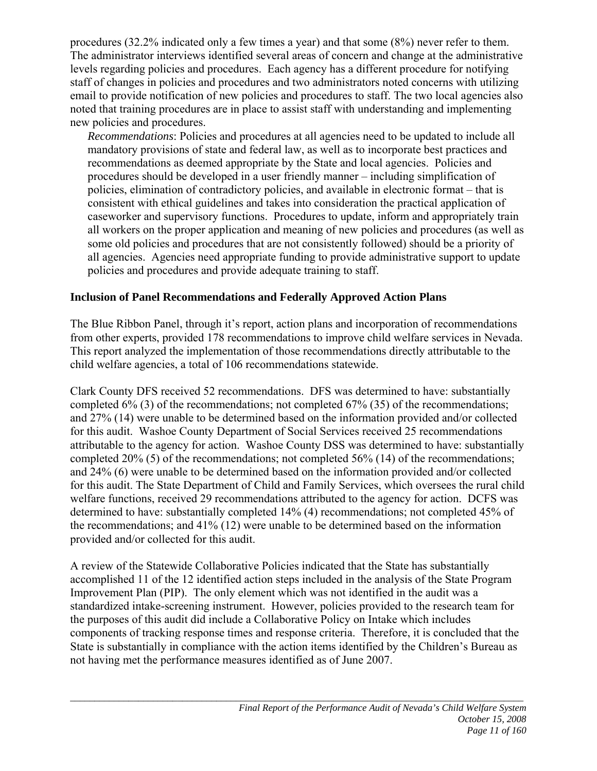procedures (32.2% indicated only a few times a year) and that some (8%) never refer to them. The administrator interviews identified several areas of concern and change at the administrative levels regarding policies and procedures. Each agency has a different procedure for notifying staff of changes in policies and procedures and two administrators noted concerns with utilizing email to provide notification of new policies and procedures to staff. The two local agencies also noted that training procedures are in place to assist staff with understanding and implementing new policies and procedures.

*Recommendations*: Policies and procedures at all agencies need to be updated to include all mandatory provisions of state and federal law, as well as to incorporate best practices and recommendations as deemed appropriate by the State and local agencies. Policies and procedures should be developed in a user friendly manner – including simplification of policies, elimination of contradictory policies, and available in electronic format – that is consistent with ethical guidelines and takes into consideration the practical application of caseworker and supervisory functions. Procedures to update, inform and appropriately train all workers on the proper application and meaning of new policies and procedures (as well as some old policies and procedures that are not consistently followed) should be a priority of all agencies. Agencies need appropriate funding to provide administrative support to update policies and procedures and provide adequate training to staff.

#### **Inclusion of Panel Recommendations and Federally Approved Action Plans**

The Blue Ribbon Panel, through it's report, action plans and incorporation of recommendations from other experts, provided 178 recommendations to improve child welfare services in Nevada. This report analyzed the implementation of those recommendations directly attributable to the child welfare agencies, a total of 106 recommendations statewide.

Clark County DFS received 52 recommendations. DFS was determined to have: substantially completed 6% (3) of the recommendations; not completed 67% (35) of the recommendations; and 27% (14) were unable to be determined based on the information provided and/or collected for this audit. Washoe County Department of Social Services received 25 recommendations attributable to the agency for action. Washoe County DSS was determined to have: substantially completed 20% (5) of the recommendations; not completed 56% (14) of the recommendations; and 24% (6) were unable to be determined based on the information provided and/or collected for this audit. The State Department of Child and Family Services, which oversees the rural child welfare functions, received 29 recommendations attributed to the agency for action. DCFS was determined to have: substantially completed 14% (4) recommendations; not completed 45% of the recommendations; and 41% (12) were unable to be determined based on the information provided and/or collected for this audit.

A review of the Statewide Collaborative Policies indicated that the State has substantially accomplished 11 of the 12 identified action steps included in the analysis of the State Program Improvement Plan (PIP). The only element which was not identified in the audit was a standardized intake-screening instrument. However, policies provided to the research team for the purposes of this audit did include a Collaborative Policy on Intake which includes components of tracking response times and response criteria. Therefore, it is concluded that the State is substantially in compliance with the action items identified by the Children's Bureau as not having met the performance measures identified as of June 2007.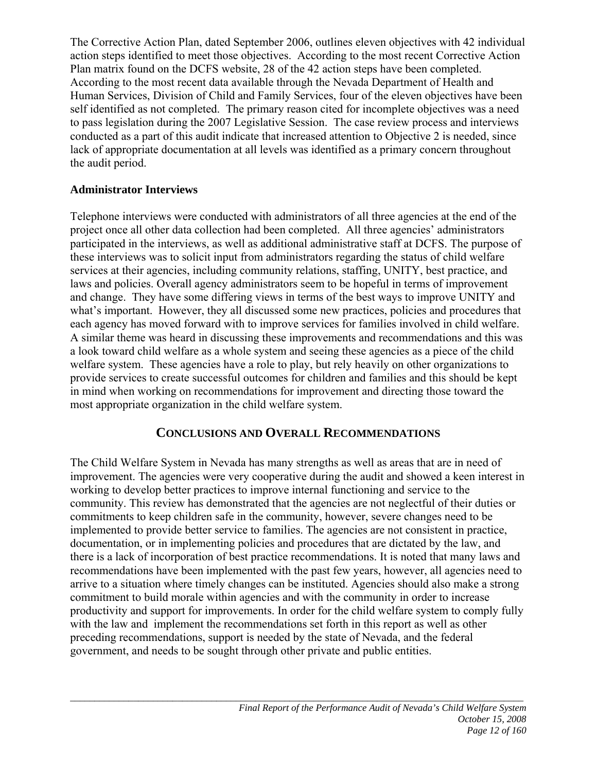The Corrective Action Plan, dated September 2006, outlines eleven objectives with 42 individual action steps identified to meet those objectives. According to the most recent Corrective Action Plan matrix found on the DCFS website, 28 of the 42 action steps have been completed. According to the most recent data available through the Nevada Department of Health and Human Services, Division of Child and Family Services, four of the eleven objectives have been self identified as not completed. The primary reason cited for incomplete objectives was a need to pass legislation during the 2007 Legislative Session. The case review process and interviews conducted as a part of this audit indicate that increased attention to Objective 2 is needed, since lack of appropriate documentation at all levels was identified as a primary concern throughout the audit period.

#### **Administrator Interviews**

Telephone interviews were conducted with administrators of all three agencies at the end of the project once all other data collection had been completed. All three agencies' administrators participated in the interviews, as well as additional administrative staff at DCFS. The purpose of these interviews was to solicit input from administrators regarding the status of child welfare services at their agencies, including community relations, staffing, UNITY, best practice, and laws and policies. Overall agency administrators seem to be hopeful in terms of improvement and change. They have some differing views in terms of the best ways to improve UNITY and what's important. However, they all discussed some new practices, policies and procedures that each agency has moved forward with to improve services for families involved in child welfare. A similar theme was heard in discussing these improvements and recommendations and this was a look toward child welfare as a whole system and seeing these agencies as a piece of the child welfare system. These agencies have a role to play, but rely heavily on other organizations to provide services to create successful outcomes for children and families and this should be kept in mind when working on recommendations for improvement and directing those toward the most appropriate organization in the child welfare system.

#### **CONCLUSIONS AND OVERALL RECOMMENDATIONS**

The Child Welfare System in Nevada has many strengths as well as areas that are in need of improvement. The agencies were very cooperative during the audit and showed a keen interest in working to develop better practices to improve internal functioning and service to the community. This review has demonstrated that the agencies are not neglectful of their duties or commitments to keep children safe in the community, however, severe changes need to be implemented to provide better service to families. The agencies are not consistent in practice, documentation, or in implementing policies and procedures that are dictated by the law, and there is a lack of incorporation of best practice recommendations. It is noted that many laws and recommendations have been implemented with the past few years, however, all agencies need to arrive to a situation where timely changes can be instituted. Agencies should also make a strong commitment to build morale within agencies and with the community in order to increase productivity and support for improvements. In order for the child welfare system to comply fully with the law and implement the recommendations set forth in this report as well as other preceding recommendations, support is needed by the state of Nevada, and the federal government, and needs to be sought through other private and public entities.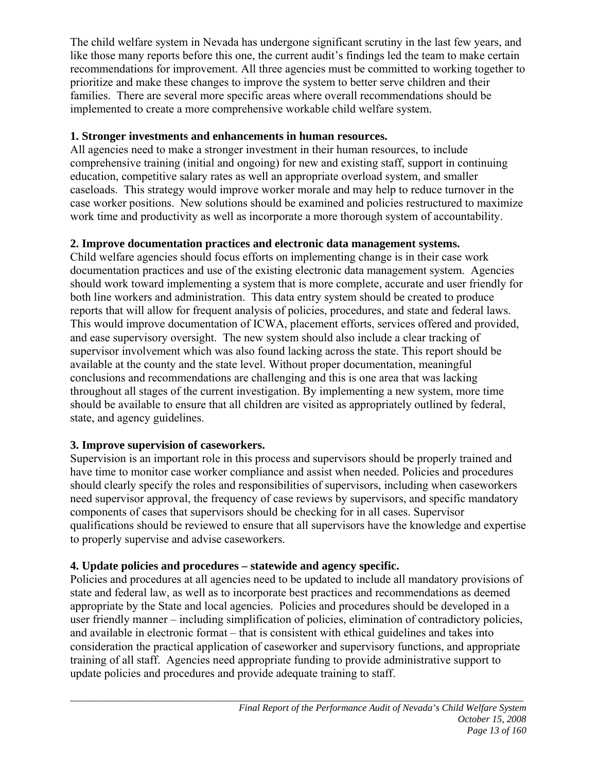The child welfare system in Nevada has undergone significant scrutiny in the last few years, and like those many reports before this one, the current audit's findings led the team to make certain recommendations for improvement. All three agencies must be committed to working together to prioritize and make these changes to improve the system to better serve children and their families. There are several more specific areas where overall recommendations should be implemented to create a more comprehensive workable child welfare system.

#### **1. Stronger investments and enhancements in human resources.**

All agencies need to make a stronger investment in their human resources, to include comprehensive training (initial and ongoing) for new and existing staff, support in continuing education, competitive salary rates as well an appropriate overload system, and smaller caseloads. This strategy would improve worker morale and may help to reduce turnover in the case worker positions. New solutions should be examined and policies restructured to maximize work time and productivity as well as incorporate a more thorough system of accountability.

#### **2. Improve documentation practices and electronic data management systems.**

Child welfare agencies should focus efforts on implementing change is in their case work documentation practices and use of the existing electronic data management system. Agencies should work toward implementing a system that is more complete, accurate and user friendly for both line workers and administration. This data entry system should be created to produce reports that will allow for frequent analysis of policies, procedures, and state and federal laws. This would improve documentation of ICWA, placement efforts, services offered and provided, and ease supervisory oversight. The new system should also include a clear tracking of supervisor involvement which was also found lacking across the state. This report should be available at the county and the state level. Without proper documentation, meaningful conclusions and recommendations are challenging and this is one area that was lacking throughout all stages of the current investigation. By implementing a new system, more time should be available to ensure that all children are visited as appropriately outlined by federal, state, and agency guidelines.

#### **3. Improve supervision of caseworkers.**

Supervision is an important role in this process and supervisors should be properly trained and have time to monitor case worker compliance and assist when needed. Policies and procedures should clearly specify the roles and responsibilities of supervisors, including when caseworkers need supervisor approval, the frequency of case reviews by supervisors, and specific mandatory components of cases that supervisors should be checking for in all cases. Supervisor qualifications should be reviewed to ensure that all supervisors have the knowledge and expertise to properly supervise and advise caseworkers.

#### **4. Update policies and procedures – statewide and agency specific.**

Policies and procedures at all agencies need to be updated to include all mandatory provisions of state and federal law, as well as to incorporate best practices and recommendations as deemed appropriate by the State and local agencies. Policies and procedures should be developed in a user friendly manner – including simplification of policies, elimination of contradictory policies, and available in electronic format – that is consistent with ethical guidelines and takes into consideration the practical application of caseworker and supervisory functions, and appropriate training of all staff. Agencies need appropriate funding to provide administrative support to update policies and procedures and provide adequate training to staff.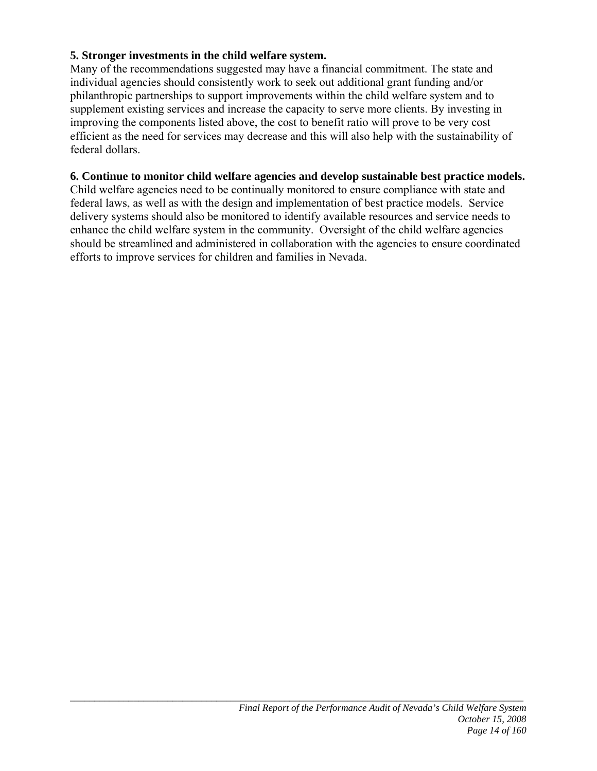#### **5. Stronger investments in the child welfare system.**

Many of the recommendations suggested may have a financial commitment. The state and individual agencies should consistently work to seek out additional grant funding and/or philanthropic partnerships to support improvements within the child welfare system and to supplement existing services and increase the capacity to serve more clients. By investing in improving the components listed above, the cost to benefit ratio will prove to be very cost efficient as the need for services may decrease and this will also help with the sustainability of federal dollars.

#### **6. Continue to monitor child welfare agencies and develop sustainable best practice models.**

Child welfare agencies need to be continually monitored to ensure compliance with state and federal laws, as well as with the design and implementation of best practice models. Service delivery systems should also be monitored to identify available resources and service needs to enhance the child welfare system in the community. Oversight of the child welfare agencies should be streamlined and administered in collaboration with the agencies to ensure coordinated efforts to improve services for children and families in Nevada.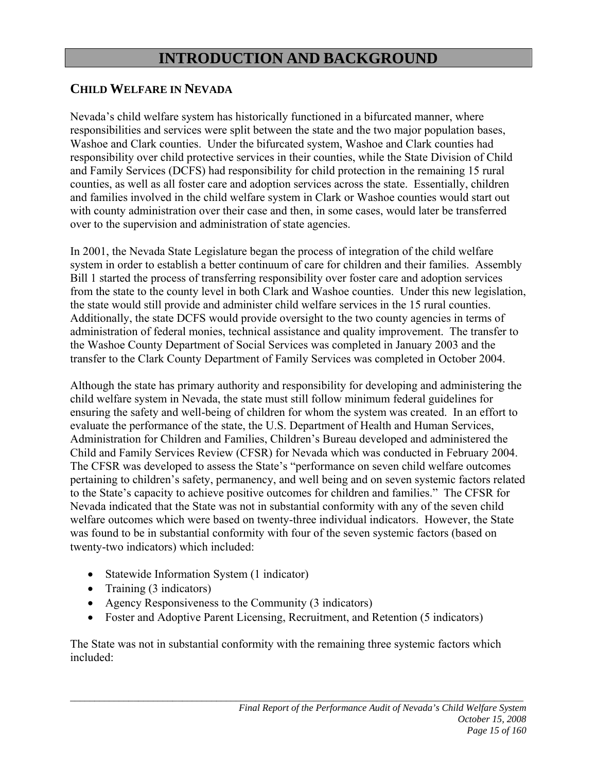## **INTRODUCTION AND BACKGROUND**

#### **CHILD WELFARE IN NEVADA**

Nevada's child welfare system has historically functioned in a bifurcated manner, where responsibilities and services were split between the state and the two major population bases, Washoe and Clark counties. Under the bifurcated system, Washoe and Clark counties had responsibility over child protective services in their counties, while the State Division of Child and Family Services (DCFS) had responsibility for child protection in the remaining 15 rural counties, as well as all foster care and adoption services across the state. Essentially, children and families involved in the child welfare system in Clark or Washoe counties would start out with county administration over their case and then, in some cases, would later be transferred over to the supervision and administration of state agencies.

In 2001, the Nevada State Legislature began the process of integration of the child welfare system in order to establish a better continuum of care for children and their families. Assembly Bill 1 started the process of transferring responsibility over foster care and adoption services from the state to the county level in both Clark and Washoe counties. Under this new legislation, the state would still provide and administer child welfare services in the 15 rural counties. Additionally, the state DCFS would provide oversight to the two county agencies in terms of administration of federal monies, technical assistance and quality improvement. The transfer to the Washoe County Department of Social Services was completed in January 2003 and the transfer to the Clark County Department of Family Services was completed in October 2004.

Although the state has primary authority and responsibility for developing and administering the child welfare system in Nevada, the state must still follow minimum federal guidelines for ensuring the safety and well-being of children for whom the system was created. In an effort to evaluate the performance of the state, the U.S. Department of Health and Human Services, Administration for Children and Families, Children's Bureau developed and administered the Child and Family Services Review (CFSR) for Nevada which was conducted in February 2004. The CFSR was developed to assess the State's "performance on seven child welfare outcomes pertaining to children's safety, permanency, and well being and on seven systemic factors related to the State's capacity to achieve positive outcomes for children and families." The CFSR for Nevada indicated that the State was not in substantial conformity with any of the seven child welfare outcomes which were based on twenty-three individual indicators. However, the State was found to be in substantial conformity with four of the seven systemic factors (based on twenty-two indicators) which included:

- Statewide Information System (1 indicator)
- Training (3 indicators)
- Agency Responsiveness to the Community (3 indicators)
- Foster and Adoptive Parent Licensing, Recruitment, and Retention (5 indicators)

The State was not in substantial conformity with the remaining three systemic factors which included: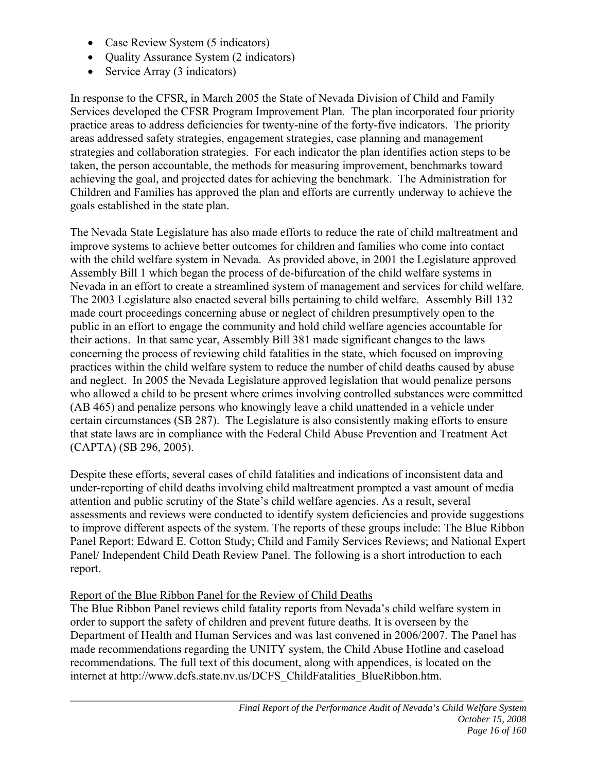- Case Review System (5 indicators)
- Ouality Assurance System (2 indicators)
- Service Array (3 indicators)

In response to the CFSR, in March 2005 the State of Nevada Division of Child and Family Services developed the CFSR Program Improvement Plan. The plan incorporated four priority practice areas to address deficiencies for twenty-nine of the forty-five indicators. The priority areas addressed safety strategies, engagement strategies, case planning and management strategies and collaboration strategies. For each indicator the plan identifies action steps to be taken, the person accountable, the methods for measuring improvement, benchmarks toward achieving the goal, and projected dates for achieving the benchmark. The Administration for Children and Families has approved the plan and efforts are currently underway to achieve the goals established in the state plan.

The Nevada State Legislature has also made efforts to reduce the rate of child maltreatment and improve systems to achieve better outcomes for children and families who come into contact with the child welfare system in Nevada. As provided above, in 2001 the Legislature approved Assembly Bill 1 which began the process of de-bifurcation of the child welfare systems in Nevada in an effort to create a streamlined system of management and services for child welfare. The 2003 Legislature also enacted several bills pertaining to child welfare. Assembly Bill 132 made court proceedings concerning abuse or neglect of children presumptively open to the public in an effort to engage the community and hold child welfare agencies accountable for their actions. In that same year, Assembly Bill 381 made significant changes to the laws concerning the process of reviewing child fatalities in the state, which focused on improving practices within the child welfare system to reduce the number of child deaths caused by abuse and neglect. In 2005 the Nevada Legislature approved legislation that would penalize persons who allowed a child to be present where crimes involving controlled substances were committed (AB 465) and penalize persons who knowingly leave a child unattended in a vehicle under certain circumstances (SB 287). The Legislature is also consistently making efforts to ensure that state laws are in compliance with the Federal Child Abuse Prevention and Treatment Act (CAPTA) (SB 296, 2005).

Despite these efforts, several cases of child fatalities and indications of inconsistent data and under-reporting of child deaths involving child maltreatment prompted a vast amount of media attention and public scrutiny of the State's child welfare agencies. As a result, several assessments and reviews were conducted to identify system deficiencies and provide suggestions to improve different aspects of the system. The reports of these groups include: The Blue Ribbon Panel Report; Edward E. Cotton Study; Child and Family Services Reviews; and National Expert Panel/ Independent Child Death Review Panel. The following is a short introduction to each report.

#### Report of the Blue Ribbon Panel for the Review of Child Deaths

The Blue Ribbon Panel reviews child fatality reports from Nevada's child welfare system in order to support the safety of children and prevent future deaths. It is overseen by the Department of Health and Human Services and was last convened in 2006/2007. The Panel has made recommendations regarding the UNITY system, the Child Abuse Hotline and caseload recommendations. The full text of this document, along with appendices, is located on the internet at http://www.dcfs.state.nv.us/DCFS\_ChildFatalities\_BlueRibbon.htm.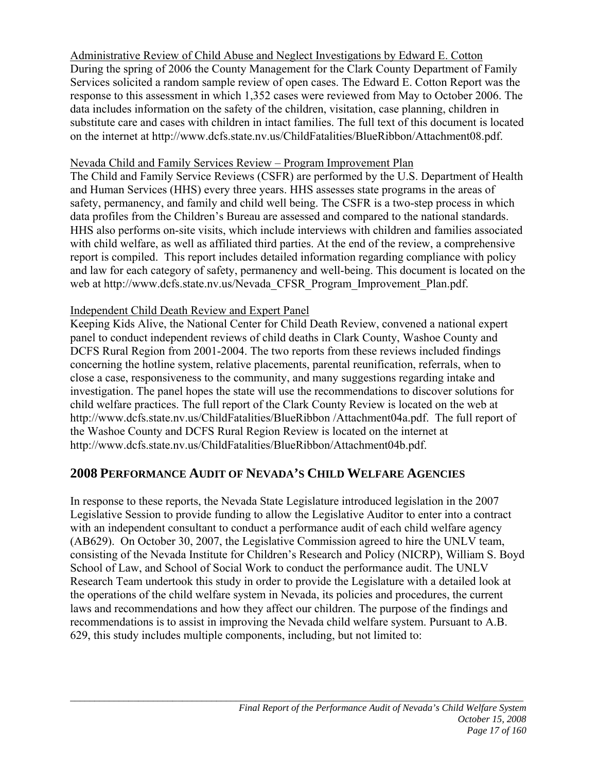#### Administrative Review of Child Abuse and Neglect Investigations by Edward E. Cotton During the spring of 2006 the County Management for the Clark County Department of Family Services solicited a random sample review of open cases. The Edward E. Cotton Report was the response to this assessment in which 1,352 cases were reviewed from May to October 2006. The data includes information on the safety of the children, visitation, case planning, children in substitute care and cases with children in intact families. The full text of this document is located on the internet at http://www.dcfs.state.nv.us/ChildFatalities/BlueRibbon/Attachment08.pdf.

#### Nevada Child and Family Services Review – Program Improvement Plan

The Child and Family Service Reviews (CSFR) are performed by the U.S. Department of Health and Human Services (HHS) every three years. HHS assesses state programs in the areas of safety, permanency, and family and child well being. The CSFR is a two-step process in which data profiles from the Children's Bureau are assessed and compared to the national standards. HHS also performs on-site visits, which include interviews with children and families associated with child welfare, as well as affiliated third parties. At the end of the review, a comprehensive report is compiled. This report includes detailed information regarding compliance with policy and law for each category of safety, permanency and well-being. This document is located on the web at http://www.dcfs.state.nv.us/Nevada\_CFSR\_Program\_Improvement\_Plan.pdf.

#### Independent Child Death Review and Expert Panel

Keeping Kids Alive, the National Center for Child Death Review, convened a national expert panel to conduct independent reviews of child deaths in Clark County, Washoe County and DCFS Rural Region from 2001-2004. The two reports from these reviews included findings concerning the hotline system, relative placements, parental reunification, referrals, when to close a case, responsiveness to the community, and many suggestions regarding intake and investigation. The panel hopes the state will use the recommendations to discover solutions for child welfare practices. The full report of the Clark County Review is located on the web at <http://www.dcfs.state.nv.us/ChildFatalities/BlueRibbon /Attachment04a.pdf>. The full report of the Washoe County and DCFS Rural Region Review is located on the internet at <http://www.dcfs.state.nv.us/ChildFatalities/BlueRibbon/>Attachment04b.pdf.

## **2008 PERFORMANCE AUDIT OF NEVADA'S CHILD WELFARE AGENCIES**

In response to these reports, the Nevada State Legislature introduced legislation in the 2007 Legislative Session to provide funding to allow the Legislative Auditor to enter into a contract with an independent consultant to conduct a performance audit of each child welfare agency (AB629). On October 30, 2007, the Legislative Commission agreed to hire the UNLV team, consisting of the Nevada Institute for Children's Research and Policy (NICRP), William S. Boyd School of Law, and School of Social Work to conduct the performance audit. The UNLV Research Team undertook this study in order to provide the Legislature with a detailed look at the operations of the child welfare system in Nevada, its policies and procedures, the current laws and recommendations and how they affect our children. The purpose of the findings and recommendations is to assist in improving the Nevada child welfare system. Pursuant to A.B. 629, this study includes multiple components, including, but not limited to: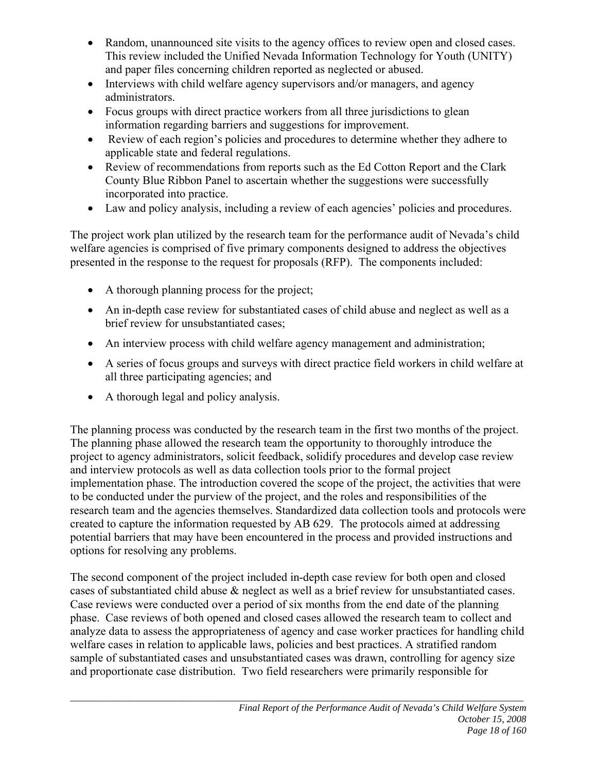- Random, unannounced site visits to the agency offices to review open and closed cases. This review included the Unified Nevada Information Technology for Youth (UNITY) and paper files concerning children reported as neglected or abused.
- Interviews with child welfare agency supervisors and/or managers, and agency administrators.
- Focus groups with direct practice workers from all three jurisdictions to glean information regarding barriers and suggestions for improvement.
- Review of each region's policies and procedures to determine whether they adhere to applicable state and federal regulations.
- Review of recommendations from reports such as the Ed Cotton Report and the Clark County Blue Ribbon Panel to ascertain whether the suggestions were successfully incorporated into practice.
- Law and policy analysis, including a review of each agencies' policies and procedures.

The project work plan utilized by the research team for the performance audit of Nevada's child welfare agencies is comprised of five primary components designed to address the objectives presented in the response to the request for proposals (RFP). The components included:

- A thorough planning process for the project;
- An in-depth case review for substantiated cases of child abuse and neglect as well as a brief review for unsubstantiated cases;
- An interview process with child welfare agency management and administration;
- A series of focus groups and surveys with direct practice field workers in child welfare at all three participating agencies; and
- A thorough legal and policy analysis.

The planning process was conducted by the research team in the first two months of the project. The planning phase allowed the research team the opportunity to thoroughly introduce the project to agency administrators, solicit feedback, solidify procedures and develop case review and interview protocols as well as data collection tools prior to the formal project implementation phase. The introduction covered the scope of the project, the activities that were to be conducted under the purview of the project, and the roles and responsibilities of the research team and the agencies themselves. Standardized data collection tools and protocols were created to capture the information requested by AB 629. The protocols aimed at addressing potential barriers that may have been encountered in the process and provided instructions and options for resolving any problems.

The second component of the project included in-depth case review for both open and closed cases of substantiated child abuse & neglect as well as a brief review for unsubstantiated cases. Case reviews were conducted over a period of six months from the end date of the planning phase. Case reviews of both opened and closed cases allowed the research team to collect and analyze data to assess the appropriateness of agency and case worker practices for handling child welfare cases in relation to applicable laws, policies and best practices. A stratified random sample of substantiated cases and unsubstantiated cases was drawn, controlling for agency size and proportionate case distribution. Two field researchers were primarily responsible for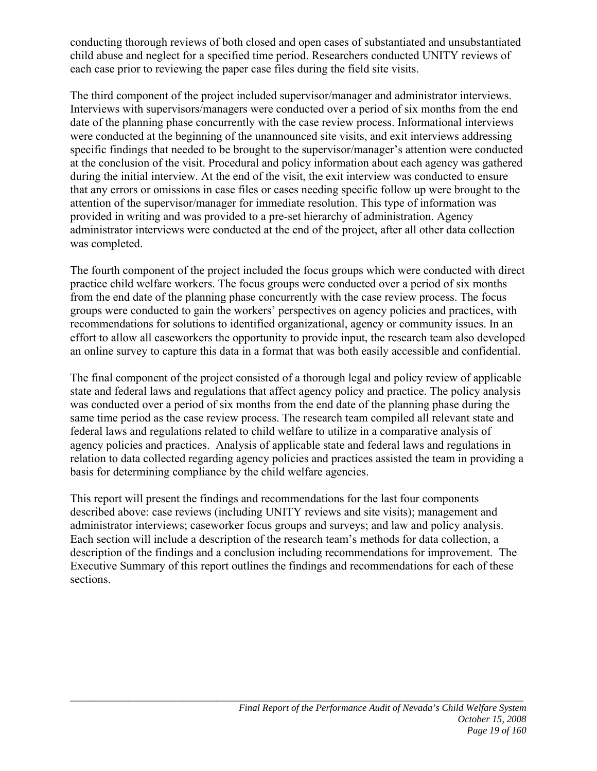conducting thorough reviews of both closed and open cases of substantiated and unsubstantiated child abuse and neglect for a specified time period. Researchers conducted UNITY reviews of each case prior to reviewing the paper case files during the field site visits.

The third component of the project included supervisor/manager and administrator interviews. Interviews with supervisors/managers were conducted over a period of six months from the end date of the planning phase concurrently with the case review process. Informational interviews were conducted at the beginning of the unannounced site visits, and exit interviews addressing specific findings that needed to be brought to the supervisor/manager's attention were conducted at the conclusion of the visit. Procedural and policy information about each agency was gathered during the initial interview. At the end of the visit, the exit interview was conducted to ensure that any errors or omissions in case files or cases needing specific follow up were brought to the attention of the supervisor/manager for immediate resolution. This type of information was provided in writing and was provided to a pre-set hierarchy of administration. Agency administrator interviews were conducted at the end of the project, after all other data collection was completed.

The fourth component of the project included the focus groups which were conducted with direct practice child welfare workers. The focus groups were conducted over a period of six months from the end date of the planning phase concurrently with the case review process. The focus groups were conducted to gain the workers' perspectives on agency policies and practices, with recommendations for solutions to identified organizational, agency or community issues. In an effort to allow all caseworkers the opportunity to provide input, the research team also developed an online survey to capture this data in a format that was both easily accessible and confidential.

The final component of the project consisted of a thorough legal and policy review of applicable state and federal laws and regulations that affect agency policy and practice. The policy analysis was conducted over a period of six months from the end date of the planning phase during the same time period as the case review process. The research team compiled all relevant state and federal laws and regulations related to child welfare to utilize in a comparative analysis of agency policies and practices. Analysis of applicable state and federal laws and regulations in relation to data collected regarding agency policies and practices assisted the team in providing a basis for determining compliance by the child welfare agencies.

This report will present the findings and recommendations for the last four components described above: case reviews (including UNITY reviews and site visits); management and administrator interviews; caseworker focus groups and surveys; and law and policy analysis. Each section will include a description of the research team's methods for data collection, a description of the findings and a conclusion including recommendations for improvement. The Executive Summary of this report outlines the findings and recommendations for each of these sections.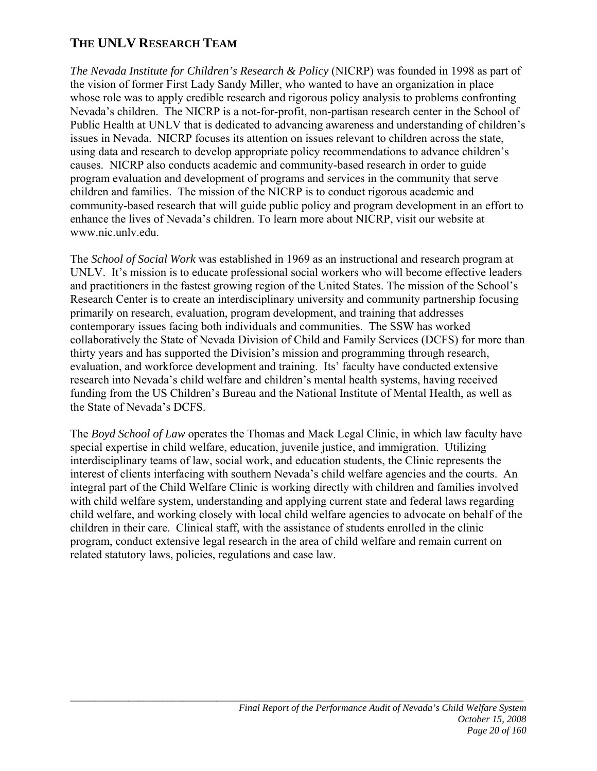### **THE UNLV RESEARCH TEAM**

*The Nevada Institute for Children's Research & Policy* (NICRP) was founded in 1998 as part of the vision of former First Lady Sandy Miller, who wanted to have an organization in place whose role was to apply credible research and rigorous policy analysis to problems confronting Nevada's children. The NICRP is a not-for-profit, non-partisan research center in the School of Public Health at UNLV that is dedicated to advancing awareness and understanding of children's issues in Nevada. NICRP focuses its attention on issues relevant to children across the state, using data and research to develop appropriate policy recommendations to advance children's causes. NICRP also conducts academic and community-based research in order to guide program evaluation and development of programs and services in the community that serve children and families. The mission of the NICRP is to conduct rigorous academic and community-based research that will guide public policy and program development in an effort to enhance the lives of Nevada's children. To learn more about NICRP, visit our website at www.nic.unlv.edu.

The *School of Social Work* was established in 1969 as an instructional and research program at UNLV. It's mission is to educate professional social workers who will become effective leaders and practitioners in the fastest growing region of the United States. The mission of the School's Research Center is to create an interdisciplinary university and community partnership focusing primarily on research, evaluation, program development, and training that addresses contemporary issues facing both individuals and communities. The SSW has worked collaboratively the State of Nevada Division of Child and Family Services (DCFS) for more than thirty years and has supported the Division's mission and programming through research, evaluation, and workforce development and training. Its' faculty have conducted extensive research into Nevada's child welfare and children's mental health systems, having received funding from the US Children's Bureau and the National Institute of Mental Health, as well as the State of Nevada's DCFS.

The *Boyd School of Law* operates the Thomas and Mack Legal Clinic, in which law faculty have special expertise in child welfare, education, juvenile justice, and immigration. Utilizing interdisciplinary teams of law, social work, and education students, the Clinic represents the interest of clients interfacing with southern Nevada's child welfare agencies and the courts. An integral part of the Child Welfare Clinic is working directly with children and families involved with child welfare system, understanding and applying current state and federal laws regarding child welfare, and working closely with local child welfare agencies to advocate on behalf of the children in their care. Clinical staff, with the assistance of students enrolled in the clinic program, conduct extensive legal research in the area of child welfare and remain current on related statutory laws, policies, regulations and case law.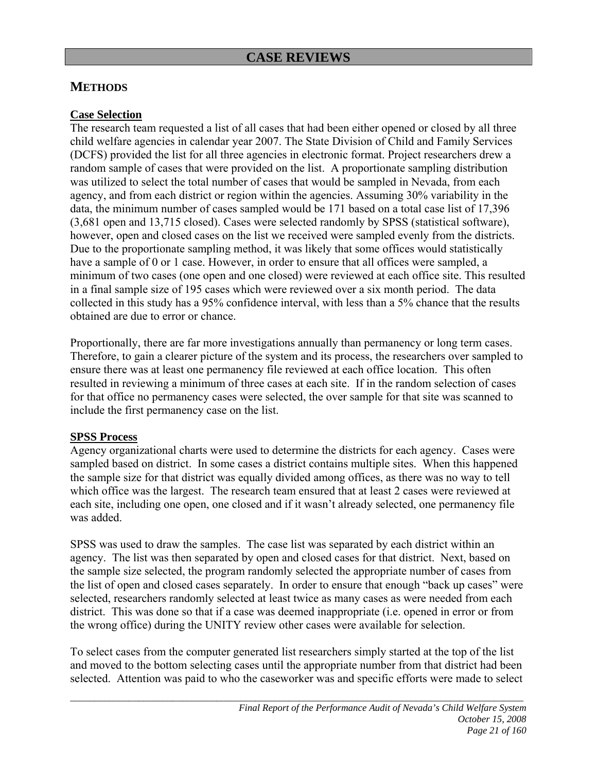#### **CASE REVIEWS**

#### **METHODS**

#### **Case Selection**

The research team requested a list of all cases that had been either opened or closed by all three child welfare agencies in calendar year 2007. The State Division of Child and Family Services (DCFS) provided the list for all three agencies in electronic format. Project researchers drew a random sample of cases that were provided on the list. A proportionate sampling distribution was utilized to select the total number of cases that would be sampled in Nevada, from each agency, and from each district or region within the agencies. Assuming 30% variability in the data, the minimum number of cases sampled would be 171 based on a total case list of 17,396 (3,681 open and 13,715 closed). Cases were selected randomly by SPSS (statistical software), however, open and closed cases on the list we received were sampled evenly from the districts. Due to the proportionate sampling method, it was likely that some offices would statistically have a sample of 0 or 1 case. However, in order to ensure that all offices were sampled, a minimum of two cases (one open and one closed) were reviewed at each office site. This resulted in a final sample size of 195 cases which were reviewed over a six month period. The data collected in this study has a 95% confidence interval, with less than a 5% chance that the results obtained are due to error or chance.

Proportionally, there are far more investigations annually than permanency or long term cases. Therefore, to gain a clearer picture of the system and its process, the researchers over sampled to ensure there was at least one permanency file reviewed at each office location. This often resulted in reviewing a minimum of three cases at each site. If in the random selection of cases for that office no permanency cases were selected, the over sample for that site was scanned to include the first permanency case on the list.

#### **SPSS Process**

Agency organizational charts were used to determine the districts for each agency. Cases were sampled based on district. In some cases a district contains multiple sites. When this happened the sample size for that district was equally divided among offices, as there was no way to tell which office was the largest. The research team ensured that at least 2 cases were reviewed at each site, including one open, one closed and if it wasn't already selected, one permanency file was added.

SPSS was used to draw the samples. The case list was separated by each district within an agency. The list was then separated by open and closed cases for that district. Next, based on the sample size selected, the program randomly selected the appropriate number of cases from the list of open and closed cases separately. In order to ensure that enough "back up cases" were selected, researchers randomly selected at least twice as many cases as were needed from each district. This was done so that if a case was deemed inappropriate (i.e. opened in error or from the wrong office) during the UNITY review other cases were available for selection.

To select cases from the computer generated list researchers simply started at the top of the list and moved to the bottom selecting cases until the appropriate number from that district had been selected. Attention was paid to who the caseworker was and specific efforts were made to select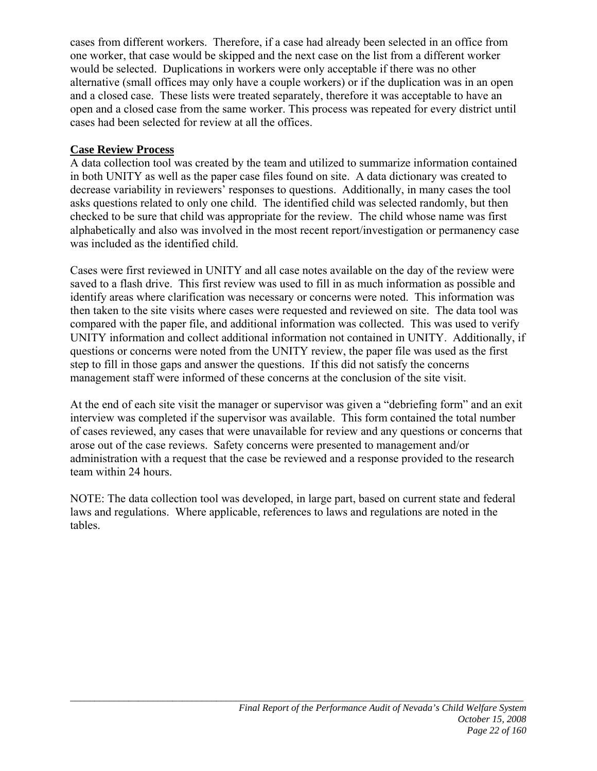cases from different workers. Therefore, if a case had already been selected in an office from one worker, that case would be skipped and the next case on the list from a different worker would be selected. Duplications in workers were only acceptable if there was no other alternative (small offices may only have a couple workers) or if the duplication was in an open and a closed case. These lists were treated separately, therefore it was acceptable to have an open and a closed case from the same worker. This process was repeated for every district until cases had been selected for review at all the offices.

#### **Case Review Process**

A data collection tool was created by the team and utilized to summarize information contained in both UNITY as well as the paper case files found on site. A data dictionary was created to decrease variability in reviewers' responses to questions. Additionally, in many cases the tool asks questions related to only one child. The identified child was selected randomly, but then checked to be sure that child was appropriate for the review. The child whose name was first alphabetically and also was involved in the most recent report/investigation or permanency case was included as the identified child.

Cases were first reviewed in UNITY and all case notes available on the day of the review were saved to a flash drive. This first review was used to fill in as much information as possible and identify areas where clarification was necessary or concerns were noted. This information was then taken to the site visits where cases were requested and reviewed on site. The data tool was compared with the paper file, and additional information was collected. This was used to verify UNITY information and collect additional information not contained in UNITY. Additionally, if questions or concerns were noted from the UNITY review, the paper file was used as the first step to fill in those gaps and answer the questions. If this did not satisfy the concerns management staff were informed of these concerns at the conclusion of the site visit.

At the end of each site visit the manager or supervisor was given a "debriefing form" and an exit interview was completed if the supervisor was available. This form contained the total number of cases reviewed, any cases that were unavailable for review and any questions or concerns that arose out of the case reviews. Safety concerns were presented to management and/or administration with a request that the case be reviewed and a response provided to the research team within 24 hours.

NOTE: The data collection tool was developed, in large part, based on current state and federal laws and regulations. Where applicable, references to laws and regulations are noted in the tables.

*\_\_\_\_\_\_\_\_\_\_\_\_\_\_\_\_\_\_\_\_\_\_\_\_\_\_\_\_\_\_\_\_\_\_\_\_\_\_\_\_\_\_\_\_\_\_\_\_\_\_\_\_\_\_\_\_\_\_\_\_\_\_\_\_\_\_\_\_\_\_\_\_\_\_\_\_\_\_\_\_\_\_\_\_\_\_\_\_\_\_\_\_\_*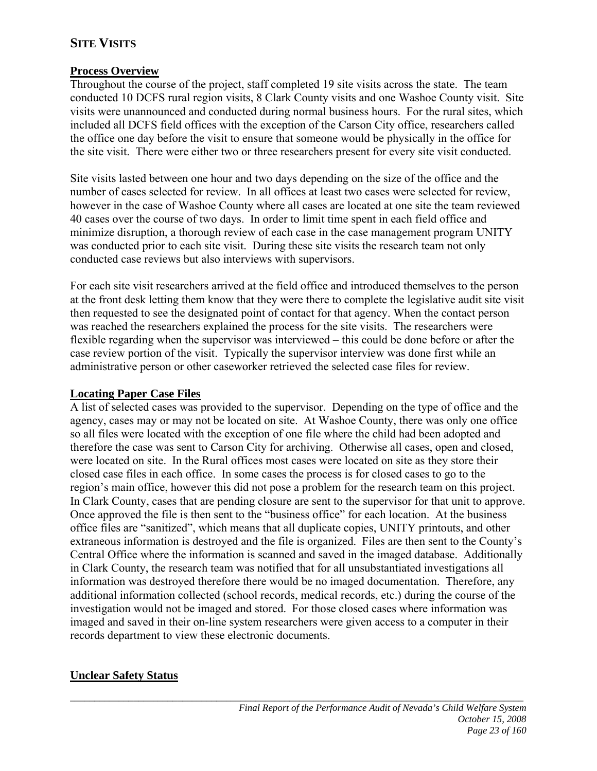### **SITE VISITS**

#### **Process Overview**

Throughout the course of the project, staff completed 19 site visits across the state. The team conducted 10 DCFS rural region visits, 8 Clark County visits and one Washoe County visit. Site visits were unannounced and conducted during normal business hours. For the rural sites, which included all DCFS field offices with the exception of the Carson City office, researchers called the office one day before the visit to ensure that someone would be physically in the office for the site visit. There were either two or three researchers present for every site visit conducted.

Site visits lasted between one hour and two days depending on the size of the office and the number of cases selected for review. In all offices at least two cases were selected for review, however in the case of Washoe County where all cases are located at one site the team reviewed 40 cases over the course of two days. In order to limit time spent in each field office and minimize disruption, a thorough review of each case in the case management program UNITY was conducted prior to each site visit. During these site visits the research team not only conducted case reviews but also interviews with supervisors.

For each site visit researchers arrived at the field office and introduced themselves to the person at the front desk letting them know that they were there to complete the legislative audit site visit then requested to see the designated point of contact for that agency. When the contact person was reached the researchers explained the process for the site visits. The researchers were flexible regarding when the supervisor was interviewed – this could be done before or after the case review portion of the visit. Typically the supervisor interview was done first while an administrative person or other caseworker retrieved the selected case files for review.

#### **Locating Paper Case Files**

A list of selected cases was provided to the supervisor. Depending on the type of office and the agency, cases may or may not be located on site. At Washoe County, there was only one office so all files were located with the exception of one file where the child had been adopted and therefore the case was sent to Carson City for archiving. Otherwise all cases, open and closed, were located on site. In the Rural offices most cases were located on site as they store their closed case files in each office. In some cases the process is for closed cases to go to the region's main office, however this did not pose a problem for the research team on this project. In Clark County, cases that are pending closure are sent to the supervisor for that unit to approve. Once approved the file is then sent to the "business office" for each location. At the business office files are "sanitized", which means that all duplicate copies, UNITY printouts, and other extraneous information is destroyed and the file is organized. Files are then sent to the County's Central Office where the information is scanned and saved in the imaged database. Additionally in Clark County, the research team was notified that for all unsubstantiated investigations all information was destroyed therefore there would be no imaged documentation. Therefore, any additional information collected (school records, medical records, etc.) during the course of the investigation would not be imaged and stored. For those closed cases where information was imaged and saved in their on-line system researchers were given access to a computer in their records department to view these electronic documents.

#### **Unclear Safety Status**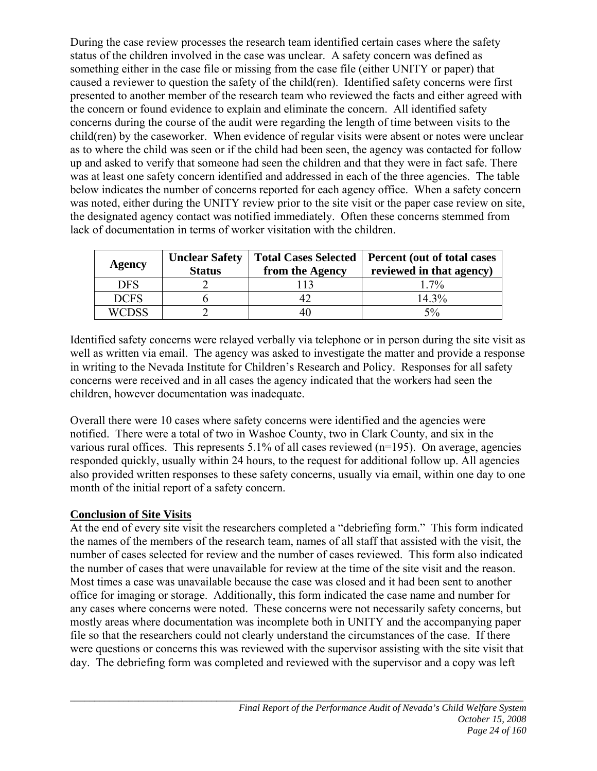During the case review processes the research team identified certain cases where the safety status of the children involved in the case was unclear. A safety concern was defined as something either in the case file or missing from the case file (either UNITY or paper) that caused a reviewer to question the safety of the child(ren). Identified safety concerns were first presented to another member of the research team who reviewed the facts and either agreed with the concern or found evidence to explain and eliminate the concern. All identified safety concerns during the course of the audit were regarding the length of time between visits to the child(ren) by the caseworker. When evidence of regular visits were absent or notes were unclear as to where the child was seen or if the child had been seen, the agency was contacted for follow up and asked to verify that someone had seen the children and that they were in fact safe. There was at least one safety concern identified and addressed in each of the three agencies. The table below indicates the number of concerns reported for each agency office. When a safety concern was noted, either during the UNITY review prior to the site visit or the paper case review on site, the designated agency contact was notified immediately. Often these concerns stemmed from lack of documentation in terms of worker visitation with the children.

| Agency      | <b>Unclear Safety</b><br><b>Status</b> | from the Agency | <b>Total Cases Selected   Percent (out of total cases)</b><br>reviewed in that agency) |
|-------------|----------------------------------------|-----------------|----------------------------------------------------------------------------------------|
| <b>DFS</b>  |                                        |                 | 17%                                                                                    |
| <b>DCFS</b> |                                        | 4,              | $14.3\%$                                                                               |
| WCDSS       |                                        | 40              | $5\%$                                                                                  |

Identified safety concerns were relayed verbally via telephone or in person during the site visit as well as written via email. The agency was asked to investigate the matter and provide a response in writing to the Nevada Institute for Children's Research and Policy. Responses for all safety concerns were received and in all cases the agency indicated that the workers had seen the children, however documentation was inadequate.

Overall there were 10 cases where safety concerns were identified and the agencies were notified. There were a total of two in Washoe County, two in Clark County, and six in the various rural offices. This represents 5.1% of all cases reviewed (n=195). On average, agencies responded quickly, usually within 24 hours, to the request for additional follow up. All agencies also provided written responses to these safety concerns, usually via email, within one day to one month of the initial report of a safety concern.

#### **Conclusion of Site Visits**

At the end of every site visit the researchers completed a "debriefing form." This form indicated the names of the members of the research team, names of all staff that assisted with the visit, the number of cases selected for review and the number of cases reviewed. This form also indicated the number of cases that were unavailable for review at the time of the site visit and the reason. Most times a case was unavailable because the case was closed and it had been sent to another office for imaging or storage. Additionally, this form indicated the case name and number for any cases where concerns were noted. These concerns were not necessarily safety concerns, but mostly areas where documentation was incomplete both in UNITY and the accompanying paper file so that the researchers could not clearly understand the circumstances of the case. If there were questions or concerns this was reviewed with the supervisor assisting with the site visit that day. The debriefing form was completed and reviewed with the supervisor and a copy was left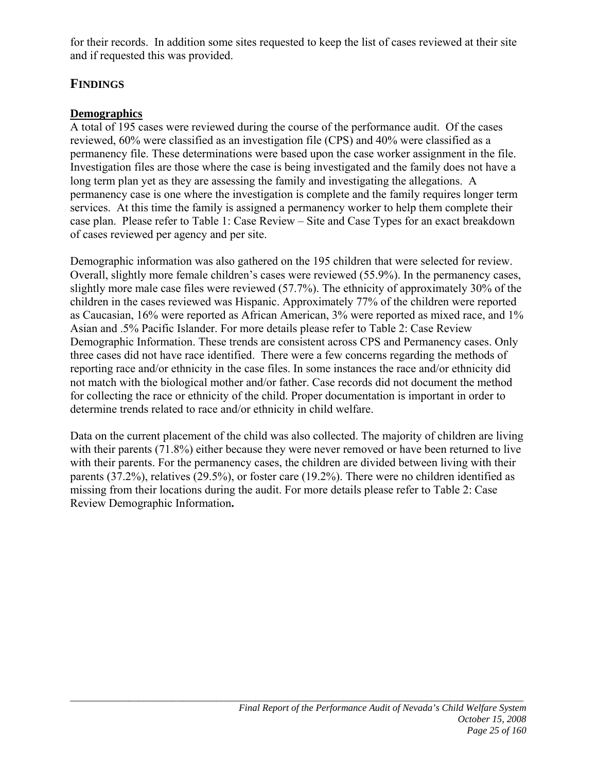for their records. In addition some sites requested to keep the list of cases reviewed at their site and if requested this was provided.

#### **FINDINGS**

#### **Demographics**

A total of 195 cases were reviewed during the course of the performance audit. Of the cases reviewed, 60% were classified as an investigation file (CPS) and 40% were classified as a permanency file. These determinations were based upon the case worker assignment in the file. Investigation files are those where the case is being investigated and the family does not have a long term plan yet as they are assessing the family and investigating the allegations. A permanency case is one where the investigation is complete and the family requires longer term services. At this time the family is assigned a permanency worker to help them complete their case plan. Please refer to Table 1: Case Review – Site and Case Types for an exact breakdown of cases reviewed per agency and per site.

Demographic information was also gathered on the 195 children that were selected for review. Overall, slightly more female children's cases were reviewed (55.9%). In the permanency cases, slightly more male case files were reviewed (57.7%). The ethnicity of approximately 30% of the children in the cases reviewed was Hispanic. Approximately 77% of the children were reported as Caucasian, 16% were reported as African American, 3% were reported as mixed race, and 1% Asian and .5% Pacific Islander. For more details please refer to Table 2: Case Review Demographic Information. These trends are consistent across CPS and Permanency cases. Only three cases did not have race identified. There were a few concerns regarding the methods of reporting race and/or ethnicity in the case files. In some instances the race and/or ethnicity did not match with the biological mother and/or father. Case records did not document the method for collecting the race or ethnicity of the child. Proper documentation is important in order to determine trends related to race and/or ethnicity in child welfare.

Data on the current placement of the child was also collected. The majority of children are living with their parents (71.8%) either because they were never removed or have been returned to live with their parents. For the permanency cases, the children are divided between living with their parents (37.2%), relatives (29.5%), or foster care (19.2%). There were no children identified as missing from their locations during the audit. For more details please refer to Table 2: Case Review Demographic Information**.**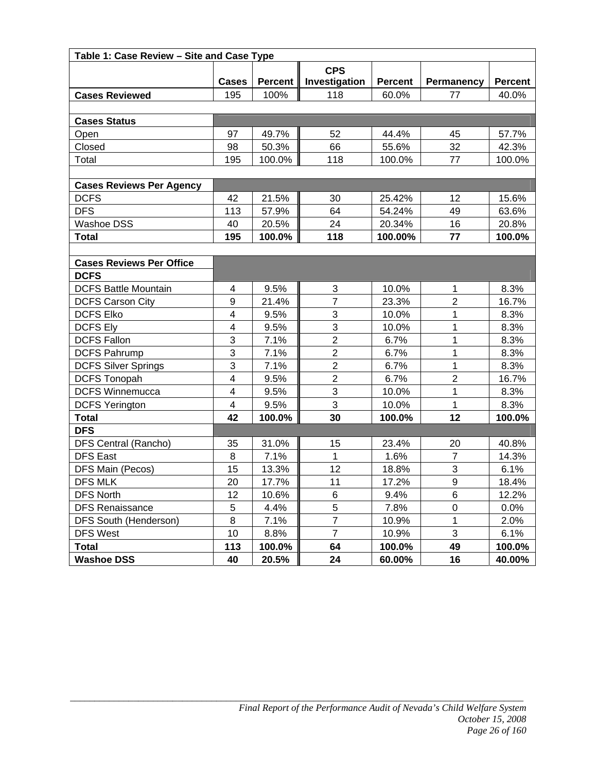| Table 1: Case Review - Site and Case Type |                         |         |                |                |                |                |  |  |
|-------------------------------------------|-------------------------|---------|----------------|----------------|----------------|----------------|--|--|
|                                           |                         |         | <b>CPS</b>     |                |                |                |  |  |
|                                           | <b>Cases</b>            | Percent | Investigation  | <b>Percent</b> | Permanency     | <b>Percent</b> |  |  |
| <b>Cases Reviewed</b>                     | 195                     | 100%    | 118            | 60.0%          | 77             | 40.0%          |  |  |
|                                           |                         |         |                |                |                |                |  |  |
| <b>Cases Status</b>                       |                         |         |                |                |                |                |  |  |
| Open                                      | 97                      | 49.7%   | 52             | 44.4%          | 45             | 57.7%          |  |  |
| Closed                                    | 98                      | 50.3%   | 66             | 55.6%          | 32             | 42.3%          |  |  |
| Total                                     | 195                     | 100.0%  | 118            | 100.0%         | 77             | 100.0%         |  |  |
|                                           |                         |         |                |                |                |                |  |  |
| <b>Cases Reviews Per Agency</b>           |                         |         |                |                |                |                |  |  |
| <b>DCFS</b>                               | 42                      | 21.5%   | 30             | 25.42%         | 12             | 15.6%          |  |  |
| <b>DFS</b>                                | 113                     | 57.9%   | 64             | 54.24%         | 49             | 63.6%          |  |  |
| <b>Washoe DSS</b>                         | 40                      | 20.5%   | 24             | 20.34%         | 16             | 20.8%          |  |  |
| <b>Total</b>                              | 195                     | 100.0%  | 118            | 100.00%        | 77             | 100.0%         |  |  |
|                                           |                         |         |                |                |                |                |  |  |
| <b>Cases Reviews Per Office</b>           |                         |         |                |                |                |                |  |  |
| <b>DCFS</b>                               |                         |         |                |                |                |                |  |  |
| <b>DCFS Battle Mountain</b>               | 4                       | 9.5%    | 3              | 10.0%          | 1              | 8.3%           |  |  |
| <b>DCFS Carson City</b>                   | $\boldsymbol{9}$        | 21.4%   | $\overline{7}$ | 23.3%          | $\overline{2}$ | 16.7%          |  |  |
| <b>DCFS Elko</b>                          | $\overline{\mathbf{4}}$ | 9.5%    | 3              | 10.0%          | 1              | 8.3%           |  |  |
| <b>DCFS Ely</b>                           | 4                       | 9.5%    | 3              | 10.0%          | 1              | 8.3%           |  |  |
| <b>DCFS Fallon</b>                        | 3                       | 7.1%    | $\overline{2}$ | 6.7%           | 1              | 8.3%           |  |  |
| <b>DCFS Pahrump</b>                       | 3                       | 7.1%    | $\overline{c}$ | 6.7%           | $\mathbf{1}$   | 8.3%           |  |  |
| <b>DCFS Silver Springs</b>                | 3                       | 7.1%    | $\overline{2}$ | 6.7%           | 1              | 8.3%           |  |  |
| <b>DCFS Tonopah</b>                       | $\overline{\mathbf{4}}$ | 9.5%    | $\overline{2}$ | 6.7%           | $\overline{2}$ | 16.7%          |  |  |
| <b>DCFS Winnemucca</b>                    | $\overline{\mathbf{4}}$ | 9.5%    | 3              | 10.0%          | 1              | 8.3%           |  |  |
| <b>DCFS Yerington</b>                     | $\overline{4}$          | 9.5%    | 3              | 10.0%          | 1              | 8.3%           |  |  |
| <b>Total</b>                              | 42                      | 100.0%  | 30             | 100.0%         | 12             | 100.0%         |  |  |
| <b>DFS</b>                                |                         |         |                |                |                |                |  |  |
| DFS Central (Rancho)                      | 35                      | 31.0%   | 15             | 23.4%          | 20             | 40.8%          |  |  |
| <b>DFS East</b>                           | 8                       | 7.1%    | $\mathbf{1}$   | 1.6%           | $\overline{7}$ | 14.3%          |  |  |
| DFS Main (Pecos)                          | 15                      | 13.3%   | 12             | 18.8%          | 3              | 6.1%           |  |  |
| <b>DFS MLK</b>                            | 20                      | 17.7%   | 11             | 17.2%          | 9              | 18.4%          |  |  |
| <b>DFS North</b>                          | 12                      | 10.6%   | 6              | 9.4%           | 6              | 12.2%          |  |  |
| <b>DFS Renaissance</b>                    | 5                       | 4.4%    | $\mathbf 5$    | 7.8%           | 0              | 0.0%           |  |  |
| DFS South (Henderson)                     | 8                       | 7.1%    | $\overline{7}$ | 10.9%          | 1              | 2.0%           |  |  |
| <b>DFS West</b>                           | 10                      | 8.8%    | $\overline{7}$ | 10.9%          | 3              | 6.1%           |  |  |
| <b>Total</b>                              | 113                     | 100.0%  | 64             | 100.0%         | 49             | 100.0%         |  |  |
| <b>Washoe DSS</b>                         | 40                      | 20.5%   | 24             | 60.00%         | 16             | 40.00%         |  |  |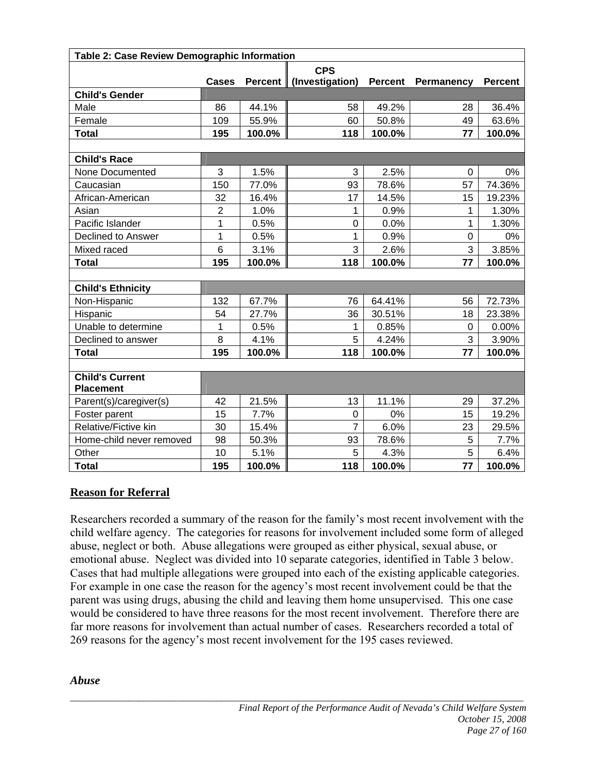| Table 2: Case Review Demographic Information |                |              |                 |                |            |                |  |
|----------------------------------------------|----------------|--------------|-----------------|----------------|------------|----------------|--|
|                                              |                |              | <b>CPS</b>      |                |            |                |  |
|                                              | <b>Cases</b>   | Percent $\ $ | (Investigation) | <b>Percent</b> | Permanency | <b>Percent</b> |  |
| <b>Child's Gender</b>                        |                |              |                 |                |            |                |  |
| Male                                         | 86             | 44.1%        | 58              | 49.2%          | 28         | 36.4%          |  |
| Female                                       | 109            | 55.9%        | 60              | 50.8%          | 49         | 63.6%          |  |
| <b>Total</b>                                 | 195            | 100.0%       | 118             | 100.0%         | 77         | 100.0%         |  |
|                                              |                |              |                 |                |            |                |  |
| <b>Child's Race</b>                          |                |              |                 |                |            |                |  |
| None Documented                              | 3              | 1.5%         | 3               | 2.5%           | $\Omega$   | 0%             |  |
| Caucasian                                    | 150            | 77.0%        | 93              | 78.6%          | 57         | 74.36%         |  |
| African-American                             | 32             | 16.4%        | 17              | 14.5%          | 15         | 19.23%         |  |
| Asian                                        | $\overline{2}$ | 1.0%         | 1               | 0.9%           | 1          | 1.30%          |  |
| Pacific Islander                             | 1              | 0.5%         | $\mathbf 0$     | 0.0%           | 1          | 1.30%          |  |
| <b>Declined to Answer</b>                    | 1              | 0.5%         | 1               | 0.9%           | 0          | 0%             |  |
| Mixed raced                                  | 6              | 3.1%         | 3               | 2.6%           | 3          | 3.85%          |  |
| <b>Total</b>                                 | 195            | 100.0%       | 118             | 100.0%         | 77         | 100.0%         |  |
|                                              |                |              |                 |                |            |                |  |
| <b>Child's Ethnicity</b>                     |                |              |                 |                |            |                |  |
| Non-Hispanic                                 | 132            | 67.7%        | 76              | 64.41%         | 56         | 72.73%         |  |
| Hispanic                                     | 54             | 27.7%        | 36              | 30.51%         | 18         | 23.38%         |  |
| Unable to determine                          | 1              | 0.5%         | 1               | 0.85%          | $\Omega$   | 0.00%          |  |
| Declined to answer                           | 8              | 4.1%         | 5               | 4.24%          | 3          | 3.90%          |  |
| <b>Total</b>                                 | 195            | 100.0%       | 118             | 100.0%         | 77         | 100.0%         |  |
|                                              |                |              |                 |                |            |                |  |
| <b>Child's Current</b>                       |                |              |                 |                |            |                |  |
| <b>Placement</b>                             |                |              |                 |                |            |                |  |
| Parent(s)/caregiver(s)                       | 42             | 21.5%        | 13              | 11.1%          | 29         | 37.2%          |  |
| Foster parent                                | 15             | 7.7%         | $\overline{0}$  | 0%             | 15         | 19.2%          |  |
| Relative/Fictive kin                         | 30             | 15.4%        | $\overline{7}$  | 6.0%           | 23         | 29.5%          |  |
| Home-child never removed                     | 98             | 50.3%        | 93              | 78.6%          | 5          | 7.7%           |  |
| Other                                        | 10             | 5.1%         | 5               | 4.3%           | 5          | 6.4%           |  |
| <b>Total</b>                                 | 195            | 100.0%       | 118             | 100.0%         | 77         | 100.0%         |  |

#### **Reason for Referral**

Researchers recorded a summary of the reason for the family's most recent involvement with the child welfare agency. The categories for reasons for involvement included some form of alleged abuse, neglect or both. Abuse allegations were grouped as either physical, sexual abuse, or emotional abuse. Neglect was divided into 10 separate categories, identified in Table 3 below. Cases that had multiple allegations were grouped into each of the existing applicable categories. For example in one case the reason for the agency's most recent involvement could be that the parent was using drugs, abusing the child and leaving them home unsupervised. This one case would be considered to have three reasons for the most recent involvement. Therefore there are far more reasons for involvement than actual number of cases. Researchers recorded a total of 269 reasons for the agency's most recent involvement for the 195 cases reviewed.

#### *Abuse*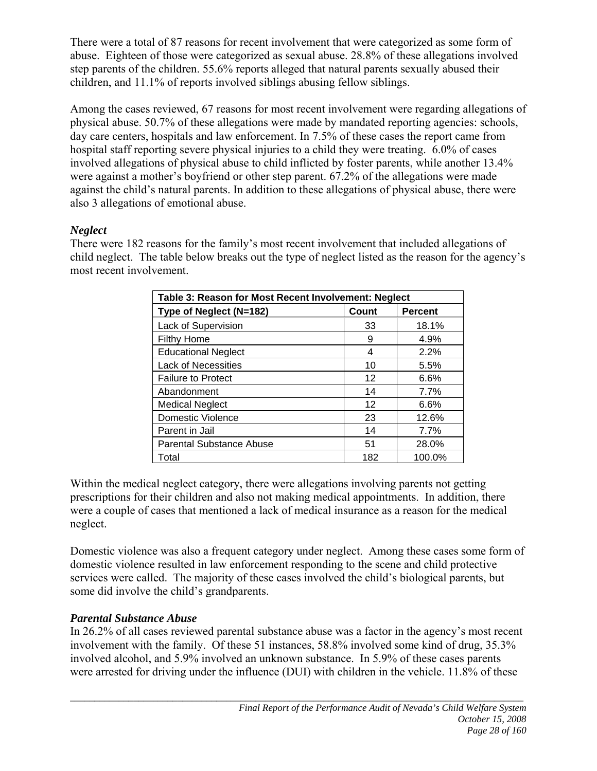There were a total of 87 reasons for recent involvement that were categorized as some form of abuse. Eighteen of those were categorized as sexual abuse. 28.8% of these allegations involved step parents of the children. 55.6% reports alleged that natural parents sexually abused their children, and 11.1% of reports involved siblings abusing fellow siblings.

Among the cases reviewed, 67 reasons for most recent involvement were regarding allegations of physical abuse. 50.7% of these allegations were made by mandated reporting agencies: schools, day care centers, hospitals and law enforcement. In 7.5% of these cases the report came from hospital staff reporting severe physical injuries to a child they were treating. 6.0% of cases involved allegations of physical abuse to child inflicted by foster parents, while another 13.4% were against a mother's boyfriend or other step parent. 67.2% of the allegations were made against the child's natural parents. In addition to these allegations of physical abuse, there were also 3 allegations of emotional abuse.

#### *Neglect*

There were 182 reasons for the family's most recent involvement that included allegations of child neglect. The table below breaks out the type of neglect listed as the reason for the agency's most recent involvement.

| Table 3: Reason for Most Recent Involvement: Neglect |       |                |  |  |  |  |  |  |
|------------------------------------------------------|-------|----------------|--|--|--|--|--|--|
| Type of Neglect (N=182)                              | Count | <b>Percent</b> |  |  |  |  |  |  |
| Lack of Supervision                                  | 33    | 18.1%          |  |  |  |  |  |  |
| <b>Filthy Home</b>                                   | 9     | 4.9%           |  |  |  |  |  |  |
| <b>Educational Neglect</b>                           | 4     | 2.2%           |  |  |  |  |  |  |
| <b>Lack of Necessities</b>                           | 10    | 5.5%           |  |  |  |  |  |  |
| <b>Failure to Protect</b>                            | 12    | 6.6%           |  |  |  |  |  |  |
| Abandonment                                          | 14    | 7.7%           |  |  |  |  |  |  |
| <b>Medical Neglect</b>                               | 12    | 6.6%           |  |  |  |  |  |  |
| Domestic Violence                                    | 23    | 12.6%          |  |  |  |  |  |  |
| Parent in Jail                                       | 14    | $7.7\%$        |  |  |  |  |  |  |
| <b>Parental Substance Abuse</b>                      | 51    | 28.0%          |  |  |  |  |  |  |
| Total                                                | 182   | 100.0%         |  |  |  |  |  |  |

Within the medical neglect category, there were allegations involving parents not getting prescriptions for their children and also not making medical appointments. In addition, there were a couple of cases that mentioned a lack of medical insurance as a reason for the medical neglect.

Domestic violence was also a frequent category under neglect. Among these cases some form of domestic violence resulted in law enforcement responding to the scene and child protective services were called. The majority of these cases involved the child's biological parents, but some did involve the child's grandparents.

#### *Parental Substance Abuse*

In 26.2% of all cases reviewed parental substance abuse was a factor in the agency's most recent involvement with the family. Of these 51 instances, 58.8% involved some kind of drug, 35.3% involved alcohol, and 5.9% involved an unknown substance. In 5.9% of these cases parents were arrested for driving under the influence (DUI) with children in the vehicle. 11.8% of these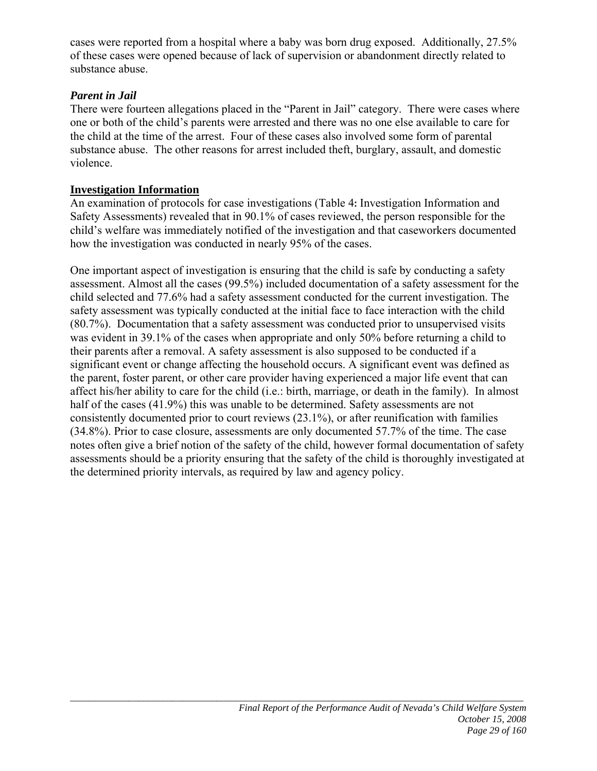cases were reported from a hospital where a baby was born drug exposed. Additionally, 27.5% of these cases were opened because of lack of supervision or abandonment directly related to substance abuse.

#### *Parent in Jail*

There were fourteen allegations placed in the "Parent in Jail" category. There were cases where one or both of the child's parents were arrested and there was no one else available to care for the child at the time of the arrest. Four of these cases also involved some form of parental substance abuse. The other reasons for arrest included theft, burglary, assault, and domestic violence.

#### **Investigation Information**

An examination of protocols for case investigations (Table 4**:** Investigation Information and Safety Assessments) revealed that in 90.1% of cases reviewed, the person responsible for the child's welfare was immediately notified of the investigation and that caseworkers documented how the investigation was conducted in nearly 95% of the cases.

One important aspect of investigation is ensuring that the child is safe by conducting a safety assessment. Almost all the cases (99.5%) included documentation of a safety assessment for the child selected and 77.6% had a safety assessment conducted for the current investigation. The safety assessment was typically conducted at the initial face to face interaction with the child (80.7%). Documentation that a safety assessment was conducted prior to unsupervised visits was evident in 39.1% of the cases when appropriate and only 50% before returning a child to their parents after a removal. A safety assessment is also supposed to be conducted if a significant event or change affecting the household occurs. A significant event was defined as the parent, foster parent, or other care provider having experienced a major life event that can affect his/her ability to care for the child (i.e.: birth, marriage, or death in the family). In almost half of the cases (41.9%) this was unable to be determined. Safety assessments are not consistently documented prior to court reviews (23.1%), or after reunification with families (34.8%). Prior to case closure, assessments are only documented 57.7% of the time. The case notes often give a brief notion of the safety of the child, however formal documentation of safety assessments should be a priority ensuring that the safety of the child is thoroughly investigated at the determined priority intervals, as required by law and agency policy.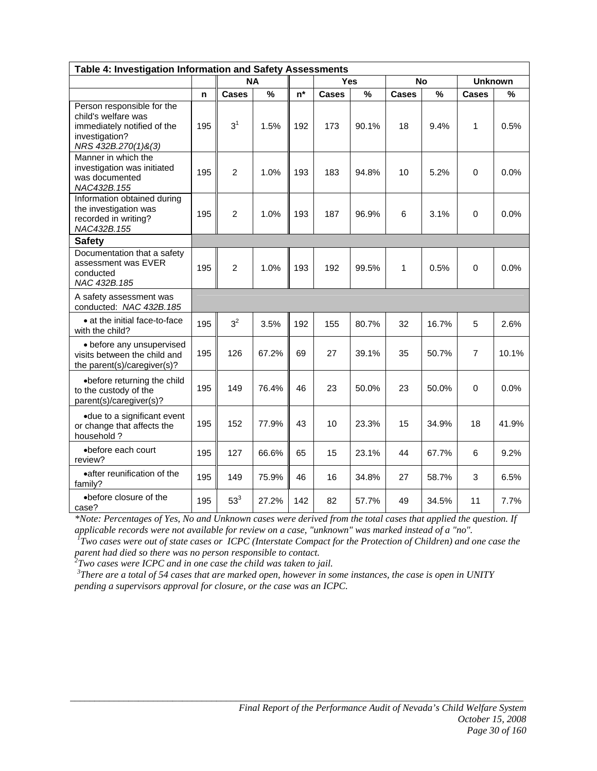| Table 4: Investigation Information and Safety Assessments                                                                 |     |                |           |       |              |       |              |               |                |       |
|---------------------------------------------------------------------------------------------------------------------------|-----|----------------|-----------|-------|--------------|-------|--------------|---------------|----------------|-------|
|                                                                                                                           |     |                | <b>NA</b> |       | Yes          |       | <b>No</b>    |               | <b>Unknown</b> |       |
|                                                                                                                           | n   | <b>Cases</b>   | %         | $n^*$ | <b>Cases</b> | %     | <b>Cases</b> | $\frac{0}{0}$ | <b>Cases</b>   | %     |
| Person responsible for the<br>child's welfare was<br>immediately notified of the<br>investigation?<br>NRS 432B.270(1)&(3) | 195 | 3 <sup>1</sup> | 1.5%      | 192   | 173          | 90.1% | 18           | 9.4%          | 1              | 0.5%  |
| Manner in which the<br>investigation was initiated<br>was documented<br>NAC432B.155                                       | 195 | $\overline{c}$ | 1.0%      | 193   | 183          | 94.8% | 10           | 5.2%          | 0              | 0.0%  |
| Information obtained during<br>the investigation was<br>recorded in writing?<br>NAC432B.155                               | 195 | $\overline{2}$ | 1.0%      | 193   | 187          | 96.9% | 6            | 3.1%          | 0              | 0.0%  |
| <b>Safety</b>                                                                                                             |     |                |           |       |              |       |              |               |                |       |
| Documentation that a safety<br>assessment was EVER<br>conducted<br>NAC 432B.185                                           | 195 | $\overline{2}$ | 1.0%      | 193   | 192          | 99.5% | $\mathbf{1}$ | 0.5%          | 0              | 0.0%  |
| A safety assessment was<br>conducted: NAC 432B.185                                                                        |     |                |           |       |              |       |              |               |                |       |
| • at the initial face-to-face<br>with the child?                                                                          | 195 | 3 <sup>2</sup> | 3.5%      | 192   | 155          | 80.7% | 32           | 16.7%         | 5              | 2.6%  |
| • before any unsupervised<br>visits between the child and<br>the parent(s)/caregiver(s)?                                  | 195 | 126            | 67.2%     | 69    | 27           | 39.1% | 35           | 50.7%         | 7              | 10.1% |
| •before returning the child<br>to the custody of the<br>parent(s)/caregiver(s)?                                           | 195 | 149            | 76.4%     | 46    | 23           | 50.0% | 23           | 50.0%         | 0              | 0.0%  |
| • due to a significant event<br>or change that affects the<br>household?                                                  | 195 | 152            | 77.9%     | 43    | 10           | 23.3% | 15           | 34.9%         | 18             | 41.9% |
| •before each court<br>review?                                                                                             | 195 | 127            | 66.6%     | 65    | 15           | 23.1% | 44           | 67.7%         | 6              | 9.2%  |
| • after reunification of the<br>family?                                                                                   | 195 | 149            | 75.9%     | 46    | 16           | 34.8% | 27           | 58.7%         | 3              | 6.5%  |
| •before closure of the<br>case?                                                                                           | 195 | $53^3$         | 27.2%     | 142   | 82           | 57.7% | 49           | 34.5%         | 11             | 7.7%  |

*\*Note: Percentages of Yes, No and Unknown cases were derived from the total cases that applied the question. If applicable records were not available for review on a case, "unknown" was marked instead of a "no".* 

*1 Two cases were out of state cases or ICPC (Interstate Compact for the Protection of Children) and one case the parent had died so there was no person responsible to contact. 2 Two cases were ICPC and in one case the child was taken to jail.* 

*\_\_\_\_\_\_\_\_\_\_\_\_\_\_\_\_\_\_\_\_\_\_\_\_\_\_\_\_\_\_\_\_\_\_\_\_\_\_\_\_\_\_\_\_\_\_\_\_\_\_\_\_\_\_\_\_\_\_\_\_\_\_\_\_\_\_\_\_\_\_\_\_\_\_\_\_\_\_\_\_\_\_\_\_\_\_\_\_\_\_\_\_\_* 

*3 There are a total of 54 cases that are marked open, however in some instances, the case is open in UNITY pending a supervisors approval for closure, or the case was an ICPC.*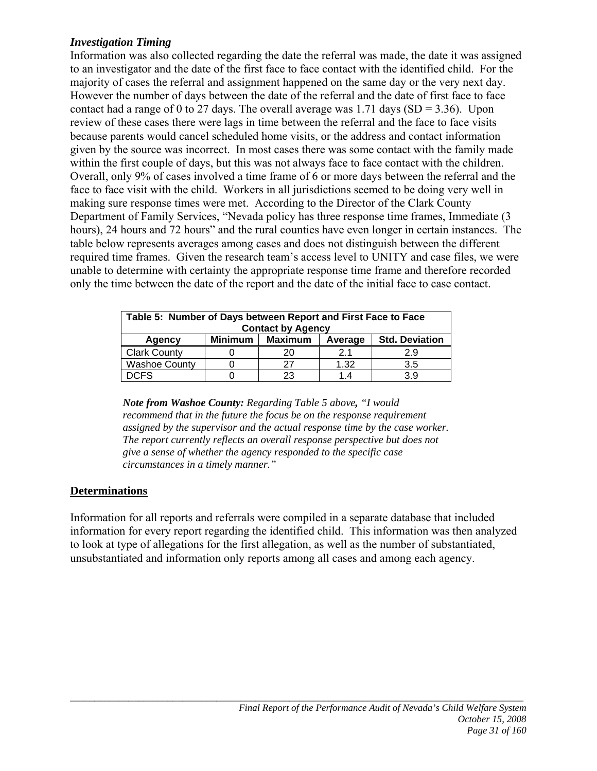#### *Investigation Timing*

Information was also collected regarding the date the referral was made, the date it was assigned to an investigator and the date of the first face to face contact with the identified child. For the majority of cases the referral and assignment happened on the same day or the very next day. However the number of days between the date of the referral and the date of first face to face contact had a range of 0 to 27 days. The overall average was 1.71 days  $(SD = 3.36)$ . Upon review of these cases there were lags in time between the referral and the face to face visits because parents would cancel scheduled home visits, or the address and contact information given by the source was incorrect. In most cases there was some contact with the family made within the first couple of days, but this was not always face to face contact with the children. Overall, only 9% of cases involved a time frame of 6 or more days between the referral and the face to face visit with the child. Workers in all jurisdictions seemed to be doing very well in making sure response times were met. According to the Director of the Clark County Department of Family Services, "Nevada policy has three response time frames, Immediate (3 hours), 24 hours and 72 hours" and the rural counties have even longer in certain instances. The table below represents averages among cases and does not distinguish between the different required time frames. Given the research team's access level to UNITY and case files, we were unable to determine with certainty the appropriate response time frame and therefore recorded only the time between the date of the report and the date of the initial face to case contact.

| Table 5: Number of Days between Report and First Face to Face<br><b>Contact by Agency</b> |  |    |                |     |  |  |  |  |
|-------------------------------------------------------------------------------------------|--|----|----------------|-----|--|--|--|--|
| <b>Minimum</b><br><b>Maximum</b><br><b>Std. Deviation</b><br>Average<br>Agency            |  |    |                |     |  |  |  |  |
| <b>Clark County</b>                                                                       |  | 20 | 2 <sub>1</sub> | 2.9 |  |  |  |  |
| <b>Washoe County</b>                                                                      |  | 27 | 1.32           | 3.5 |  |  |  |  |
| <b>DCFS</b>                                                                               |  | 23 | 14             | 3.9 |  |  |  |  |

*Note from Washoe County: Regarding Table 5 above, "I would recommend that in the future the focus be on the response requirement assigned by the supervisor and the actual response time by the case worker. The report currently reflects an overall response perspective but does not give a sense of whether the agency responded to the specific case circumstances in a timely manner."* 

#### **Determinations**

Information for all reports and referrals were compiled in a separate database that included information for every report regarding the identified child. This information was then analyzed to look at type of allegations for the first allegation, as well as the number of substantiated, unsubstantiated and information only reports among all cases and among each agency.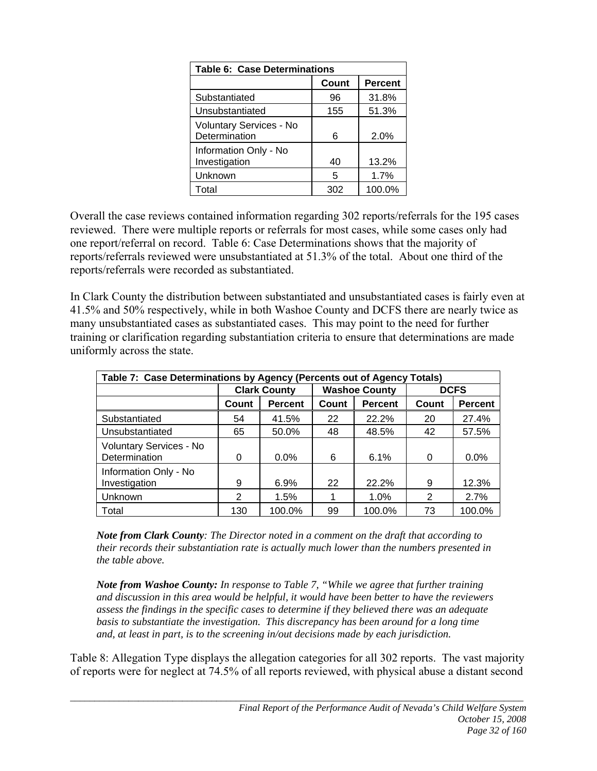| <b>Table 6: Case Determinations</b>             |       |                |  |  |  |  |  |  |  |
|-------------------------------------------------|-------|----------------|--|--|--|--|--|--|--|
|                                                 | Count | <b>Percent</b> |  |  |  |  |  |  |  |
| Substantiated                                   | 96    | 31.8%          |  |  |  |  |  |  |  |
| Unsubstantiated                                 | 155   | 51.3%          |  |  |  |  |  |  |  |
| <b>Voluntary Services - No</b><br>Determination | 6     | 2.0%           |  |  |  |  |  |  |  |
| Information Only - No<br>Investigation          | 40    | 13.2%          |  |  |  |  |  |  |  |
| Unknown                                         | 5     | 1.7%           |  |  |  |  |  |  |  |
| Total                                           | 302   | 100.0%         |  |  |  |  |  |  |  |

Overall the case reviews contained information regarding 302 reports/referrals for the 195 cases reviewed. There were multiple reports or referrals for most cases, while some cases only had one report/referral on record. Table 6: Case Determinations shows that the majority of reports/referrals reviewed were unsubstantiated at 51.3% of the total. About one third of the reports/referrals were recorded as substantiated.

In Clark County the distribution between substantiated and unsubstantiated cases is fairly even at 41.5% and 50% respectively, while in both Washoe County and DCFS there are nearly twice as many unsubstantiated cases as substantiated cases. This may point to the need for further training or clarification regarding substantiation criteria to ensure that determinations are made uniformly across the state.

| Table 7: Case Determinations by Agency (Percents out of Agency Totals) |       |                     |                         |                      |             |                |  |  |
|------------------------------------------------------------------------|-------|---------------------|-------------------------|----------------------|-------------|----------------|--|--|
|                                                                        |       | <b>Clark County</b> |                         | <b>Washoe County</b> | <b>DCFS</b> |                |  |  |
|                                                                        | Count | <b>Percent</b>      | Count<br><b>Percent</b> |                      | Count       | <b>Percent</b> |  |  |
| Substantiated                                                          | 54    | 41.5%               | 22                      | 22.2%                | 20          | 27.4%          |  |  |
| Unsubstantiated                                                        | 65    | 50.0%               | 48                      | 48.5%                | 42          | 57.5%          |  |  |
| Voluntary Services - No<br>Determination                               | 0     | $0.0\%$             | 6                       | 6.1%                 | 0           | 0.0%           |  |  |
| Information Only - No<br>Investigation                                 | 9     | 6.9%                | 22                      | 22.2%                | 9           | 12.3%          |  |  |
| Unknown                                                                | 2     | 1.5%                |                         | $1.0\%$              | 2           | 2.7%           |  |  |
| Total                                                                  | 130   | 100.0%              | 99                      | 100.0%               | 73          | 100.0%         |  |  |

*Note from Clark County: The Director noted in a comment on the draft that according to their records their substantiation rate is actually much lower than the numbers presented in the table above.* 

*Note from Washoe County: In response to Table 7, "While we agree that further training and discussion in this area would be helpful, it would have been better to have the reviewers assess the findings in the specific cases to determine if they believed there was an adequate basis to substantiate the investigation. This discrepancy has been around for a long time and, at least in part, is to the screening in/out decisions made by each jurisdiction.* 

Table 8: Allegation Type displays the allegation categories for all 302 reports. The vast majority of reports were for neglect at 74.5% of all reports reviewed, with physical abuse a distant second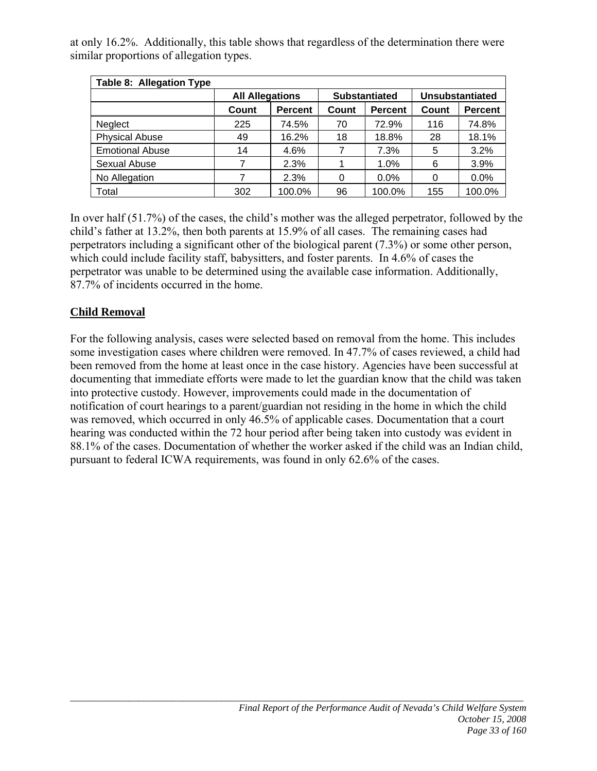at only 16.2%. Additionally, this table shows that regardless of the determination there were similar proportions of allegation types.

| <b>Table 8: Allegation Type</b> |                        |                |    |                      |                        |                |  |  |
|---------------------------------|------------------------|----------------|----|----------------------|------------------------|----------------|--|--|
|                                 | <b>All Allegations</b> |                |    | <b>Substantiated</b> | <b>Unsubstantiated</b> |                |  |  |
|                                 | Count                  | <b>Percent</b> |    | <b>Percent</b>       | Count                  | <b>Percent</b> |  |  |
| Neglect                         | 225                    | 74.5%          | 70 | 72.9%                | 116                    | 74.8%          |  |  |
| <b>Physical Abuse</b>           | 49                     | 16.2%          | 18 | 18.8%                | 28                     | 18.1%          |  |  |
| <b>Emotional Abuse</b>          | 14                     | 4.6%           |    | 7.3%                 | 5                      | 3.2%           |  |  |
| Sexual Abuse                    |                        | 2.3%           |    | 1.0%                 | 6                      | 3.9%           |  |  |
| No Allegation                   |                        | 2.3%           | 0  | $0.0\%$              | $\Omega$               | 0.0%           |  |  |
| Total                           | 302                    | 100.0%         | 96 | 100.0%               | 155                    | 100.0%         |  |  |

In over half (51.7%) of the cases, the child's mother was the alleged perpetrator, followed by the child's father at 13.2%, then both parents at 15.9% of all cases. The remaining cases had perpetrators including a significant other of the biological parent (7.3%) or some other person, which could include facility staff, babysitters, and foster parents. In 4.6% of cases the perpetrator was unable to be determined using the available case information. Additionally, 87.7% of incidents occurred in the home.

#### **Child Removal**

For the following analysis, cases were selected based on removal from the home. This includes some investigation cases where children were removed. In 47.7% of cases reviewed, a child had been removed from the home at least once in the case history. Agencies have been successful at documenting that immediate efforts were made to let the guardian know that the child was taken into protective custody. However, improvements could made in the documentation of notification of court hearings to a parent/guardian not residing in the home in which the child was removed, which occurred in only 46.5% of applicable cases. Documentation that a court hearing was conducted within the 72 hour period after being taken into custody was evident in 88.1% of the cases. Documentation of whether the worker asked if the child was an Indian child, pursuant to federal ICWA requirements, was found in only 62.6% of the cases.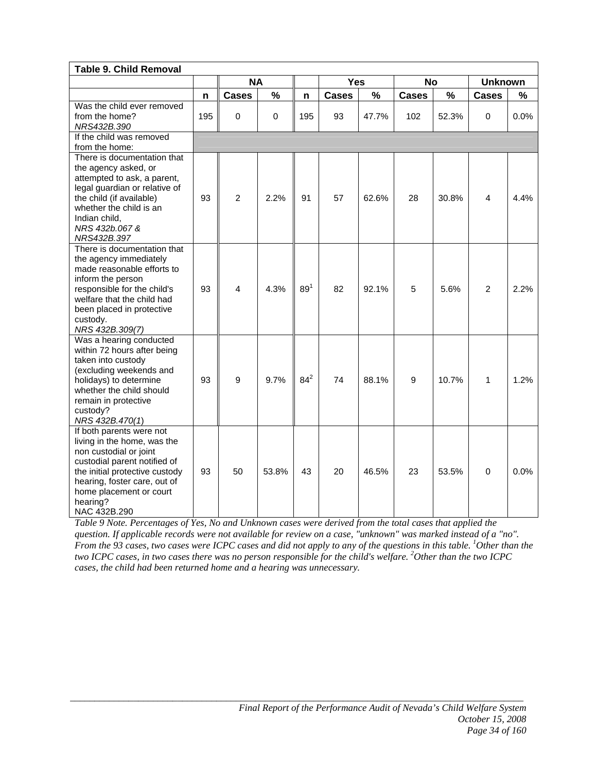| <b>Table 9. Child Removal</b>                                                                                                                                                                                                              |     |                |       |                 |              |       |              |       |                |      |
|--------------------------------------------------------------------------------------------------------------------------------------------------------------------------------------------------------------------------------------------|-----|----------------|-------|-----------------|--------------|-------|--------------|-------|----------------|------|
|                                                                                                                                                                                                                                            |     | <b>NA</b>      |       |                 | <b>Yes</b>   |       | <b>No</b>    |       | <b>Unknown</b> |      |
|                                                                                                                                                                                                                                            | n   | <b>Cases</b>   | %     | n               | <b>Cases</b> | %     | <b>Cases</b> | %     | <b>Cases</b>   | %    |
| Was the child ever removed<br>from the home?<br>NRS432B.390                                                                                                                                                                                | 195 | $\pmb{0}$      | 0     | 195             | 93           | 47.7% | 102          | 52.3% | 0              | 0.0% |
| If the child was removed<br>from the home:                                                                                                                                                                                                 |     |                |       |                 |              |       |              |       |                |      |
| There is documentation that<br>the agency asked, or<br>attempted to ask, a parent,<br>legal guardian or relative of<br>the child (if available)<br>whether the child is an<br>Indian child,<br>NRS 432b.067 &<br>NRS432B.397               | 93  | $\overline{2}$ | 2.2%  | 91              | 57           | 62.6% | 28           | 30.8% | $\overline{4}$ | 4.4% |
| There is documentation that<br>the agency immediately<br>made reasonable efforts to<br>inform the person<br>responsible for the child's<br>welfare that the child had<br>been placed in protective<br>custody.<br>NRS 432B.309(7)          | 93  | $\overline{4}$ | 4.3%  | 89 <sup>1</sup> | 82           | 92.1% | 5            | 5.6%  | 2              | 2.2% |
| Was a hearing conducted<br>within 72 hours after being<br>taken into custody<br>(excluding weekends and<br>holidays) to determine<br>whether the child should<br>remain in protective<br>custody?<br>NRS 432B.470(1)                       | 93  | 9              | 9.7%  | $84^2$          | 74           | 88.1% | 9            | 10.7% | $\mathbf{1}$   | 1.2% |
| If both parents were not<br>living in the home, was the<br>non custodial or joint<br>custodial parent notified of<br>the initial protective custody<br>hearing, foster care, out of<br>home placement or court<br>hearing?<br>NAC 432B.290 | 93  | 50             | 53.8% | 43              | 20           | 46.5% | 23           | 53.5% | $\mathbf 0$    | 0.0% |

*Table 9 Note. Percentages of Yes, No and Unknown cases were derived from the total cases that applied the question. If applicable records were not available for review on a case, "unknown" was marked instead of a "no". From the 93 cases, two cases were ICPC cases and did not apply to any of the questions in this table.* <sup>1</sup>Other than the *two ICPC cases, in two cases there was no person responsible for the child's welfare. 2 Other than the two ICPC cases, the child had been returned home and a hearing was unnecessary.*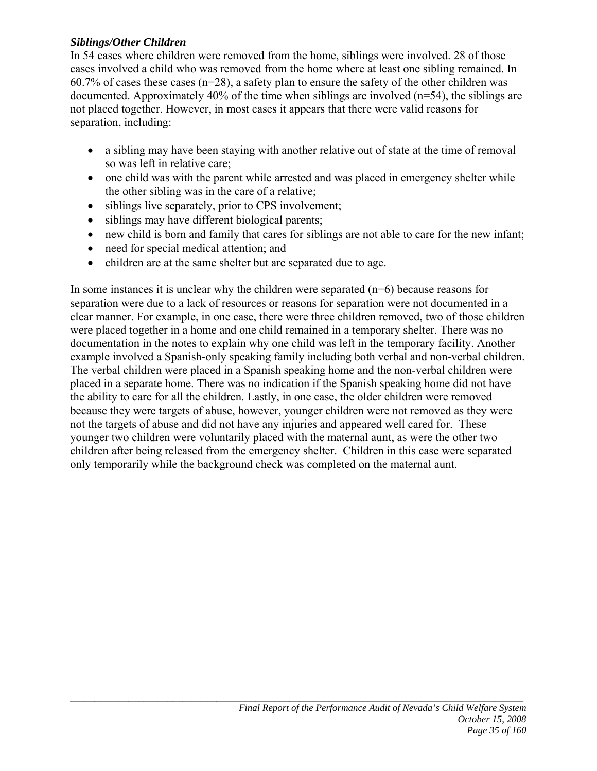#### *Siblings/Other Children*

In 54 cases where children were removed from the home, siblings were involved. 28 of those cases involved a child who was removed from the home where at least one sibling remained. In 60.7% of cases these cases ( $n=28$ ), a safety plan to ensure the safety of the other children was documented. Approximately 40% of the time when siblings are involved (n=54), the siblings are not placed together. However, in most cases it appears that there were valid reasons for separation, including:

- a sibling may have been staying with another relative out of state at the time of removal so was left in relative care;
- one child was with the parent while arrested and was placed in emergency shelter while the other sibling was in the care of a relative;
- siblings live separately, prior to CPS involvement;
- siblings may have different biological parents;
- new child is born and family that cares for siblings are not able to care for the new infant;
- need for special medical attention; and
- children are at the same shelter but are separated due to age.

In some instances it is unclear why the children were separated  $(n=6)$  because reasons for separation were due to a lack of resources or reasons for separation were not documented in a clear manner. For example, in one case, there were three children removed, two of those children were placed together in a home and one child remained in a temporary shelter. There was no documentation in the notes to explain why one child was left in the temporary facility. Another example involved a Spanish-only speaking family including both verbal and non-verbal children. The verbal children were placed in a Spanish speaking home and the non-verbal children were placed in a separate home. There was no indication if the Spanish speaking home did not have the ability to care for all the children. Lastly, in one case, the older children were removed because they were targets of abuse, however, younger children were not removed as they were not the targets of abuse and did not have any injuries and appeared well cared for. These younger two children were voluntarily placed with the maternal aunt, as were the other two children after being released from the emergency shelter. Children in this case were separated only temporarily while the background check was completed on the maternal aunt.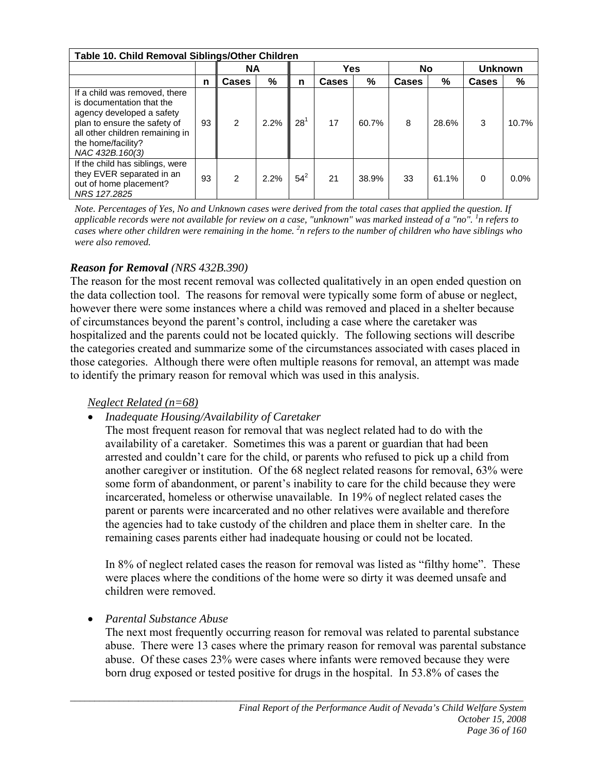| Table 10. Child Removal Siblings/Other Children                                                                                                                                                     |    |                |      |          |              |       |              |       |                |       |  |
|-----------------------------------------------------------------------------------------------------------------------------------------------------------------------------------------------------|----|----------------|------|----------|--------------|-------|--------------|-------|----------------|-------|--|
|                                                                                                                                                                                                     |    | <b>NA</b>      |      |          | Yes          |       | <b>No</b>    |       | <b>Unknown</b> |       |  |
|                                                                                                                                                                                                     | n  | <b>Cases</b>   | %    | n        | <b>Cases</b> | %     | <b>Cases</b> | %     | <b>Cases</b>   | %     |  |
| If a child was removed, there<br>is documentation that the<br>agency developed a safety<br>plan to ensure the safety of<br>all other children remaining in<br>the home/facility?<br>NAC 432B.160(3) | 93 | $\mathfrak{p}$ | 2.2% | $28^{1}$ | 17           | 60.7% | 8            | 28.6% | 3              | 10.7% |  |
| If the child has siblings, were<br>they EVER separated in an<br>out of home placement?<br>NRS 127.2825                                                                                              | 93 | $\overline{c}$ | 2.2% | $54^{2}$ | 21           | 38.9% | 33           | 61.1% | $\Omega$       | 0.0%  |  |

*Note. Percentages of Yes, No and Unknown cases were derived from the total cases that applied the question. If applicable records were not available for review on a case, "unknown" was marked instead of a "no". 1 n refers to cases where other children were remaining in the home. 2 n refers to the number of children who have siblings who were also removed.* 

## *Reason for Removal (NRS 432B.390)*

The reason for the most recent removal was collected qualitatively in an open ended question on the data collection tool. The reasons for removal were typically some form of abuse or neglect, however there were some instances where a child was removed and placed in a shelter because of circumstances beyond the parent's control, including a case where the caretaker was hospitalized and the parents could not be located quickly. The following sections will describe the categories created and summarize some of the circumstances associated with cases placed in those categories. Although there were often multiple reasons for removal, an attempt was made to identify the primary reason for removal which was used in this analysis.

### *Neglect Related (n=68)*

• *Inadequate Housing/Availability of Caretaker* 

The most frequent reason for removal that was neglect related had to do with the availability of a caretaker. Sometimes this was a parent or guardian that had been arrested and couldn't care for the child, or parents who refused to pick up a child from another caregiver or institution. Of the 68 neglect related reasons for removal, 63% were some form of abandonment, or parent's inability to care for the child because they were incarcerated, homeless or otherwise unavailable. In 19% of neglect related cases the parent or parents were incarcerated and no other relatives were available and therefore the agencies had to take custody of the children and place them in shelter care. In the remaining cases parents either had inadequate housing or could not be located.

In 8% of neglect related cases the reason for removal was listed as "filthy home". These were places where the conditions of the home were so dirty it was deemed unsafe and children were removed.

### • *Parental Substance Abuse*

The next most frequently occurring reason for removal was related to parental substance abuse. There were 13 cases where the primary reason for removal was parental substance abuse. Of these cases 23% were cases where infants were removed because they were born drug exposed or tested positive for drugs in the hospital. In 53.8% of cases the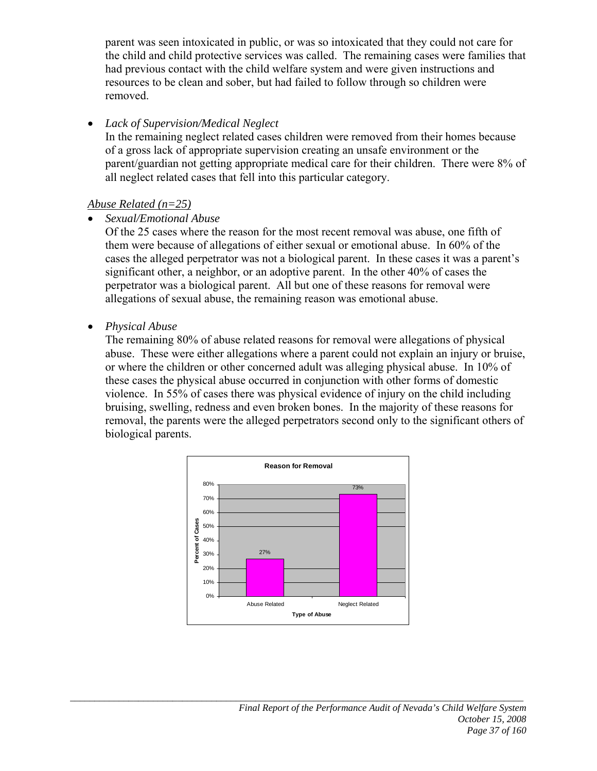parent was seen intoxicated in public, or was so intoxicated that they could not care for the child and child protective services was called. The remaining cases were families that had previous contact with the child welfare system and were given instructions and resources to be clean and sober, but had failed to follow through so children were removed.

### • *Lack of Supervision/Medical Neglect*

In the remaining neglect related cases children were removed from their homes because of a gross lack of appropriate supervision creating an unsafe environment or the parent/guardian not getting appropriate medical care for their children. There were 8% of all neglect related cases that fell into this particular category.

## *Abuse Related (n=25)*

• *Sexual/Emotional Abuse* 

Of the 25 cases where the reason for the most recent removal was abuse, one fifth of them were because of allegations of either sexual or emotional abuse. In 60% of the cases the alleged perpetrator was not a biological parent. In these cases it was a parent's significant other, a neighbor, or an adoptive parent. In the other 40% of cases the perpetrator was a biological parent. All but one of these reasons for removal were allegations of sexual abuse, the remaining reason was emotional abuse.

• *Physical Abuse* 

The remaining 80% of abuse related reasons for removal were allegations of physical abuse. These were either allegations where a parent could not explain an injury or bruise, or where the children or other concerned adult was alleging physical abuse. In 10% of these cases the physical abuse occurred in conjunction with other forms of domestic violence. In 55% of cases there was physical evidence of injury on the child including bruising, swelling, redness and even broken bones. In the majority of these reasons for removal, the parents were the alleged perpetrators second only to the significant others of biological parents.

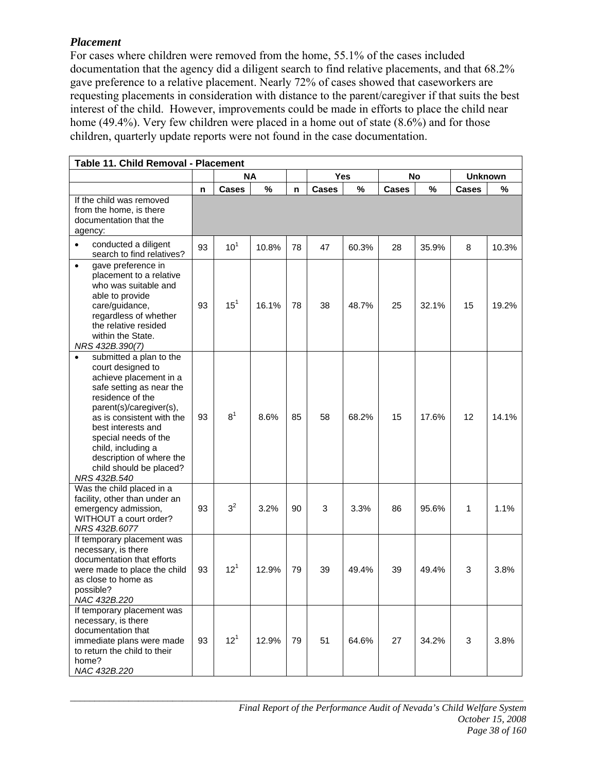### *Placement*

For cases where children were removed from the home, 55.1% of the cases included documentation that the agency did a diligent search to find relative placements, and that 68.2% gave preference to a relative placement. Nearly 72% of cases showed that caseworkers are requesting placements in consideration with distance to the parent/caregiver if that suits the best interest of the child. However, improvements could be made in efforts to place the child near home (49.4%). Very few children were placed in a home out of state (8.6%) and for those children, quarterly update reports were not found in the case documentation.

|                                                                                                                                                                                                                                                                                                                                        | Table 11. Child Removal - Placement |                 |           |    |       |            |              |       |                |       |
|----------------------------------------------------------------------------------------------------------------------------------------------------------------------------------------------------------------------------------------------------------------------------------------------------------------------------------------|-------------------------------------|-----------------|-----------|----|-------|------------|--------------|-------|----------------|-------|
|                                                                                                                                                                                                                                                                                                                                        |                                     |                 | <b>NA</b> |    |       | <b>Yes</b> |              | No    | <b>Unknown</b> |       |
|                                                                                                                                                                                                                                                                                                                                        | n                                   | <b>Cases</b>    | $\%$      | n  | Cases | %          | <b>Cases</b> | %     | <b>Cases</b>   | %     |
| If the child was removed<br>from the home, is there<br>documentation that the<br>agency:                                                                                                                                                                                                                                               |                                     |                 |           |    |       |            |              |       |                |       |
| conducted a diligent<br>$\bullet$<br>search to find relatives?                                                                                                                                                                                                                                                                         | 93                                  | 10 <sup>1</sup> | 10.8%     | 78 | 47    | 60.3%      | 28           | 35.9% | 8              | 10.3% |
| gave preference in<br>$\bullet$<br>placement to a relative<br>who was suitable and<br>able to provide<br>care/guidance,<br>regardless of whether<br>the relative resided<br>within the State.<br>NRS 432B.390(7)                                                                                                                       | 93                                  | 15 <sup>1</sup> | 16.1%     | 78 | 38    | 48.7%      | 25           | 32.1% | 15             | 19.2% |
| submitted a plan to the<br>$\bullet$<br>court designed to<br>achieve placement in a<br>safe setting as near the<br>residence of the<br>parent(s)/caregiver(s),<br>as is consistent with the<br>best interests and<br>special needs of the<br>child, including a<br>description of where the<br>child should be placed?<br>NRS 432B.540 | 93                                  | 8 <sup>1</sup>  | 8.6%      | 85 | 58    | 68.2%      | 15           | 17.6% | 12             | 14.1% |
| Was the child placed in a<br>facility, other than under an<br>emergency admission,<br>WITHOUT a court order?<br>NRS 432B.6077                                                                                                                                                                                                          | 93                                  | 3 <sup>2</sup>  | 3.2%      | 90 | 3     | 3.3%       | 86           | 95.6% | 1              | 1.1%  |
| If temporary placement was<br>necessary, is there<br>documentation that efforts<br>were made to place the child<br>as close to home as<br>possible?<br>NAC 432B.220                                                                                                                                                                    | 93                                  | 12 <sup>1</sup> | 12.9%     | 79 | 39    | 49.4%      | 39           | 49.4% | 3              | 3.8%  |
| If temporary placement was<br>necessary, is there<br>documentation that<br>immediate plans were made<br>to return the child to their<br>home?<br>NAC 432B.220                                                                                                                                                                          | 93                                  | 12 <sup>1</sup> | 12.9%     | 79 | 51    | 64.6%      | 27           | 34.2% | 3              | 3.8%  |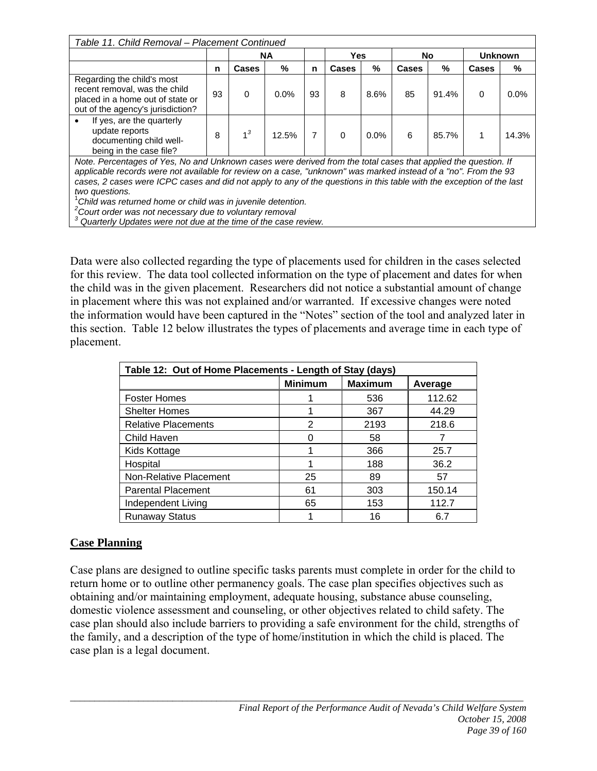| Table 11. Child Removal – Placement Continued                                                                                                                                                                                                                                                                                                                                                                                                                                                                                   |    |                |       |    |              |         |       |       |                |       |
|---------------------------------------------------------------------------------------------------------------------------------------------------------------------------------------------------------------------------------------------------------------------------------------------------------------------------------------------------------------------------------------------------------------------------------------------------------------------------------------------------------------------------------|----|----------------|-------|----|--------------|---------|-------|-------|----------------|-------|
|                                                                                                                                                                                                                                                                                                                                                                                                                                                                                                                                 |    |                | ΝA    |    | Yes          |         | No    |       | <b>Unknown</b> |       |
|                                                                                                                                                                                                                                                                                                                                                                                                                                                                                                                                 | n  | <b>Cases</b>   | %     | n  | <b>Cases</b> | %       | Cases | %     | <b>Cases</b>   | %     |
| Regarding the child's most<br>recent removal, was the child<br>placed in a home out of state or<br>out of the agency's jurisdiction?                                                                                                                                                                                                                                                                                                                                                                                            | 93 | 0              | 0.0%  | 93 | 8            | 8.6%    | 85    | 91.4% | $\Omega$       | 0.0%  |
| If yes, are the quarterly<br>update reports<br>documenting child well-<br>being in the case file?                                                                                                                                                                                                                                                                                                                                                                                                                               | 8  | 1 <sup>3</sup> | 12.5% |    | $\Omega$     | $0.0\%$ | 6     | 85.7% |                | 14.3% |
| Note. Percentages of Yes, No and Unknown cases were derived from the total cases that applied the question. If<br>applicable records were not available for review on a case, "unknown" was marked instead of a "no". From the 93<br>cases, 2 cases were ICPC cases and did not apply to any of the questions in this table with the exception of the last<br>two questions.<br><sup>1</sup> Child was returned home or child was in juvenile detention.<br><sup>2</sup> Court order was not necessary due to voluntary removal |    |                |       |    |              |         |       |       |                |       |

*3 Quarterly Updates were not due at the time of the case review.* 

Data were also collected regarding the type of placements used for children in the cases selected for this review. The data tool collected information on the type of placement and dates for when the child was in the given placement. Researchers did not notice a substantial amount of change in placement where this was not explained and/or warranted. If excessive changes were noted the information would have been captured in the "Notes" section of the tool and analyzed later in this section. Table 12 below illustrates the types of placements and average time in each type of placement.

| Table 12: Out of Home Placements - Length of Stay (days) |                |                |         |  |  |  |  |  |  |  |
|----------------------------------------------------------|----------------|----------------|---------|--|--|--|--|--|--|--|
|                                                          | <b>Minimum</b> | <b>Maximum</b> | Average |  |  |  |  |  |  |  |
| <b>Foster Homes</b>                                      |                | 536            | 112.62  |  |  |  |  |  |  |  |
| <b>Shelter Homes</b>                                     |                | 367            | 44.29   |  |  |  |  |  |  |  |
| <b>Relative Placements</b>                               | 2              | 2193           | 218.6   |  |  |  |  |  |  |  |
| Child Haven                                              | O              | 58             |         |  |  |  |  |  |  |  |
| Kids Kottage                                             |                | 366            | 25.7    |  |  |  |  |  |  |  |
| Hospital                                                 |                | 188            | 36.2    |  |  |  |  |  |  |  |
| Non-Relative Placement                                   | 25             | 89             | 57      |  |  |  |  |  |  |  |
| <b>Parental Placement</b>                                | 61             | 303            | 150.14  |  |  |  |  |  |  |  |
| Independent Living                                       | 65             | 153            | 112.7   |  |  |  |  |  |  |  |
| <b>Runaway Status</b>                                    |                | 16             | 6.7     |  |  |  |  |  |  |  |

# **Case Planning**

Case plans are designed to outline specific tasks parents must complete in order for the child to return home or to outline other permanency goals. The case plan specifies objectives such as obtaining and/or maintaining employment, adequate housing, substance abuse counseling, domestic violence assessment and counseling, or other objectives related to child safety. The case plan should also include barriers to providing a safe environment for the child, strengths of the family, and a description of the type of home/institution in which the child is placed. The case plan is a legal document.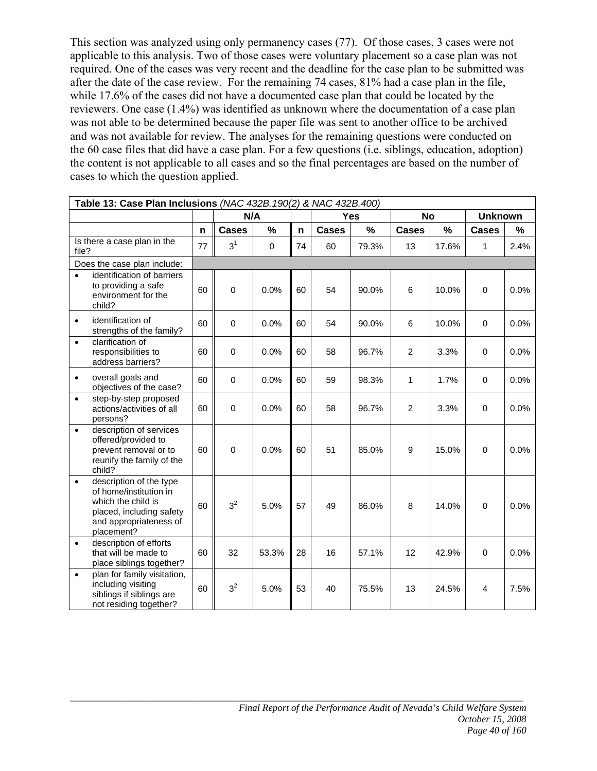This section was analyzed using only permanency cases (77). Of those cases, 3 cases were not applicable to this analysis. Two of those cases were voluntary placement so a case plan was not required. One of the cases was very recent and the deadline for the case plan to be submitted was after the date of the case review. For the remaining 74 cases, 81% had a case plan in the file, while 17.6% of the cases did not have a documented case plan that could be located by the reviewers. One case (1.4%) was identified as unknown where the documentation of a case plan was not able to be determined because the paper file was sent to another office to be archived and was not available for review. The analyses for the remaining questions were conducted on the 60 case files that did have a case plan. For a few questions (i.e. siblings, education, adoption) the content is not applicable to all cases and so the final percentages are based on the number of cases to which the question applied.

|           | Table 13: Case Plan Inclusions (NAC 432B.190(2) & NAC 432B.400)                                                                             |    |                |          |    |              |            |                |       |                |      |  |  |
|-----------|---------------------------------------------------------------------------------------------------------------------------------------------|----|----------------|----------|----|--------------|------------|----------------|-------|----------------|------|--|--|
|           |                                                                                                                                             |    | N/A            |          |    |              | <b>Yes</b> | <b>No</b>      |       | <b>Unknown</b> |      |  |  |
|           |                                                                                                                                             | n  | <b>Cases</b>   | $\%$     | n  | <b>Cases</b> | $\%$       | <b>Cases</b>   | %     | <b>Cases</b>   | %    |  |  |
| file?     | Is there a case plan in the                                                                                                                 | 77 | 3 <sup>1</sup> | $\Omega$ | 74 | 60           | 79.3%      | 13             | 17.6% | 1              | 2.4% |  |  |
|           | Does the case plan include:                                                                                                                 |    |                |          |    |              |            |                |       |                |      |  |  |
| $\bullet$ | identification of barriers<br>to providing a safe<br>environment for the<br>child?                                                          | 60 | $\mathbf 0$    | 0.0%     | 60 | 54           | 90.0%      | 6              | 10.0% | $\Omega$       | 0.0% |  |  |
| $\bullet$ | identification of<br>strengths of the family?                                                                                               | 60 | $\mathbf 0$    | 0.0%     | 60 | 54           | 90.0%      | 6              | 10.0% | $\Omega$       | 0.0% |  |  |
| $\bullet$ | clarification of<br>responsibilities to<br>address barriers?                                                                                | 60 | $\mathbf 0$    | 0.0%     | 60 | 58           | 96.7%      | $\overline{2}$ | 3.3%  | $\mathbf 0$    | 0.0% |  |  |
| $\bullet$ | overall goals and<br>objectives of the case?                                                                                                | 60 | $\Omega$       | 0.0%     | 60 | 59           | 98.3%      | 1              | 1.7%  | $\Omega$       | 0.0% |  |  |
| $\bullet$ | step-by-step proposed<br>actions/activities of all<br>persons?                                                                              | 60 | $\mathbf 0$    | 0.0%     | 60 | 58           | 96.7%      | $\overline{2}$ | 3.3%  | $\mathbf 0$    | 0.0% |  |  |
| $\bullet$ | description of services<br>offered/provided to<br>prevent removal or to<br>reunify the family of the<br>child?                              | 60 | $\mathbf 0$    | 0.0%     | 60 | 51           | 85.0%      | 9              | 15.0% | $\mathbf 0$    | 0.0% |  |  |
| $\bullet$ | description of the type<br>of home/institution in<br>which the child is<br>placed, including safety<br>and appropriateness of<br>placement? | 60 | 3 <sup>2</sup> | 5.0%     | 57 | 49           | 86.0%      | 8              | 14.0% | $\mathbf 0$    | 0.0% |  |  |
| $\bullet$ | description of efforts<br>that will be made to<br>place siblings together?                                                                  | 60 | 32             | 53.3%    | 28 | 16           | 57.1%      | 12             | 42.9% | $\Omega$       | 0.0% |  |  |
| $\bullet$ | plan for family visitation,<br>including visiting<br>siblings if siblings are<br>not residing together?                                     | 60 | 3 <sup>2</sup> | 5.0%     | 53 | 40           | 75.5%      | 13             | 24.5% | 4              | 7.5% |  |  |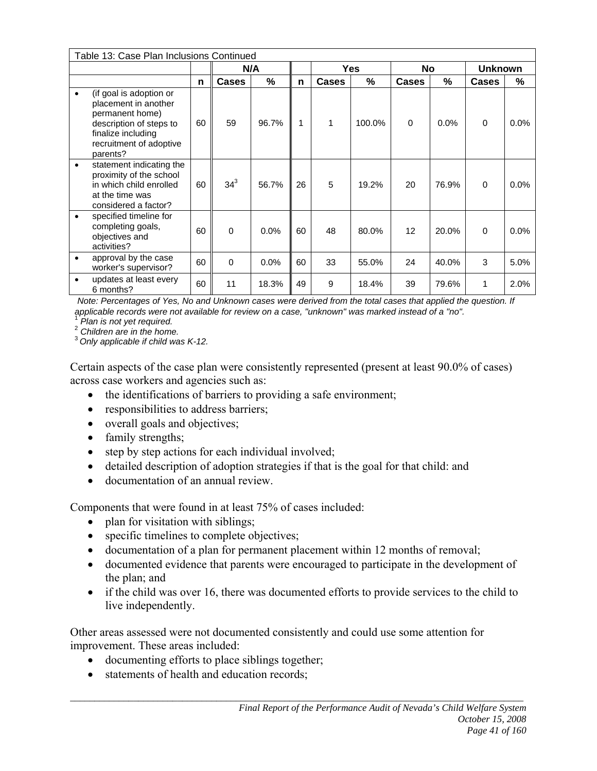|           | Table 13: Case Plan Inclusions Continued                                                                                                                   |    |              |       |    |              |        |          |       |                |      |
|-----------|------------------------------------------------------------------------------------------------------------------------------------------------------------|----|--------------|-------|----|--------------|--------|----------|-------|----------------|------|
|           |                                                                                                                                                            |    |              | N/A   |    |              | Yes    | No       |       | <b>Unknown</b> |      |
|           |                                                                                                                                                            | n  | <b>Cases</b> | %     | n  | <b>Cases</b> | %      | Cases    | %     | Cases          | %    |
|           | (if goal is adoption or<br>placement in another<br>permanent home)<br>description of steps to<br>finalize including<br>recruitment of adoptive<br>parents? | 60 | 59           | 96.7% |    | 1            | 100.0% | $\Omega$ | 0.0%  | 0              | 0.0% |
| $\bullet$ | statement indicating the<br>proximity of the school<br>in which child enrolled<br>at the time was<br>considered a factor?                                  | 60 | $34^{3}$     | 56.7% | 26 | 5            | 19.2%  | 20       | 76.9% | $\Omega$       | 0.0% |
|           | specified timeline for<br>completing goals,<br>objectives and<br>activities?                                                                               | 60 | $\Omega$     | 0.0%  | 60 | 48           | 80.0%  | 12       | 20.0% | $\Omega$       | 0.0% |
| $\bullet$ | approval by the case<br>worker's supervisor?                                                                                                               | 60 | $\Omega$     | 0.0%  | 60 | 33           | 55.0%  | 24       | 40.0% | 3              | 5.0% |
|           | updates at least every<br>6 months?                                                                                                                        | 60 | 11           | 18.3% | 49 | 9            | 18.4%  | 39       | 79.6% | 1              | 2.0% |

*Note: Percentages of Yes, No and Unknown cases were derived from the total cases that applied the question. If applicable records were not available for review on a case, "unknown" was marked instead of a "no".*  1

 *Plan is not yet required.* 

2  *Children are in the home.*  <sup>3</sup>*Only applicable if child was K-12.*

Certain aspects of the case plan were consistently represented (present at least 90.0% of cases) across case workers and agencies such as:

- the identifications of barriers to providing a safe environment;
- responsibilities to address barriers;
- overall goals and objectives;
- family strengths;
- step by step actions for each individual involved;
- detailed description of adoption strategies if that is the goal for that child: and
- documentation of an annual review.

Components that were found in at least 75% of cases included:

- plan for visitation with siblings;
- specific timelines to complete objectives;
- documentation of a plan for permanent placement within 12 months of removal;
- documented evidence that parents were encouraged to participate in the development of the plan; and
- if the child was over 16, there was documented efforts to provide services to the child to live independently.

Other areas assessed were not documented consistently and could use some attention for improvement. These areas included:

- documenting efforts to place siblings together;
- statements of health and education records;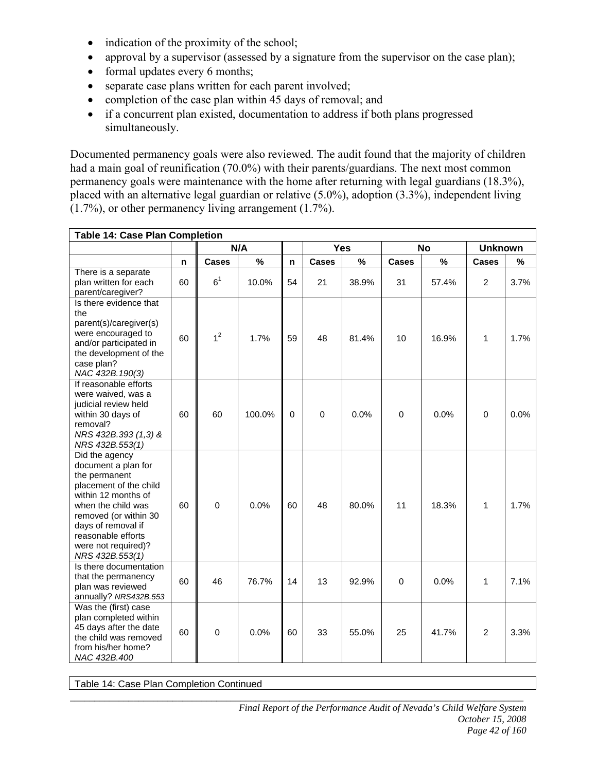- indication of the proximity of the school;
- approval by a supervisor (assessed by a signature from the supervisor on the case plan);
- formal updates every 6 months;
- separate case plans written for each parent involved;
- completion of the case plan within 45 days of removal; and
- if a concurrent plan existed, documentation to address if both plans progressed simultaneously.

Documented permanency goals were also reviewed. The audit found that the majority of children had a main goal of reunification (70.0%) with their parents/guardians. The next most common permanency goals were maintenance with the home after returning with legal guardians (18.3%), placed with an alternative legal guardian or relative (5.0%), adoption (3.3%), independent living (1.7%), or other permanency living arrangement (1.7%).

| <b>Table 14: Case Plan Completion</b>                                                                                                                                                                                                        |    |                |        |             |              |            |              |           |                |      |  |  |
|----------------------------------------------------------------------------------------------------------------------------------------------------------------------------------------------------------------------------------------------|----|----------------|--------|-------------|--------------|------------|--------------|-----------|----------------|------|--|--|
|                                                                                                                                                                                                                                              |    |                | N/A    |             |              | <b>Yes</b> |              | <b>No</b> | <b>Unknown</b> |      |  |  |
|                                                                                                                                                                                                                                              | n  | <b>Cases</b>   | $\%$   | n           | <b>Cases</b> | %          | <b>Cases</b> | %         | <b>Cases</b>   | %    |  |  |
| There is a separate<br>plan written for each<br>parent/caregiver?                                                                                                                                                                            | 60 | 6 <sup>1</sup> | 10.0%  | 54          | 21           | 38.9%      | 31           | 57.4%     | $\overline{2}$ | 3.7% |  |  |
| Is there evidence that<br>the<br>parent(s)/caregiver(s)<br>were encouraged to<br>and/or participated in<br>the development of the<br>case plan?<br>NAC 432B.190(3)                                                                           | 60 | 1 <sup>2</sup> | 1.7%   | 59          | 48           | 81.4%      | 10           | 16.9%     | 1              | 1.7% |  |  |
| If reasonable efforts<br>were waived, was a<br>judicial review held<br>within 30 days of<br>removal?<br>NRS 432B.393 (1,3) &<br>NRS 432B.553(1)                                                                                              | 60 | 60             | 100.0% | $\mathbf 0$ | $\mathbf 0$  | 0.0%       | 0            | 0.0%      | $\mathbf 0$    | 0.0% |  |  |
| Did the agency<br>document a plan for<br>the permanent<br>placement of the child<br>within 12 months of<br>when the child was<br>removed (or within 30<br>days of removal if<br>reasonable efforts<br>were not required)?<br>NRS 432B.553(1) | 60 | $\mathbf 0$    | 0.0%   | 60          | 48           | 80.0%      | 11           | 18.3%     | 1              | 1.7% |  |  |
| Is there documentation<br>that the permanency<br>plan was reviewed<br>annually? NRS432B.553                                                                                                                                                  | 60 | 46             | 76.7%  | 14          | 13           | 92.9%      | 0            | 0.0%      | 1              | 7.1% |  |  |
| Was the (first) case<br>plan completed within<br>45 days after the date<br>the child was removed<br>from his/her home?<br>NAC 432B.400                                                                                                       | 60 | $\mathbf 0$    | 0.0%   | 60          | 33           | 55.0%      | 25           | 41.7%     | 2              | 3.3% |  |  |

Table 14: Case Plan Completion Continued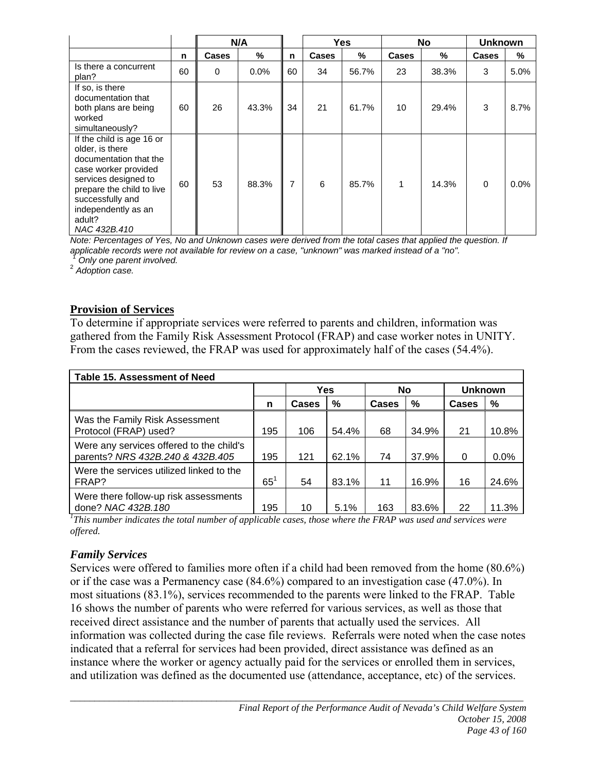|                                                                                                                                                                                                                          |    |              | N/A   |    |              | <b>Yes</b> |              | No    | <b>Unknown</b> |      |
|--------------------------------------------------------------------------------------------------------------------------------------------------------------------------------------------------------------------------|----|--------------|-------|----|--------------|------------|--------------|-------|----------------|------|
|                                                                                                                                                                                                                          | n  | <b>Cases</b> | %     | n  | <b>Cases</b> | %          | <b>Cases</b> | %     | <b>Cases</b>   | %    |
| Is there a concurrent<br>plan?                                                                                                                                                                                           | 60 | 0            | 0.0%  | 60 | 34           | 56.7%      | 23           | 38.3% | 3              | 5.0% |
| If so, is there<br>documentation that<br>both plans are being<br>worked<br>simultaneously?                                                                                                                               | 60 | 26           | 43.3% | 34 | 21           | 61.7%      | 10           | 29.4% | 3              | 8.7% |
| If the child is age 16 or<br>older, is there<br>documentation that the<br>case worker provided<br>services designed to<br>prepare the child to live<br>successfully and<br>independently as an<br>adult?<br>NAC 432B.410 | 60 | 53           | 88.3% | 7  | 6            | 85.7%      | 1            | 14.3% | $\Omega$       | 0.0% |

*Note: Percentages of Yes, No and Unknown cases were derived from the total cases that applied the question. If applicable records were not available for review on a case, "unknown" was marked instead of a "no".*  1

**Only one parent involved.** 

 *Adoption case.*

#### **Provision of Services**

To determine if appropriate services were referred to parents and children, information was gathered from the Family Risk Assessment Protocol (FRAP) and case worker notes in UNITY. From the cases reviewed, the FRAP was used for approximately half of the cases (54.4%).

| <b>Table 15. Assessment of Need</b>                                          |        |              |       |              |           |                |         |
|------------------------------------------------------------------------------|--------|--------------|-------|--------------|-----------|----------------|---------|
|                                                                              |        |              | Yes   |              | <b>No</b> | <b>Unknown</b> |         |
|                                                                              | n      | <b>Cases</b> | %     | <b>Cases</b> | %         | <b>Cases</b>   | $\%$    |
| Was the Family Risk Assessment<br>Protocol (FRAP) used?                      | 195    | 106          | 54.4% | 68           | 34.9%     | 21             | 10.8%   |
| Were any services offered to the child's<br>parents? NRS 432B.240 & 432B.405 | 195    | 121          | 62.1% | 74           | 37.9%     | 0              | $0.0\%$ |
| Were the services utilized linked to the<br>FRAP?                            | $65^1$ | 54           | 83.1% | 11           | 16.9%     | 16             | 24.6%   |
| Were there follow-up risk assessments<br>done? NAC 432B.180                  | 195    | 10           | 5.1%  | 163          | 83.6%     | 22             | 11.3%   |

*1 This number indicates the total number of applicable cases, those where the FRAP was used and services were offered.* 

#### *Family Services*

Services were offered to families more often if a child had been removed from the home (80.6%) or if the case was a Permanency case (84.6%) compared to an investigation case (47.0%). In most situations (83.1%), services recommended to the parents were linked to the FRAP. Table 16 shows the number of parents who were referred for various services, as well as those that received direct assistance and the number of parents that actually used the services. All information was collected during the case file reviews. Referrals were noted when the case notes indicated that a referral for services had been provided, direct assistance was defined as an instance where the worker or agency actually paid for the services or enrolled them in services, and utilization was defined as the documented use (attendance, acceptance, etc) of the services.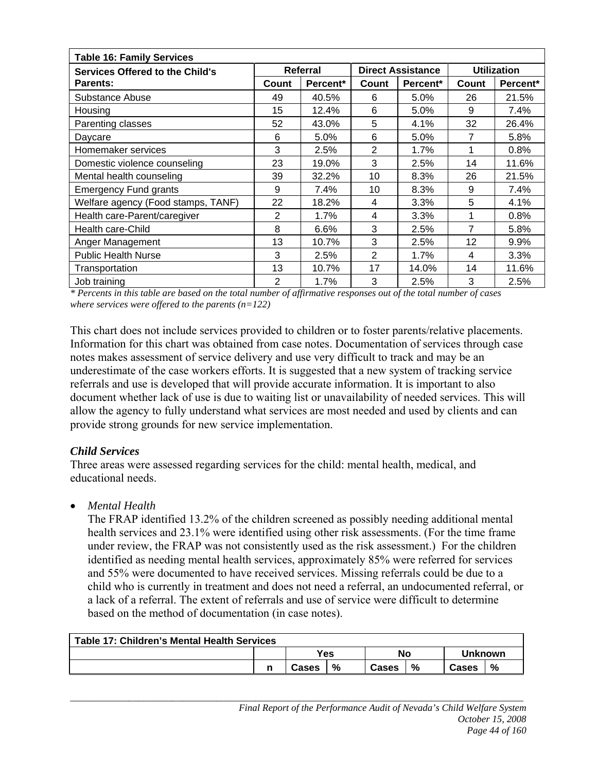| <b>Table 16: Family Services</b>       |                |                 |                |                          |       |                    |  |  |  |  |  |
|----------------------------------------|----------------|-----------------|----------------|--------------------------|-------|--------------------|--|--|--|--|--|
| <b>Services Offered to the Child's</b> |                | <b>Referral</b> |                | <b>Direct Assistance</b> |       | <b>Utilization</b> |  |  |  |  |  |
| <b>Parents:</b>                        | Count          | Percent*        | Count          | Percent*                 | Count | Percent*           |  |  |  |  |  |
| Substance Abuse                        | 49             | 40.5%           | 6              | 5.0%                     | 26    | 21.5%              |  |  |  |  |  |
| Housing                                | 15             | 12.4%           | 6              | 5.0%                     | 9     | 7.4%               |  |  |  |  |  |
| Parenting classes                      | 52             | 43.0%           | 5              | 4.1%                     | 32    | 26.4%              |  |  |  |  |  |
| Daycare                                | 6              | 5.0%            | 6              | 5.0%                     |       | 5.8%               |  |  |  |  |  |
| Homemaker services                     | 3              | 2.5%            | $\overline{2}$ | 1.7%                     | 1     | 0.8%               |  |  |  |  |  |
| Domestic violence counseling           | 23             | 19.0%           | 3              | 2.5%                     | 14    | 11.6%              |  |  |  |  |  |
| Mental health counseling               | 39             | 32.2%           | 10             | 8.3%                     | 26    | 21.5%              |  |  |  |  |  |
| <b>Emergency Fund grants</b>           | 9              | 7.4%            | 10             | 8.3%                     | 9     | 7.4%               |  |  |  |  |  |
| Welfare agency (Food stamps, TANF)     | 22             | 18.2%           | 4              | 3.3%                     | 5     | 4.1%               |  |  |  |  |  |
| Health care-Parent/caregiver           | 2              | 1.7%            | 4              | 3.3%                     | 1     | 0.8%               |  |  |  |  |  |
| Health care-Child                      | 8              | 6.6%            | 3              | 2.5%                     | 7     | 5.8%               |  |  |  |  |  |
| Anger Management                       | 13             | 10.7%           | 3              | 2.5%                     | 12    | 9.9%               |  |  |  |  |  |
| <b>Public Health Nurse</b>             | 3              | 2.5%            | $\overline{2}$ | 1.7%                     | 4     | 3.3%               |  |  |  |  |  |
| Transportation                         | 13             | 10.7%           | 17             | 14.0%                    | 14    | 11.6%              |  |  |  |  |  |
| Job training                           | $\overline{2}$ | 1.7%            | 3              | 2.5%                     | 3     | 2.5%               |  |  |  |  |  |

*\* Percents in this table are based on the total number of affirmative responses out of the total number of cases where services were offered to the parents (n=122)* 

This chart does not include services provided to children or to foster parents/relative placements. Information for this chart was obtained from case notes. Documentation of services through case notes makes assessment of service delivery and use very difficult to track and may be an underestimate of the case workers efforts. It is suggested that a new system of tracking service referrals and use is developed that will provide accurate information. It is important to also document whether lack of use is due to waiting list or unavailability of needed services. This will allow the agency to fully understand what services are most needed and used by clients and can provide strong grounds for new service implementation.

### *Child Services*

Three areas were assessed regarding services for the child: mental health, medical, and educational needs.

• *Mental Health* 

The FRAP identified 13.2% of the children screened as possibly needing additional mental health services and 23.1% were identified using other risk assessments. (For the time frame under review, the FRAP was not consistently used as the risk assessment.) For the children identified as needing mental health services, approximately 85% were referred for services and 55% were documented to have received services. Missing referrals could be due to a child who is currently in treatment and does not need a referral, an undocumented referral, or a lack of a referral. The extent of referrals and use of service were difficult to determine based on the method of documentation (in case notes).

| <b>Table 17: Children's Mental Health Services</b> |   |       |     |              |   |              |   |  |  |  |
|----------------------------------------------------|---|-------|-----|--------------|---|--------------|---|--|--|--|
|                                                    |   |       | Yes | No           |   | Unknown      |   |  |  |  |
|                                                    | × | Cases | %   | <b>Cases</b> | % | <b>Cases</b> | % |  |  |  |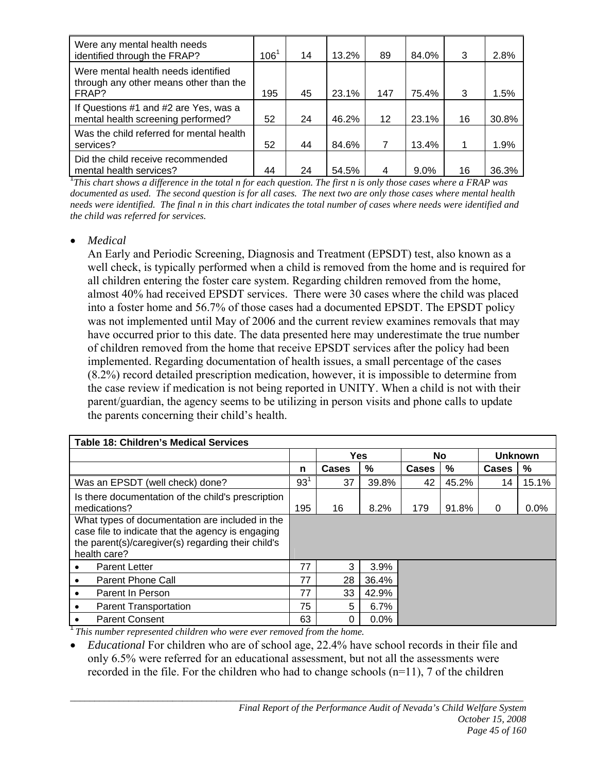| Were any mental health needs<br>identified through the FRAP?                           | 106 <sup>1</sup> | 14 | 13.2% | 89  | 84.0%   | 3  | 2.8%  |
|----------------------------------------------------------------------------------------|------------------|----|-------|-----|---------|----|-------|
| Were mental health needs identified<br>through any other means other than the<br>FRAP? | 195              | 45 | 23.1% | 147 | 75.4%   | 3  | 1.5%  |
|                                                                                        |                  |    |       |     |         |    |       |
| If Questions #1 and #2 are Yes, was a<br>mental health screening performed?            | 52               | 24 | 46.2% | 12  | 23.1%   | 16 | 30.8% |
| Was the child referred for mental health                                               |                  |    |       |     |         |    |       |
| services?                                                                              | 52               | 44 | 84.6% | 7   | 13.4%   |    | 1.9%  |
| Did the child receive recommended<br>mental health services?                           | 44               | 24 | 54.5% | 4   | $9.0\%$ | 16 | 36.3% |

<sup>1</sup>This chart shows a difference in the total n for each question. The first n is only those cases where a FRAP was *documented as used. The second question is for all cases. The next two are only those cases where mental health needs were identified. The final n in this chart indicates the total number of cases where needs were identified and the child was referred for services.* 

• *Medical* 

An Early and Periodic Screening, Diagnosis and Treatment (EPSDT) test, also known as a well check, is typically performed when a child is removed from the home and is required for all children entering the foster care system. Regarding children removed from the home, almost 40% had received EPSDT services. There were 30 cases where the child was placed into a foster home and 56.7% of those cases had a documented EPSDT. The EPSDT policy was not implemented until May of 2006 and the current review examines removals that may have occurred prior to this date. The data presented here may underestimate the true number of children removed from the home that receive EPSDT services after the policy had been implemented. Regarding documentation of health issues, a small percentage of the cases (8.2%) record detailed prescription medication, however, it is impossible to determine from the case review if medication is not being reported in UNITY. When a child is not with their parent/guardian, the agency seems to be utilizing in person visits and phone calls to update the parents concerning their child's health.

| <b>Table 18: Children's Medical Services</b>                                                                                                                               |     |              |       |              |       |                |       |
|----------------------------------------------------------------------------------------------------------------------------------------------------------------------------|-----|--------------|-------|--------------|-------|----------------|-------|
|                                                                                                                                                                            |     | Yes          |       | <b>No</b>    |       | <b>Unknown</b> |       |
|                                                                                                                                                                            | n   | <b>Cases</b> | %     | <b>Cases</b> | %     | <b>Cases</b>   | ℅     |
| Was an EPSDT (well check) done?                                                                                                                                            | 93' | 37           | 39.8% | 42           | 45.2% | 14             | 15.1% |
| Is there documentation of the child's prescription<br>medications?                                                                                                         | 195 | 16           | 8.2%  | 179          | 91.8% | 0              | 0.0%  |
| What types of documentation are included in the<br>case file to indicate that the agency is engaging<br>the parent(s)/caregiver(s) regarding their child's<br>health care? |     |              |       |              |       |                |       |
| <b>Parent Letter</b><br>٠                                                                                                                                                  | 77  | 3            | 3.9%  |              |       |                |       |
| Parent Phone Call<br>$\bullet$                                                                                                                                             | 77  | 28           | 36.4% |              |       |                |       |
| Parent In Person<br>$\bullet$                                                                                                                                              | 77  | 33           | 42.9% |              |       |                |       |
| <b>Parent Transportation</b>                                                                                                                                               | 75  | 5            | 6.7%  |              |       |                |       |
| <b>Parent Consent</b>                                                                                                                                                      | 63  | 0            | 0.0%  |              |       |                |       |

<sup>1</sup>*This number represented children who were ever removed from the home.* 

• *Educational* For children who are of school age, 22.4% have school records in their file and only 6.5% were referred for an educational assessment, but not all the assessments were recorded in the file. For the children who had to change schools (n=11), 7 of the children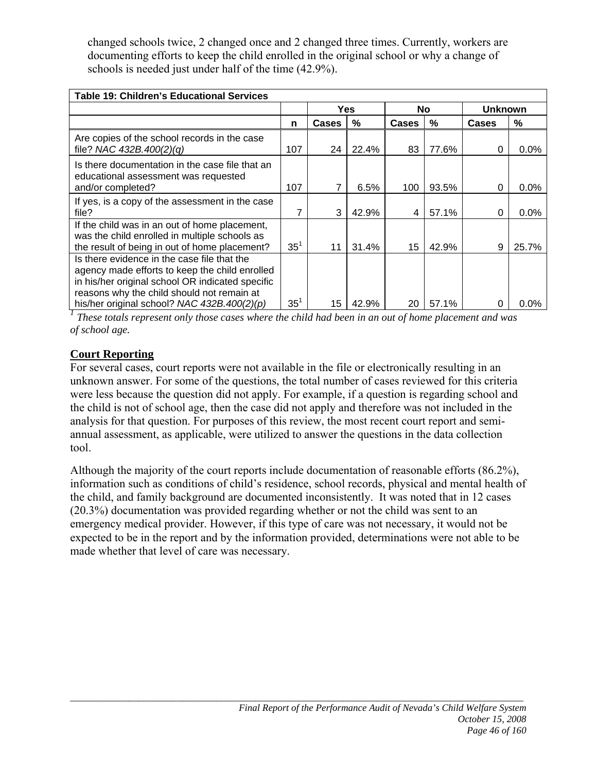changed schools twice, 2 changed once and 2 changed three times. Currently, workers are documenting efforts to keep the child enrolled in the original school or why a change of schools is needed just under half of the time (42.9%).

| <b>Table 19: Children's Educational Services</b>                                                                                                                                                                                               |        |              |       |              |       |              |         |  |
|------------------------------------------------------------------------------------------------------------------------------------------------------------------------------------------------------------------------------------------------|--------|--------------|-------|--------------|-------|--------------|---------|--|
|                                                                                                                                                                                                                                                |        |              | Yes   |              | No    |              | Unknown |  |
|                                                                                                                                                                                                                                                | n      | <b>Cases</b> | %     | <b>Cases</b> | %     | <b>Cases</b> | %       |  |
| Are copies of the school records in the case<br>file? NAC $432B.400(2)(q)$                                                                                                                                                                     | 107    | 24           | 22.4% | 83           | 77.6% | 0            | $0.0\%$ |  |
| Is there documentation in the case file that an<br>educational assessment was requested<br>and/or completed?                                                                                                                                   | 107    | 7            | 6.5%  | 100          | 93.5% | $\Omega$     | 0.0%    |  |
| If yes, is a copy of the assessment in the case<br>file?                                                                                                                                                                                       | 7      | 3            | 42.9% | 4            | 57.1% | 0            | 0.0%    |  |
| If the child was in an out of home placement,<br>was the child enrolled in multiple schools as<br>the result of being in out of home placement?                                                                                                | $35^1$ | 11           | 31.4% | 15           | 42.9% | 9            | 25.7%   |  |
| Is there evidence in the case file that the<br>agency made efforts to keep the child enrolled<br>in his/her original school OR indicated specific<br>reasons why the child should not remain at<br>his/her original school? NAC 432B.400(2)(p) | $35^1$ | 15           | 42.9% | 20           | 57.1% |              | $0.0\%$ |  |

*<sup>1</sup> These totals represent only those cases where the child had been in an out of home placement and was of school age.*

# **Court Reporting**

For several cases, court reports were not available in the file or electronically resulting in an unknown answer. For some of the questions, the total number of cases reviewed for this criteria were less because the question did not apply. For example, if a question is regarding school and the child is not of school age, then the case did not apply and therefore was not included in the analysis for that question. For purposes of this review, the most recent court report and semiannual assessment, as applicable, were utilized to answer the questions in the data collection tool.

Although the majority of the court reports include documentation of reasonable efforts (86.2%), information such as conditions of child's residence, school records, physical and mental health of the child, and family background are documented inconsistently. It was noted that in 12 cases (20.3%) documentation was provided regarding whether or not the child was sent to an emergency medical provider. However, if this type of care was not necessary, it would not be expected to be in the report and by the information provided, determinations were not able to be made whether that level of care was necessary.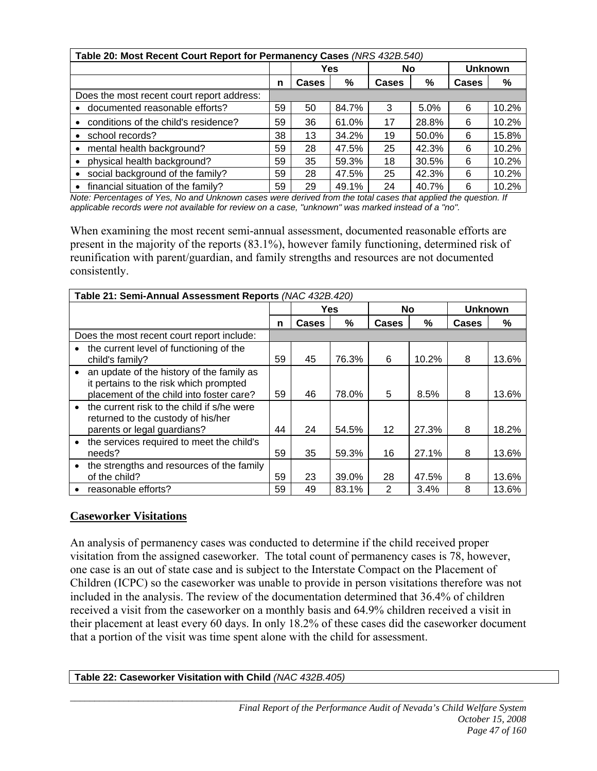| Table 20: Most Recent Court Report for Permanency Cases (NRS 432B.540) |    |              |       |              |       |                |       |  |
|------------------------------------------------------------------------|----|--------------|-------|--------------|-------|----------------|-------|--|
|                                                                        |    | Yes          |       | No           |       | <b>Unknown</b> |       |  |
|                                                                        | n  | <b>Cases</b> | ℅     | <b>Cases</b> | %     | <b>Cases</b>   | %     |  |
| Does the most recent court report address:                             |    |              |       |              |       |                |       |  |
| documented reasonable efforts?<br>$\bullet$                            | 59 | 50           | 84.7% | 3            | 5.0%  | 6              | 10.2% |  |
| conditions of the child's residence?                                   | 59 | 36           | 61.0% | 17           | 28.8% | 6              | 10.2% |  |
| school records?<br>$\bullet$                                           | 38 | 13           | 34.2% | 19           | 50.0% | 6              | 15.8% |  |
| mental health background?                                              | 59 | 28           | 47.5% | 25           | 42.3% | 6              | 10.2% |  |
| physical health background?                                            | 59 | 35           | 59.3% | 18           | 30.5% | 6              | 10.2% |  |
| social background of the family?<br>٠                                  | 59 | 28           | 47.5% | 25           | 42.3% | 6              | 10.2% |  |
| financial situation of the family?<br>$\bullet$                        | 59 | 29           | 49.1% | 24           | 40.7% | 6              | 10.2% |  |

*Note: Percentages of Yes, No and Unknown cases were derived from the total cases that applied the question. If applicable records were not available for review on a case, "unknown" was marked instead of a "no".* 

When examining the most recent semi-annual assessment, documented reasonable efforts are present in the majority of the reports (83.1%), however family functioning, determined risk of reunification with parent/guardian, and family strengths and resources are not documented consistently.

|           | Table 21: Semi-Annual Assessment Reports (NAC 432B.420)                                                                         |    |       |       |              |       |                |       |  |
|-----------|---------------------------------------------------------------------------------------------------------------------------------|----|-------|-------|--------------|-------|----------------|-------|--|
|           |                                                                                                                                 |    | Yes   |       | <b>No</b>    |       | <b>Unknown</b> |       |  |
|           |                                                                                                                                 | n  | Cases | %     | <b>Cases</b> | %     | <b>Cases</b>   | %     |  |
|           | Does the most recent court report include:                                                                                      |    |       |       |              |       |                |       |  |
| $\bullet$ | the current level of functioning of the<br>child's family?                                                                      | 59 | 45    | 76.3% | 6            | 10.2% | 8              | 13.6% |  |
| $\bullet$ | an update of the history of the family as<br>it pertains to the risk which prompted<br>placement of the child into foster care? | 59 | 46    | 78.0% | 5            | 8.5%  | 8              | 13.6% |  |
| $\bullet$ | the current risk to the child if s/he were<br>returned to the custody of his/her<br>parents or legal guardians?                 | 44 | 24    | 54.5% | 12           | 27.3% | 8              | 18.2% |  |
|           | the services required to meet the child's<br>needs?                                                                             | 59 | 35    | 59.3% | 16           | 27.1% | 8              | 13.6% |  |
| $\bullet$ | the strengths and resources of the family<br>of the child?                                                                      | 59 | 23    | 39.0% | 28           | 47.5% | 8              | 13.6% |  |
| ٠         | reasonable efforts?                                                                                                             | 59 | 49    | 83.1% | 2            | 3.4%  | 8              | 13.6% |  |

### **Caseworker Visitations**

An analysis of permanency cases was conducted to determine if the child received proper visitation from the assigned caseworker. The total count of permanency cases is 78, however, one case is an out of state case and is subject to the Interstate Compact on the Placement of Children (ICPC) so the caseworker was unable to provide in person visitations therefore was not included in the analysis. The review of the documentation determined that 36.4% of children received a visit from the caseworker on a monthly basis and 64.9% children received a visit in their placement at least every 60 days. In only 18.2% of these cases did the caseworker document that a portion of the visit was time spent alone with the child for assessment.

#### **Table 22: Caseworker Visitation with Child** *(NAC 432B.405)*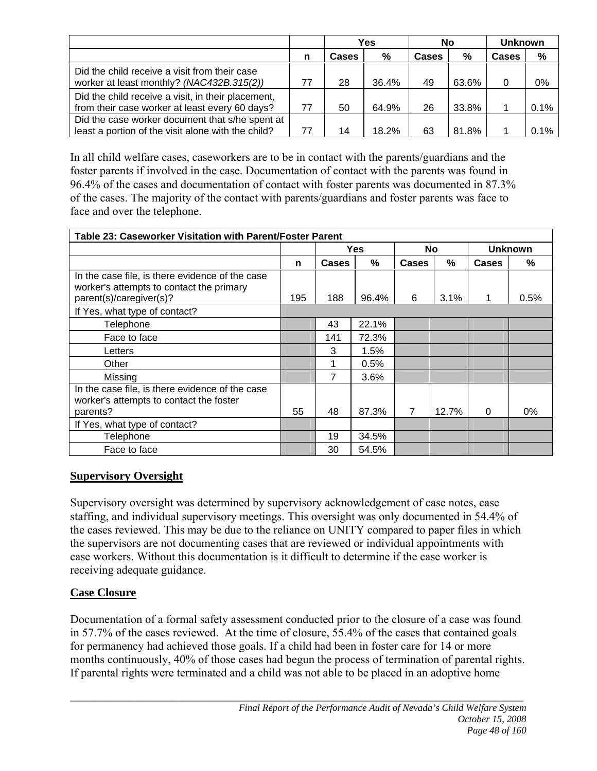|                                                                                                       | Yes |       |       | No    |       | <b>Unknown</b> |         |
|-------------------------------------------------------------------------------------------------------|-----|-------|-------|-------|-------|----------------|---------|
|                                                                                                       | n   | Cases | %     | Cases | %     | Cases          | %       |
| Did the child receive a visit from their case<br>worker at least monthly? (NAC432B.315(2))            | 77  | 28    | 36.4% | 49    | 63.6% |                | 0%      |
| Did the child receive a visit, in their placement,<br>from their case worker at least every 60 days?  | 77  | 50    | 64.9% | 26    | 33.8% |                | $0.1\%$ |
| Did the case worker document that s/he spent at<br>least a portion of the visit alone with the child? | 77  | 14    | 18.2% | 63    | 81.8% |                | $0.1\%$ |

In all child welfare cases, caseworkers are to be in contact with the parents/guardians and the foster parents if involved in the case. Documentation of contact with the parents was found in 96.4% of the cases and documentation of contact with foster parents was documented in 87.3% of the cases. The majority of the contact with parents/guardians and foster parents was face to face and over the telephone.

| Table 23: Caseworker Visitation with Parent/Foster Parent                                                              |     |              |       |                |       |                |      |  |
|------------------------------------------------------------------------------------------------------------------------|-----|--------------|-------|----------------|-------|----------------|------|--|
|                                                                                                                        |     |              | Yes   | No             |       | <b>Unknown</b> |      |  |
|                                                                                                                        | n   | <b>Cases</b> | %     | Cases          | %     | <b>Cases</b>   | %    |  |
| In the case file, is there evidence of the case<br>worker's attempts to contact the primary<br>parent(s)/caregiver(s)? | 195 | 188          | 96.4% | 6              | 3.1%  | 1              | 0.5% |  |
| If Yes, what type of contact?                                                                                          |     |              |       |                |       |                |      |  |
| Telephone                                                                                                              |     | 43           | 22.1% |                |       |                |      |  |
| Face to face                                                                                                           |     | 141          | 72.3% |                |       |                |      |  |
| Letters                                                                                                                |     | 3            | 1.5%  |                |       |                |      |  |
| Other                                                                                                                  |     |              | 0.5%  |                |       |                |      |  |
| Missing                                                                                                                |     | 7            | 3.6%  |                |       |                |      |  |
| In the case file, is there evidence of the case<br>worker's attempts to contact the foster<br>parents?                 | 55  | 48           | 87.3% | $\overline{7}$ | 12.7% | $\Omega$       | 0%   |  |
| If Yes, what type of contact?                                                                                          |     |              |       |                |       |                |      |  |
| Telephone                                                                                                              |     | 19           | 34.5% |                |       |                |      |  |
| Face to face                                                                                                           |     | 30           | 54.5% |                |       |                |      |  |

### **Supervisory Oversight**

Supervisory oversight was determined by supervisory acknowledgement of case notes, case staffing, and individual supervisory meetings. This oversight was only documented in 54.4% of the cases reviewed. This may be due to the reliance on UNITY compared to paper files in which the supervisors are not documenting cases that are reviewed or individual appointments with case workers. Without this documentation is it difficult to determine if the case worker is receiving adequate guidance.

### **Case Closure**

Documentation of a formal safety assessment conducted prior to the closure of a case was found in 57.7% of the cases reviewed. At the time of closure, 55.4% of the cases that contained goals for permanency had achieved those goals. If a child had been in foster care for 14 or more months continuously, 40% of those cases had begun the process of termination of parental rights. If parental rights were terminated and a child was not able to be placed in an adoptive home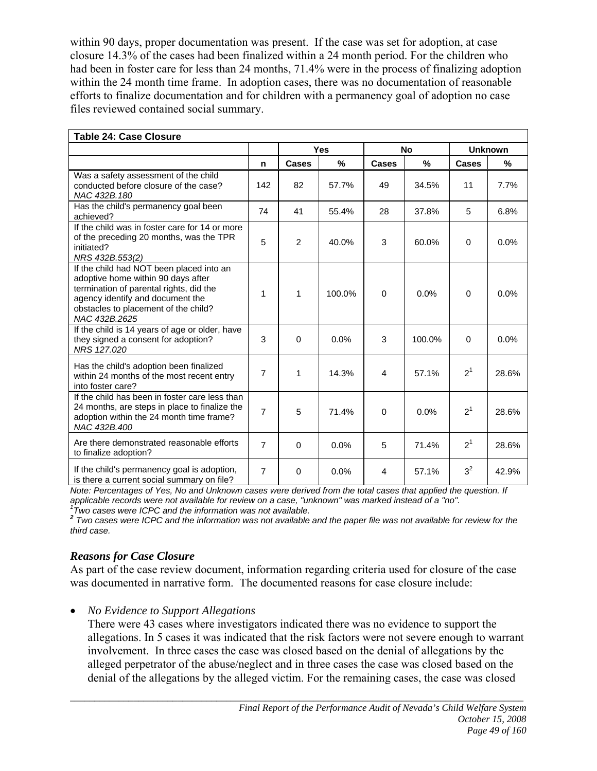within 90 days, proper documentation was present. If the case was set for adoption, at case closure 14.3% of the cases had been finalized within a 24 month period. For the children who had been in foster care for less than 24 months, 71.4% were in the process of finalizing adoption within the 24 month time frame. In adoption cases, there was no documentation of reasonable efforts to finalize documentation and for children with a permanency goal of adoption no case files reviewed contained social summary.

| <b>Table 24: Case Closure</b>                                                                                                                                                                                          |                |              |            |              |        |                |                |  |  |
|------------------------------------------------------------------------------------------------------------------------------------------------------------------------------------------------------------------------|----------------|--------------|------------|--------------|--------|----------------|----------------|--|--|
|                                                                                                                                                                                                                        |                |              | <b>Yes</b> | <b>No</b>    |        |                | <b>Unknown</b> |  |  |
|                                                                                                                                                                                                                        | n              | <b>Cases</b> | %          | <b>Cases</b> | %      | <b>Cases</b>   | %              |  |  |
| Was a safety assessment of the child<br>conducted before closure of the case?<br>NAC 432B.180                                                                                                                          | 142            | 82           | 57.7%      | 49           | 34.5%  | 11             | 7.7%           |  |  |
| Has the child's permanency goal been<br>achieved?                                                                                                                                                                      | 74             | 41           | 55.4%      | 28           | 37.8%  | 5              | 6.8%           |  |  |
| If the child was in foster care for 14 or more<br>of the preceding 20 months, was the TPR<br>initiated?<br>NRS 432B.553(2)                                                                                             | 5              | 2            | 40.0%      | 3            | 60.0%  | $\Omega$       | 0.0%           |  |  |
| If the child had NOT been placed into an<br>adoptive home within 90 days after<br>termination of parental rights, did the<br>agency identify and document the<br>obstacles to placement of the child?<br>NAC 432B.2625 | 1              | 1            | 100.0%     | $\Omega$     | 0.0%   | $\Omega$       | 0.0%           |  |  |
| If the child is 14 years of age or older, have<br>they signed a consent for adoption?<br>NRS 127.020                                                                                                                   | 3              | $\Omega$     | 0.0%       | 3            | 100.0% | $\mathbf 0$    | 0.0%           |  |  |
| Has the child's adoption been finalized<br>within 24 months of the most recent entry<br>into foster care?                                                                                                              | $\overline{7}$ | 1            | 14.3%      | 4            | 57.1%  | 2 <sup>1</sup> | 28.6%          |  |  |
| If the child has been in foster care less than<br>24 months, are steps in place to finalize the<br>adoption within the 24 month time frame?<br>NAC 432B.400                                                            | $\overline{7}$ | 5            | 71.4%      | $\mathbf 0$  | 0.0%   | 2 <sup>1</sup> | 28.6%          |  |  |
| Are there demonstrated reasonable efforts<br>to finalize adoption?                                                                                                                                                     | $\overline{7}$ | $\Omega$     | 0.0%       | 5            | 71.4%  | 2 <sup>1</sup> | 28.6%          |  |  |
| If the child's permanency goal is adoption,<br>is there a current social summary on file?                                                                                                                              | $\overline{7}$ | $\Omega$     | 0.0%       | 4            | 57.1%  | 3 <sup>2</sup> | 42.9%          |  |  |

*Note: Percentages of Yes, No and Unknown cases were derived from the total cases that applied the question. If applicable records were not available for review on a case, "unknown" was marked instead of a "no".* 

<sup>1</sup>Two cases were ICPC and the information was not available.<br><sup>2</sup> Two cases were ICPC and the information was not available and the paper file was not available for review for the *third case.* 

# *Reasons for Case Closure*

As part of the case review document, information regarding criteria used for closure of the case was documented in narrative form. The documented reasons for case closure include:

• *No Evidence to Support Allegations*

There were 43 cases where investigators indicated there was no evidence to support the allegations. In 5 cases it was indicated that the risk factors were not severe enough to warrant involvement. In three cases the case was closed based on the denial of allegations by the alleged perpetrator of the abuse/neglect and in three cases the case was closed based on the denial of the allegations by the alleged victim. For the remaining cases, the case was closed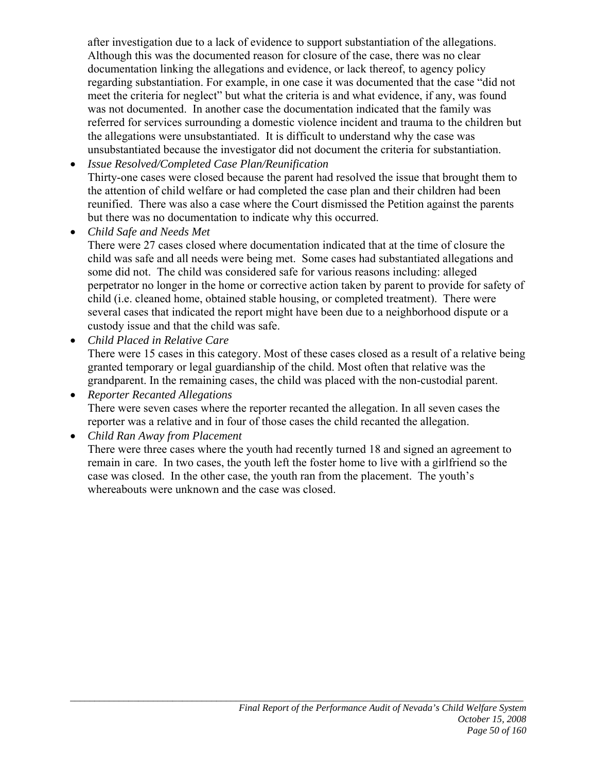after investigation due to a lack of evidence to support substantiation of the allegations. Although this was the documented reason for closure of the case, there was no clear documentation linking the allegations and evidence, or lack thereof, to agency policy regarding substantiation. For example, in one case it was documented that the case "did not meet the criteria for neglect" but what the criteria is and what evidence, if any, was found was not documented. In another case the documentation indicated that the family was referred for services surrounding a domestic violence incident and trauma to the children but the allegations were unsubstantiated. It is difficult to understand why the case was unsubstantiated because the investigator did not document the criteria for substantiation.

- *Issue Resolved/Completed Case Plan/Reunification* Thirty-one cases were closed because the parent had resolved the issue that brought them to the attention of child welfare or had completed the case plan and their children had been reunified. There was also a case where the Court dismissed the Petition against the parents but there was no documentation to indicate why this occurred.
- *Child Safe and Needs Met*

There were 27 cases closed where documentation indicated that at the time of closure the child was safe and all needs were being met. Some cases had substantiated allegations and some did not. The child was considered safe for various reasons including: alleged perpetrator no longer in the home or corrective action taken by parent to provide for safety of child (i.e. cleaned home, obtained stable housing, or completed treatment). There were several cases that indicated the report might have been due to a neighborhood dispute or a custody issue and that the child was safe.

• *Child Placed in Relative Care*  There were 15 cases in this category. Most of these cases closed as a result of a relative being granted temporary or legal guardianship of the child. Most often that relative was the grandparent. In the remaining cases, the child was placed with the non-custodial parent.

• *Reporter Recanted Allegations*  There were seven cases where the reporter recanted the allegation. In all seven cases the reporter was a relative and in four of those cases the child recanted the allegation.

• *Child Ran Away from Placement* 

There were three cases where the youth had recently turned 18 and signed an agreement to remain in care. In two cases, the youth left the foster home to live with a girlfriend so the case was closed. In the other case, the youth ran from the placement. The youth's whereabouts were unknown and the case was closed.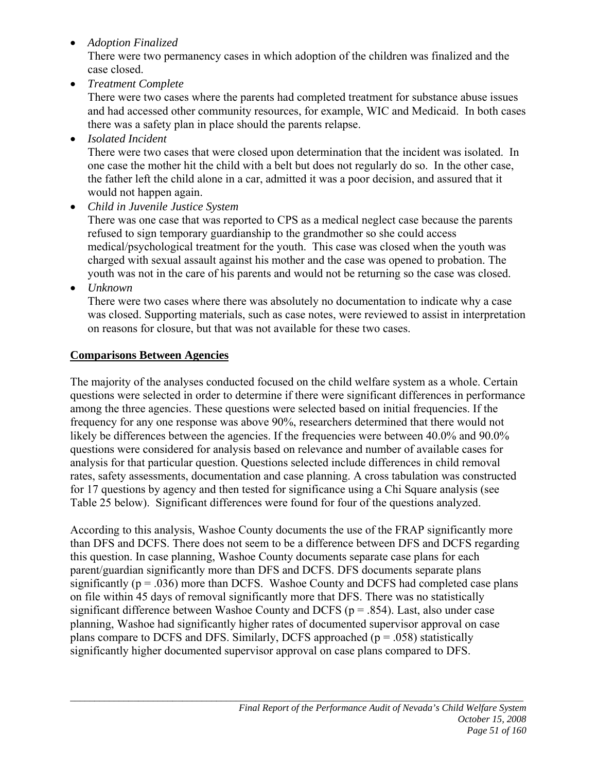• *Adoption Finalized* 

There were two permanency cases in which adoption of the children was finalized and the case closed.

• *Treatment Complete*

There were two cases where the parents had completed treatment for substance abuse issues and had accessed other community resources, for example, WIC and Medicaid. In both cases there was a safety plan in place should the parents relapse.

• *Isolated Incident*

There were two cases that were closed upon determination that the incident was isolated. In one case the mother hit the child with a belt but does not regularly do so. In the other case, the father left the child alone in a car, admitted it was a poor decision, and assured that it would not happen again.

- *Child in Juvenile Justice System* There was one case that was reported to CPS as a medical neglect case because the parents refused to sign temporary guardianship to the grandmother so she could access medical/psychological treatment for the youth. This case was closed when the youth was charged with sexual assault against his mother and the case was opened to probation. The youth was not in the care of his parents and would not be returning so the case was closed.
- *Unknown*

There were two cases where there was absolutely no documentation to indicate why a case was closed. Supporting materials, such as case notes, were reviewed to assist in interpretation on reasons for closure, but that was not available for these two cases.

# **Comparisons Between Agencies**

The majority of the analyses conducted focused on the child welfare system as a whole. Certain questions were selected in order to determine if there were significant differences in performance among the three agencies. These questions were selected based on initial frequencies. If the frequency for any one response was above 90%, researchers determined that there would not likely be differences between the agencies. If the frequencies were between 40.0% and 90.0% questions were considered for analysis based on relevance and number of available cases for analysis for that particular question. Questions selected include differences in child removal rates, safety assessments, documentation and case planning. A cross tabulation was constructed for 17 questions by agency and then tested for significance using a Chi Square analysis (see Table 25 below). Significant differences were found for four of the questions analyzed.

According to this analysis, Washoe County documents the use of the FRAP significantly more than DFS and DCFS. There does not seem to be a difference between DFS and DCFS regarding this question. In case planning, Washoe County documents separate case plans for each parent/guardian significantly more than DFS and DCFS. DFS documents separate plans significantly ( $p = .036$ ) more than DCFS. Washoe County and DCFS had completed case plans on file within 45 days of removal significantly more that DFS. There was no statistically significant difference between Washoe County and DCFS ( $p = .854$ ). Last, also under case planning, Washoe had significantly higher rates of documented supervisor approval on case plans compare to DCFS and DFS. Similarly, DCFS approached ( $p = .058$ ) statistically significantly higher documented supervisor approval on case plans compared to DFS.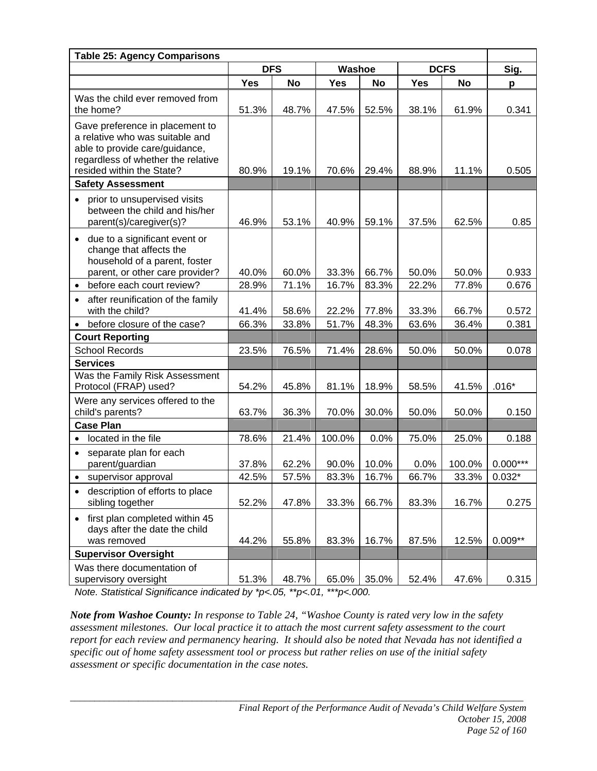| <b>Table 25: Agency Comparisons</b>                                                                                                                                     |            |           |            |           |            |           |            |
|-------------------------------------------------------------------------------------------------------------------------------------------------------------------------|------------|-----------|------------|-----------|------------|-----------|------------|
|                                                                                                                                                                         | <b>DFS</b> | Washoe    |            | Sig.      |            |           |            |
|                                                                                                                                                                         | <b>Yes</b> | <b>No</b> | <b>Yes</b> | <b>No</b> | <b>Yes</b> | <b>No</b> | р          |
| Was the child ever removed from<br>the home?                                                                                                                            | 51.3%      | 48.7%     | 47.5%      | 52.5%     | 38.1%      | 61.9%     | 0.341      |
| Gave preference in placement to<br>a relative who was suitable and<br>able to provide care/guidance,<br>regardless of whether the relative<br>resided within the State? | 80.9%      | 19.1%     | 70.6%      | 29.4%     | 88.9%      | 11.1%     | 0.505      |
| <b>Safety Assessment</b>                                                                                                                                                |            |           |            |           |            |           |            |
| prior to unsupervised visits<br>$\bullet$<br>between the child and his/her<br>parent(s)/caregiver(s)?                                                                   | 46.9%      | 53.1%     | 40.9%      | 59.1%     | 37.5%      | 62.5%     | 0.85       |
| due to a significant event or<br>$\bullet$<br>change that affects the<br>household of a parent, foster<br>parent, or other care provider?                               | 40.0%      | 60.0%     | 33.3%      | 66.7%     | 50.0%      | 50.0%     | 0.933      |
| before each court review?<br>$\bullet$                                                                                                                                  | 28.9%      | 71.1%     | 16.7%      | 83.3%     | 22.2%      | 77.8%     | 0.676      |
| after reunification of the family<br>$\bullet$<br>with the child?                                                                                                       | 41.4%      | 58.6%     | 22.2%      | 77.8%     | 33.3%      | 66.7%     | 0.572      |
| before closure of the case?<br>$\bullet$                                                                                                                                | 66.3%      | 33.8%     | 51.7%      | 48.3%     | 63.6%      | 36.4%     | 0.381      |
| <b>Court Reporting</b>                                                                                                                                                  |            |           |            |           |            |           |            |
| <b>School Records</b>                                                                                                                                                   | 23.5%      | 76.5%     | 71.4%      | 28.6%     | 50.0%      | 50.0%     | 0.078      |
| <b>Services</b>                                                                                                                                                         |            |           |            |           |            |           |            |
| Was the Family Risk Assessment<br>Protocol (FRAP) used?                                                                                                                 | 54.2%      | 45.8%     | 81.1%      | 18.9%     | 58.5%      | 41.5%     | $.016*$    |
| Were any services offered to the<br>child's parents?                                                                                                                    | 63.7%      | 36.3%     | 70.0%      | 30.0%     | 50.0%      | 50.0%     | 0.150      |
| <b>Case Plan</b>                                                                                                                                                        |            |           |            |           |            |           |            |
| located in the file<br>$\bullet$                                                                                                                                        | 78.6%      | 21.4%     | 100.0%     | 0.0%      | 75.0%      | 25.0%     | 0.188      |
| separate plan for each<br>$\bullet$<br>parent/guardian                                                                                                                  | 37.8%      | 62.2%     | 90.0%      | 10.0%     | 0.0%       | 100.0%    | $0.000***$ |
| supervisor approval                                                                                                                                                     | 42.5%      | 57.5%     | 83.3%      | 16.7%     | 66.7%      | 33.3%     | $0.032*$   |
| description of efforts to place<br>sibling together                                                                                                                     | 52.2%      | 47.8%     | 33.3%      | 66.7%     | 83.3%      | 16.7%     | 0.275      |
| first plan completed within 45<br>$\bullet$<br>days after the date the child<br>was removed                                                                             | 44.2%      | 55.8%     | 83.3%      | 16.7%     | 87.5%      | 12.5%     | $0.009**$  |
| <b>Supervisor Oversight</b>                                                                                                                                             |            |           |            |           |            |           |            |
| Was there documentation of<br>supervisory oversight                                                                                                                     | 51.3%      | 48.7%     | 65.0%      | 35.0%     | 52.4%      | 47.6%     | 0.315      |

*Note. Statistical Significance indicated by \*p<.05, \*\*p<.01, \*\*\*p<.000.* 

*Note from Washoe County: In response to Table 24, "Washoe County is rated very low in the safety assessment milestones. Our local practice it to attach the most current safety assessment to the court report for each review and permanency hearing. It should also be noted that Nevada has not identified a specific out of home safety assessment tool or process but rather relies on use of the initial safety assessment or specific documentation in the case notes.*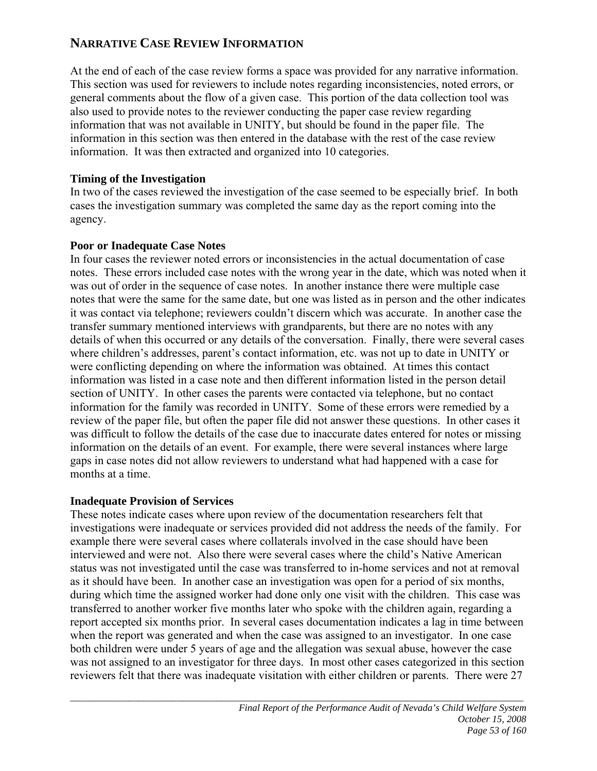# **NARRATIVE CASE REVIEW INFORMATION**

At the end of each of the case review forms a space was provided for any narrative information. This section was used for reviewers to include notes regarding inconsistencies, noted errors, or general comments about the flow of a given case. This portion of the data collection tool was also used to provide notes to the reviewer conducting the paper case review regarding information that was not available in UNITY, but should be found in the paper file. The information in this section was then entered in the database with the rest of the case review information. It was then extracted and organized into 10 categories.

### **Timing of the Investigation**

In two of the cases reviewed the investigation of the case seemed to be especially brief. In both cases the investigation summary was completed the same day as the report coming into the agency.

## **Poor or Inadequate Case Notes**

In four cases the reviewer noted errors or inconsistencies in the actual documentation of case notes. These errors included case notes with the wrong year in the date, which was noted when it was out of order in the sequence of case notes. In another instance there were multiple case notes that were the same for the same date, but one was listed as in person and the other indicates it was contact via telephone; reviewers couldn't discern which was accurate. In another case the transfer summary mentioned interviews with grandparents, but there are no notes with any details of when this occurred or any details of the conversation. Finally, there were several cases where children's addresses, parent's contact information, etc. was not up to date in UNITY or were conflicting depending on where the information was obtained. At times this contact information was listed in a case note and then different information listed in the person detail section of UNITY. In other cases the parents were contacted via telephone, but no contact information for the family was recorded in UNITY. Some of these errors were remedied by a review of the paper file, but often the paper file did not answer these questions. In other cases it was difficult to follow the details of the case due to inaccurate dates entered for notes or missing information on the details of an event. For example, there were several instances where large gaps in case notes did not allow reviewers to understand what had happened with a case for months at a time.

### **Inadequate Provision of Services**

These notes indicate cases where upon review of the documentation researchers felt that investigations were inadequate or services provided did not address the needs of the family. For example there were several cases where collaterals involved in the case should have been interviewed and were not. Also there were several cases where the child's Native American status was not investigated until the case was transferred to in-home services and not at removal as it should have been. In another case an investigation was open for a period of six months, during which time the assigned worker had done only one visit with the children. This case was transferred to another worker five months later who spoke with the children again, regarding a report accepted six months prior. In several cases documentation indicates a lag in time between when the report was generated and when the case was assigned to an investigator. In one case both children were under 5 years of age and the allegation was sexual abuse, however the case was not assigned to an investigator for three days. In most other cases categorized in this section reviewers felt that there was inadequate visitation with either children or parents. There were 27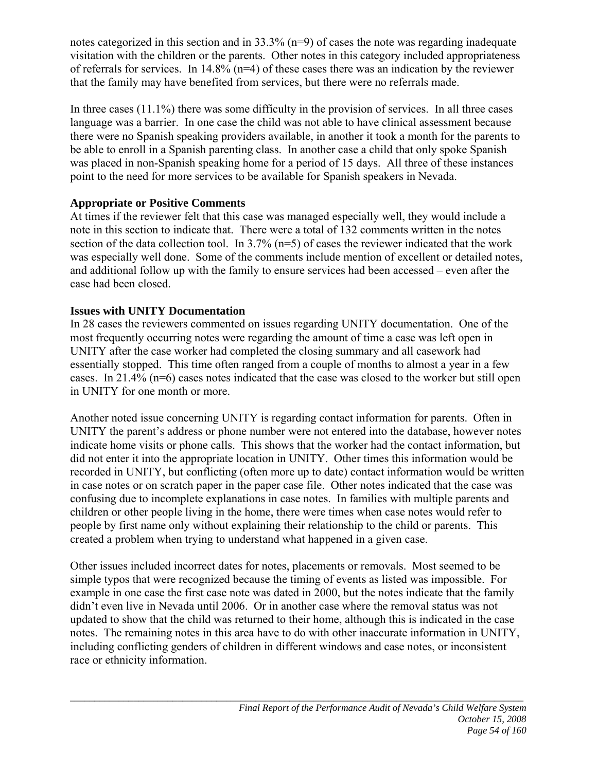notes categorized in this section and in  $33.3\%$  (n=9) of cases the note was regarding inadequate visitation with the children or the parents. Other notes in this category included appropriateness of referrals for services. In 14.8% (n=4) of these cases there was an indication by the reviewer that the family may have benefited from services, but there were no referrals made.

In three cases (11.1%) there was some difficulty in the provision of services. In all three cases language was a barrier. In one case the child was not able to have clinical assessment because there were no Spanish speaking providers available, in another it took a month for the parents to be able to enroll in a Spanish parenting class. In another case a child that only spoke Spanish was placed in non-Spanish speaking home for a period of 15 days. All three of these instances point to the need for more services to be available for Spanish speakers in Nevada.

## **Appropriate or Positive Comments**

At times if the reviewer felt that this case was managed especially well, they would include a note in this section to indicate that. There were a total of 132 comments written in the notes section of the data collection tool. In 3.7% (n=5) of cases the reviewer indicated that the work was especially well done. Some of the comments include mention of excellent or detailed notes, and additional follow up with the family to ensure services had been accessed – even after the case had been closed.

## **Issues with UNITY Documentation**

In 28 cases the reviewers commented on issues regarding UNITY documentation. One of the most frequently occurring notes were regarding the amount of time a case was left open in UNITY after the case worker had completed the closing summary and all casework had essentially stopped. This time often ranged from a couple of months to almost a year in a few cases. In 21.4% (n=6) cases notes indicated that the case was closed to the worker but still open in UNITY for one month or more.

Another noted issue concerning UNITY is regarding contact information for parents. Often in UNITY the parent's address or phone number were not entered into the database, however notes indicate home visits or phone calls. This shows that the worker had the contact information, but did not enter it into the appropriate location in UNITY. Other times this information would be recorded in UNITY, but conflicting (often more up to date) contact information would be written in case notes or on scratch paper in the paper case file. Other notes indicated that the case was confusing due to incomplete explanations in case notes. In families with multiple parents and children or other people living in the home, there were times when case notes would refer to people by first name only without explaining their relationship to the child or parents. This created a problem when trying to understand what happened in a given case.

Other issues included incorrect dates for notes, placements or removals. Most seemed to be simple typos that were recognized because the timing of events as listed was impossible. For example in one case the first case note was dated in 2000, but the notes indicate that the family didn't even live in Nevada until 2006. Or in another case where the removal status was not updated to show that the child was returned to their home, although this is indicated in the case notes. The remaining notes in this area have to do with other inaccurate information in UNITY, including conflicting genders of children in different windows and case notes, or inconsistent race or ethnicity information.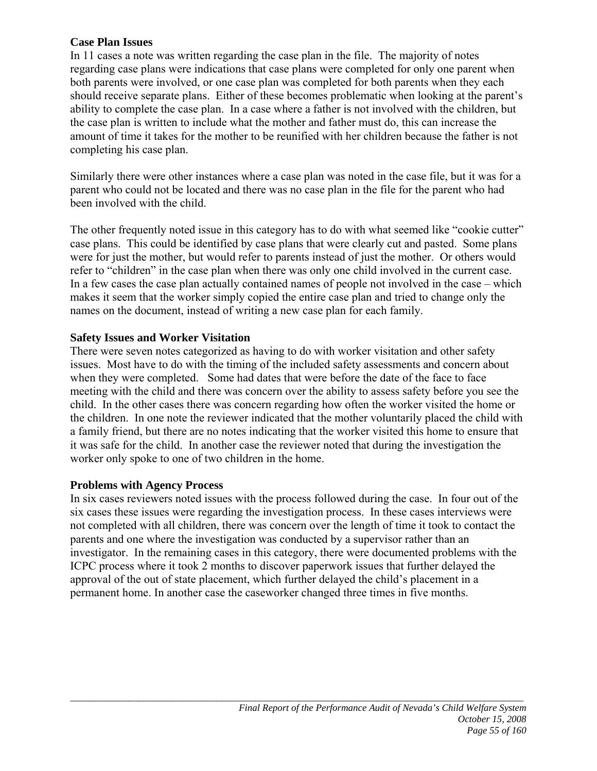### **Case Plan Issues**

In 11 cases a note was written regarding the case plan in the file. The majority of notes regarding case plans were indications that case plans were completed for only one parent when both parents were involved, or one case plan was completed for both parents when they each should receive separate plans. Either of these becomes problematic when looking at the parent's ability to complete the case plan. In a case where a father is not involved with the children, but the case plan is written to include what the mother and father must do, this can increase the amount of time it takes for the mother to be reunified with her children because the father is not completing his case plan.

Similarly there were other instances where a case plan was noted in the case file, but it was for a parent who could not be located and there was no case plan in the file for the parent who had been involved with the child.

The other frequently noted issue in this category has to do with what seemed like "cookie cutter" case plans. This could be identified by case plans that were clearly cut and pasted. Some plans were for just the mother, but would refer to parents instead of just the mother. Or others would refer to "children" in the case plan when there was only one child involved in the current case. In a few cases the case plan actually contained names of people not involved in the case – which makes it seem that the worker simply copied the entire case plan and tried to change only the names on the document, instead of writing a new case plan for each family.

### **Safety Issues and Worker Visitation**

There were seven notes categorized as having to do with worker visitation and other safety issues. Most have to do with the timing of the included safety assessments and concern about when they were completed. Some had dates that were before the date of the face to face meeting with the child and there was concern over the ability to assess safety before you see the child. In the other cases there was concern regarding how often the worker visited the home or the children. In one note the reviewer indicated that the mother voluntarily placed the child with a family friend, but there are no notes indicating that the worker visited this home to ensure that it was safe for the child. In another case the reviewer noted that during the investigation the worker only spoke to one of two children in the home.

### **Problems with Agency Process**

In six cases reviewers noted issues with the process followed during the case. In four out of the six cases these issues were regarding the investigation process. In these cases interviews were not completed with all children, there was concern over the length of time it took to contact the parents and one where the investigation was conducted by a supervisor rather than an investigator. In the remaining cases in this category, there were documented problems with the ICPC process where it took 2 months to discover paperwork issues that further delayed the approval of the out of state placement, which further delayed the child's placement in a permanent home. In another case the caseworker changed three times in five months.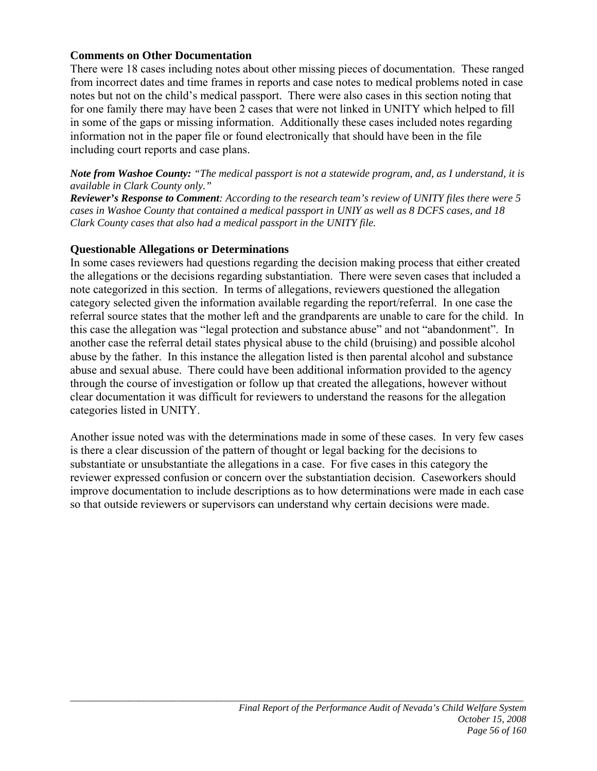### **Comments on Other Documentation**

There were 18 cases including notes about other missing pieces of documentation. These ranged from incorrect dates and time frames in reports and case notes to medical problems noted in case notes but not on the child's medical passport. There were also cases in this section noting that for one family there may have been 2 cases that were not linked in UNITY which helped to fill in some of the gaps or missing information. Additionally these cases included notes regarding information not in the paper file or found electronically that should have been in the file including court reports and case plans.

*Note from Washoe County: "The medical passport is not a statewide program, and, as I understand, it is available in Clark County only."* 

*Reviewer's Response to Comment: According to the research team's review of UNITY files there were 5 cases in Washoe County that contained a medical passport in UNIY as well as 8 DCFS cases, and 18 Clark County cases that also had a medical passport in the UNITY file.* 

#### **Questionable Allegations or Determinations**

In some cases reviewers had questions regarding the decision making process that either created the allegations or the decisions regarding substantiation. There were seven cases that included a note categorized in this section. In terms of allegations, reviewers questioned the allegation category selected given the information available regarding the report/referral. In one case the referral source states that the mother left and the grandparents are unable to care for the child. In this case the allegation was "legal protection and substance abuse" and not "abandonment". In another case the referral detail states physical abuse to the child (bruising) and possible alcohol abuse by the father. In this instance the allegation listed is then parental alcohol and substance abuse and sexual abuse. There could have been additional information provided to the agency through the course of investigation or follow up that created the allegations, however without clear documentation it was difficult for reviewers to understand the reasons for the allegation categories listed in UNITY.

Another issue noted was with the determinations made in some of these cases. In very few cases is there a clear discussion of the pattern of thought or legal backing for the decisions to substantiate or unsubstantiate the allegations in a case. For five cases in this category the reviewer expressed confusion or concern over the substantiation decision. Caseworkers should improve documentation to include descriptions as to how determinations were made in each case so that outside reviewers or supervisors can understand why certain decisions were made.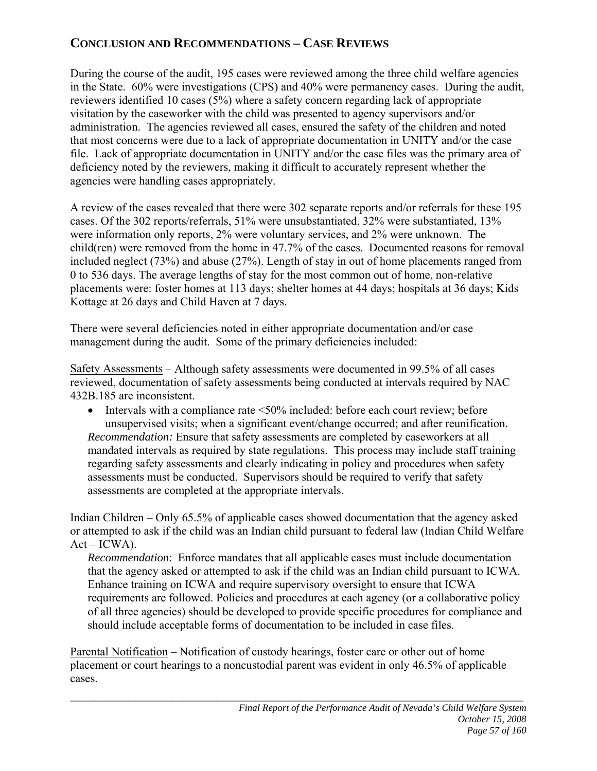# **CONCLUSION AND RECOMMENDATIONS – CASE REVIEWS**

During the course of the audit, 195 cases were reviewed among the three child welfare agencies in the State. 60% were investigations (CPS) and 40% were permanency cases. During the audit, reviewers identified 10 cases (5%) where a safety concern regarding lack of appropriate visitation by the caseworker with the child was presented to agency supervisors and/or administration. The agencies reviewed all cases, ensured the safety of the children and noted that most concerns were due to a lack of appropriate documentation in UNITY and/or the case file. Lack of appropriate documentation in UNITY and/or the case files was the primary area of deficiency noted by the reviewers, making it difficult to accurately represent whether the agencies were handling cases appropriately.

A review of the cases revealed that there were 302 separate reports and/or referrals for these 195 cases. Of the 302 reports/referrals, 51% were unsubstantiated, 32% were substantiated, 13% were information only reports, 2% were voluntary services, and 2% were unknown. The child(ren) were removed from the home in 47.7% of the cases. Documented reasons for removal included neglect (73%) and abuse (27%). Length of stay in out of home placements ranged from 0 to 536 days. The average lengths of stay for the most common out of home, non-relative placements were: foster homes at 113 days; shelter homes at 44 days; hospitals at 36 days; Kids Kottage at 26 days and Child Haven at 7 days.

There were several deficiencies noted in either appropriate documentation and/or case management during the audit. Some of the primary deficiencies included:

Safety Assessments – Although safety assessments were documented in 99.5% of all cases reviewed, documentation of safety assessments being conducted at intervals required by NAC 432B.185 are inconsistent.

• Intervals with a compliance rate <50% included: before each court review; before unsupervised visits; when a significant event/change occurred; and after reunification. *Recommendation:* Ensure that safety assessments are completed by caseworkers at all mandated intervals as required by state regulations. This process may include staff training regarding safety assessments and clearly indicating in policy and procedures when safety assessments must be conducted. Supervisors should be required to verify that safety assessments are completed at the appropriate intervals.

Indian Children – Only 65.5% of applicable cases showed documentation that the agency asked or attempted to ask if the child was an Indian child pursuant to federal law (Indian Child Welfare  $Act-ICWA)$ .

*Recommendation*: Enforce mandates that all applicable cases must include documentation that the agency asked or attempted to ask if the child was an Indian child pursuant to ICWA. Enhance training on ICWA and require supervisory oversight to ensure that ICWA requirements are followed. Policies and procedures at each agency (or a collaborative policy of all three agencies) should be developed to provide specific procedures for compliance and should include acceptable forms of documentation to be included in case files.

Parental Notification – Notification of custody hearings, foster care or other out of home placement or court hearings to a noncustodial parent was evident in only 46.5% of applicable cases.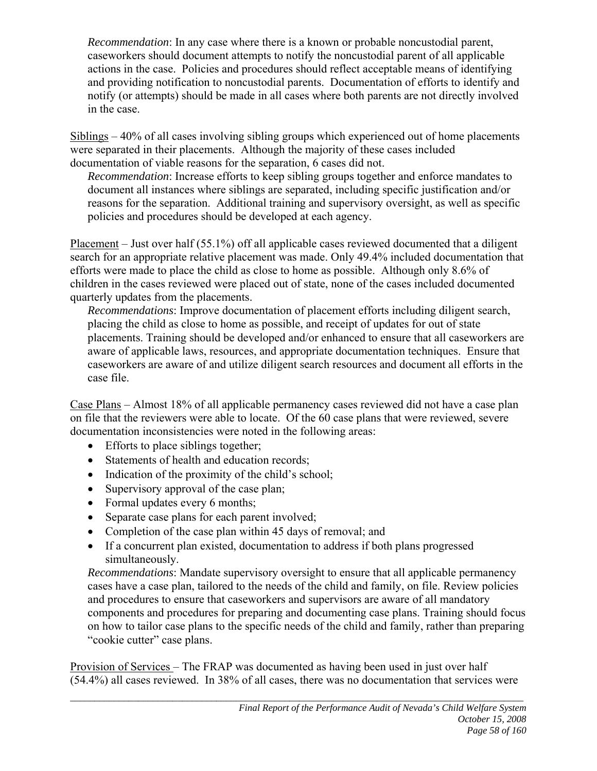*Recommendation*: In any case where there is a known or probable noncustodial parent, caseworkers should document attempts to notify the noncustodial parent of all applicable actions in the case. Policies and procedures should reflect acceptable means of identifying and providing notification to noncustodial parents. Documentation of efforts to identify and notify (or attempts) should be made in all cases where both parents are not directly involved in the case.

Siblings – 40% of all cases involving sibling groups which experienced out of home placements were separated in their placements. Although the majority of these cases included documentation of viable reasons for the separation, 6 cases did not.

*Recommendation*: Increase efforts to keep sibling groups together and enforce mandates to document all instances where siblings are separated, including specific justification and/or reasons for the separation. Additional training and supervisory oversight, as well as specific policies and procedures should be developed at each agency.

Placement – Just over half (55.1%) off all applicable cases reviewed documented that a diligent search for an appropriate relative placement was made. Only 49.4% included documentation that efforts were made to place the child as close to home as possible. Although only 8.6% of children in the cases reviewed were placed out of state, none of the cases included documented quarterly updates from the placements.

*Recommendations*: Improve documentation of placement efforts including diligent search, placing the child as close to home as possible, and receipt of updates for out of state placements. Training should be developed and/or enhanced to ensure that all caseworkers are aware of applicable laws, resources, and appropriate documentation techniques. Ensure that caseworkers are aware of and utilize diligent search resources and document all efforts in the case file.

Case Plans – Almost 18% of all applicable permanency cases reviewed did not have a case plan on file that the reviewers were able to locate. Of the 60 case plans that were reviewed, severe documentation inconsistencies were noted in the following areas:

- Efforts to place siblings together;
- Statements of health and education records;
- Indication of the proximity of the child's school;
- Supervisory approval of the case plan;
- Formal updates every 6 months;
- Separate case plans for each parent involved;
- Completion of the case plan within 45 days of removal; and
- If a concurrent plan existed, documentation to address if both plans progressed simultaneously.

*Recommendations*: Mandate supervisory oversight to ensure that all applicable permanency cases have a case plan, tailored to the needs of the child and family, on file. Review policies and procedures to ensure that caseworkers and supervisors are aware of all mandatory components and procedures for preparing and documenting case plans. Training should focus on how to tailor case plans to the specific needs of the child and family, rather than preparing "cookie cutter" case plans.

Provision of Services – The FRAP was documented as having been used in just over half (54.4%) all cases reviewed. In 38% of all cases, there was no documentation that services were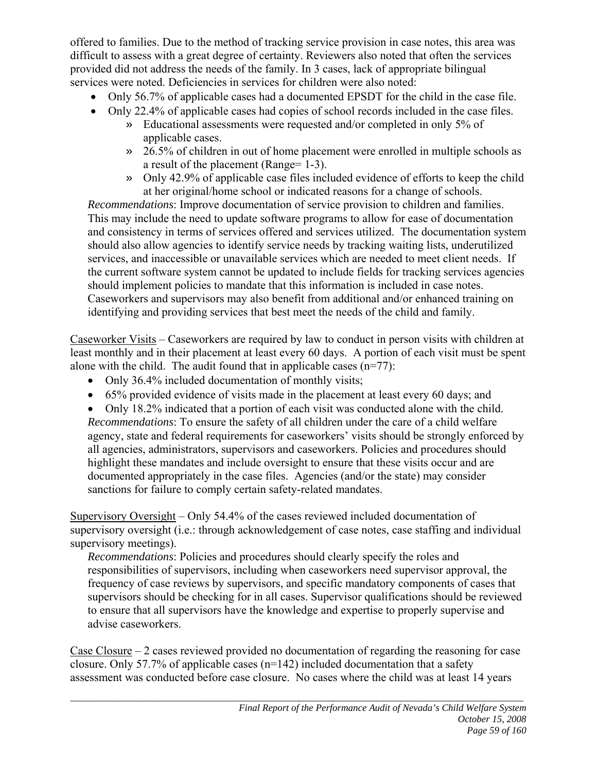offered to families. Due to the method of tracking service provision in case notes, this area was difficult to assess with a great degree of certainty. Reviewers also noted that often the services provided did not address the needs of the family. In 3 cases, lack of appropriate bilingual services were noted. Deficiencies in services for children were also noted:

- Only 56.7% of applicable cases had a documented EPSDT for the child in the case file.
- Only 22.4% of applicable cases had copies of school records included in the case files.
	- » Educational assessments were requested and/or completed in only 5% of applicable cases.
	- » 26.5% of children in out of home placement were enrolled in multiple schools as a result of the placement (Range= 1-3).
	- » Only 42.9% of applicable case files included evidence of efforts to keep the child at her original/home school or indicated reasons for a change of schools.

*Recommendations*: Improve documentation of service provision to children and families. This may include the need to update software programs to allow for ease of documentation and consistency in terms of services offered and services utilized. The documentation system should also allow agencies to identify service needs by tracking waiting lists, underutilized services, and inaccessible or unavailable services which are needed to meet client needs. If the current software system cannot be updated to include fields for tracking services agencies should implement policies to mandate that this information is included in case notes. Caseworkers and supervisors may also benefit from additional and/or enhanced training on identifying and providing services that best meet the needs of the child and family.

Caseworker Visits – Caseworkers are required by law to conduct in person visits with children at least monthly and in their placement at least every 60 days. A portion of each visit must be spent alone with the child. The audit found that in applicable cases  $(n=77)$ :

- Only 36.4% included documentation of monthly visits;
- 65% provided evidence of visits made in the placement at least every 60 days; and

• Only 18.2% indicated that a portion of each visit was conducted alone with the child. *Recommendations*: To ensure the safety of all children under the care of a child welfare agency, state and federal requirements for caseworkers' visits should be strongly enforced by all agencies, administrators, supervisors and caseworkers. Policies and procedures should highlight these mandates and include oversight to ensure that these visits occur and are documented appropriately in the case files. Agencies (and/or the state) may consider sanctions for failure to comply certain safety-related mandates.

Supervisory Oversight – Only 54.4% of the cases reviewed included documentation of supervisory oversight (i.e.: through acknowledgement of case notes, case staffing and individual supervisory meetings).

*Recommendations*: Policies and procedures should clearly specify the roles and responsibilities of supervisors, including when caseworkers need supervisor approval, the frequency of case reviews by supervisors, and specific mandatory components of cases that supervisors should be checking for in all cases. Supervisor qualifications should be reviewed to ensure that all supervisors have the knowledge and expertise to properly supervise and advise caseworkers.

Case Closure – 2 cases reviewed provided no documentation of regarding the reasoning for case closure. Only 57.7% of applicable cases  $(n=142)$  included documentation that a safety assessment was conducted before case closure. No cases where the child was at least 14 years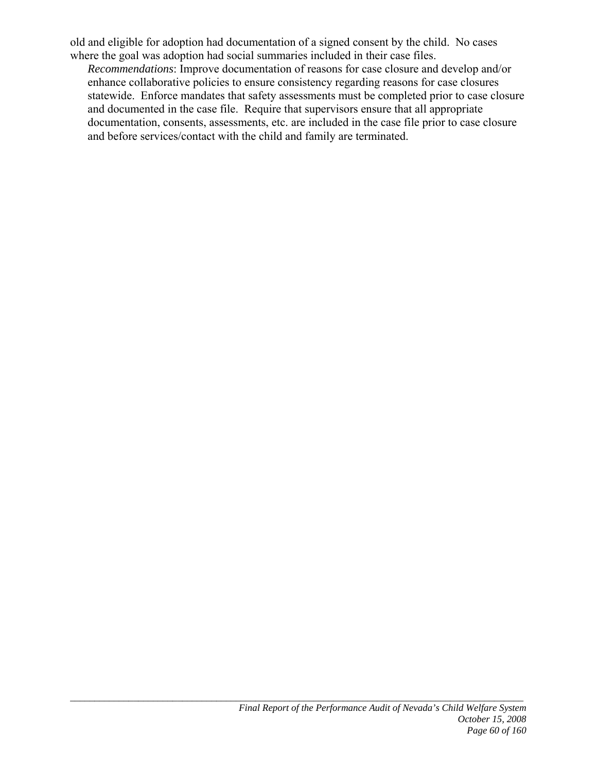old and eligible for adoption had documentation of a signed consent by the child. No cases where the goal was adoption had social summaries included in their case files.

*Recommendations*: Improve documentation of reasons for case closure and develop and/or enhance collaborative policies to ensure consistency regarding reasons for case closures statewide. Enforce mandates that safety assessments must be completed prior to case closure and documented in the case file. Require that supervisors ensure that all appropriate documentation, consents, assessments, etc. are included in the case file prior to case closure and before services/contact with the child and family are terminated.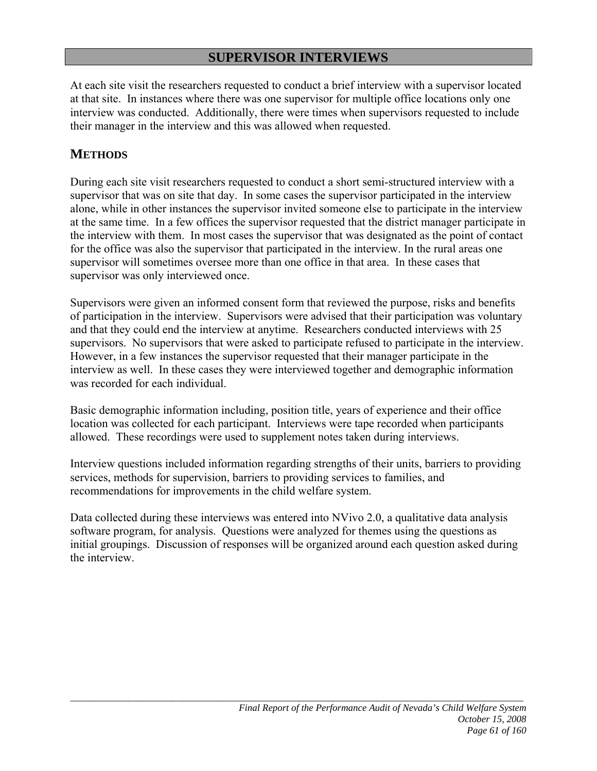### **SUPERVISOR INTERVIEWS**

At each site visit the researchers requested to conduct a brief interview with a supervisor located at that site. In instances where there was one supervisor for multiple office locations only one interview was conducted. Additionally, there were times when supervisors requested to include their manager in the interview and this was allowed when requested.

## **METHODS**

During each site visit researchers requested to conduct a short semi-structured interview with a supervisor that was on site that day. In some cases the supervisor participated in the interview alone, while in other instances the supervisor invited someone else to participate in the interview at the same time. In a few offices the supervisor requested that the district manager participate in the interview with them. In most cases the supervisor that was designated as the point of contact for the office was also the supervisor that participated in the interview. In the rural areas one supervisor will sometimes oversee more than one office in that area. In these cases that supervisor was only interviewed once.

Supervisors were given an informed consent form that reviewed the purpose, risks and benefits of participation in the interview. Supervisors were advised that their participation was voluntary and that they could end the interview at anytime. Researchers conducted interviews with 25 supervisors. No supervisors that were asked to participate refused to participate in the interview. However, in a few instances the supervisor requested that their manager participate in the interview as well. In these cases they were interviewed together and demographic information was recorded for each individual.

Basic demographic information including, position title, years of experience and their office location was collected for each participant. Interviews were tape recorded when participants allowed. These recordings were used to supplement notes taken during interviews.

Interview questions included information regarding strengths of their units, barriers to providing services, methods for supervision, barriers to providing services to families, and recommendations for improvements in the child welfare system.

Data collected during these interviews was entered into NVivo 2.0, a qualitative data analysis software program, for analysis. Questions were analyzed for themes using the questions as initial groupings. Discussion of responses will be organized around each question asked during the interview.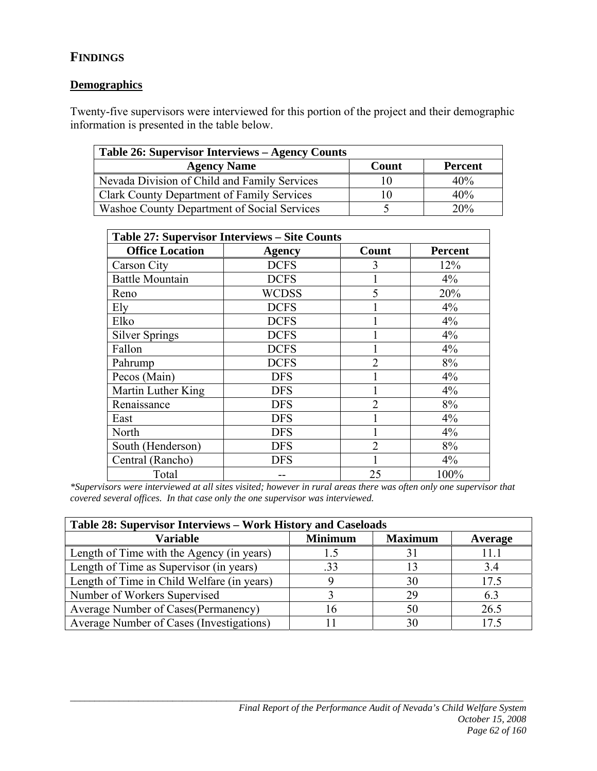# **FINDINGS**

### **Demographics**

Twenty-five supervisors were interviewed for this portion of the project and their demographic information is presented in the table below.

| <b>Table 26: Supervisor Interviews – Agency Counts</b> |       |                |  |  |  |  |  |
|--------------------------------------------------------|-------|----------------|--|--|--|--|--|
| <b>Agency Name</b>                                     | Count | <b>Percent</b> |  |  |  |  |  |
| Nevada Division of Child and Family Services           |       | 40%            |  |  |  |  |  |
| <b>Clark County Department of Family Services</b>      | I O   | 40%            |  |  |  |  |  |
| Washoe County Department of Social Services            |       | 20%            |  |  |  |  |  |

| <b>Table 27: Supervisor Interviews - Site Counts</b> |              |                |                |  |  |  |
|------------------------------------------------------|--------------|----------------|----------------|--|--|--|
| <b>Office Location</b>                               | Agency       | Count          | <b>Percent</b> |  |  |  |
| Carson City                                          | <b>DCFS</b>  | 3              | 12%            |  |  |  |
| <b>Battle Mountain</b>                               | <b>DCFS</b>  |                | 4%             |  |  |  |
| Reno                                                 | <b>WCDSS</b> | 5              | 20%            |  |  |  |
| Ely                                                  | <b>DCFS</b>  |                | 4%             |  |  |  |
| Elko                                                 | <b>DCFS</b>  |                | 4%             |  |  |  |
| <b>Silver Springs</b>                                | <b>DCFS</b>  |                | 4%             |  |  |  |
| Fallon                                               | <b>DCFS</b>  |                | 4%             |  |  |  |
| Pahrump                                              | <b>DCFS</b>  | $\overline{2}$ | 8%             |  |  |  |
| Pecos (Main)                                         | <b>DFS</b>   |                | 4%             |  |  |  |
| Martin Luther King                                   | <b>DFS</b>   |                | 4%             |  |  |  |
| Renaissance                                          | <b>DFS</b>   | $\overline{2}$ | 8%             |  |  |  |
| East                                                 | <b>DFS</b>   |                | 4%             |  |  |  |
| North                                                | <b>DFS</b>   |                | $4\%$          |  |  |  |
| South (Henderson)                                    | <b>DFS</b>   | $\overline{2}$ | 8%             |  |  |  |
| Central (Rancho)                                     | <b>DFS</b>   |                | $4\%$          |  |  |  |
| Total                                                |              | 25             | 100%           |  |  |  |

*\*Supervisors were interviewed at all sites visited; however in rural areas there was often only one supervisor that covered several offices. In that case only the one supervisor was interviewed.* 

| Table 28: Supervisor Interviews - Work History and Caseloads |    |    |      |  |  |  |  |  |
|--------------------------------------------------------------|----|----|------|--|--|--|--|--|
| <b>Minimum</b><br>Variable<br><b>Maximum</b><br>Average      |    |    |      |  |  |  |  |  |
| Length of Time with the Agency (in years)                    |    |    |      |  |  |  |  |  |
| Length of Time as Supervisor (in years)                      | 33 |    | 3.4  |  |  |  |  |  |
| Length of Time in Child Welfare (in years)                   |    | 30 | 17.5 |  |  |  |  |  |
| Number of Workers Supervised                                 |    | 29 | 6.3  |  |  |  |  |  |
| Average Number of Cases (Permanency)                         | 16 | 50 | 26.5 |  |  |  |  |  |
| Average Number of Cases (Investigations)                     |    | 30 | 17 5 |  |  |  |  |  |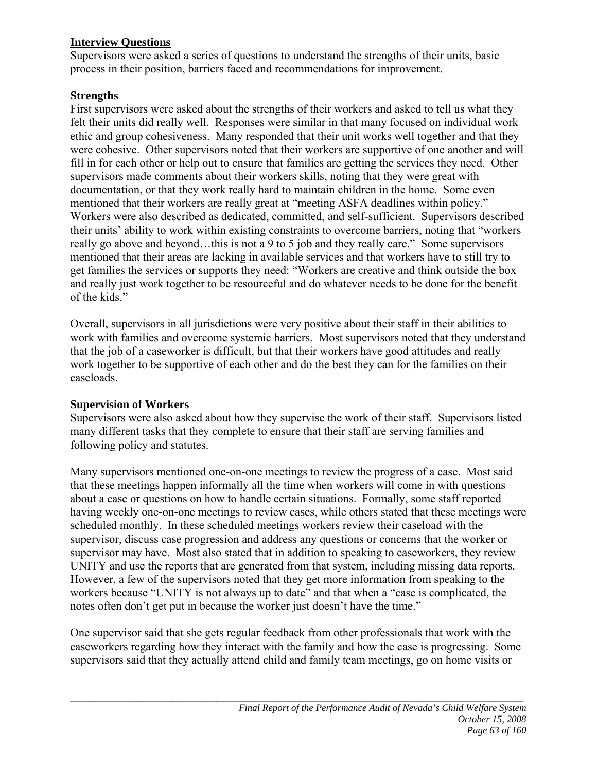### **Interview Questions**

Supervisors were asked a series of questions to understand the strengths of their units, basic process in their position, barriers faced and recommendations for improvement.

### **Strengths**

First supervisors were asked about the strengths of their workers and asked to tell us what they felt their units did really well. Responses were similar in that many focused on individual work ethic and group cohesiveness. Many responded that their unit works well together and that they were cohesive. Other supervisors noted that their workers are supportive of one another and will fill in for each other or help out to ensure that families are getting the services they need. Other supervisors made comments about their workers skills, noting that they were great with documentation, or that they work really hard to maintain children in the home. Some even mentioned that their workers are really great at "meeting ASFA deadlines within policy." Workers were also described as dedicated, committed, and self-sufficient. Supervisors described their units' ability to work within existing constraints to overcome barriers, noting that "workers really go above and beyond…this is not a 9 to 5 job and they really care." Some supervisors mentioned that their areas are lacking in available services and that workers have to still try to get families the services or supports they need: "Workers are creative and think outside the box – and really just work together to be resourceful and do whatever needs to be done for the benefit of the kids."

Overall, supervisors in all jurisdictions were very positive about their staff in their abilities to work with families and overcome systemic barriers. Most supervisors noted that they understand that the job of a caseworker is difficult, but that their workers have good attitudes and really work together to be supportive of each other and do the best they can for the families on their caseloads.

### **Supervision of Workers**

Supervisors were also asked about how they supervise the work of their staff. Supervisors listed many different tasks that they complete to ensure that their staff are serving families and following policy and statutes.

Many supervisors mentioned one-on-one meetings to review the progress of a case. Most said that these meetings happen informally all the time when workers will come in with questions about a case or questions on how to handle certain situations. Formally, some staff reported having weekly one-on-one meetings to review cases, while others stated that these meetings were scheduled monthly. In these scheduled meetings workers review their caseload with the supervisor, discuss case progression and address any questions or concerns that the worker or supervisor may have. Most also stated that in addition to speaking to caseworkers, they review UNITY and use the reports that are generated from that system, including missing data reports. However, a few of the supervisors noted that they get more information from speaking to the workers because "UNITY is not always up to date" and that when a "case is complicated, the notes often don't get put in because the worker just doesn't have the time."

One supervisor said that she gets regular feedback from other professionals that work with the caseworkers regarding how they interact with the family and how the case is progressing. Some supervisors said that they actually attend child and family team meetings, go on home visits or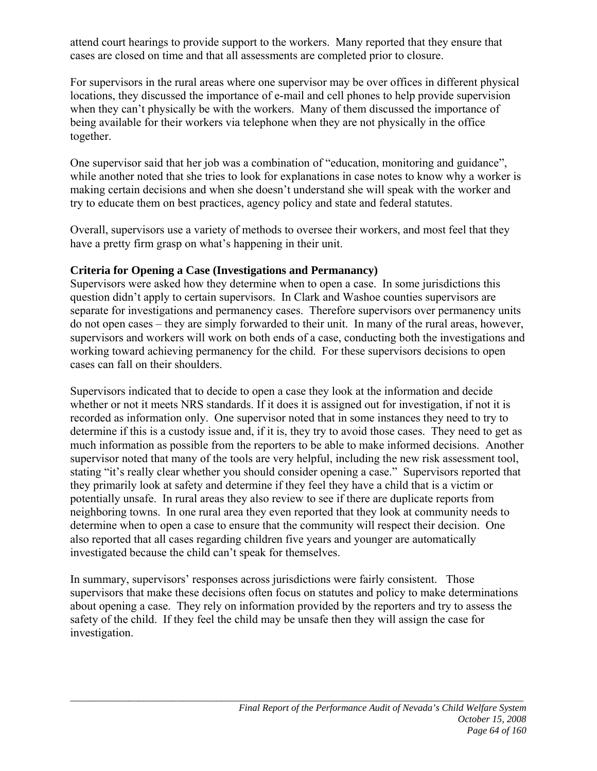attend court hearings to provide support to the workers. Many reported that they ensure that cases are closed on time and that all assessments are completed prior to closure.

For supervisors in the rural areas where one supervisor may be over offices in different physical locations, they discussed the importance of e-mail and cell phones to help provide supervision when they can't physically be with the workers. Many of them discussed the importance of being available for their workers via telephone when they are not physically in the office together.

One supervisor said that her job was a combination of "education, monitoring and guidance", while another noted that she tries to look for explanations in case notes to know why a worker is making certain decisions and when she doesn't understand she will speak with the worker and try to educate them on best practices, agency policy and state and federal statutes.

Overall, supervisors use a variety of methods to oversee their workers, and most feel that they have a pretty firm grasp on what's happening in their unit.

### **Criteria for Opening a Case (Investigations and Permanancy)**

Supervisors were asked how they determine when to open a case. In some jurisdictions this question didn't apply to certain supervisors. In Clark and Washoe counties supervisors are separate for investigations and permanency cases. Therefore supervisors over permanency units do not open cases – they are simply forwarded to their unit. In many of the rural areas, however, supervisors and workers will work on both ends of a case, conducting both the investigations and working toward achieving permanency for the child. For these supervisors decisions to open cases can fall on their shoulders.

Supervisors indicated that to decide to open a case they look at the information and decide whether or not it meets NRS standards. If it does it is assigned out for investigation, if not it is recorded as information only. One supervisor noted that in some instances they need to try to determine if this is a custody issue and, if it is, they try to avoid those cases. They need to get as much information as possible from the reporters to be able to make informed decisions. Another supervisor noted that many of the tools are very helpful, including the new risk assessment tool, stating "it's really clear whether you should consider opening a case." Supervisors reported that they primarily look at safety and determine if they feel they have a child that is a victim or potentially unsafe. In rural areas they also review to see if there are duplicate reports from neighboring towns. In one rural area they even reported that they look at community needs to determine when to open a case to ensure that the community will respect their decision. One also reported that all cases regarding children five years and younger are automatically investigated because the child can't speak for themselves.

In summary, supervisors' responses across jurisdictions were fairly consistent. Those supervisors that make these decisions often focus on statutes and policy to make determinations about opening a case. They rely on information provided by the reporters and try to assess the safety of the child. If they feel the child may be unsafe then they will assign the case for investigation.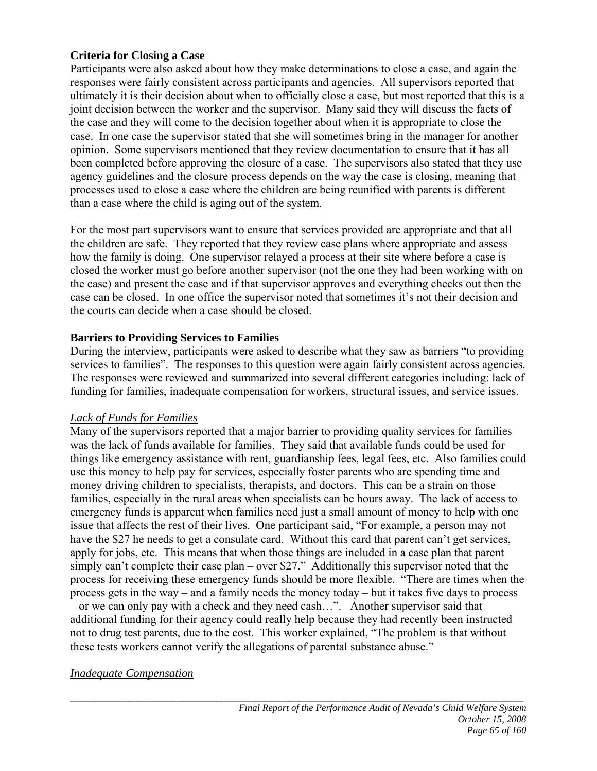### **Criteria for Closing a Case**

Participants were also asked about how they make determinations to close a case, and again the responses were fairly consistent across participants and agencies. All supervisors reported that ultimately it is their decision about when to officially close a case, but most reported that this is a joint decision between the worker and the supervisor. Many said they will discuss the facts of the case and they will come to the decision together about when it is appropriate to close the case. In one case the supervisor stated that she will sometimes bring in the manager for another opinion. Some supervisors mentioned that they review documentation to ensure that it has all been completed before approving the closure of a case. The supervisors also stated that they use agency guidelines and the closure process depends on the way the case is closing, meaning that processes used to close a case where the children are being reunified with parents is different than a case where the child is aging out of the system.

For the most part supervisors want to ensure that services provided are appropriate and that all the children are safe. They reported that they review case plans where appropriate and assess how the family is doing. One supervisor relayed a process at their site where before a case is closed the worker must go before another supervisor (not the one they had been working with on the case) and present the case and if that supervisor approves and everything checks out then the case can be closed. In one office the supervisor noted that sometimes it's not their decision and the courts can decide when a case should be closed.

## **Barriers to Providing Services to Families**

During the interview, participants were asked to describe what they saw as barriers "to providing services to families". The responses to this question were again fairly consistent across agencies. The responses were reviewed and summarized into several different categories including: lack of funding for families, inadequate compensation for workers, structural issues, and service issues.

### *Lack of Funds for Families*

Many of the supervisors reported that a major barrier to providing quality services for families was the lack of funds available for families. They said that available funds could be used for things like emergency assistance with rent, guardianship fees, legal fees, etc. Also families could use this money to help pay for services, especially foster parents who are spending time and money driving children to specialists, therapists, and doctors. This can be a strain on those families, especially in the rural areas when specialists can be hours away. The lack of access to emergency funds is apparent when families need just a small amount of money to help with one issue that affects the rest of their lives. One participant said, "For example, a person may not have the \$27 he needs to get a consulate card. Without this card that parent can't get services, apply for jobs, etc. This means that when those things are included in a case plan that parent simply can't complete their case plan – over \$27." Additionally this supervisor noted that the process for receiving these emergency funds should be more flexible. "There are times when the process gets in the way – and a family needs the money today – but it takes five days to process – or we can only pay with a check and they need cash…". Another supervisor said that additional funding for their agency could really help because they had recently been instructed not to drug test parents, due to the cost. This worker explained, "The problem is that without these tests workers cannot verify the allegations of parental substance abuse."

# *Inadequate Compensation*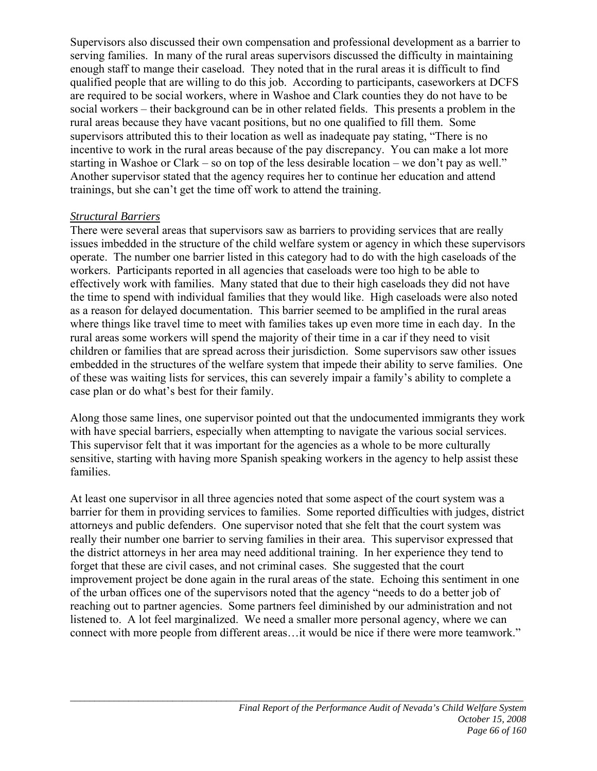Supervisors also discussed their own compensation and professional development as a barrier to serving families. In many of the rural areas supervisors discussed the difficulty in maintaining enough staff to mange their caseload. They noted that in the rural areas it is difficult to find qualified people that are willing to do this job. According to participants, caseworkers at DCFS are required to be social workers, where in Washoe and Clark counties they do not have to be social workers – their background can be in other related fields. This presents a problem in the rural areas because they have vacant positions, but no one qualified to fill them. Some supervisors attributed this to their location as well as inadequate pay stating, "There is no incentive to work in the rural areas because of the pay discrepancy. You can make a lot more starting in Washoe or Clark – so on top of the less desirable location – we don't pay as well." Another supervisor stated that the agency requires her to continue her education and attend trainings, but she can't get the time off work to attend the training.

### *Structural Barriers*

There were several areas that supervisors saw as barriers to providing services that are really issues imbedded in the structure of the child welfare system or agency in which these supervisors operate. The number one barrier listed in this category had to do with the high caseloads of the workers. Participants reported in all agencies that caseloads were too high to be able to effectively work with families. Many stated that due to their high caseloads they did not have the time to spend with individual families that they would like. High caseloads were also noted as a reason for delayed documentation. This barrier seemed to be amplified in the rural areas where things like travel time to meet with families takes up even more time in each day. In the rural areas some workers will spend the majority of their time in a car if they need to visit children or families that are spread across their jurisdiction. Some supervisors saw other issues embedded in the structures of the welfare system that impede their ability to serve families. One of these was waiting lists for services, this can severely impair a family's ability to complete a case plan or do what's best for their family.

Along those same lines, one supervisor pointed out that the undocumented immigrants they work with have special barriers, especially when attempting to navigate the various social services. This supervisor felt that it was important for the agencies as a whole to be more culturally sensitive, starting with having more Spanish speaking workers in the agency to help assist these families.

At least one supervisor in all three agencies noted that some aspect of the court system was a barrier for them in providing services to families. Some reported difficulties with judges, district attorneys and public defenders. One supervisor noted that she felt that the court system was really their number one barrier to serving families in their area. This supervisor expressed that the district attorneys in her area may need additional training. In her experience they tend to forget that these are civil cases, and not criminal cases. She suggested that the court improvement project be done again in the rural areas of the state. Echoing this sentiment in one of the urban offices one of the supervisors noted that the agency "needs to do a better job of reaching out to partner agencies. Some partners feel diminished by our administration and not listened to. A lot feel marginalized. We need a smaller more personal agency, where we can connect with more people from different areas…it would be nice if there were more teamwork."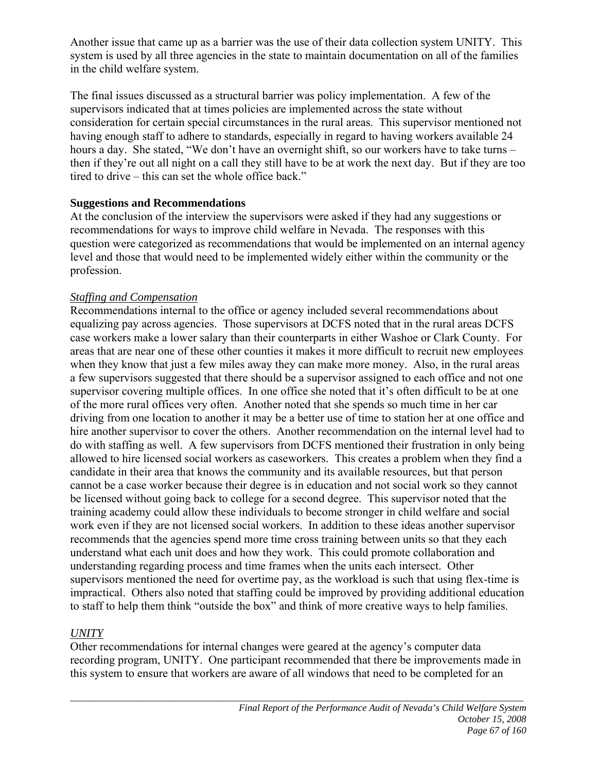Another issue that came up as a barrier was the use of their data collection system UNITY. This system is used by all three agencies in the state to maintain documentation on all of the families in the child welfare system.

The final issues discussed as a structural barrier was policy implementation. A few of the supervisors indicated that at times policies are implemented across the state without consideration for certain special circumstances in the rural areas. This supervisor mentioned not having enough staff to adhere to standards, especially in regard to having workers available 24 hours a day. She stated, "We don't have an overnight shift, so our workers have to take turns – then if they're out all night on a call they still have to be at work the next day. But if they are too tired to drive – this can set the whole office back."

## **Suggestions and Recommendations**

At the conclusion of the interview the supervisors were asked if they had any suggestions or recommendations for ways to improve child welfare in Nevada. The responses with this question were categorized as recommendations that would be implemented on an internal agency level and those that would need to be implemented widely either within the community or the profession.

# *Staffing and Compensation*

Recommendations internal to the office or agency included several recommendations about equalizing pay across agencies. Those supervisors at DCFS noted that in the rural areas DCFS case workers make a lower salary than their counterparts in either Washoe or Clark County. For areas that are near one of these other counties it makes it more difficult to recruit new employees when they know that just a few miles away they can make more money. Also, in the rural areas a few supervisors suggested that there should be a supervisor assigned to each office and not one supervisor covering multiple offices. In one office she noted that it's often difficult to be at one of the more rural offices very often. Another noted that she spends so much time in her car driving from one location to another it may be a better use of time to station her at one office and hire another supervisor to cover the others. Another recommendation on the internal level had to do with staffing as well. A few supervisors from DCFS mentioned their frustration in only being allowed to hire licensed social workers as caseworkers. This creates a problem when they find a candidate in their area that knows the community and its available resources, but that person cannot be a case worker because their degree is in education and not social work so they cannot be licensed without going back to college for a second degree. This supervisor noted that the training academy could allow these individuals to become stronger in child welfare and social work even if they are not licensed social workers. In addition to these ideas another supervisor recommends that the agencies spend more time cross training between units so that they each understand what each unit does and how they work. This could promote collaboration and understanding regarding process and time frames when the units each intersect. Other supervisors mentioned the need for overtime pay, as the workload is such that using flex-time is impractical. Others also noted that staffing could be improved by providing additional education to staff to help them think "outside the box" and think of more creative ways to help families.

# *UNITY*

Other recommendations for internal changes were geared at the agency's computer data recording program, UNITY. One participant recommended that there be improvements made in this system to ensure that workers are aware of all windows that need to be completed for an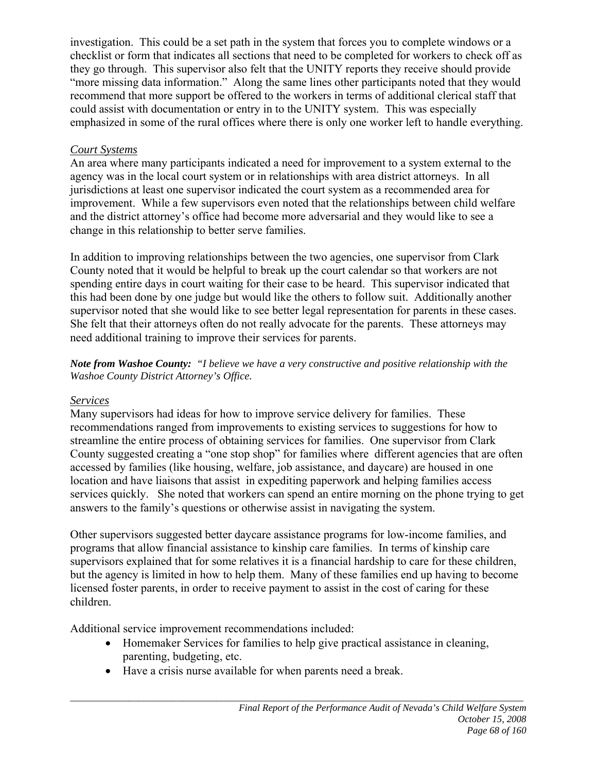investigation. This could be a set path in the system that forces you to complete windows or a checklist or form that indicates all sections that need to be completed for workers to check off as they go through. This supervisor also felt that the UNITY reports they receive should provide "more missing data information." Along the same lines other participants noted that they would recommend that more support be offered to the workers in terms of additional clerical staff that could assist with documentation or entry in to the UNITY system. This was especially emphasized in some of the rural offices where there is only one worker left to handle everything.

### *Court Systems*

An area where many participants indicated a need for improvement to a system external to the agency was in the local court system or in relationships with area district attorneys. In all jurisdictions at least one supervisor indicated the court system as a recommended area for improvement. While a few supervisors even noted that the relationships between child welfare and the district attorney's office had become more adversarial and they would like to see a change in this relationship to better serve families.

In addition to improving relationships between the two agencies, one supervisor from Clark County noted that it would be helpful to break up the court calendar so that workers are not spending entire days in court waiting for their case to be heard. This supervisor indicated that this had been done by one judge but would like the others to follow suit. Additionally another supervisor noted that she would like to see better legal representation for parents in these cases. She felt that their attorneys often do not really advocate for the parents. These attorneys may need additional training to improve their services for parents.

*Note from Washoe County: "I believe we have a very constructive and positive relationship with the Washoe County District Attorney's Office.* 

### *Services*

Many supervisors had ideas for how to improve service delivery for families. These recommendations ranged from improvements to existing services to suggestions for how to streamline the entire process of obtaining services for families. One supervisor from Clark County suggested creating a "one stop shop" for families where different agencies that are often accessed by families (like housing, welfare, job assistance, and daycare) are housed in one location and have liaisons that assist in expediting paperwork and helping families access services quickly. She noted that workers can spend an entire morning on the phone trying to get answers to the family's questions or otherwise assist in navigating the system.

Other supervisors suggested better daycare assistance programs for low-income families, and programs that allow financial assistance to kinship care families. In terms of kinship care supervisors explained that for some relatives it is a financial hardship to care for these children, but the agency is limited in how to help them. Many of these families end up having to become licensed foster parents, in order to receive payment to assist in the cost of caring for these children.

Additional service improvement recommendations included:

- Homemaker Services for families to help give practical assistance in cleaning, parenting, budgeting, etc.
- Have a crisis nurse available for when parents need a break.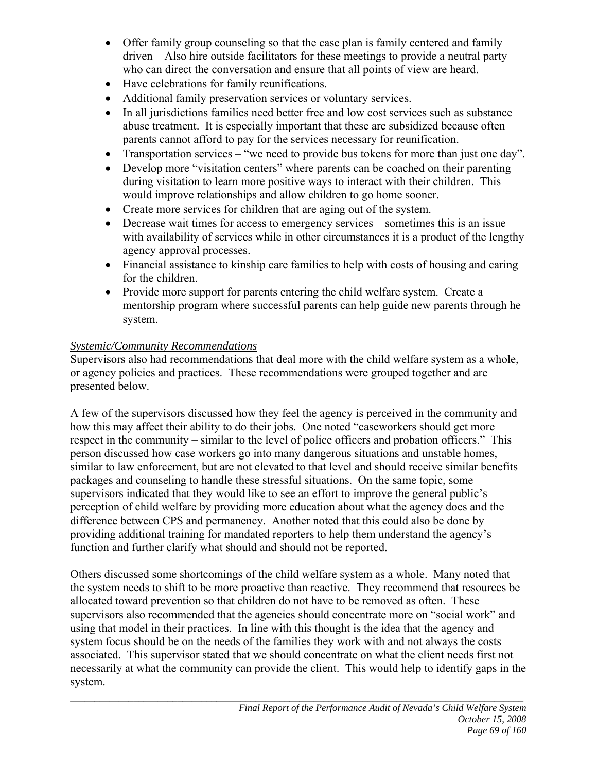- Offer family group counseling so that the case plan is family centered and family driven – Also hire outside facilitators for these meetings to provide a neutral party who can direct the conversation and ensure that all points of view are heard.
- Have celebrations for family reunifications.
- Additional family preservation services or voluntary services.
- In all jurisdictions families need better free and low cost services such as substance abuse treatment. It is especially important that these are subsidized because often parents cannot afford to pay for the services necessary for reunification.
- Transportation services "we need to provide bus tokens for more than just one day".
- Develop more "visitation centers" where parents can be coached on their parenting during visitation to learn more positive ways to interact with their children. This would improve relationships and allow children to go home sooner.
- Create more services for children that are aging out of the system.
- Decrease wait times for access to emergency services sometimes this is an issue with availability of services while in other circumstances it is a product of the lengthy agency approval processes.
- Financial assistance to kinship care families to help with costs of housing and caring for the children.
- Provide more support for parents entering the child welfare system. Create a mentorship program where successful parents can help guide new parents through he system.

## *Systemic/Community Recommendations*

Supervisors also had recommendations that deal more with the child welfare system as a whole, or agency policies and practices. These recommendations were grouped together and are presented below.

A few of the supervisors discussed how they feel the agency is perceived in the community and how this may affect their ability to do their jobs. One noted "caseworkers should get more respect in the community – similar to the level of police officers and probation officers." This person discussed how case workers go into many dangerous situations and unstable homes, similar to law enforcement, but are not elevated to that level and should receive similar benefits packages and counseling to handle these stressful situations. On the same topic, some supervisors indicated that they would like to see an effort to improve the general public's perception of child welfare by providing more education about what the agency does and the difference between CPS and permanency. Another noted that this could also be done by providing additional training for mandated reporters to help them understand the agency's function and further clarify what should and should not be reported.

Others discussed some shortcomings of the child welfare system as a whole. Many noted that the system needs to shift to be more proactive than reactive. They recommend that resources be allocated toward prevention so that children do not have to be removed as often. These supervisors also recommended that the agencies should concentrate more on "social work" and using that model in their practices. In line with this thought is the idea that the agency and system focus should be on the needs of the families they work with and not always the costs associated. This supervisor stated that we should concentrate on what the client needs first not necessarily at what the community can provide the client. This would help to identify gaps in the system.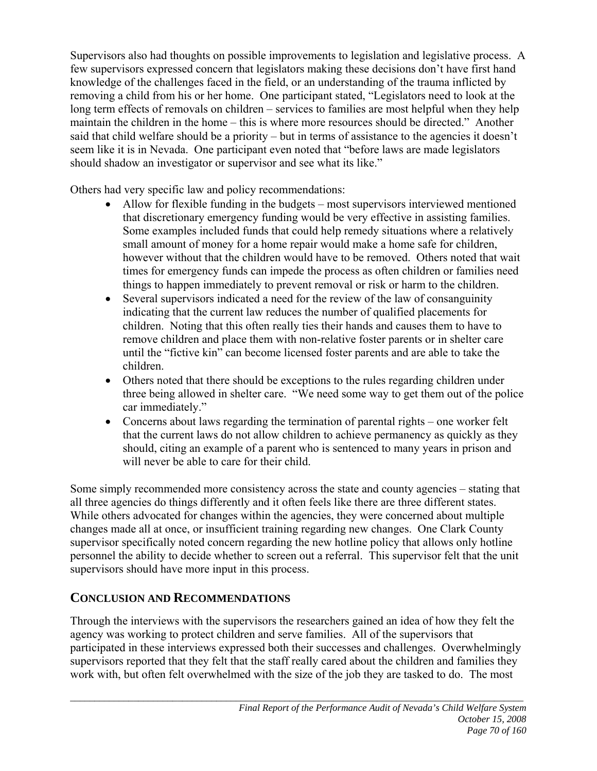Supervisors also had thoughts on possible improvements to legislation and legislative process. A few supervisors expressed concern that legislators making these decisions don't have first hand knowledge of the challenges faced in the field, or an understanding of the trauma inflicted by removing a child from his or her home. One participant stated, "Legislators need to look at the long term effects of removals on children – services to families are most helpful when they help maintain the children in the home – this is where more resources should be directed." Another said that child welfare should be a priority – but in terms of assistance to the agencies it doesn't seem like it is in Nevada. One participant even noted that "before laws are made legislators should shadow an investigator or supervisor and see what its like."

Others had very specific law and policy recommendations:

- Allow for flexible funding in the budgets most supervisors interviewed mentioned that discretionary emergency funding would be very effective in assisting families. Some examples included funds that could help remedy situations where a relatively small amount of money for a home repair would make a home safe for children, however without that the children would have to be removed. Others noted that wait times for emergency funds can impede the process as often children or families need things to happen immediately to prevent removal or risk or harm to the children.
- Several supervisors indicated a need for the review of the law of consanguinity indicating that the current law reduces the number of qualified placements for children. Noting that this often really ties their hands and causes them to have to remove children and place them with non-relative foster parents or in shelter care until the "fictive kin" can become licensed foster parents and are able to take the children.
- Others noted that there should be exceptions to the rules regarding children under three being allowed in shelter care. "We need some way to get them out of the police car immediately."
- Concerns about laws regarding the termination of parental rights one worker felt that the current laws do not allow children to achieve permanency as quickly as they should, citing an example of a parent who is sentenced to many years in prison and will never be able to care for their child.

Some simply recommended more consistency across the state and county agencies – stating that all three agencies do things differently and it often feels like there are three different states. While others advocated for changes within the agencies, they were concerned about multiple changes made all at once, or insufficient training regarding new changes. One Clark County supervisor specifically noted concern regarding the new hotline policy that allows only hotline personnel the ability to decide whether to screen out a referral. This supervisor felt that the unit supervisors should have more input in this process.

# **CONCLUSION AND RECOMMENDATIONS**

Through the interviews with the supervisors the researchers gained an idea of how they felt the agency was working to protect children and serve families. All of the supervisors that participated in these interviews expressed both their successes and challenges. Overwhelmingly supervisors reported that they felt that the staff really cared about the children and families they work with, but often felt overwhelmed with the size of the job they are tasked to do. The most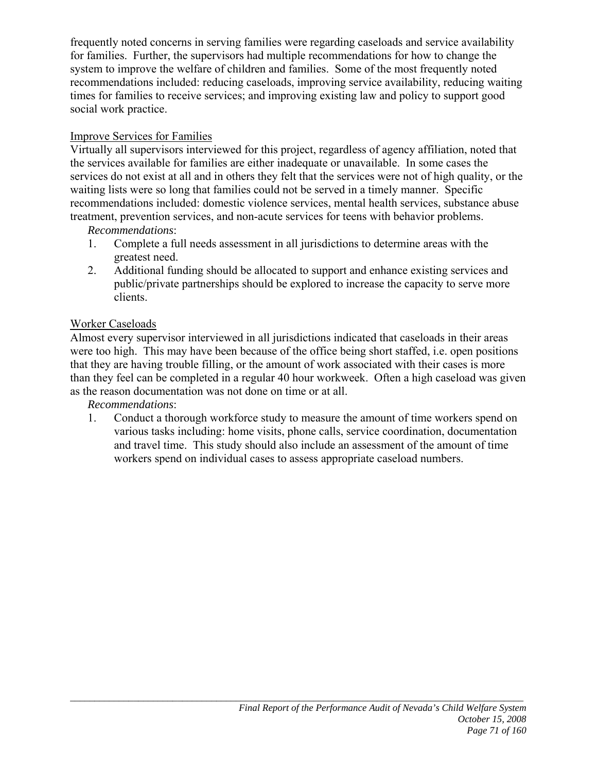frequently noted concerns in serving families were regarding caseloads and service availability for families. Further, the supervisors had multiple recommendations for how to change the system to improve the welfare of children and families. Some of the most frequently noted recommendations included: reducing caseloads, improving service availability, reducing waiting times for families to receive services; and improving existing law and policy to support good social work practice.

### Improve Services for Families

Virtually all supervisors interviewed for this project, regardless of agency affiliation, noted that the services available for families are either inadequate or unavailable. In some cases the services do not exist at all and in others they felt that the services were not of high quality, or the waiting lists were so long that families could not be served in a timely manner. Specific recommendations included: domestic violence services, mental health services, substance abuse treatment, prevention services, and non-acute services for teens with behavior problems.

*Recommendations*:

- 1. Complete a full needs assessment in all jurisdictions to determine areas with the greatest need.
- 2. Additional funding should be allocated to support and enhance existing services and public/private partnerships should be explored to increase the capacity to serve more clients.

### Worker Caseloads

Almost every supervisor interviewed in all jurisdictions indicated that caseloads in their areas were too high. This may have been because of the office being short staffed, i.e. open positions that they are having trouble filling, or the amount of work associated with their cases is more than they feel can be completed in a regular 40 hour workweek. Often a high caseload was given as the reason documentation was not done on time or at all.

*Recommendations*:

1. Conduct a thorough workforce study to measure the amount of time workers spend on various tasks including: home visits, phone calls, service coordination, documentation and travel time. This study should also include an assessment of the amount of time workers spend on individual cases to assess appropriate caseload numbers.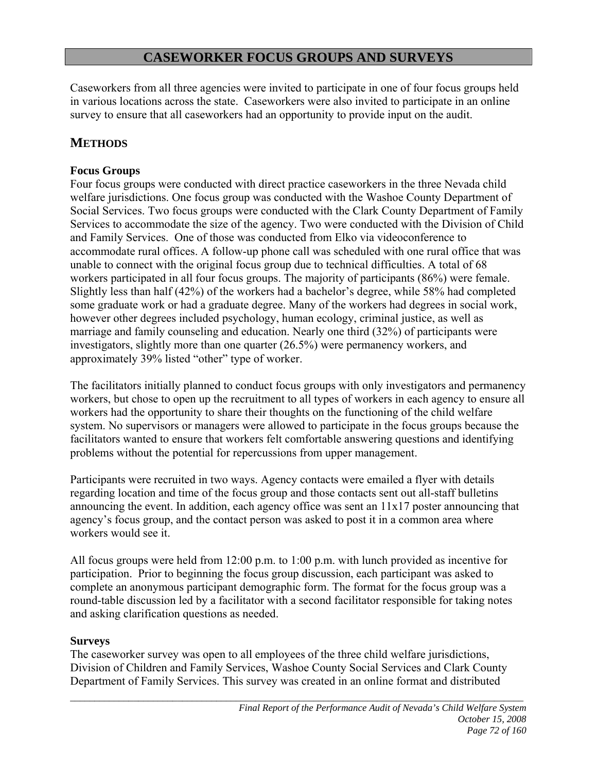### **CASEWORKER FOCUS GROUPS AND SURVEYS**

Caseworkers from all three agencies were invited to participate in one of four focus groups held in various locations across the state. Caseworkers were also invited to participate in an online survey to ensure that all caseworkers had an opportunity to provide input on the audit.

# **METHODS**

#### **Focus Groups**

Four focus groups were conducted with direct practice caseworkers in the three Nevada child welfare jurisdictions. One focus group was conducted with the Washoe County Department of Social Services. Two focus groups were conducted with the Clark County Department of Family Services to accommodate the size of the agency. Two were conducted with the Division of Child and Family Services. One of those was conducted from Elko via videoconference to accommodate rural offices. A follow-up phone call was scheduled with one rural office that was unable to connect with the original focus group due to technical difficulties. A total of 68 workers participated in all four focus groups. The majority of participants (86%) were female. Slightly less than half (42%) of the workers had a bachelor's degree, while 58% had completed some graduate work or had a graduate degree. Many of the workers had degrees in social work, however other degrees included psychology, human ecology, criminal justice, as well as marriage and family counseling and education. Nearly one third (32%) of participants were investigators, slightly more than one quarter (26.5%) were permanency workers, and approximately 39% listed "other" type of worker.

The facilitators initially planned to conduct focus groups with only investigators and permanency workers, but chose to open up the recruitment to all types of workers in each agency to ensure all workers had the opportunity to share their thoughts on the functioning of the child welfare system. No supervisors or managers were allowed to participate in the focus groups because the facilitators wanted to ensure that workers felt comfortable answering questions and identifying problems without the potential for repercussions from upper management.

Participants were recruited in two ways. Agency contacts were emailed a flyer with details regarding location and time of the focus group and those contacts sent out all-staff bulletins announcing the event. In addition, each agency office was sent an 11x17 poster announcing that agency's focus group, and the contact person was asked to post it in a common area where workers would see it.

All focus groups were held from 12:00 p.m. to 1:00 p.m. with lunch provided as incentive for participation. Prior to beginning the focus group discussion, each participant was asked to complete an anonymous participant demographic form. The format for the focus group was a round-table discussion led by a facilitator with a second facilitator responsible for taking notes and asking clarification questions as needed.

#### **Surveys**

The caseworker survey was open to all employees of the three child welfare jurisdictions, Division of Children and Family Services, Washoe County Social Services and Clark County Department of Family Services. This survey was created in an online format and distributed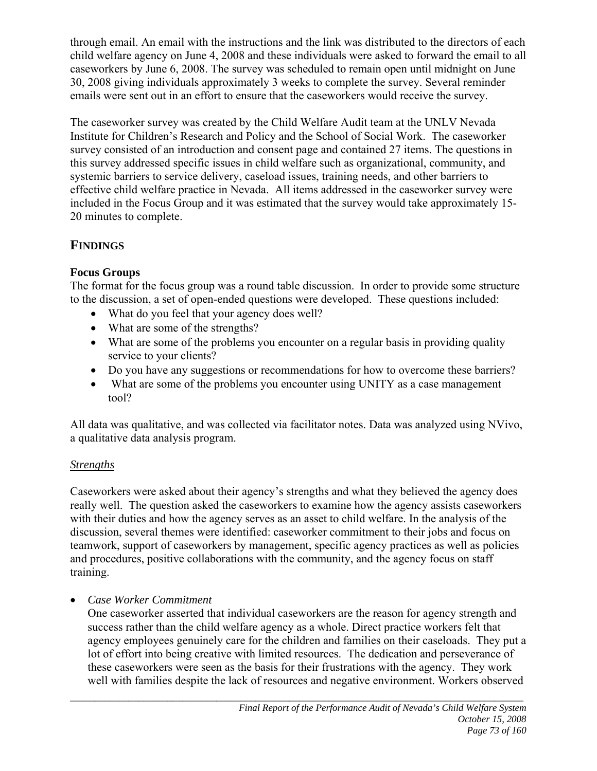through email. An email with the instructions and the link was distributed to the directors of each child welfare agency on June 4, 2008 and these individuals were asked to forward the email to all caseworkers by June 6, 2008. The survey was scheduled to remain open until midnight on June 30, 2008 giving individuals approximately 3 weeks to complete the survey. Several reminder emails were sent out in an effort to ensure that the caseworkers would receive the survey.

The caseworker survey was created by the Child Welfare Audit team at the UNLV Nevada Institute for Children's Research and Policy and the School of Social Work. The caseworker survey consisted of an introduction and consent page and contained 27 items. The questions in this survey addressed specific issues in child welfare such as organizational, community, and systemic barriers to service delivery, caseload issues, training needs, and other barriers to effective child welfare practice in Nevada. All items addressed in the caseworker survey were included in the Focus Group and it was estimated that the survey would take approximately 15- 20 minutes to complete.

# **FINDINGS**

# **Focus Groups**

The format for the focus group was a round table discussion. In order to provide some structure to the discussion, a set of open-ended questions were developed. These questions included:

- What do you feel that your agency does well?
- What are some of the strengths?
- What are some of the problems you encounter on a regular basis in providing quality service to your clients?
- Do you have any suggestions or recommendations for how to overcome these barriers?
- What are some of the problems you encounter using UNITY as a case management tool?

All data was qualitative, and was collected via facilitator notes. Data was analyzed using NVivo, a qualitative data analysis program.

# *Strengths*

Caseworkers were asked about their agency's strengths and what they believed the agency does really well. The question asked the caseworkers to examine how the agency assists caseworkers with their duties and how the agency serves as an asset to child welfare. In the analysis of the discussion, several themes were identified: caseworker commitment to their jobs and focus on teamwork, support of caseworkers by management, specific agency practices as well as policies and procedures, positive collaborations with the community, and the agency focus on staff training.

• *Case Worker Commitment* 

One caseworker asserted that individual caseworkers are the reason for agency strength and success rather than the child welfare agency as a whole. Direct practice workers felt that agency employees genuinely care for the children and families on their caseloads. They put a lot of effort into being creative with limited resources. The dedication and perseverance of these caseworkers were seen as the basis for their frustrations with the agency. They work well with families despite the lack of resources and negative environment. Workers observed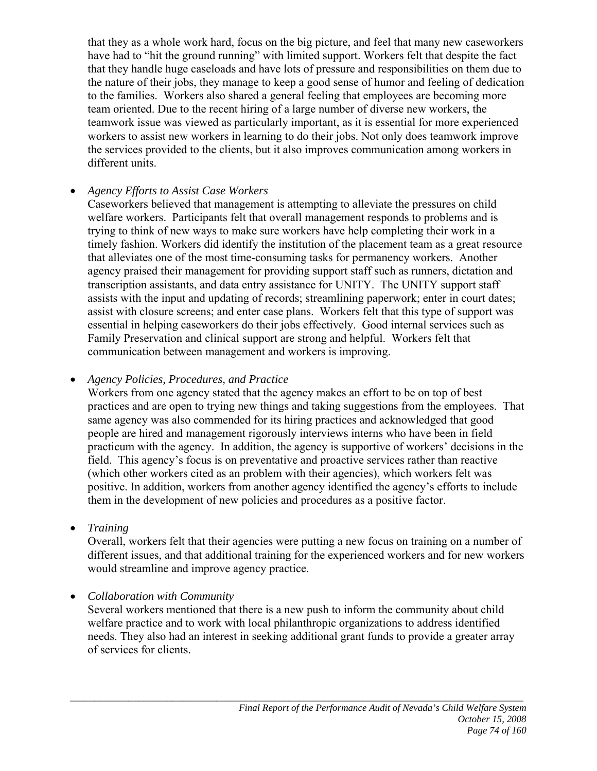that they as a whole work hard, focus on the big picture, and feel that many new caseworkers have had to "hit the ground running" with limited support. Workers felt that despite the fact that they handle huge caseloads and have lots of pressure and responsibilities on them due to the nature of their jobs, they manage to keep a good sense of humor and feeling of dedication to the families. Workers also shared a general feeling that employees are becoming more team oriented. Due to the recent hiring of a large number of diverse new workers, the teamwork issue was viewed as particularly important, as it is essential for more experienced workers to assist new workers in learning to do their jobs. Not only does teamwork improve the services provided to the clients, but it also improves communication among workers in different units.

#### • *Agency Efforts to Assist Case Workers*

Caseworkers believed that management is attempting to alleviate the pressures on child welfare workers. Participants felt that overall management responds to problems and is trying to think of new ways to make sure workers have help completing their work in a timely fashion. Workers did identify the institution of the placement team as a great resource that alleviates one of the most time-consuming tasks for permanency workers. Another agency praised their management for providing support staff such as runners, dictation and transcription assistants, and data entry assistance for UNITY. The UNITY support staff assists with the input and updating of records; streamlining paperwork; enter in court dates; assist with closure screens; and enter case plans. Workers felt that this type of support was essential in helping caseworkers do their jobs effectively. Good internal services such as Family Preservation and clinical support are strong and helpful. Workers felt that communication between management and workers is improving.

#### • *Agency Policies, Procedures, and Practice*

Workers from one agency stated that the agency makes an effort to be on top of best practices and are open to trying new things and taking suggestions from the employees. That same agency was also commended for its hiring practices and acknowledged that good people are hired and management rigorously interviews interns who have been in field practicum with the agency. In addition, the agency is supportive of workers' decisions in the field. This agency's focus is on preventative and proactive services rather than reactive (which other workers cited as an problem with their agencies), which workers felt was positive. In addition, workers from another agency identified the agency's efforts to include them in the development of new policies and procedures as a positive factor.

#### • *Training*

Overall, workers felt that their agencies were putting a new focus on training on a number of different issues, and that additional training for the experienced workers and for new workers would streamline and improve agency practice.

#### • *Collaboration with Community*

Several workers mentioned that there is a new push to inform the community about child welfare practice and to work with local philanthropic organizations to address identified needs. They also had an interest in seeking additional grant funds to provide a greater array of services for clients.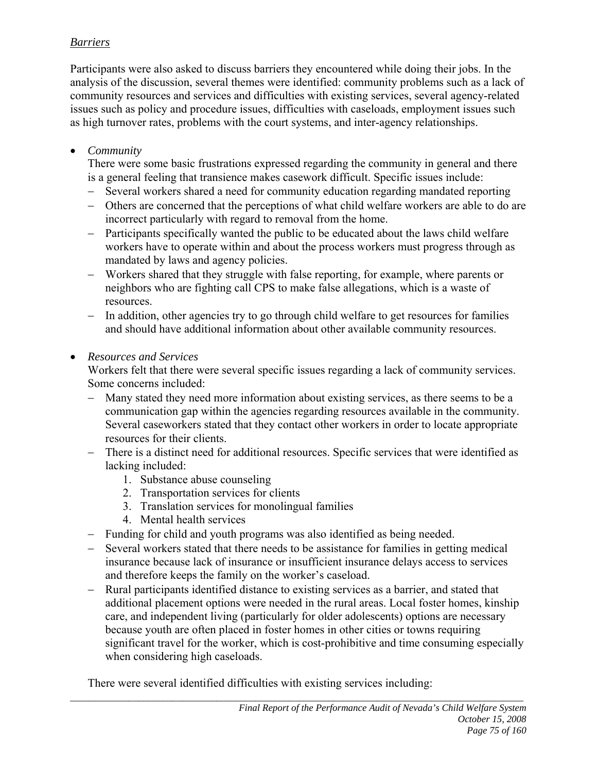### *Barriers*

Participants were also asked to discuss barriers they encountered while doing their jobs. In the analysis of the discussion, several themes were identified: community problems such as a lack of community resources and services and difficulties with existing services, several agency-related issues such as policy and procedure issues, difficulties with caseloads, employment issues such as high turnover rates, problems with the court systems, and inter-agency relationships.

#### • *Community*

There were some basic frustrations expressed regarding the community in general and there is a general feeling that transience makes casework difficult. Specific issues include:

- − Several workers shared a need for community education regarding mandated reporting
- − Others are concerned that the perceptions of what child welfare workers are able to do are incorrect particularly with regard to removal from the home.
- − Participants specifically wanted the public to be educated about the laws child welfare workers have to operate within and about the process workers must progress through as mandated by laws and agency policies.
- − Workers shared that they struggle with false reporting, for example, where parents or neighbors who are fighting call CPS to make false allegations, which is a waste of resources.
- − In addition, other agencies try to go through child welfare to get resources for families and should have additional information about other available community resources.

#### • *Resources and Services*

Workers felt that there were several specific issues regarding a lack of community services. Some concerns included:

- − Many stated they need more information about existing services, as there seems to be a communication gap within the agencies regarding resources available in the community. Several caseworkers stated that they contact other workers in order to locate appropriate resources for their clients.
- − There is a distinct need for additional resources. Specific services that were identified as lacking included:
	- 1. Substance abuse counseling
	- 2. Transportation services for clients
	- 3. Translation services for monolingual families
	- 4. Mental health services
- − Funding for child and youth programs was also identified as being needed.
- − Several workers stated that there needs to be assistance for families in getting medical insurance because lack of insurance or insufficient insurance delays access to services and therefore keeps the family on the worker's caseload.
- − Rural participants identified distance to existing services as a barrier, and stated that additional placement options were needed in the rural areas. Local foster homes, kinship care, and independent living (particularly for older adolescents) options are necessary because youth are often placed in foster homes in other cities or towns requiring significant travel for the worker, which is cost-prohibitive and time consuming especially when considering high caseloads.

There were several identified difficulties with existing services including: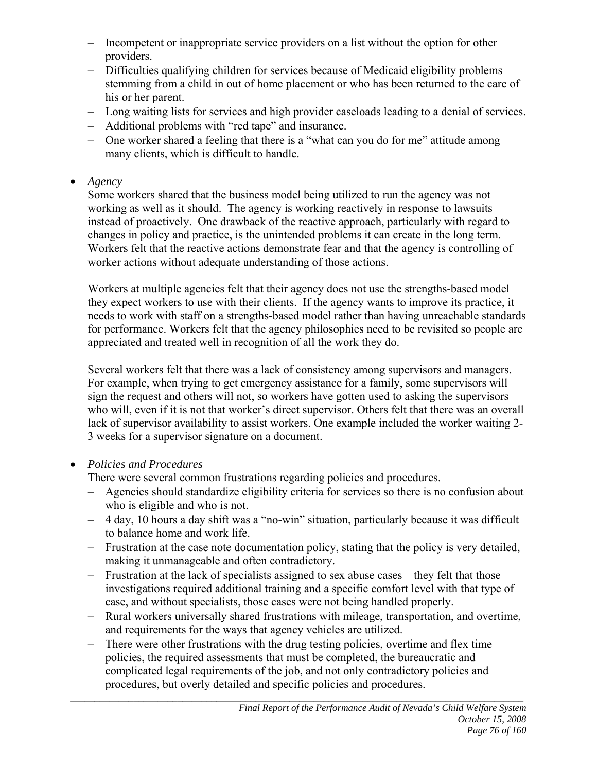- − Incompetent or inappropriate service providers on a list without the option for other providers.
- − Difficulties qualifying children for services because of Medicaid eligibility problems stemming from a child in out of home placement or who has been returned to the care of his or her parent.
- − Long waiting lists for services and high provider caseloads leading to a denial of services.
- − Additional problems with "red tape" and insurance.
- − One worker shared a feeling that there is a "what can you do for me" attitude among many clients, which is difficult to handle.
- *Agency*

Some workers shared that the business model being utilized to run the agency was not working as well as it should. The agency is working reactively in response to lawsuits instead of proactively. One drawback of the reactive approach, particularly with regard to changes in policy and practice, is the unintended problems it can create in the long term. Workers felt that the reactive actions demonstrate fear and that the agency is controlling of worker actions without adequate understanding of those actions.

Workers at multiple agencies felt that their agency does not use the strengths-based model they expect workers to use with their clients. If the agency wants to improve its practice, it needs to work with staff on a strengths-based model rather than having unreachable standards for performance. Workers felt that the agency philosophies need to be revisited so people are appreciated and treated well in recognition of all the work they do.

Several workers felt that there was a lack of consistency among supervisors and managers. For example, when trying to get emergency assistance for a family, some supervisors will sign the request and others will not, so workers have gotten used to asking the supervisors who will, even if it is not that worker's direct supervisor. Others felt that there was an overall lack of supervisor availability to assist workers. One example included the worker waiting 2- 3 weeks for a supervisor signature on a document.

# • *Policies and Procedures*

There were several common frustrations regarding policies and procedures.

- − Agencies should standardize eligibility criteria for services so there is no confusion about who is eligible and who is not.
- − 4 day, 10 hours a day shift was a "no-win" situation, particularly because it was difficult to balance home and work life.
- − Frustration at the case note documentation policy, stating that the policy is very detailed, making it unmanageable and often contradictory.
- − Frustration at the lack of specialists assigned to sex abuse cases they felt that those investigations required additional training and a specific comfort level with that type of case, and without specialists, those cases were not being handled properly.
- − Rural workers universally shared frustrations with mileage, transportation, and overtime, and requirements for the ways that agency vehicles are utilized.
- − There were other frustrations with the drug testing policies, overtime and flex time policies, the required assessments that must be completed, the bureaucratic and complicated legal requirements of the job, and not only contradictory policies and procedures, but overly detailed and specific policies and procedures.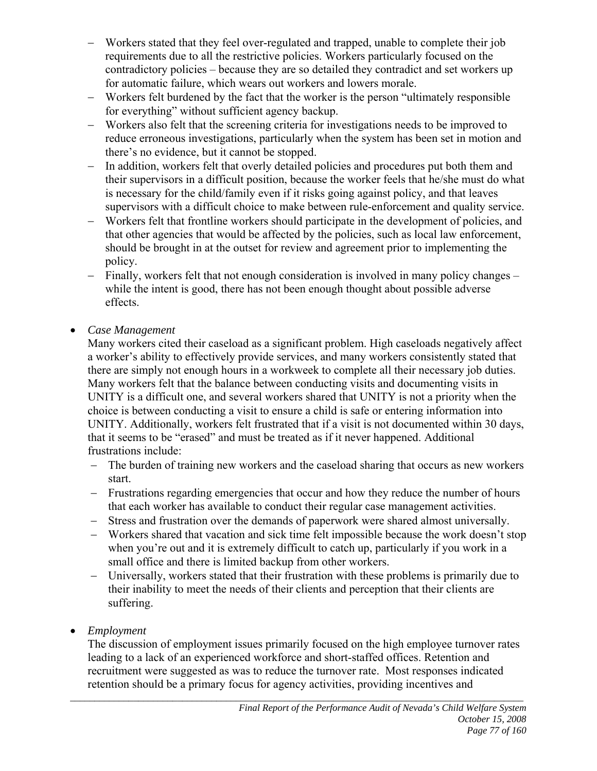- − Workers stated that they feel over-regulated and trapped, unable to complete their job requirements due to all the restrictive policies. Workers particularly focused on the contradictory policies – because they are so detailed they contradict and set workers up for automatic failure, which wears out workers and lowers morale.
- − Workers felt burdened by the fact that the worker is the person "ultimately responsible for everything" without sufficient agency backup.
- − Workers also felt that the screening criteria for investigations needs to be improved to reduce erroneous investigations, particularly when the system has been set in motion and there's no evidence, but it cannot be stopped.
- − In addition, workers felt that overly detailed policies and procedures put both them and their supervisors in a difficult position, because the worker feels that he/she must do what is necessary for the child/family even if it risks going against policy, and that leaves supervisors with a difficult choice to make between rule-enforcement and quality service.
- − Workers felt that frontline workers should participate in the development of policies, and that other agencies that would be affected by the policies, such as local law enforcement, should be brought in at the outset for review and agreement prior to implementing the policy.
- − Finally, workers felt that not enough consideration is involved in many policy changes while the intent is good, there has not been enough thought about possible adverse effects.
- *Case Management*

Many workers cited their caseload as a significant problem. High caseloads negatively affect a worker's ability to effectively provide services, and many workers consistently stated that there are simply not enough hours in a workweek to complete all their necessary job duties. Many workers felt that the balance between conducting visits and documenting visits in UNITY is a difficult one, and several workers shared that UNITY is not a priority when the choice is between conducting a visit to ensure a child is safe or entering information into UNITY. Additionally, workers felt frustrated that if a visit is not documented within 30 days, that it seems to be "erased" and must be treated as if it never happened. Additional frustrations include:

- − The burden of training new workers and the caseload sharing that occurs as new workers start.
- − Frustrations regarding emergencies that occur and how they reduce the number of hours that each worker has available to conduct their regular case management activities.
- − Stress and frustration over the demands of paperwork were shared almost universally.
- − Workers shared that vacation and sick time felt impossible because the work doesn't stop when you're out and it is extremely difficult to catch up, particularly if you work in a small office and there is limited backup from other workers.
- − Universally, workers stated that their frustration with these problems is primarily due to their inability to meet the needs of their clients and perception that their clients are suffering.

# • *Employment*

The discussion of employment issues primarily focused on the high employee turnover rates leading to a lack of an experienced workforce and short-staffed offices. Retention and recruitment were suggested as was to reduce the turnover rate. Most responses indicated retention should be a primary focus for agency activities, providing incentives and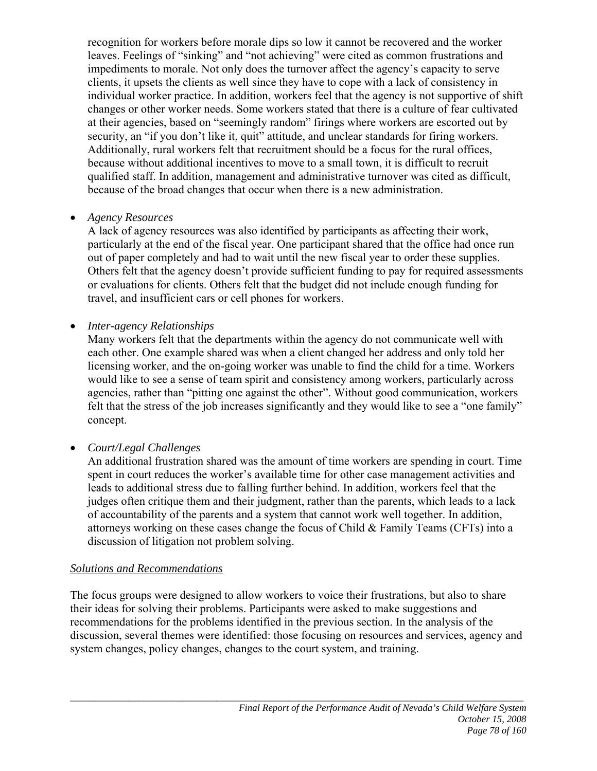recognition for workers before morale dips so low it cannot be recovered and the worker leaves. Feelings of "sinking" and "not achieving" were cited as common frustrations and impediments to morale. Not only does the turnover affect the agency's capacity to serve clients, it upsets the clients as well since they have to cope with a lack of consistency in individual worker practice. In addition, workers feel that the agency is not supportive of shift changes or other worker needs. Some workers stated that there is a culture of fear cultivated at their agencies, based on "seemingly random" firings where workers are escorted out by security, an "if you don't like it, quit" attitude, and unclear standards for firing workers. Additionally, rural workers felt that recruitment should be a focus for the rural offices, because without additional incentives to move to a small town, it is difficult to recruit qualified staff. In addition, management and administrative turnover was cited as difficult, because of the broad changes that occur when there is a new administration.

#### • *Agency Resources*

A lack of agency resources was also identified by participants as affecting their work, particularly at the end of the fiscal year. One participant shared that the office had once run out of paper completely and had to wait until the new fiscal year to order these supplies. Others felt that the agency doesn't provide sufficient funding to pay for required assessments or evaluations for clients. Others felt that the budget did not include enough funding for travel, and insufficient cars or cell phones for workers.

# • *Inter-agency Relationships*

Many workers felt that the departments within the agency do not communicate well with each other. One example shared was when a client changed her address and only told her licensing worker, and the on-going worker was unable to find the child for a time. Workers would like to see a sense of team spirit and consistency among workers, particularly across agencies, rather than "pitting one against the other". Without good communication, workers felt that the stress of the job increases significantly and they would like to see a "one family" concept.

# • *Court/Legal Challenges*

An additional frustration shared was the amount of time workers are spending in court. Time spent in court reduces the worker's available time for other case management activities and leads to additional stress due to falling further behind. In addition, workers feel that the judges often critique them and their judgment, rather than the parents, which leads to a lack of accountability of the parents and a system that cannot work well together. In addition, attorneys working on these cases change the focus of Child & Family Teams (CFTs) into a discussion of litigation not problem solving.

# *Solutions and Recommendations*

The focus groups were designed to allow workers to voice their frustrations, but also to share their ideas for solving their problems. Participants were asked to make suggestions and recommendations for the problems identified in the previous section. In the analysis of the discussion, several themes were identified: those focusing on resources and services, agency and system changes, policy changes, changes to the court system, and training.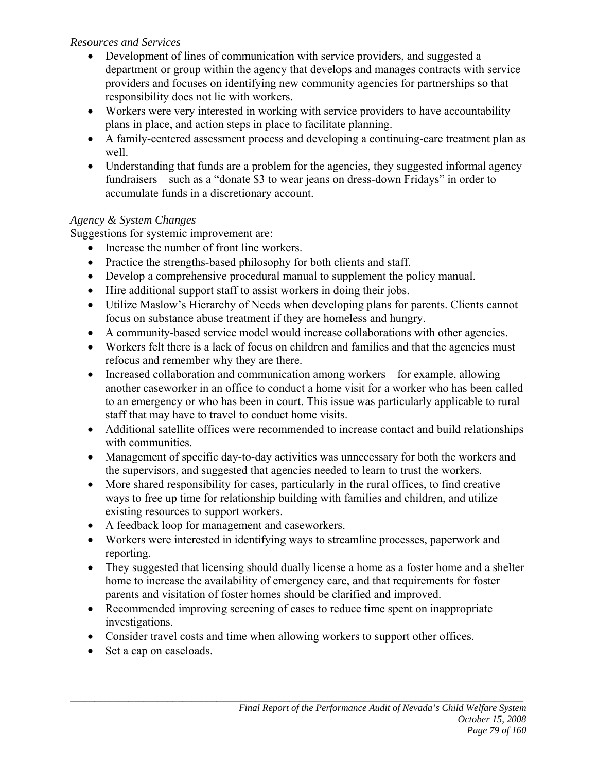#### *Resources and Services*

- Development of lines of communication with service providers, and suggested a department or group within the agency that develops and manages contracts with service providers and focuses on identifying new community agencies for partnerships so that responsibility does not lie with workers.
- Workers were very interested in working with service providers to have accountability plans in place, and action steps in place to facilitate planning.
- A family-centered assessment process and developing a continuing-care treatment plan as well.
- Understanding that funds are a problem for the agencies, they suggested informal agency fundraisers – such as a "donate \$3 to wear jeans on dress-down Fridays" in order to accumulate funds in a discretionary account.

# *Agency & System Changes*

Suggestions for systemic improvement are:

- Increase the number of front line workers.
- Practice the strengths-based philosophy for both clients and staff.
- Develop a comprehensive procedural manual to supplement the policy manual.
- Hire additional support staff to assist workers in doing their jobs.
- Utilize Maslow's Hierarchy of Needs when developing plans for parents. Clients cannot focus on substance abuse treatment if they are homeless and hungry.
- A community-based service model would increase collaborations with other agencies.
- Workers felt there is a lack of focus on children and families and that the agencies must refocus and remember why they are there.
- Increased collaboration and communication among workers for example, allowing another caseworker in an office to conduct a home visit for a worker who has been called to an emergency or who has been in court. This issue was particularly applicable to rural staff that may have to travel to conduct home visits.
- Additional satellite offices were recommended to increase contact and build relationships with communities.
- Management of specific day-to-day activities was unnecessary for both the workers and the supervisors, and suggested that agencies needed to learn to trust the workers.
- More shared responsibility for cases, particularly in the rural offices, to find creative ways to free up time for relationship building with families and children, and utilize existing resources to support workers.
- A feedback loop for management and caseworkers.
- Workers were interested in identifying ways to streamline processes, paperwork and reporting.
- They suggested that licensing should dually license a home as a foster home and a shelter home to increase the availability of emergency care, and that requirements for foster parents and visitation of foster homes should be clarified and improved.
- Recommended improving screening of cases to reduce time spent on inappropriate investigations.
- Consider travel costs and time when allowing workers to support other offices.
- Set a cap on caseloads.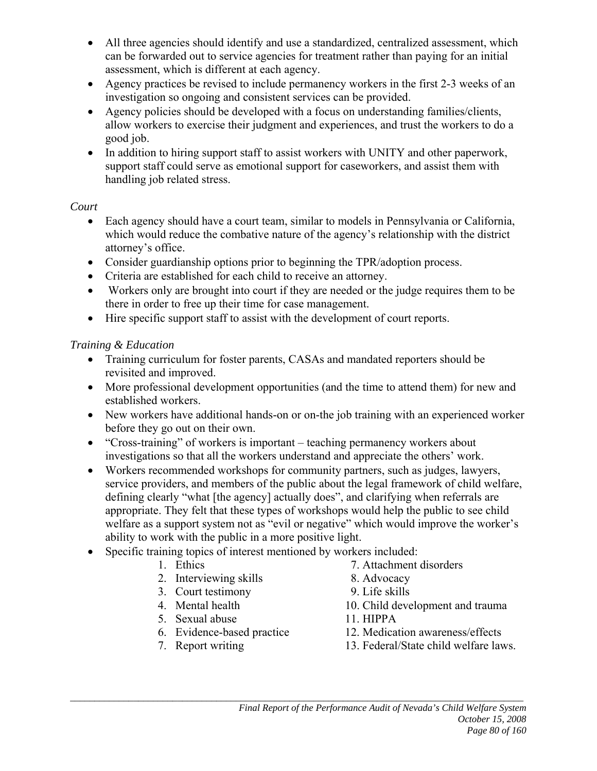- All three agencies should identify and use a standardized, centralized assessment, which can be forwarded out to service agencies for treatment rather than paying for an initial assessment, which is different at each agency.
- Agency practices be revised to include permanency workers in the first 2-3 weeks of an investigation so ongoing and consistent services can be provided.
- Agency policies should be developed with a focus on understanding families/clients, allow workers to exercise their judgment and experiences, and trust the workers to do a good job.
- In addition to hiring support staff to assist workers with UNITY and other paperwork, support staff could serve as emotional support for caseworkers, and assist them with handling job related stress.

### *Court*

- Each agency should have a court team, similar to models in Pennsylvania or California, which would reduce the combative nature of the agency's relationship with the district attorney's office.
- Consider guardianship options prior to beginning the TPR/adoption process.
- Criteria are established for each child to receive an attorney.
- Workers only are brought into court if they are needed or the judge requires them to be there in order to free up their time for case management.
- Hire specific support staff to assist with the development of court reports.

# *Training & Education*

- Training curriculum for foster parents, CASAs and mandated reporters should be revisited and improved.
- More professional development opportunities (and the time to attend them) for new and established workers.
- New workers have additional hands-on or on-the job training with an experienced worker before they go out on their own.
- "Cross-training" of workers is important teaching permanency workers about investigations so that all the workers understand and appreciate the others' work.
- Workers recommended workshops for community partners, such as judges, lawyers, service providers, and members of the public about the legal framework of child welfare, defining clearly "what [the agency] actually does", and clarifying when referrals are appropriate. They felt that these types of workshops would help the public to see child welfare as a support system not as "evil or negative" which would improve the worker's ability to work with the public in a more positive light.
- Specific training topics of interest mentioned by workers included:
	-
	- 2. Interviewing skills 8. Advocacy
	- 3. Court testimony 9. Life skills
	-
	- 5. Sexual abuse 11. HIPPA
	-
	-
	- 1. Ethics 7. Attachment disorders
		-
		-
	- 4. Mental health 10. Child development and trauma
		-
	- 6. Evidence-based practice 12. Medication awareness/effects
	- 7. Report writing 13. Federal/State child welfare laws.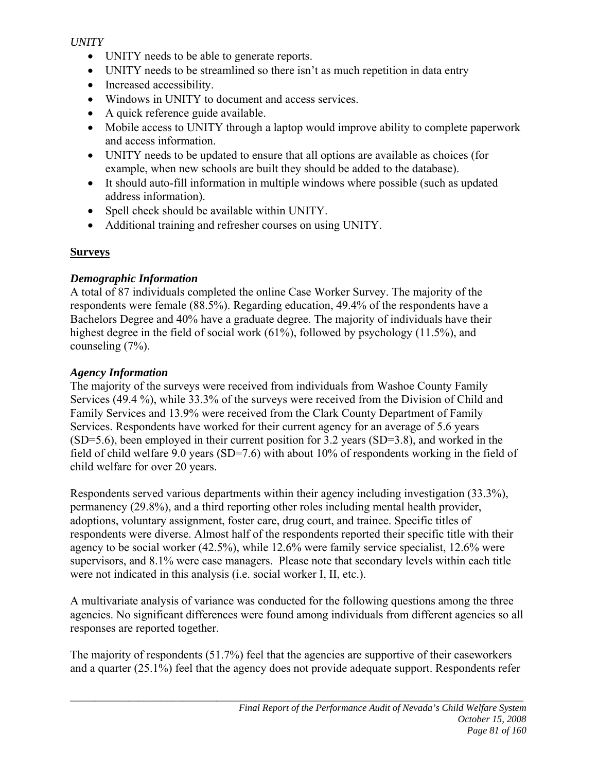*UNITY* 

- UNITY needs to be able to generate reports.
- UNITY needs to be streamlined so there isn't as much repetition in data entry
- Increased accessibility.
- Windows in UNITY to document and access services.
- A quick reference guide available.
- Mobile access to UNITY through a laptop would improve ability to complete paperwork and access information.
- UNITY needs to be updated to ensure that all options are available as choices (for example, when new schools are built they should be added to the database).
- It should auto-fill information in multiple windows where possible (such as updated address information).
- Spell check should be available within UNITY.
- Additional training and refresher courses on using UNITY.

# **Surveys**

# *Demographic Information*

A total of 87 individuals completed the online Case Worker Survey. The majority of the respondents were female (88.5%). Regarding education, 49.4% of the respondents have a Bachelors Degree and 40% have a graduate degree. The majority of individuals have their highest degree in the field of social work (61%), followed by psychology (11.5%), and counseling (7%).

### *Agency Information*

The majority of the surveys were received from individuals from Washoe County Family Services (49.4 %), while 33.3% of the surveys were received from the Division of Child and Family Services and 13.9% were received from the Clark County Department of Family Services. Respondents have worked for their current agency for an average of 5.6 years (SD=5.6), been employed in their current position for 3.2 years (SD=3.8), and worked in the field of child welfare 9.0 years (SD=7.6) with about 10% of respondents working in the field of child welfare for over 20 years.

Respondents served various departments within their agency including investigation (33.3%), permanency (29.8%), and a third reporting other roles including mental health provider, adoptions, voluntary assignment, foster care, drug court, and trainee. Specific titles of respondents were diverse. Almost half of the respondents reported their specific title with their agency to be social worker (42.5%), while 12.6% were family service specialist, 12.6% were supervisors, and 8.1% were case managers. Please note that secondary levels within each title were not indicated in this analysis (i.e. social worker I, II, etc.).

A multivariate analysis of variance was conducted for the following questions among the three agencies. No significant differences were found among individuals from different agencies so all responses are reported together.

The majority of respondents (51.7%) feel that the agencies are supportive of their caseworkers and a quarter (25.1%) feel that the agency does not provide adequate support. Respondents refer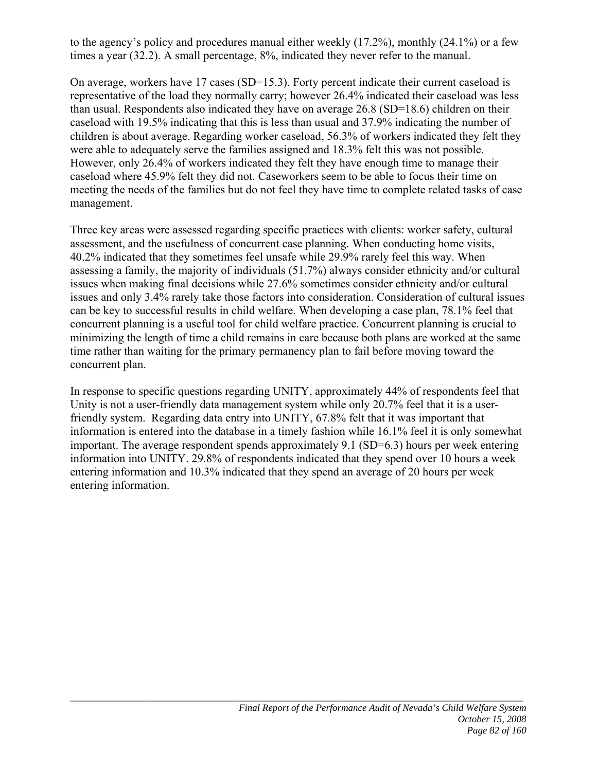to the agency's policy and procedures manual either weekly (17.2%), monthly (24.1%) or a few times a year (32.2). A small percentage, 8%, indicated they never refer to the manual.

On average, workers have 17 cases (SD=15.3). Forty percent indicate their current caseload is representative of the load they normally carry; however 26.4% indicated their caseload was less than usual. Respondents also indicated they have on average 26.8 (SD=18.6) children on their caseload with 19.5% indicating that this is less than usual and 37.9% indicating the number of children is about average. Regarding worker caseload, 56.3% of workers indicated they felt they were able to adequately serve the families assigned and 18.3% felt this was not possible. However, only 26.4% of workers indicated they felt they have enough time to manage their caseload where 45.9% felt they did not. Caseworkers seem to be able to focus their time on meeting the needs of the families but do not feel they have time to complete related tasks of case management.

Three key areas were assessed regarding specific practices with clients: worker safety, cultural assessment, and the usefulness of concurrent case planning. When conducting home visits, 40.2% indicated that they sometimes feel unsafe while 29.9% rarely feel this way. When assessing a family, the majority of individuals (51.7%) always consider ethnicity and/or cultural issues when making final decisions while 27.6% sometimes consider ethnicity and/or cultural issues and only 3.4% rarely take those factors into consideration. Consideration of cultural issues can be key to successful results in child welfare. When developing a case plan, 78.1% feel that concurrent planning is a useful tool for child welfare practice. Concurrent planning is crucial to minimizing the length of time a child remains in care because both plans are worked at the same time rather than waiting for the primary permanency plan to fail before moving toward the concurrent plan.

In response to specific questions regarding UNITY, approximately 44% of respondents feel that Unity is not a user-friendly data management system while only 20.7% feel that it is a userfriendly system. Regarding data entry into UNITY, 67.8% felt that it was important that information is entered into the database in a timely fashion while 16.1% feel it is only somewhat important. The average respondent spends approximately 9.1 (SD=6.3) hours per week entering information into UNITY. 29.8% of respondents indicated that they spend over 10 hours a week entering information and 10.3% indicated that they spend an average of 20 hours per week entering information.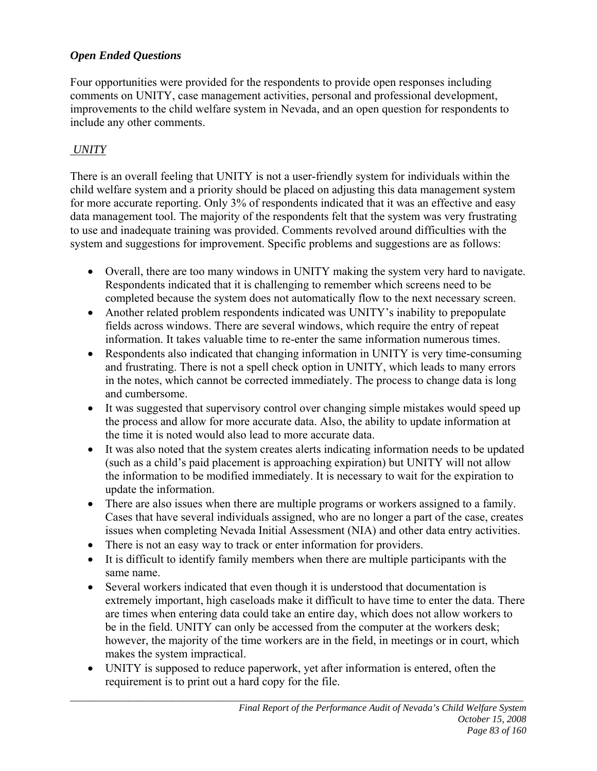#### *Open Ended Questions*

Four opportunities were provided for the respondents to provide open responses including comments on UNITY, case management activities, personal and professional development, improvements to the child welfare system in Nevada, and an open question for respondents to include any other comments.

# *UNITY*

There is an overall feeling that UNITY is not a user-friendly system for individuals within the child welfare system and a priority should be placed on adjusting this data management system for more accurate reporting. Only 3% of respondents indicated that it was an effective and easy data management tool. The majority of the respondents felt that the system was very frustrating to use and inadequate training was provided. Comments revolved around difficulties with the system and suggestions for improvement. Specific problems and suggestions are as follows:

- Overall, there are too many windows in UNITY making the system very hard to navigate. Respondents indicated that it is challenging to remember which screens need to be completed because the system does not automatically flow to the next necessary screen.
- Another related problem respondents indicated was UNITY's inability to prepopulate fields across windows. There are several windows, which require the entry of repeat information. It takes valuable time to re-enter the same information numerous times.
- Respondents also indicated that changing information in UNITY is very time-consuming and frustrating. There is not a spell check option in UNITY, which leads to many errors in the notes, which cannot be corrected immediately. The process to change data is long and cumbersome.
- It was suggested that supervisory control over changing simple mistakes would speed up the process and allow for more accurate data. Also, the ability to update information at the time it is noted would also lead to more accurate data.
- It was also noted that the system creates alerts indicating information needs to be updated (such as a child's paid placement is approaching expiration) but UNITY will not allow the information to be modified immediately. It is necessary to wait for the expiration to update the information.
- There are also issues when there are multiple programs or workers assigned to a family. Cases that have several individuals assigned, who are no longer a part of the case, creates issues when completing Nevada Initial Assessment (NIA) and other data entry activities.
- There is not an easy way to track or enter information for providers.
- It is difficult to identify family members when there are multiple participants with the same name.
- Several workers indicated that even though it is understood that documentation is extremely important, high caseloads make it difficult to have time to enter the data. There are times when entering data could take an entire day, which does not allow workers to be in the field. UNITY can only be accessed from the computer at the workers desk; however, the majority of the time workers are in the field, in meetings or in court, which makes the system impractical.
- UNITY is supposed to reduce paperwork, yet after information is entered, often the requirement is to print out a hard copy for the file.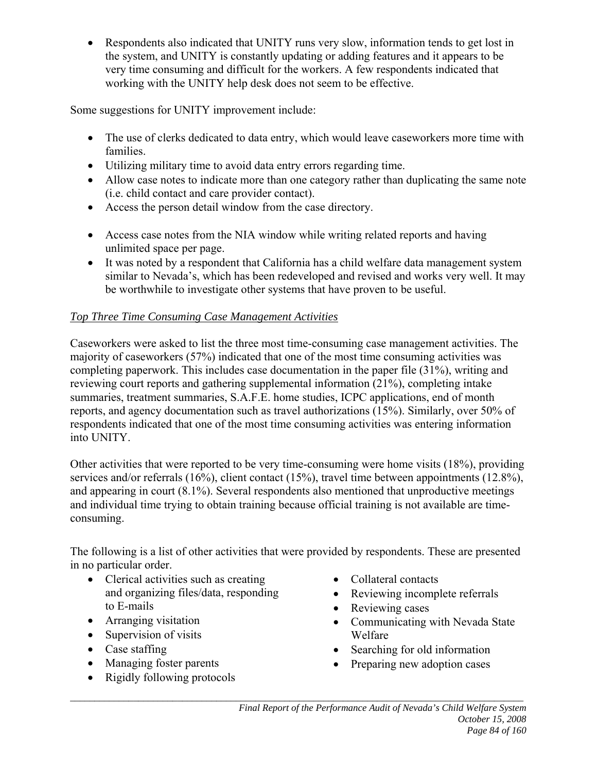• Respondents also indicated that UNITY runs very slow, information tends to get lost in the system, and UNITY is constantly updating or adding features and it appears to be very time consuming and difficult for the workers. A few respondents indicated that working with the UNITY help desk does not seem to be effective.

Some suggestions for UNITY improvement include:

- The use of clerks dedicated to data entry, which would leave caseworkers more time with families.
- Utilizing military time to avoid data entry errors regarding time.
- Allow case notes to indicate more than one category rather than duplicating the same note (i.e. child contact and care provider contact).
- Access the person detail window from the case directory.
- Access case notes from the NIA window while writing related reports and having unlimited space per page.
- It was noted by a respondent that California has a child welfare data management system similar to Nevada's, which has been redeveloped and revised and works very well. It may be worthwhile to investigate other systems that have proven to be useful.

# *Top Three Time Consuming Case Management Activities*

Caseworkers were asked to list the three most time-consuming case management activities. The majority of caseworkers (57%) indicated that one of the most time consuming activities was completing paperwork. This includes case documentation in the paper file (31%), writing and reviewing court reports and gathering supplemental information (21%), completing intake summaries, treatment summaries, S.A.F.E. home studies, ICPC applications, end of month reports, and agency documentation such as travel authorizations (15%). Similarly, over 50% of respondents indicated that one of the most time consuming activities was entering information into UNITY.

Other activities that were reported to be very time-consuming were home visits (18%), providing services and/or referrals (16%), client contact (15%), travel time between appointments (12.8%), and appearing in court (8.1%). Several respondents also mentioned that unproductive meetings and individual time trying to obtain training because official training is not available are timeconsuming.

The following is a list of other activities that were provided by respondents. These are presented in no particular order.

- Clerical activities such as creating and organizing files/data, responding to E-mails
- Arranging visitation
- Supervision of visits
- Case staffing
- Managing foster parents
- Rigidly following protocols
- Collateral contacts
- Reviewing incomplete referrals
- Reviewing cases
- Communicating with Nevada State Welfare
- Searching for old information
- Preparing new adoption cases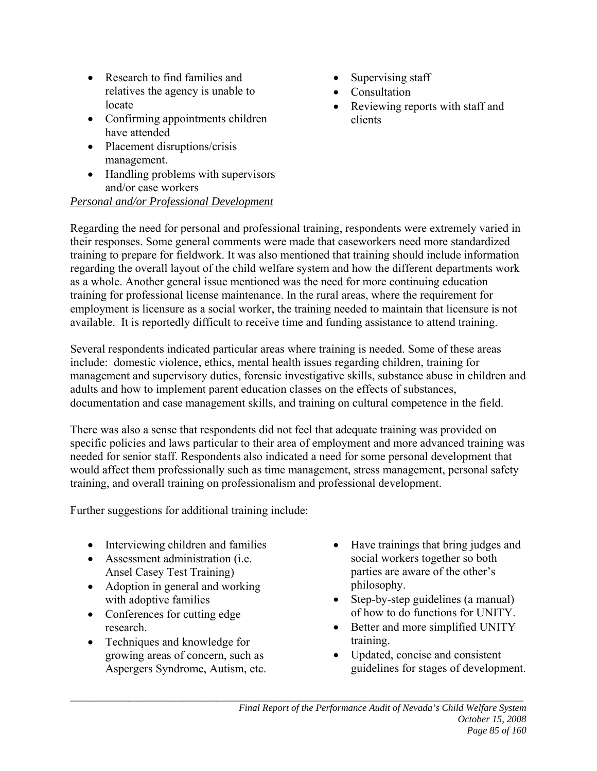- Research to find families and relatives the agency is unable to locate
- Confirming appointments children have attended
- Placement disruptions/crisis management.
- Handling problems with supervisors and/or case workers

#### *Personal and/or Professional Development*

- Supervising staff
- Consultation
- Reviewing reports with staff and clients

Regarding the need for personal and professional training, respondents were extremely varied in their responses. Some general comments were made that caseworkers need more standardized training to prepare for fieldwork. It was also mentioned that training should include information regarding the overall layout of the child welfare system and how the different departments work as a whole. Another general issue mentioned was the need for more continuing education training for professional license maintenance. In the rural areas, where the requirement for employment is licensure as a social worker, the training needed to maintain that licensure is not available. It is reportedly difficult to receive time and funding assistance to attend training.

Several respondents indicated particular areas where training is needed. Some of these areas include: domestic violence, ethics, mental health issues regarding children, training for management and supervisory duties, forensic investigative skills, substance abuse in children and adults and how to implement parent education classes on the effects of substances, documentation and case management skills, and training on cultural competence in the field.

There was also a sense that respondents did not feel that adequate training was provided on specific policies and laws particular to their area of employment and more advanced training was needed for senior staff. Respondents also indicated a need for some personal development that would affect them professionally such as time management, stress management, personal safety training, and overall training on professionalism and professional development.

Further suggestions for additional training include:

- Interviewing children and families
- Assessment administration (*i.e.*) Ansel Casey Test Training)
- Adoption in general and working with adoptive families
- Conferences for cutting edge research.
- Techniques and knowledge for growing areas of concern, such as Aspergers Syndrome, Autism, etc.
- Have trainings that bring judges and social workers together so both parties are aware of the other's philosophy.
- Step-by-step guidelines (a manual) of how to do functions for UNITY.
- Better and more simplified UNITY training.
- Updated, concise and consistent guidelines for stages of development.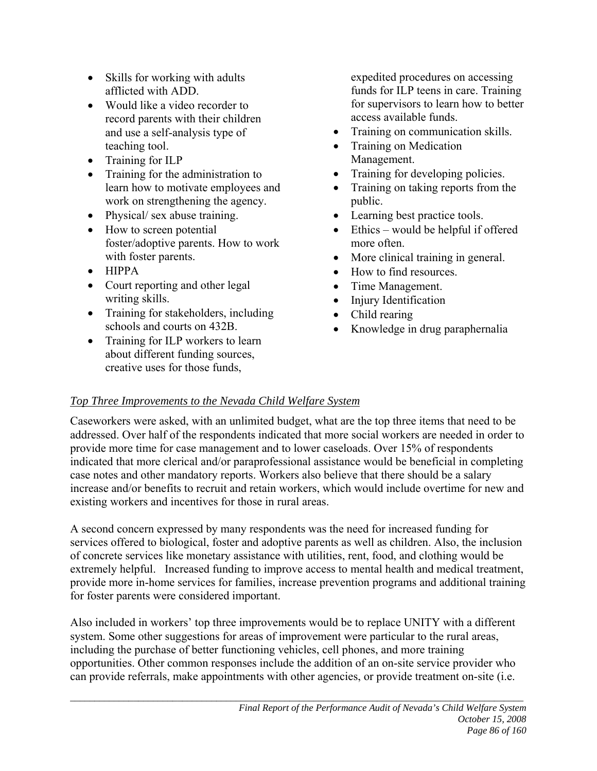- Skills for working with adults afflicted with ADD.
- Would like a video recorder to record parents with their children and use a self-analysis type of teaching tool.
- Training for ILP
- Training for the administration to learn how to motivate employees and work on strengthening the agency.
- Physical/ sex abuse training.
- How to screen potential foster/adoptive parents. How to work with foster parents.
- HIPPA
- Court reporting and other legal writing skills.
- Training for stakeholders, including schools and courts on 432B.
- Training for ILP workers to learn about different funding sources, creative uses for those funds,

expedited procedures on accessing funds for ILP teens in care. Training for supervisors to learn how to better access available funds.

- Training on communication skills.
- Training on Medication Management.
- Training for developing policies.
- Training on taking reports from the public.
- Learning best practice tools.
- Ethics would be helpful if offered more often.
- More clinical training in general.
- How to find resources.
- Time Management.
- Injury Identification
- Child rearing
- Knowledge in drug paraphernalia

#### *Top Three Improvements to the Nevada Child Welfare System*

Caseworkers were asked, with an unlimited budget, what are the top three items that need to be addressed. Over half of the respondents indicated that more social workers are needed in order to provide more time for case management and to lower caseloads. Over 15% of respondents indicated that more clerical and/or paraprofessional assistance would be beneficial in completing case notes and other mandatory reports. Workers also believe that there should be a salary increase and/or benefits to recruit and retain workers, which would include overtime for new and existing workers and incentives for those in rural areas.

A second concern expressed by many respondents was the need for increased funding for services offered to biological, foster and adoptive parents as well as children. Also, the inclusion of concrete services like monetary assistance with utilities, rent, food, and clothing would be extremely helpful. Increased funding to improve access to mental health and medical treatment, provide more in-home services for families, increase prevention programs and additional training for foster parents were considered important.

Also included in workers' top three improvements would be to replace UNITY with a different system. Some other suggestions for areas of improvement were particular to the rural areas, including the purchase of better functioning vehicles, cell phones, and more training opportunities. Other common responses include the addition of an on-site service provider who can provide referrals, make appointments with other agencies, or provide treatment on-site (i.e.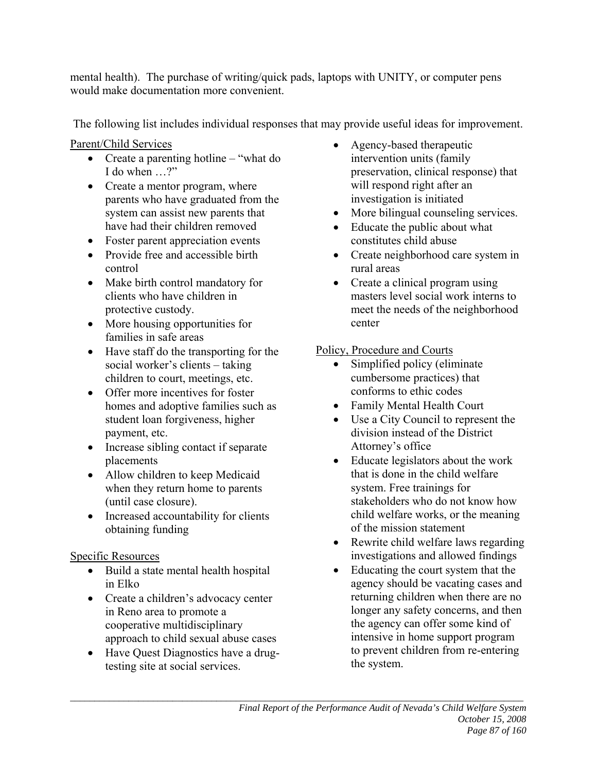mental health). The purchase of writing/quick pads, laptops with UNITY, or computer pens would make documentation more convenient.

The following list includes individual responses that may provide useful ideas for improvement.

Parent/Child Services

- Create a parenting hotline "what do I do when  $\ldots$ ?"
- Create a mentor program, where parents who have graduated from the system can assist new parents that have had their children removed
- Foster parent appreciation events
- Provide free and accessible birth control
- Make birth control mandatory for clients who have children in protective custody.
- More housing opportunities for families in safe areas
- Have staff do the transporting for the social worker's clients – taking children to court, meetings, etc.
- Offer more incentives for foster homes and adoptive families such as student loan forgiveness, higher payment, etc.
- Increase sibling contact if separate placements
- Allow children to keep Medicaid when they return home to parents (until case closure).
- Increased accountability for clients obtaining funding

# Specific Resources

- Build a state mental health hospital in Elko
- Create a children's advocacy center in Reno area to promote a cooperative multidisciplinary approach to child sexual abuse cases
- Have Quest Diagnostics have a drugtesting site at social services.
- Agency-based therapeutic intervention units (family preservation, clinical response) that will respond right after an investigation is initiated
- More bilingual counseling services.
- Educate the public about what constitutes child abuse
- Create neighborhood care system in rural areas
- Create a clinical program using masters level social work interns to meet the needs of the neighborhood center

# Policy, Procedure and Courts

- Simplified policy (eliminate cumbersome practices) that conforms to ethic codes
- Family Mental Health Court
- Use a City Council to represent the division instead of the District Attorney's office
- Educate legislators about the work that is done in the child welfare system. Free trainings for stakeholders who do not know how child welfare works, or the meaning of the mission statement
- Rewrite child welfare laws regarding investigations and allowed findings
- Educating the court system that the agency should be vacating cases and returning children when there are no longer any safety concerns, and then the agency can offer some kind of intensive in home support program to prevent children from re-entering the system.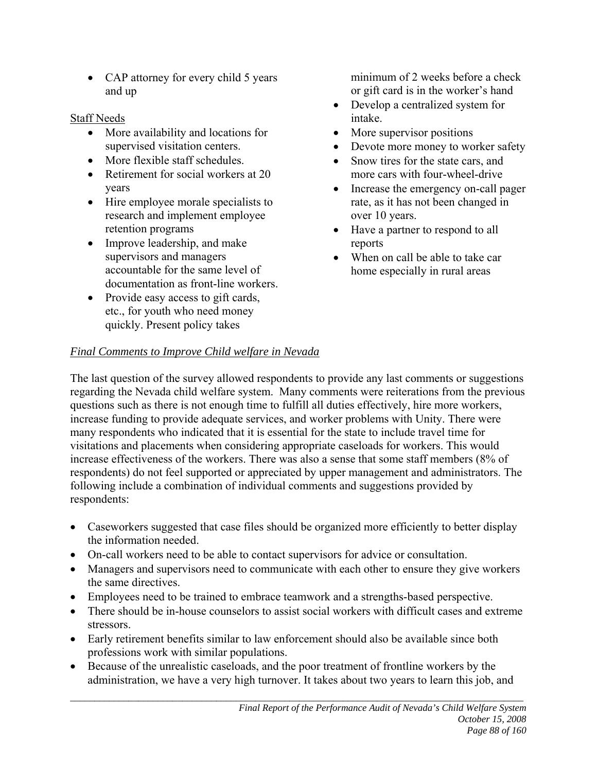• CAP attorney for every child 5 years and up

#### Staff Needs

- More availability and locations for supervised visitation centers.
- More flexible staff schedules.
- Retirement for social workers at 20 years
- Hire employee morale specialists to research and implement employee retention programs
- Improve leadership, and make supervisors and managers accountable for the same level of documentation as front-line workers.
- Provide easy access to gift cards, etc., for youth who need money quickly. Present policy takes

minimum of 2 weeks before a check or gift card is in the worker's hand

- Develop a centralized system for intake.
- More supervisor positions
- Devote more money to worker safety
- Snow tires for the state cars, and more cars with four-wheel-drive
- Increase the emergency on-call pager rate, as it has not been changed in over 10 years.
- Have a partner to respond to all reports
- When on call be able to take car home especially in rural areas

# *Final Comments to Improve Child welfare in Nevada*

The last question of the survey allowed respondents to provide any last comments or suggestions regarding the Nevada child welfare system. Many comments were reiterations from the previous questions such as there is not enough time to fulfill all duties effectively, hire more workers, increase funding to provide adequate services, and worker problems with Unity. There were many respondents who indicated that it is essential for the state to include travel time for visitations and placements when considering appropriate caseloads for workers. This would increase effectiveness of the workers. There was also a sense that some staff members (8% of respondents) do not feel supported or appreciated by upper management and administrators. The following include a combination of individual comments and suggestions provided by respondents:

- Caseworkers suggested that case files should be organized more efficiently to better display the information needed.
- On-call workers need to be able to contact supervisors for advice or consultation.
- Managers and supervisors need to communicate with each other to ensure they give workers the same directives.
- Employees need to be trained to embrace teamwork and a strengths-based perspective.
- There should be in-house counselors to assist social workers with difficult cases and extreme stressors.
- Early retirement benefits similar to law enforcement should also be available since both professions work with similar populations.
- Because of the unrealistic caseloads, and the poor treatment of frontline workers by the administration, we have a very high turnover. It takes about two years to learn this job, and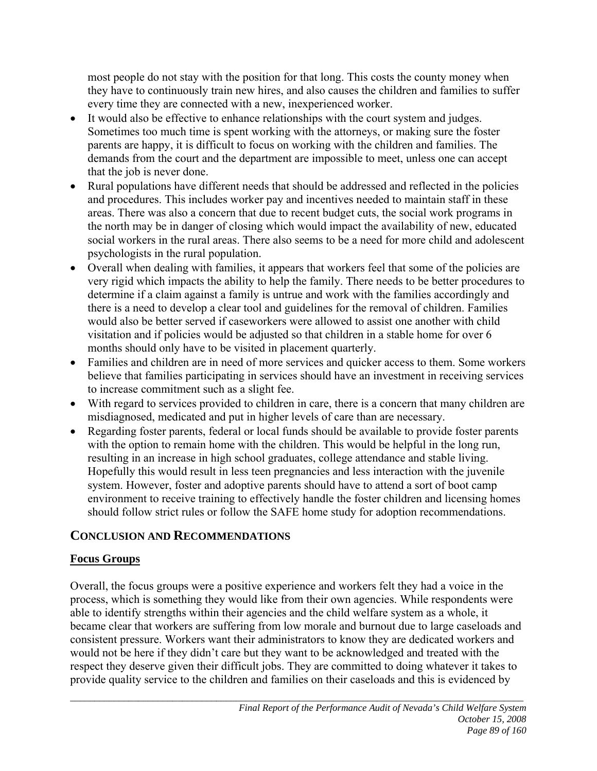most people do not stay with the position for that long. This costs the county money when they have to continuously train new hires, and also causes the children and families to suffer every time they are connected with a new, inexperienced worker.

- It would also be effective to enhance relationships with the court system and judges. Sometimes too much time is spent working with the attorneys, or making sure the foster parents are happy, it is difficult to focus on working with the children and families. The demands from the court and the department are impossible to meet, unless one can accept that the job is never done.
- Rural populations have different needs that should be addressed and reflected in the policies and procedures. This includes worker pay and incentives needed to maintain staff in these areas. There was also a concern that due to recent budget cuts, the social work programs in the north may be in danger of closing which would impact the availability of new, educated social workers in the rural areas. There also seems to be a need for more child and adolescent psychologists in the rural population.
- Overall when dealing with families, it appears that workers feel that some of the policies are very rigid which impacts the ability to help the family. There needs to be better procedures to determine if a claim against a family is untrue and work with the families accordingly and there is a need to develop a clear tool and guidelines for the removal of children. Families would also be better served if caseworkers were allowed to assist one another with child visitation and if policies would be adjusted so that children in a stable home for over 6 months should only have to be visited in placement quarterly.
- Families and children are in need of more services and quicker access to them. Some workers believe that families participating in services should have an investment in receiving services to increase commitment such as a slight fee.
- With regard to services provided to children in care, there is a concern that many children are misdiagnosed, medicated and put in higher levels of care than are necessary.
- Regarding foster parents, federal or local funds should be available to provide foster parents with the option to remain home with the children. This would be helpful in the long run, resulting in an increase in high school graduates, college attendance and stable living. Hopefully this would result in less teen pregnancies and less interaction with the juvenile system. However, foster and adoptive parents should have to attend a sort of boot camp environment to receive training to effectively handle the foster children and licensing homes should follow strict rules or follow the SAFE home study for adoption recommendations.

# **CONCLUSION AND RECOMMENDATIONS**

# **Focus Groups**

Overall, the focus groups were a positive experience and workers felt they had a voice in the process, which is something they would like from their own agencies. While respondents were able to identify strengths within their agencies and the child welfare system as a whole, it became clear that workers are suffering from low morale and burnout due to large caseloads and consistent pressure. Workers want their administrators to know they are dedicated workers and would not be here if they didn't care but they want to be acknowledged and treated with the respect they deserve given their difficult jobs. They are committed to doing whatever it takes to provide quality service to the children and families on their caseloads and this is evidenced by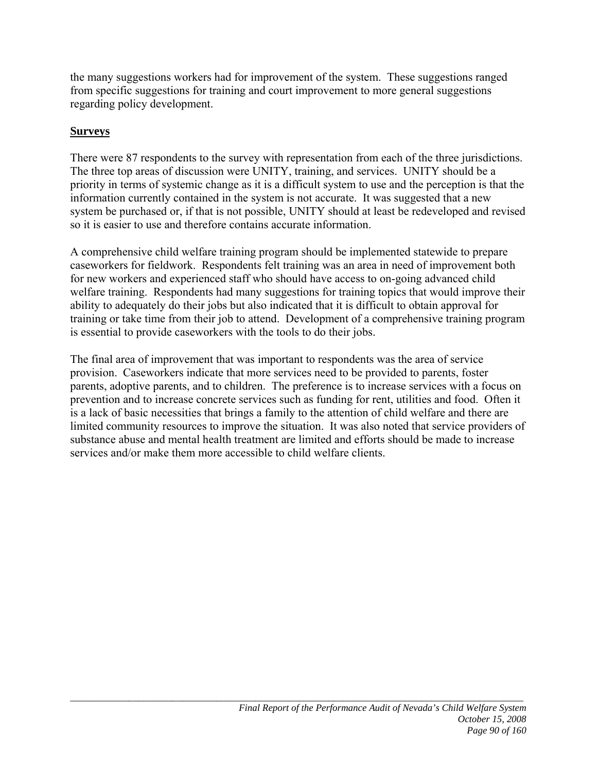the many suggestions workers had for improvement of the system. These suggestions ranged from specific suggestions for training and court improvement to more general suggestions regarding policy development.

### **Surveys**

There were 87 respondents to the survey with representation from each of the three jurisdictions. The three top areas of discussion were UNITY, training, and services. UNITY should be a priority in terms of systemic change as it is a difficult system to use and the perception is that the information currently contained in the system is not accurate. It was suggested that a new system be purchased or, if that is not possible, UNITY should at least be redeveloped and revised so it is easier to use and therefore contains accurate information.

A comprehensive child welfare training program should be implemented statewide to prepare caseworkers for fieldwork. Respondents felt training was an area in need of improvement both for new workers and experienced staff who should have access to on-going advanced child welfare training. Respondents had many suggestions for training topics that would improve their ability to adequately do their jobs but also indicated that it is difficult to obtain approval for training or take time from their job to attend. Development of a comprehensive training program is essential to provide caseworkers with the tools to do their jobs.

The final area of improvement that was important to respondents was the area of service provision. Caseworkers indicate that more services need to be provided to parents, foster parents, adoptive parents, and to children. The preference is to increase services with a focus on prevention and to increase concrete services such as funding for rent, utilities and food. Often it is a lack of basic necessities that brings a family to the attention of child welfare and there are limited community resources to improve the situation. It was also noted that service providers of substance abuse and mental health treatment are limited and efforts should be made to increase services and/or make them more accessible to child welfare clients.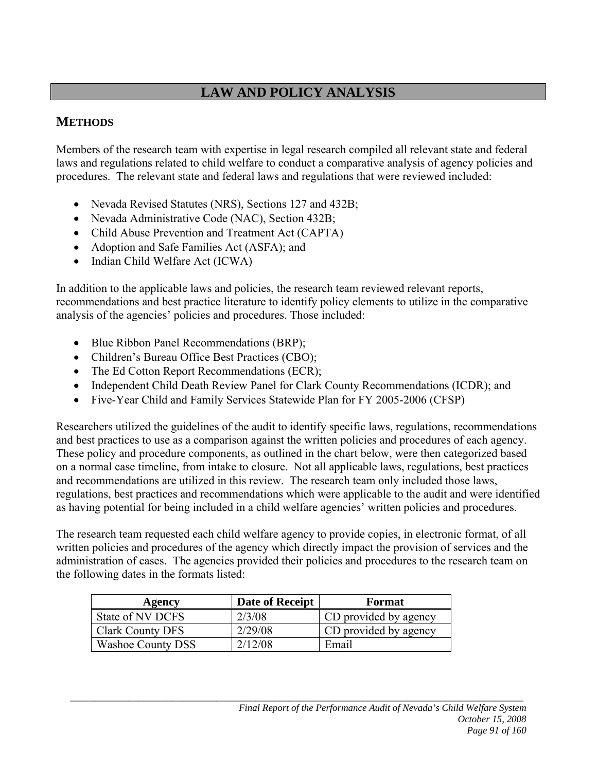# **LAW AND POLICY ANALYSIS**

# **METHODS**

Members of the research team with expertise in legal research compiled all relevant state and federal laws and regulations related to child welfare to conduct a comparative analysis of agency policies and procedures. The relevant state and federal laws and regulations that were reviewed included:

- Nevada Revised Statutes (NRS), Sections 127 and 432B;
- Nevada Administrative Code (NAC), Section 432B;
- Child Abuse Prevention and Treatment Act (CAPTA)
- Adoption and Safe Families Act (ASFA); and
- Indian Child Welfare Act (ICWA)

In addition to the applicable laws and policies, the research team reviewed relevant reports, recommendations and best practice literature to identify policy elements to utilize in the comparative analysis of the agencies' policies and procedures. Those included:

- Blue Ribbon Panel Recommendations (BRP);
- Children's Bureau Office Best Practices (CBO);
- The Ed Cotton Report Recommendations (ECR);
- Independent Child Death Review Panel for Clark County Recommendations (ICDR); and
- Five-Year Child and Family Services Statewide Plan for FY 2005-2006 (CFSP)

Researchers utilized the guidelines of the audit to identify specific laws, regulations, recommendations and best practices to use as a comparison against the written policies and procedures of each agency. These policy and procedure components, as outlined in the chart below, were then categorized based on a normal case timeline, from intake to closure. Not all applicable laws, regulations, best practices and recommendations are utilized in this review. The research team only included those laws, regulations, best practices and recommendations which were applicable to the audit and were identified as having potential for being included in a child welfare agencies' written policies and procedures.

The research team requested each child welfare agency to provide copies, in electronic format, of all written policies and procedures of the agency which directly impact the provision of services and the administration of cases. The agencies provided their policies and procedures to the research team on the following dates in the formats listed:

| Agency                   | Date of Receipt | Format                |
|--------------------------|-----------------|-----------------------|
| State of NV DCFS         | 2/3/08          | CD provided by agency |
| <b>Clark County DFS</b>  | 2/29/08         | CD provided by agency |
| <b>Washoe County DSS</b> | 2/12/08         | Email                 |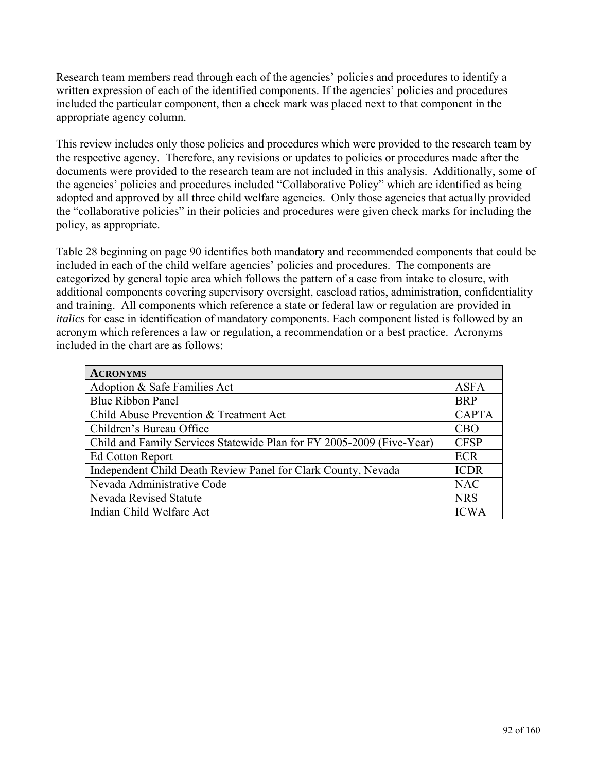Research team members read through each of the agencies' policies and procedures to identify a written expression of each of the identified components. If the agencies' policies and procedures included the particular component, then a check mark was placed next to that component in the appropriate agency column.

This review includes only those policies and procedures which were provided to the research team by the respective agency. Therefore, any revisions or updates to policies or procedures made after the documents were provided to the research team are not included in this analysis. Additionally, some of the agencies' policies and procedures included "Collaborative Policy" which are identified as being adopted and approved by all three child welfare agencies. Only those agencies that actually provided the "collaborative policies" in their policies and procedures were given check marks for including the policy, as appropriate.

Table 28 beginning on page 90 identifies both mandatory and recommended components that could be included in each of the child welfare agencies' policies and procedures. The components are categorized by general topic area which follows the pattern of a case from intake to closure, with additional components covering supervisory oversight, caseload ratios, administration, confidentiality and training. All components which reference a state or federal law or regulation are provided in *italics* for ease in identification of mandatory components. Each component listed is followed by an acronym which references a law or regulation, a recommendation or a best practice. Acronyms included in the chart are as follows:

| <b>ACRONYMS</b>                                                       |              |
|-----------------------------------------------------------------------|--------------|
| Adoption & Safe Families Act                                          | <b>ASFA</b>  |
| <b>Blue Ribbon Panel</b>                                              | <b>BRP</b>   |
| Child Abuse Prevention & Treatment Act                                | <b>CAPTA</b> |
| Children's Bureau Office                                              | <b>CBO</b>   |
| Child and Family Services Statewide Plan for FY 2005-2009 (Five-Year) | <b>CFSP</b>  |
| <b>Ed Cotton Report</b>                                               | <b>ECR</b>   |
| Independent Child Death Review Panel for Clark County, Nevada         | <b>ICDR</b>  |
| Nevada Administrative Code                                            | <b>NAC</b>   |
| Nevada Revised Statute                                                | <b>NRS</b>   |
| Indian Child Welfare Act                                              | <b>ICWA</b>  |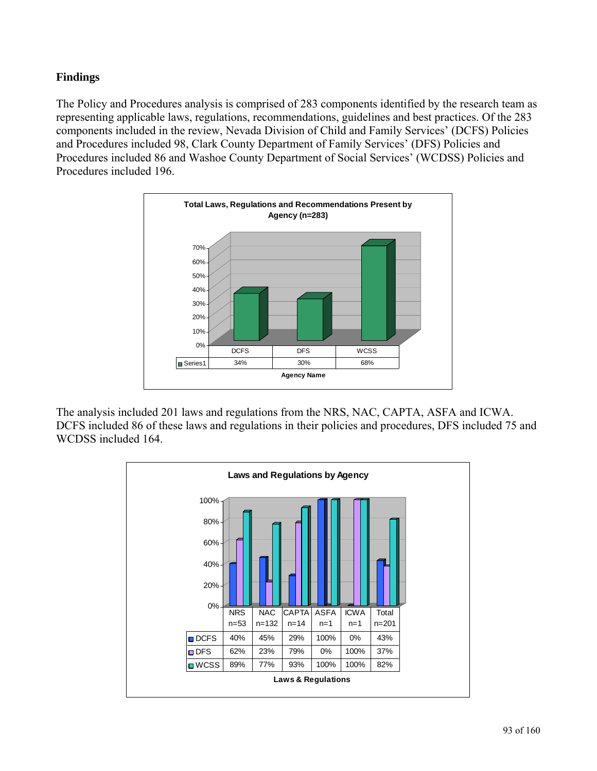#### **Findings**

The Policy and Procedures analysis is comprised of 283 components identified by the research team as representing applicable laws, regulations, recommendations, guidelines and best practices. Of the 283 components included in the review, Nevada Division of Child and Family Services' (DCFS) Policies and Procedures included 98, Clark County Department of Family Services' (DFS) Policies and Procedures included 86 and Washoe County Department of Social Services' (WCDSS) Policies and Procedures included 196.



The analysis included 201 laws and regulations from the NRS, NAC, CAPTA, ASFA and ICWA. DCFS included 86 of these laws and regulations in their policies and procedures, DFS included 75 and WCDSS included 164.

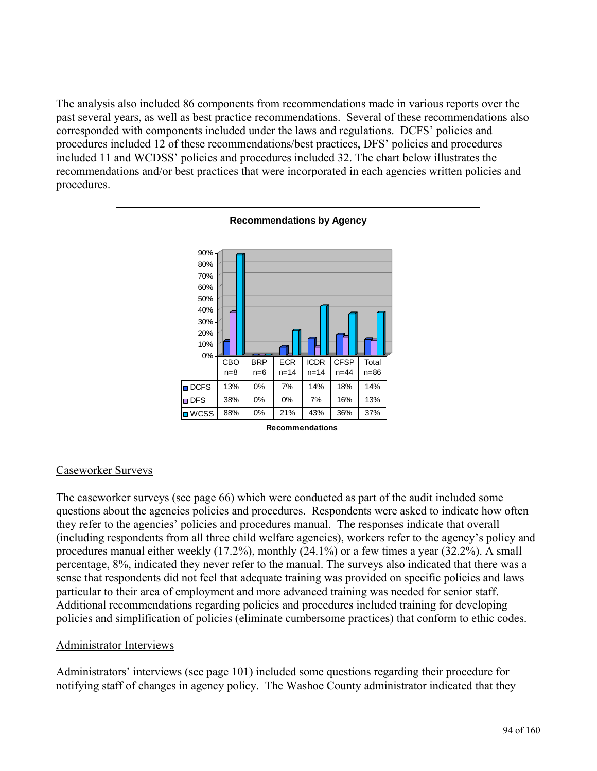The analysis also included 86 components from recommendations made in various reports over the past several years, as well as best practice recommendations. Several of these recommendations also corresponded with components included under the laws and regulations. DCFS' policies and procedures included 12 of these recommendations/best practices, DFS' policies and procedures included 11 and WCDSS' policies and procedures included 32. The chart below illustrates the recommendations and/or best practices that were incorporated in each agencies written policies and procedures.



#### Caseworker Surveys

The caseworker surveys (see page 66) which were conducted as part of the audit included some questions about the agencies policies and procedures. Respondents were asked to indicate how often they refer to the agencies' policies and procedures manual. The responses indicate that overall (including respondents from all three child welfare agencies), workers refer to the agency's policy and procedures manual either weekly (17.2%), monthly (24.1%) or a few times a year (32.2%). A small percentage, 8%, indicated they never refer to the manual. The surveys also indicated that there was a sense that respondents did not feel that adequate training was provided on specific policies and laws particular to their area of employment and more advanced training was needed for senior staff. Additional recommendations regarding policies and procedures included training for developing policies and simplification of policies (eliminate cumbersome practices) that conform to ethic codes.

#### Administrator Interviews

Administrators' interviews (see page 101) included some questions regarding their procedure for notifying staff of changes in agency policy. The Washoe County administrator indicated that they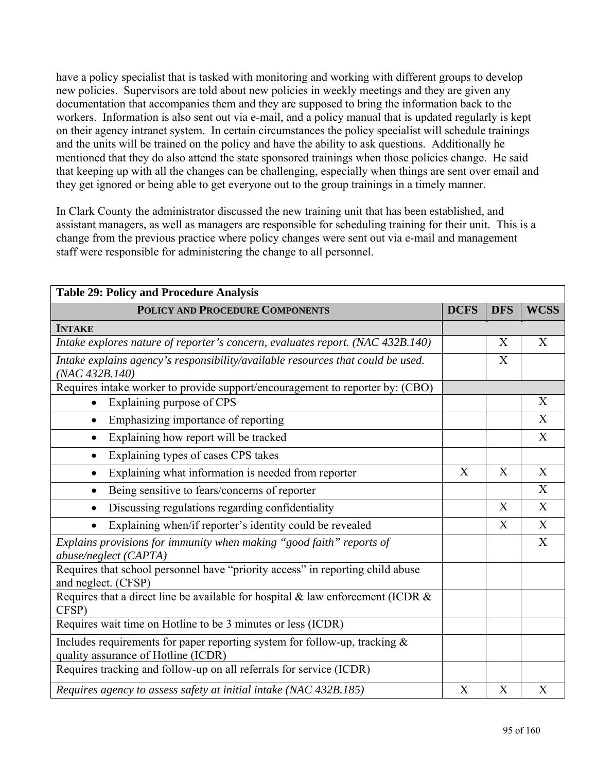have a policy specialist that is tasked with monitoring and working with different groups to develop new policies. Supervisors are told about new policies in weekly meetings and they are given any documentation that accompanies them and they are supposed to bring the information back to the workers. Information is also sent out via e-mail, and a policy manual that is updated regularly is kept on their agency intranet system. In certain circumstances the policy specialist will schedule trainings and the units will be trained on the policy and have the ability to ask questions. Additionally he mentioned that they do also attend the state sponsored trainings when those policies change. He said that keeping up with all the changes can be challenging, especially when things are sent over email and they get ignored or being able to get everyone out to the group trainings in a timely manner.

In Clark County the administrator discussed the new training unit that has been established, and assistant managers, as well as managers are responsible for scheduling training for their unit. This is a change from the previous practice where policy changes were sent out via e-mail and management staff were responsible for administering the change to all personnel.

| <b>Table 29: Policy and Procedure Analysis</b>                                                                       |              |            |                |
|----------------------------------------------------------------------------------------------------------------------|--------------|------------|----------------|
| POLICY AND PROCEDURE COMPONENTS                                                                                      | <b>DCFS</b>  | <b>DFS</b> | <b>WCSS</b>    |
| <b>INTAKE</b>                                                                                                        |              |            |                |
| Intake explores nature of reporter's concern, evaluates report. (NAC 432B.140)                                       |              | X          | X              |
| Intake explains agency's responsibility/available resources that could be used.<br>(NAC 432B.140)                    |              | X          |                |
| Requires intake worker to provide support/encouragement to reporter by: (CBO)                                        |              |            |                |
| Explaining purpose of CPS<br>$\bullet$                                                                               |              |            | X              |
| Emphasizing importance of reporting<br>$\bullet$                                                                     |              |            | X              |
| Explaining how report will be tracked<br>$\bullet$                                                                   |              |            | X              |
| Explaining types of cases CPS takes<br>$\bullet$                                                                     |              |            |                |
| Explaining what information is needed from reporter<br>$\bullet$                                                     | X            | X          | X              |
| Being sensitive to fears/concerns of reporter<br>$\bullet$                                                           |              |            | $\overline{X}$ |
| Discussing regulations regarding confidentiality<br>$\bullet$                                                        |              | X          | X              |
| Explaining when/if reporter's identity could be revealed<br>$\bullet$                                                |              | X          | X              |
| Explains provisions for immunity when making "good faith" reports of<br>abuse/neglect (CAPTA)                        |              |            | X              |
| Requires that school personnel have "priority access" in reporting child abuse<br>and neglect. (CFSP)                |              |            |                |
| Requires that a direct line be available for hospital $\&$ law enforcement (ICDR $\&$<br>CFSP)                       |              |            |                |
| Requires wait time on Hotline to be 3 minutes or less (ICDR)                                                         |              |            |                |
| Includes requirements for paper reporting system for follow-up, tracking $\&$<br>quality assurance of Hotline (ICDR) |              |            |                |
| Requires tracking and follow-up on all referrals for service (ICDR)                                                  |              |            |                |
| Requires agency to assess safety at initial intake (NAC 432B.185)                                                    | $\mathbf{X}$ | X          | $\mathbf{X}$   |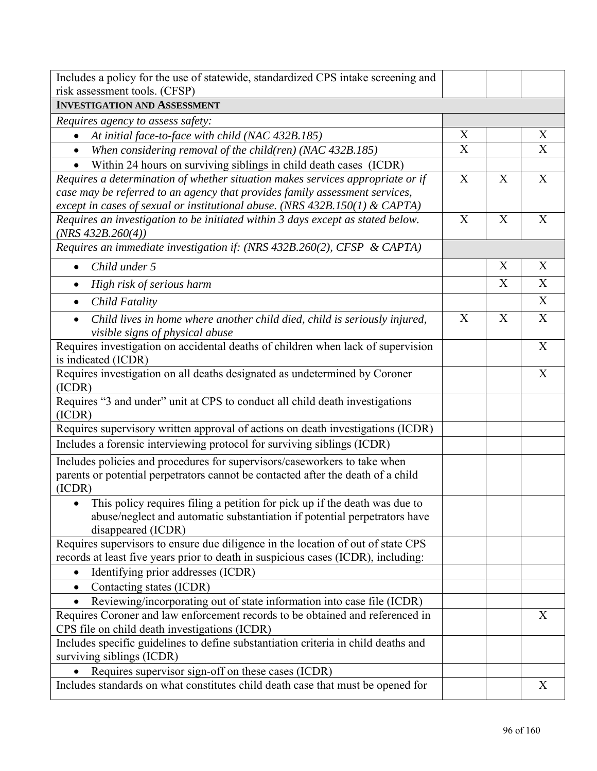| Includes a policy for the use of statewide, standardized CPS intake screening and<br>risk assessment tools. (CFSP)                                                              |   |   |   |
|---------------------------------------------------------------------------------------------------------------------------------------------------------------------------------|---|---|---|
| <b>INVESTIGATION AND ASSESSMENT</b>                                                                                                                                             |   |   |   |
| Requires agency to assess safety:                                                                                                                                               |   |   |   |
| At initial face-to-face with child (NAC 432B.185)<br>$\bullet$                                                                                                                  | X |   | X |
| When considering removal of the child(ren) (NAC 432B.185)                                                                                                                       | X |   | X |
| Within 24 hours on surviving siblings in child death cases (ICDR)<br>$\bullet$                                                                                                  |   |   |   |
| Requires a determination of whether situation makes services appropriate or if                                                                                                  | X | X | X |
| case may be referred to an agency that provides family assessment services,                                                                                                     |   |   |   |
| except in cases of sexual or institutional abuse. (NRS $432B.150(1)$ & CAPTA)                                                                                                   |   |   |   |
| Requires an investigation to be initiated within 3 days except as stated below.<br>(NRS 432B.260(4))                                                                            | X | X | X |
| Requires an immediate investigation if: (NRS 432B.260(2), CFSP & CAPTA)                                                                                                         |   |   |   |
| Child under 5<br>$\bullet$                                                                                                                                                      |   | X | X |
| High risk of serious harm                                                                                                                                                       |   | X | X |
| <b>Child Fatality</b>                                                                                                                                                           |   |   | X |
| Child lives in home where another child died, child is seriously injured,                                                                                                       | X | X | X |
| visible signs of physical abuse                                                                                                                                                 |   |   |   |
| Requires investigation on accidental deaths of children when lack of supervision<br>is indicated (ICDR)                                                                         |   |   | X |
| Requires investigation on all deaths designated as undetermined by Coroner                                                                                                      |   |   | X |
| (ICDR)                                                                                                                                                                          |   |   |   |
| Requires "3 and under" unit at CPS to conduct all child death investigations<br>(ICDR)                                                                                          |   |   |   |
| Requires supervisory written approval of actions on death investigations (ICDR)                                                                                                 |   |   |   |
| Includes a forensic interviewing protocol for surviving siblings (ICDR)                                                                                                         |   |   |   |
| Includes policies and procedures for supervisors/caseworkers to take when                                                                                                       |   |   |   |
| parents or potential perpetrators cannot be contacted after the death of a child<br>(ICDR)                                                                                      |   |   |   |
| • This policy requires filing a petition for pick up if the death was due to<br>abuse/neglect and automatic substantiation if potential perpetrators have<br>disappeared (ICDR) |   |   |   |
| Requires supervisors to ensure due diligence in the location of out of state CPS                                                                                                |   |   |   |
| records at least five years prior to death in suspicious cases (ICDR), including:                                                                                               |   |   |   |
| Identifying prior addresses (ICDR)                                                                                                                                              |   |   |   |
| Contacting states (ICDR)<br>$\bullet$                                                                                                                                           |   |   |   |
| Reviewing/incorporating out of state information into case file (ICDR)                                                                                                          |   |   |   |
| Requires Coroner and law enforcement records to be obtained and referenced in<br>CPS file on child death investigations (ICDR)                                                  |   |   | X |
| Includes specific guidelines to define substantiation criteria in child deaths and<br>surviving siblings (ICDR)                                                                 |   |   |   |
| Requires supervisor sign-off on these cases (ICDR)                                                                                                                              |   |   |   |
| Includes standards on what constitutes child death case that must be opened for                                                                                                 |   |   | X |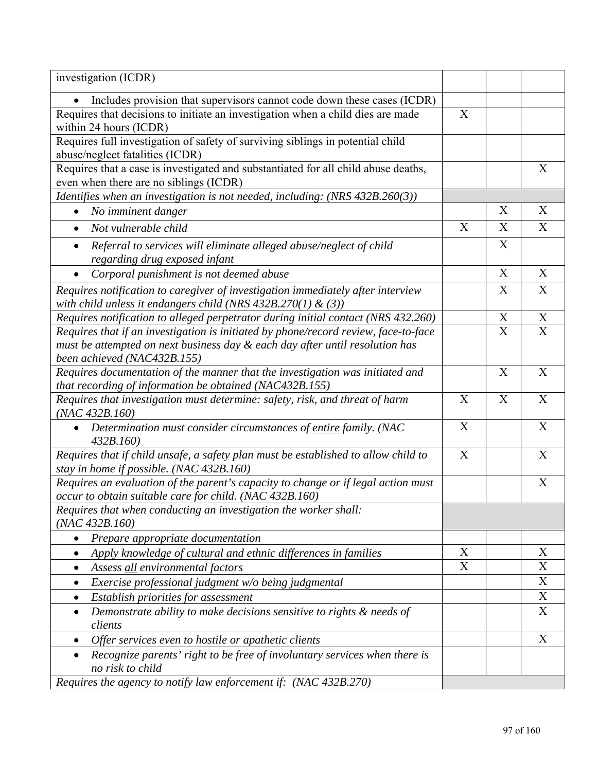| investigation (ICDR)                                                                                                                                                                               |                           |   |                           |
|----------------------------------------------------------------------------------------------------------------------------------------------------------------------------------------------------|---------------------------|---|---------------------------|
| Includes provision that supervisors cannot code down these cases (ICDR)                                                                                                                            |                           |   |                           |
| Requires that decisions to initiate an investigation when a child dies are made<br>within 24 hours (ICDR)                                                                                          | X                         |   |                           |
| Requires full investigation of safety of surviving siblings in potential child<br>abuse/neglect fatalities (ICDR)                                                                                  |                           |   |                           |
| Requires that a case is investigated and substantiated for all child abuse deaths,<br>even when there are no siblings (ICDR)                                                                       |                           |   | X                         |
| Identifies when an investigation is not needed, including: (NRS 432B.260(3))                                                                                                                       |                           |   |                           |
| No imminent danger<br>$\bullet$                                                                                                                                                                    |                           | X | X                         |
| Not vulnerable child<br>$\bullet$                                                                                                                                                                  | $\boldsymbol{\mathrm{X}}$ | X | X                         |
| Referral to services will eliminate alleged abuse/neglect of child<br>$\bullet$<br>regarding drug exposed infant                                                                                   |                           | X |                           |
| Corporal punishment is not deemed abuse                                                                                                                                                            |                           | X | X                         |
| Requires notification to caregiver of investigation immediately after interview<br>with child unless it endangers child (NRS $432B.270(1) \& (3)$ )                                                |                           | X | X                         |
| Requires notification to alleged perpetrator during initial contact (NRS 432.260)                                                                                                                  |                           | X | X                         |
| Requires that if an investigation is initiated by phone/record review, face-to-face<br>must be attempted on next business day & each day after until resolution has<br>been achieved (NAC432B.155) |                           | X | X                         |
| Requires documentation of the manner that the investigation was initiated and<br>that recording of information be obtained (NAC432B.155)                                                           |                           | X | X                         |
| Requires that investigation must determine: safety, risk, and threat of harm<br>(NAC 432B.160)                                                                                                     | X                         | X | X                         |
| Determination must consider circumstances of entire family. (NAC<br>$\bullet$<br>432B.160                                                                                                          | $\boldsymbol{\mathrm{X}}$ |   | X                         |
| Requires that if child unsafe, a safety plan must be established to allow child to<br>stay in home if possible. (NAC 432B.160)                                                                     | $\mathbf X$               |   | X                         |
| Requires an evaluation of the parent's capacity to change or if legal action must<br>occur to obtain suitable care for child. (NAC 432B.160)                                                       |                           |   | X                         |
| Requires that when conducting an investigation the worker shall:<br>(NAC 432B.160)                                                                                                                 |                           |   |                           |
| Prepare appropriate documentation                                                                                                                                                                  |                           |   |                           |
| Apply knowledge of cultural and ethnic differences in families                                                                                                                                     | X                         |   | X                         |
| Assess all environmental factors                                                                                                                                                                   | $\boldsymbol{\mathrm{X}}$ |   | X                         |
| Exercise professional judgment w/o being judgmental                                                                                                                                                |                           |   | $\boldsymbol{\mathrm{X}}$ |
| Establish priorities for assessment                                                                                                                                                                |                           |   | X                         |
| Demonstrate ability to make decisions sensitive to rights $\&$ needs of<br>٠<br>clients                                                                                                            |                           |   | $\boldsymbol{\mathrm{X}}$ |
| Offer services even to hostile or apathetic clients<br>$\bullet$                                                                                                                                   |                           |   | X                         |
| Recognize parents' right to be free of involuntary services when there is<br>no risk to child                                                                                                      |                           |   |                           |
| Requires the agency to notify law enforcement if: (NAC 432B.270)                                                                                                                                   |                           |   |                           |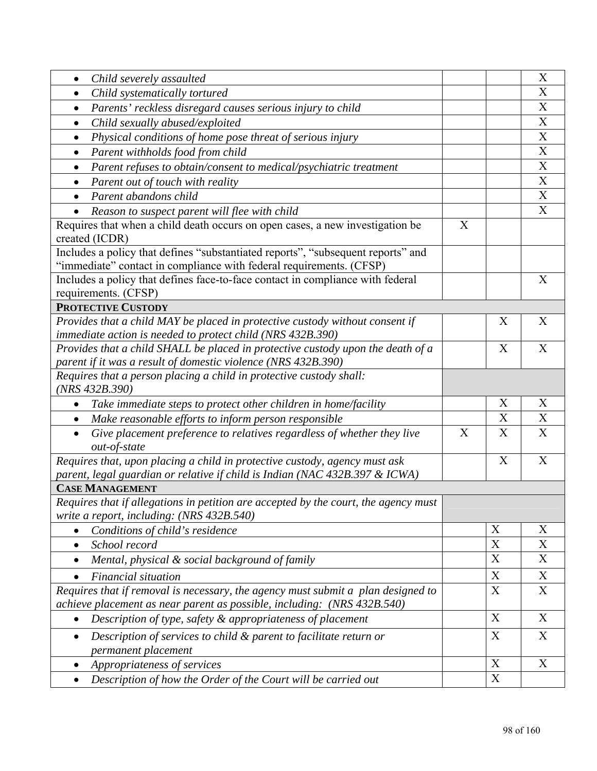| Child severely assaulted<br>$\bullet$                                               |   |                  | X                         |
|-------------------------------------------------------------------------------------|---|------------------|---------------------------|
| Child systematically tortured<br>$\bullet$                                          |   |                  | $\boldsymbol{\mathrm{X}}$ |
| Parents' reckless disregard causes serious injury to child<br>$\bullet$             |   |                  | X                         |
| Child sexually abused/exploited<br>$\bullet$                                        |   |                  | $\mathbf X$               |
| Physical conditions of home pose threat of serious injury<br>$\bullet$              |   |                  | X                         |
| Parent withholds food from child<br>$\bullet$                                       |   |                  | $\overline{X}$            |
| Parent refuses to obtain/consent to medical/psychiatric treatment<br>$\bullet$      |   |                  | $\mathbf X$               |
| Parent out of touch with reality                                                    |   |                  | $\mathbf X$               |
| Parent abandons child<br>$\bullet$                                                  |   |                  | X                         |
| Reason to suspect parent will flee with child                                       |   |                  | X                         |
| Requires that when a child death occurs on open cases, a new investigation be       | X |                  |                           |
| created (ICDR)                                                                      |   |                  |                           |
| Includes a policy that defines "substantiated reports", "subsequent reports" and    |   |                  |                           |
| "immediate" contact in compliance with federal requirements. (CFSP)                 |   |                  |                           |
| Includes a policy that defines face-to-face contact in compliance with federal      |   |                  | X                         |
| requirements. (CFSP)                                                                |   |                  |                           |
| <b>PROTECTIVE CUSTODY</b>                                                           |   |                  |                           |
| Provides that a child MAY be placed in protective custody without consent if        |   | X                | X                         |
| immediate action is needed to protect child (NRS 432B.390)                          |   |                  |                           |
| Provides that a child SHALL be placed in protective custody upon the death of a     |   | X                | X                         |
| parent if it was a result of domestic violence (NRS 432B.390)                       |   |                  |                           |
| Requires that a person placing a child in protective custody shall:                 |   |                  |                           |
| (NRS 432B.390)                                                                      |   |                  |                           |
| Take immediate steps to protect other children in home/facility                     |   | X                | X                         |
| Make reasonable efforts to inform person responsible<br>$\bullet$                   |   | $\boldsymbol{X}$ | X                         |
| Give placement preference to relatives regardless of whether they live<br>$\bullet$ | X | X                | X                         |
| out-of-state                                                                        |   |                  |                           |
| Requires that, upon placing a child in protective custody, agency must ask          |   | X                | X                         |
| parent, legal guardian or relative if child is Indian (NAC 432B.397 & ICWA)         |   |                  |                           |
| <b>CASE MANAGEMENT</b>                                                              |   |                  |                           |
| Requires that if allegations in petition are accepted by the court, the agency must |   |                  |                           |
| write a report, including: (NRS 432B.540)                                           |   |                  |                           |
| Conditions of child's residence                                                     |   | X                | X                         |
| School record<br>$\bullet$                                                          |   | X                | X                         |
| Mental, physical & social background of family                                      |   | X                | X                         |
| Financial situation                                                                 |   | X                | X                         |
| Requires that if removal is necessary, the agency must submit a plan designed to    |   | X                | X                         |
| achieve placement as near parent as possible, including: (NRS 432B.540)             |   |                  |                           |
| Description of type, safety & appropriateness of placement                          |   | X                | X                         |
| Description of services to child & parent to facilitate return or                   |   | X                | X                         |
| permanent placement                                                                 |   |                  |                           |
| Appropriateness of services                                                         |   | X                | X                         |
| Description of how the Order of the Court will be carried out                       |   | $\mathbf X$      |                           |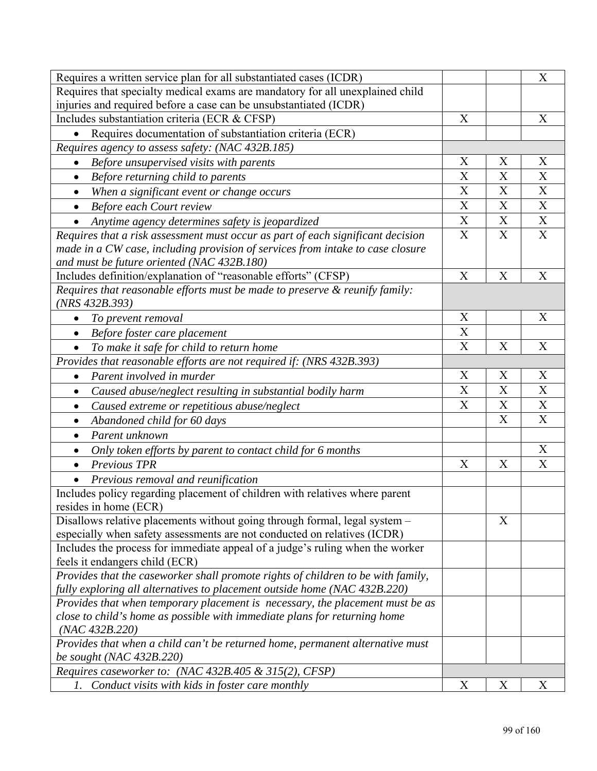| Requires a written service plan for all substantiated cases (ICDR)                                   |   |                           | X                         |
|------------------------------------------------------------------------------------------------------|---|---------------------------|---------------------------|
| Requires that specialty medical exams are mandatory for all unexplained child                        |   |                           |                           |
| injuries and required before a case can be unsubstantiated (ICDR)                                    |   |                           |                           |
| Includes substantiation criteria (ECR & CFSP)                                                        | X |                           | X                         |
| Requires documentation of substantiation criteria (ECR)                                              |   |                           |                           |
| Requires agency to assess safety: (NAC 432B.185)                                                     |   |                           |                           |
| Before unsupervised visits with parents                                                              | X | X                         | X                         |
| Before returning child to parents<br>$\bullet$                                                       | X | X                         | X                         |
| When a significant event or change occurs                                                            | X | X                         | $\boldsymbol{\mathrm{X}}$ |
| Before each Court review<br>$\bullet$                                                                | X | X                         | X                         |
| Anytime agency determines safety is jeopardized                                                      | X | $\boldsymbol{\mathrm{X}}$ | $\mathbf X$               |
| Requires that a risk assessment must occur as part of each significant decision                      | X | X                         | $\mathbf X$               |
| made in a CW case, including provision of services from intake to case closure                       |   |                           |                           |
| and must be future oriented (NAC 432B.180)                                                           |   |                           |                           |
| Includes definition/explanation of "reasonable efforts" (CFSP)                                       | X | $\mathbf X$               | X                         |
| Requires that reasonable efforts must be made to preserve & reunify family:<br>(NRS 432B.393)        |   |                           |                           |
| To prevent removal                                                                                   | X |                           | X                         |
| Before foster care placement                                                                         | X |                           |                           |
| To make it safe for child to return home                                                             | X | X                         | X                         |
| Provides that reasonable efforts are not required if: (NRS 432B.393)                                 |   |                           |                           |
| Parent involved in murder                                                                            | X | X                         | X                         |
| Caused abuse/neglect resulting in substantial bodily harm                                            | X | X                         | X                         |
| Caused extreme or repetitious abuse/neglect<br>$\bullet$                                             | X | X                         | X                         |
|                                                                                                      |   | $\mathbf X$               | X                         |
| Abandoned child for 60 days                                                                          |   |                           |                           |
| Parent unknown<br>$\bullet$                                                                          |   |                           |                           |
| Only token efforts by parent to contact child for 6 months                                           |   |                           | X                         |
| <b>Previous TPR</b><br>$\bullet$                                                                     | X | X                         | X                         |
| Previous removal and reunification                                                                   |   |                           |                           |
| Includes policy regarding placement of children with relatives where parent<br>resides in home (ECR) |   |                           |                           |
| Disallows relative placements without going through formal, legal system -                           |   | X                         |                           |
| especially when safety assessments are not conducted on relatives (ICDR)                             |   |                           |                           |
| Includes the process for immediate appeal of a judge's ruling when the worker                        |   |                           |                           |
| feels it endangers child (ECR)                                                                       |   |                           |                           |
| Provides that the caseworker shall promote rights of children to be with family,                     |   |                           |                           |
| fully exploring all alternatives to placement outside home (NAC 432B.220)                            |   |                           |                           |
| Provides that when temporary placement is necessary, the placement must be as                        |   |                           |                           |
| close to child's home as possible with immediate plans for returning home                            |   |                           |                           |
| (NAC 432B.220)                                                                                       |   |                           |                           |
| Provides that when a child can't be returned home, permanent alternative must                        |   |                           |                           |
| be sought (NAC $432B.220$ )                                                                          |   |                           |                           |
| Requires caseworker to: (NAC 432B.405 & 315(2), CFSP)                                                |   |                           |                           |
| 1. Conduct visits with kids in foster care monthly                                                   | X | X                         | Χ                         |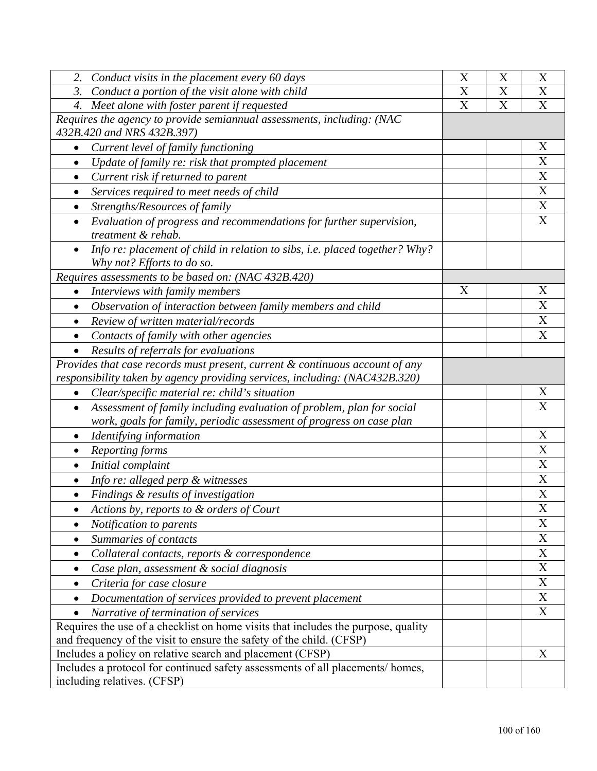| 2.<br>Conduct visits in the placement every 60 days                                                       | X | X                     | X                         |
|-----------------------------------------------------------------------------------------------------------|---|-----------------------|---------------------------|
| 3.<br>Conduct a portion of the visit alone with child                                                     | X | X                     | X                         |
| Meet alone with foster parent if requested<br>$\mathcal{A}_{\cdot}$                                       | X | $\overline{\text{X}}$ | $\overline{X}$            |
| Requires the agency to provide semiannual assessments, including: (NAC                                    |   |                       |                           |
| 432B.420 and NRS 432B.397)                                                                                |   |                       |                           |
| Current level of family functioning<br>$\bullet$                                                          |   |                       | X                         |
| Update of family re: risk that prompted placement<br>$\bullet$                                            |   |                       | X                         |
| Current risk if returned to parent<br>$\bullet$                                                           |   |                       | X                         |
| Services required to meet needs of child<br>$\bullet$                                                     |   |                       | X                         |
| Strengths/Resources of family<br>$\bullet$                                                                |   |                       | $\mathbf X$               |
| Evaluation of progress and recommendations for further supervision,<br>$\bullet$<br>treatment & rehab.    |   |                       | X                         |
| Info re: placement of child in relation to sibs, i.e. placed together? Why?<br>Why not? Efforts to do so. |   |                       |                           |
| Requires assessments to be based on: (NAC 432B.420)                                                       |   |                       |                           |
| Interviews with family members<br>$\bullet$                                                               | X |                       | X                         |
| Observation of interaction between family members and child<br>$\bullet$                                  |   |                       | X                         |
| Review of written material/records<br>$\bullet$                                                           |   |                       | X                         |
| Contacts of family with other agencies<br>$\bullet$                                                       |   |                       | X                         |
| Results of referrals for evaluations                                                                      |   |                       |                           |
| Provides that case records must present, current & continuous account of any                              |   |                       |                           |
| responsibility taken by agency providing services, including: (NAC432B.320)                               |   |                       |                           |
| Clear/specific material re: child's situation<br>$\bullet$                                                |   |                       | X                         |
| Assessment of family including evaluation of problem, plan for social<br>$\bullet$                        |   |                       | X                         |
| work, goals for family, periodic assessment of progress on case plan                                      |   |                       |                           |
| Identifying information                                                                                   |   |                       | X                         |
| Reporting forms<br>$\bullet$                                                                              |   |                       | X                         |
| Initial complaint<br>$\bullet$                                                                            |   |                       | X                         |
| Info re: alleged perp & witnesses<br>$\bullet$                                                            |   |                       | $\boldsymbol{\mathrm{X}}$ |
| Findings & results of investigation<br>$\bullet$                                                          |   |                       | X                         |
| Actions by, reports to & orders of Court                                                                  |   |                       | X                         |
| Notification to parents<br>$\bullet$                                                                      |   |                       | X                         |
| Summaries of contacts<br>$\bullet$                                                                        |   |                       | X                         |
| Collateral contacts, reports & correspondence<br>$\bullet$                                                |   |                       | X                         |
| Case plan, assessment & social diagnosis<br>$\bullet$                                                     |   |                       | X                         |
| Criteria for case closure<br>$\bullet$                                                                    |   |                       | X                         |
| Documentation of services provided to prevent placement<br>$\bullet$                                      |   |                       | X                         |
| Narrative of termination of services                                                                      |   |                       | $\mathbf X$               |
| Requires the use of a checklist on home visits that includes the purpose, quality                         |   |                       |                           |
| and frequency of the visit to ensure the safety of the child. (CFSP)                                      |   |                       |                           |
| Includes a policy on relative search and placement (CFSP)                                                 |   |                       | X                         |
| Includes a protocol for continued safety assessments of all placements/homes,                             |   |                       |                           |
| including relatives. (CFSP)                                                                               |   |                       |                           |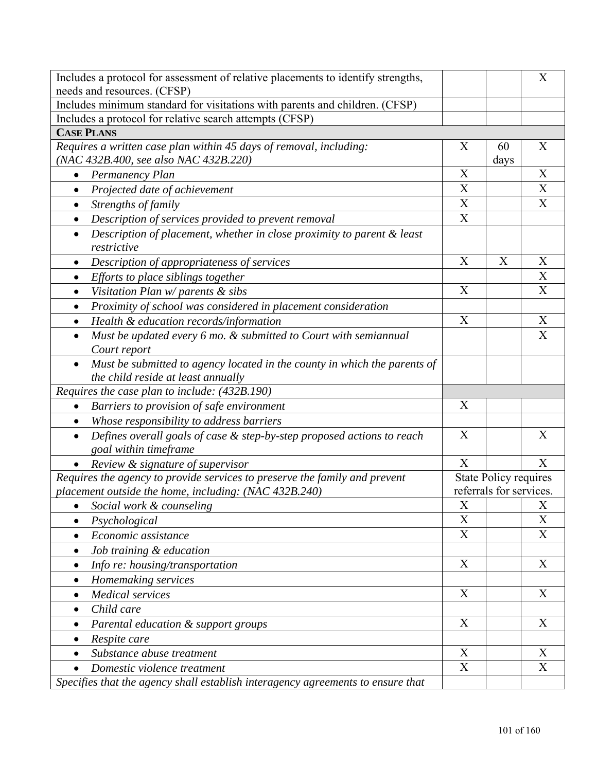| Includes a protocol for assessment of relative placements to identify strengths,       |   |                              | $\boldsymbol{X}$ |
|----------------------------------------------------------------------------------------|---|------------------------------|------------------|
| needs and resources. (CFSP)                                                            |   |                              |                  |
| Includes minimum standard for visitations with parents and children. (CFSP)            |   |                              |                  |
| Includes a protocol for relative search attempts (CFSP)                                |   |                              |                  |
| <b>CASE PLANS</b>                                                                      |   |                              |                  |
| Requires a written case plan within 45 days of removal, including:                     | X | 60                           | X                |
| (NAC 432B.400, see also NAC 432B.220)                                                  |   | days                         |                  |
| Permanency Plan<br>$\bullet$                                                           | X |                              | X                |
| Projected date of achievement<br>$\bullet$                                             | X |                              | X                |
| Strengths of family<br>$\bullet$                                                       | X |                              | X                |
| Description of services provided to prevent removal<br>$\bullet$                       | X |                              |                  |
| Description of placement, whether in close proximity to parent & least<br>$\bullet$    |   |                              |                  |
| restrictive                                                                            |   |                              |                  |
| Description of appropriateness of services                                             | X | X                            | X                |
| Efforts to place siblings together<br>$\bullet$                                        |   |                              | X                |
| Visitation Plan w/ parents & sibs<br>$\bullet$                                         | X |                              | X                |
| Proximity of school was considered in placement consideration<br>$\bullet$             |   |                              |                  |
| Health & education records/information                                                 | X |                              | $\mathbf X$      |
| Must be updated every 6 mo. & submitted to Court with semiannual<br>$\bullet$          |   |                              | $\mathbf X$      |
| Court report                                                                           |   |                              |                  |
| Must be submitted to agency located in the county in which the parents of<br>$\bullet$ |   |                              |                  |
| the child reside at least annually                                                     |   |                              |                  |
| Requires the case plan to include: (432B.190)                                          |   |                              |                  |
| Barriers to provision of safe environment<br>$\bullet$                                 | X |                              |                  |
| Whose responsibility to address barriers<br>$\bullet$                                  |   |                              |                  |
| Defines overall goals of case & step-by-step proposed actions to reach<br>$\bullet$    | X |                              | X                |
| goal within timeframe                                                                  |   |                              |                  |
| Review & signature of supervisor                                                       | X |                              | X                |
| Requires the agency to provide services to preserve the family and prevent             |   | <b>State Policy requires</b> |                  |
| placement outside the home, including: (NAC 432B.240)                                  |   | referrals for services.      |                  |
| Social work & counseling                                                               | X |                              | X                |
| Psychological                                                                          | X |                              | X                |
| Economic assistance<br>$\bullet$                                                       | X |                              | X                |
| Job training & education                                                               |   |                              |                  |
| Info re: housing/transportation                                                        | X |                              | X                |
| Homemaking services<br>$\bullet$                                                       |   |                              |                  |
| <b>Medical services</b><br>$\bullet$                                                   | X |                              | X                |
| Child care<br>$\bullet$                                                                |   |                              |                  |
| Parental education & support groups                                                    | X |                              | X                |
| Respite care<br>$\bullet$                                                              |   |                              |                  |
| Substance abuse treatment                                                              | X |                              | X                |
| Domestic violence treatment                                                            | X |                              | X                |
| Specifies that the agency shall establish interagency agreements to ensure that        |   |                              |                  |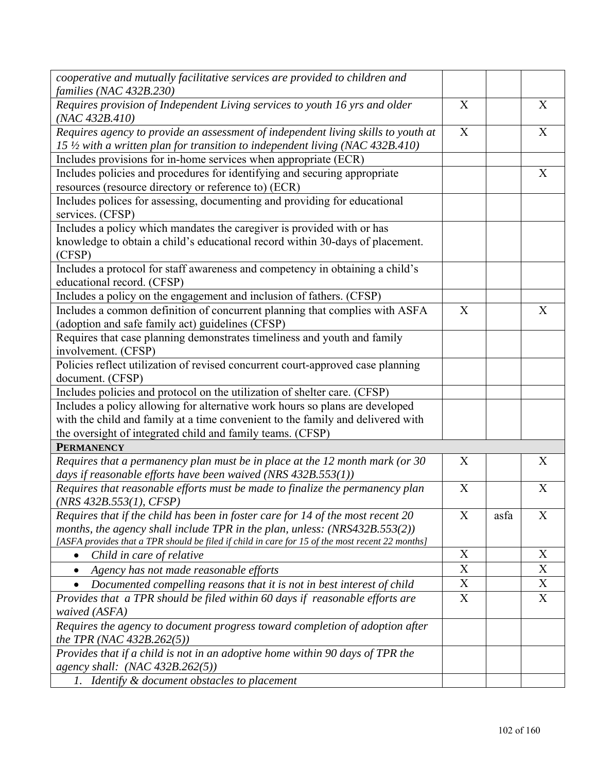| cooperative and mutually facilitative services are provided to children and<br>families (NAC 432B.230)                                                                                                                                                           |             |      |                           |
|------------------------------------------------------------------------------------------------------------------------------------------------------------------------------------------------------------------------------------------------------------------|-------------|------|---------------------------|
| Requires provision of Independent Living services to youth 16 yrs and older<br>(NAC 432B.410)                                                                                                                                                                    | X           |      | X                         |
| Requires agency to provide an assessment of independent living skills to youth at                                                                                                                                                                                | X           |      | X                         |
| 15 1/2 with a written plan for transition to independent living (NAC 432B.410)                                                                                                                                                                                   |             |      |                           |
| Includes provisions for in-home services when appropriate (ECR)                                                                                                                                                                                                  |             |      |                           |
| Includes policies and procedures for identifying and securing appropriate<br>resources (resource directory or reference to) (ECR)                                                                                                                                |             |      | X                         |
| Includes polices for assessing, documenting and providing for educational<br>services. (CFSP)                                                                                                                                                                    |             |      |                           |
| Includes a policy which mandates the caregiver is provided with or has<br>knowledge to obtain a child's educational record within 30-days of placement.<br>(CFSP)                                                                                                |             |      |                           |
| Includes a protocol for staff awareness and competency in obtaining a child's<br>educational record. (CFSP)                                                                                                                                                      |             |      |                           |
| Includes a policy on the engagement and inclusion of fathers. (CFSP)                                                                                                                                                                                             |             |      |                           |
| Includes a common definition of concurrent planning that complies with ASFA<br>(adoption and safe family act) guidelines (CFSP)                                                                                                                                  | X           |      | X                         |
| Requires that case planning demonstrates timeliness and youth and family<br>involvement. (CFSP)                                                                                                                                                                  |             |      |                           |
| Policies reflect utilization of revised concurrent court-approved case planning<br>document. (CFSP)                                                                                                                                                              |             |      |                           |
| Includes policies and protocol on the utilization of shelter care. (CFSP)                                                                                                                                                                                        |             |      |                           |
| Includes a policy allowing for alternative work hours so plans are developed<br>with the child and family at a time convenient to the family and delivered with                                                                                                  |             |      |                           |
| the oversight of integrated child and family teams. (CFSP)                                                                                                                                                                                                       |             |      |                           |
| <b>PERMANENCY</b>                                                                                                                                                                                                                                                |             |      |                           |
| Requires that a permanency plan must be in place at the 12 month mark (or 30<br>days if reasonable efforts have been waived (NRS 432B.553(1))                                                                                                                    | X           |      | X                         |
| Requires that reasonable efforts must be made to finalize the permanency plan<br>(NRS 432B.553(1), CFSP)                                                                                                                                                         | $\mathbf X$ |      | X                         |
| Requires that if the child has been in foster care for 14 of the most recent 20<br>months, the agency shall include TPR in the plan, unless: (NRS432B.553(2))<br>[ASFA provides that a TPR should be filed if child in care for 15 of the most recent 22 months] | X           | asfa | X                         |
| Child in care of relative<br>$\bullet$                                                                                                                                                                                                                           | $\mathbf X$ |      | $\boldsymbol{\mathrm{X}}$ |
| Agency has not made reasonable efforts                                                                                                                                                                                                                           | X           |      | X                         |
| Documented compelling reasons that it is not in best interest of child                                                                                                                                                                                           | X           |      | X                         |
| Provides that a TPR should be filed within 60 days if reasonable efforts are                                                                                                                                                                                     | X           |      | X                         |
| waived (ASFA)                                                                                                                                                                                                                                                    |             |      |                           |
| Requires the agency to document progress toward completion of adoption after<br>the TPR (NAC 432B.262(5))                                                                                                                                                        |             |      |                           |
| Provides that if a child is not in an adoptive home within 90 days of TPR the<br>agency shall: $(NAC 432B.262(5))$                                                                                                                                               |             |      |                           |
| 1. Identify & document obstacles to placement                                                                                                                                                                                                                    |             |      |                           |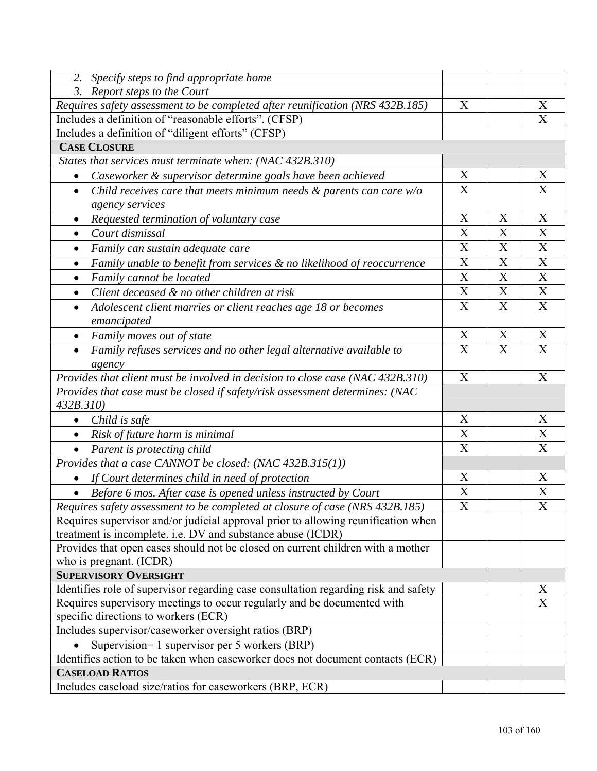| 2.<br>Specify steps to find appropriate home                                                             |                |                  |                           |
|----------------------------------------------------------------------------------------------------------|----------------|------------------|---------------------------|
| 3. Report steps to the Court                                                                             |                |                  |                           |
| Requires safety assessment to be completed after reunification (NRS 432B.185)                            | X              |                  | X<br>X                    |
| Includes a definition of "reasonable efforts". (CFSP)                                                    |                |                  |                           |
| Includes a definition of "diligent efforts" (CFSP)                                                       |                |                  |                           |
| <b>CASE CLOSURE</b>                                                                                      |                |                  |                           |
| States that services must terminate when: (NAC 432B.310)                                                 |                |                  |                           |
| Caseworker & supervisor determine goals have been achieved<br>$\bullet$                                  | X              |                  | X                         |
| Child receives care that meets minimum needs $\&$ parents can care $w/o$<br>$\bullet$<br>agency services | X              |                  | $\mathbf X$               |
| Requested termination of voluntary case                                                                  | X              | X                | X                         |
| Court dismissal<br>$\bullet$                                                                             | X              | $\boldsymbol{X}$ | $\mathbf X$               |
| Family can sustain adequate care                                                                         | X              | X                | $\mathbf X$               |
|                                                                                                          | X              | X                | $\boldsymbol{\mathrm{X}}$ |
| Family unable to benefit from services & no likelihood of reoccurrence<br>$\bullet$                      | X              | X                | $\boldsymbol{\mathrm{X}}$ |
| Family cannot be located<br>$\bullet$                                                                    |                |                  |                           |
| Client deceased & no other children at risk<br>$\bullet$                                                 | X              | X                | $\boldsymbol{\mathrm{X}}$ |
| Adolescent client marries or client reaches age 18 or becomes<br>$\bullet$<br>emancipated                | X              | X                | $\mathbf X$               |
| Family moves out of state                                                                                | X              | X                | $\boldsymbol{\mathrm{X}}$ |
|                                                                                                          | X              | $\boldsymbol{X}$ | $\mathbf X$               |
| Family refuses services and no other legal alternative available to<br>$\bullet$                         |                |                  |                           |
| agency<br>Provides that client must be involved in decision to close case (NAC 432B.310)                 | X              |                  | X                         |
| Provides that case must be closed if safety/risk assessment determines: (NAC                             |                |                  |                           |
| 432B.310                                                                                                 |                |                  |                           |
| Child is safe<br>$\bullet$                                                                               | X              |                  | X                         |
| Risk of future harm is minimal                                                                           | X              |                  | $\boldsymbol{\mathrm{X}}$ |
| Parent is protecting child                                                                               | X              |                  | $\boldsymbol{\mathrm{X}}$ |
| Provides that a case CANNOT be closed: (NAC 432B.315(1))                                                 |                |                  |                           |
| If Court determines child in need of protection<br>$\bullet$                                             | X              |                  | X                         |
| • Before 6 mos. After case is opened unless instructed by Court                                          | X              |                  | $\boldsymbol{\mathrm{X}}$ |
| Requires safety assessment to be completed at closure of case (NRS 432B.185)                             | $\overline{X}$ |                  | $\overline{\text{X}}$     |
| Requires supervisor and/or judicial approval prior to allowing reunification when                        |                |                  |                           |
| treatment is incomplete. i.e. DV and substance abuse (ICDR)                                              |                |                  |                           |
| Provides that open cases should not be closed on current children with a mother                          |                |                  |                           |
| who is pregnant. (ICDR)                                                                                  |                |                  |                           |
| <b>SUPERVISORY OVERSIGHT</b>                                                                             |                |                  |                           |
| Identifies role of supervisor regarding case consultation regarding risk and safety                      |                |                  | X                         |
| Requires supervisory meetings to occur regularly and be documented with                                  |                |                  | $\overline{X}$            |
| specific directions to workers (ECR)                                                                     |                |                  |                           |
| Includes supervisor/caseworker oversight ratios (BRP)                                                    |                |                  |                           |
| Supervision= 1 supervisor per 5 workers (BRP)                                                            |                |                  |                           |
| Identifies action to be taken when caseworker does not document contacts (ECR)                           |                |                  |                           |
| <b>CASELOAD RATIOS</b>                                                                                   |                |                  |                           |
| Includes caseload size/ratios for caseworkers (BRP, ECR)                                                 |                |                  |                           |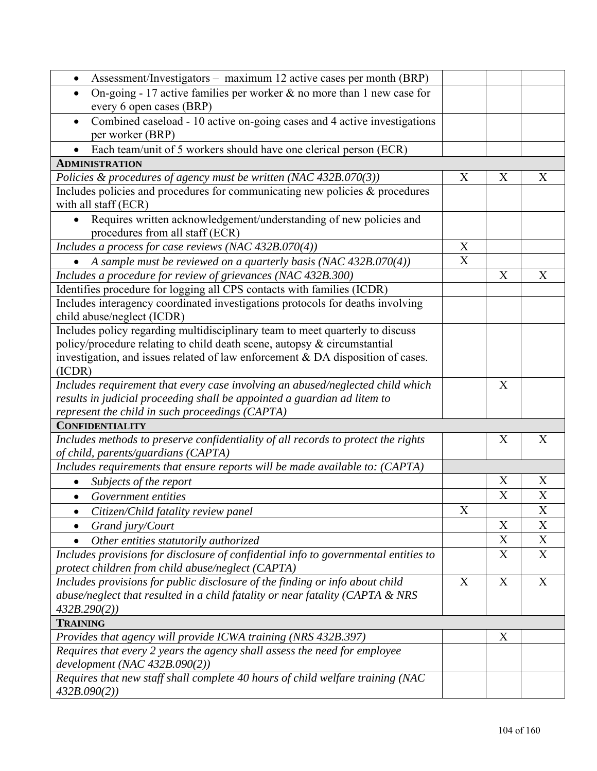| Assessment/Investigators – maximum 12 active cases per month (BRP)<br>$\bullet$               |                  |   |                |
|-----------------------------------------------------------------------------------------------|------------------|---|----------------|
| On-going - 17 active families per worker $\&$ no more than 1 new case for                     |                  |   |                |
| every 6 open cases (BRP)                                                                      |                  |   |                |
| Combined caseload - 10 active on-going cases and 4 active investigations<br>$\bullet$         |                  |   |                |
| per worker (BRP)                                                                              |                  |   |                |
| Each team/unit of 5 workers should have one clerical person (ECR)<br>$\bullet$                |                  |   |                |
| <b>ADMINISTRATION</b>                                                                         |                  |   |                |
| Policies & procedures of agency must be written (NAC 432B.070(3))                             | X                | X | X              |
| Includes policies and procedures for communicating new policies $\&$ procedures               |                  |   |                |
| with all staff (ECR)                                                                          |                  |   |                |
| Requires written acknowledgement/understanding of new policies and<br>$\bullet$               |                  |   |                |
| procedures from all staff (ECR)                                                               |                  |   |                |
| Includes a process for case reviews (NAC $432B.070(4)$ )                                      | $\boldsymbol{X}$ |   |                |
| A sample must be reviewed on a quarterly basis (NAC 432B.070(4))                              | X                |   |                |
| Includes a procedure for review of grievances (NAC 432B.300)                                  |                  | X | X              |
| Identifies procedure for logging all CPS contacts with families (ICDR)                        |                  |   |                |
| Includes interagency coordinated investigations protocols for deaths involving                |                  |   |                |
| child abuse/neglect (ICDR)                                                                    |                  |   |                |
| Includes policy regarding multidisciplinary team to meet quarterly to discuss                 |                  |   |                |
| policy/procedure relating to child death scene, autopsy & circumstantial                      |                  |   |                |
| investigation, and issues related of law enforcement & DA disposition of cases.               |                  |   |                |
| (ICDR)                                                                                        |                  |   |                |
| Includes requirement that every case involving an abused/neglected child which                |                  | X |                |
| results in judicial proceeding shall be appointed a guardian ad litem to                      |                  |   |                |
| represent the child in such proceedings (CAPTA)                                               |                  |   |                |
| <b>CONFIDENTIALITY</b>                                                                        |                  |   |                |
| Includes methods to preserve confidentiality of all records to protect the rights             |                  | X | X              |
| of child, parents/guardians (CAPTA)                                                           |                  |   |                |
| Includes requirements that ensure reports will be made available to: (CAPTA)                  |                  |   |                |
| Subjects of the report                                                                        |                  | X | X              |
| Government entities                                                                           |                  | X | $\overline{X}$ |
| Citizen/Child fatality review panel                                                           | X                |   | Х              |
| Grand jury/Court                                                                              |                  | X | X              |
| Other entities statutorily authorized                                                         |                  | X | X              |
| Includes provisions for disclosure of confidential info to governmental entities to           |                  | X | X              |
| protect children from child abuse/neglect (CAPTA)                                             |                  |   |                |
| Includes provisions for public disclosure of the finding or info about child                  | X                | X | $\mathbf X$    |
| abuse/neglect that resulted in a child fatality or near fatality (CAPTA & NRS                 |                  |   |                |
| 432B.290(2)                                                                                   |                  |   |                |
|                                                                                               |                  |   |                |
| <b>TRAINING</b>                                                                               |                  |   |                |
| Provides that agency will provide ICWA training (NRS 432B.397)                                |                  | X |                |
| Requires that every 2 years the agency shall assess the need for employee                     |                  |   |                |
| development (NAC $432B.090(2)$ )                                                              |                  |   |                |
| Requires that new staff shall complete 40 hours of child welfare training (NAC<br>432B.090(2) |                  |   |                |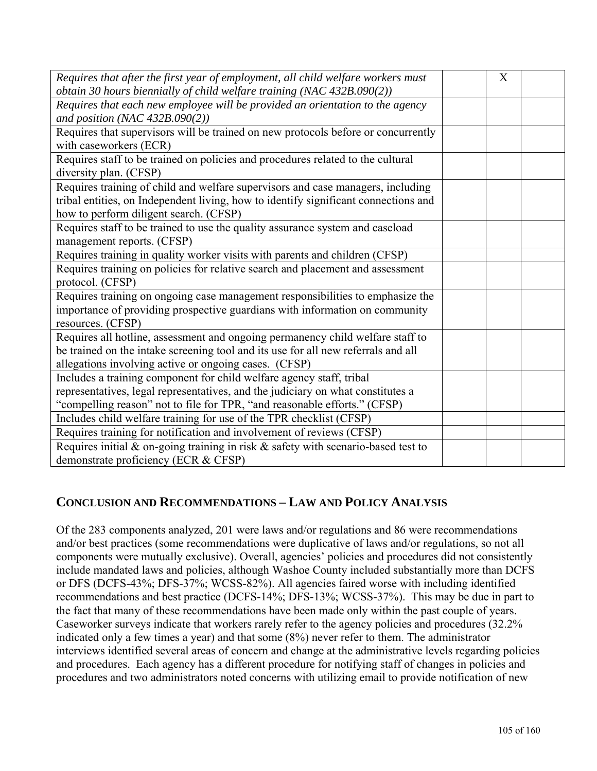| Requires that after the first year of employment, all child welfare workers must<br>X   |  |
|-----------------------------------------------------------------------------------------|--|
| obtain 30 hours biennially of child welfare training (NAC 432B.090(2))                  |  |
| Requires that each new employee will be provided an orientation to the agency           |  |
| and position (NAC $432B.090(2)$ )                                                       |  |
| Requires that supervisors will be trained on new protocols before or concurrently       |  |
| with caseworkers (ECR)                                                                  |  |
| Requires staff to be trained on policies and procedures related to the cultural         |  |
| diversity plan. (CFSP)                                                                  |  |
| Requires training of child and welfare supervisors and case managers, including         |  |
| tribal entities, on Independent living, how to identify significant connections and     |  |
| how to perform diligent search. (CFSP)                                                  |  |
| Requires staff to be trained to use the quality assurance system and caseload           |  |
| management reports. (CFSP)                                                              |  |
| Requires training in quality worker visits with parents and children (CFSP)             |  |
| Requires training on policies for relative search and placement and assessment          |  |
| protocol. (CFSP)                                                                        |  |
| Requires training on ongoing case management responsibilities to emphasize the          |  |
| importance of providing prospective guardians with information on community             |  |
| resources. (CFSP)                                                                       |  |
| Requires all hotline, assessment and ongoing permanency child welfare staff to          |  |
| be trained on the intake screening tool and its use for all new referrals and all       |  |
| allegations involving active or ongoing cases. (CFSP)                                   |  |
| Includes a training component for child welfare agency staff, tribal                    |  |
| representatives, legal representatives, and the judiciary on what constitutes a         |  |
| "compelling reason" not to file for TPR, "and reasonable efforts." (CFSP)               |  |
| Includes child welfare training for use of the TPR checklist (CFSP)                     |  |
| Requires training for notification and involvement of reviews (CFSP)                    |  |
| Requires initial $\&$ on-going training in risk $\&$ safety with scenario-based test to |  |
| demonstrate proficiency (ECR & CFSP)                                                    |  |

# **CONCLUSION AND RECOMMENDATIONS – LAW AND POLICY ANALYSIS**

Of the 283 components analyzed, 201 were laws and/or regulations and 86 were recommendations and/or best practices (some recommendations were duplicative of laws and/or regulations, so not all components were mutually exclusive). Overall, agencies' policies and procedures did not consistently include mandated laws and policies, although Washoe County included substantially more than DCFS or DFS (DCFS-43%; DFS-37%; WCSS-82%). All agencies faired worse with including identified recommendations and best practice (DCFS-14%; DFS-13%; WCSS-37%). This may be due in part to the fact that many of these recommendations have been made only within the past couple of years. Caseworker surveys indicate that workers rarely refer to the agency policies and procedures (32.2% indicated only a few times a year) and that some (8%) never refer to them. The administrator interviews identified several areas of concern and change at the administrative levels regarding policies and procedures. Each agency has a different procedure for notifying staff of changes in policies and procedures and two administrators noted concerns with utilizing email to provide notification of new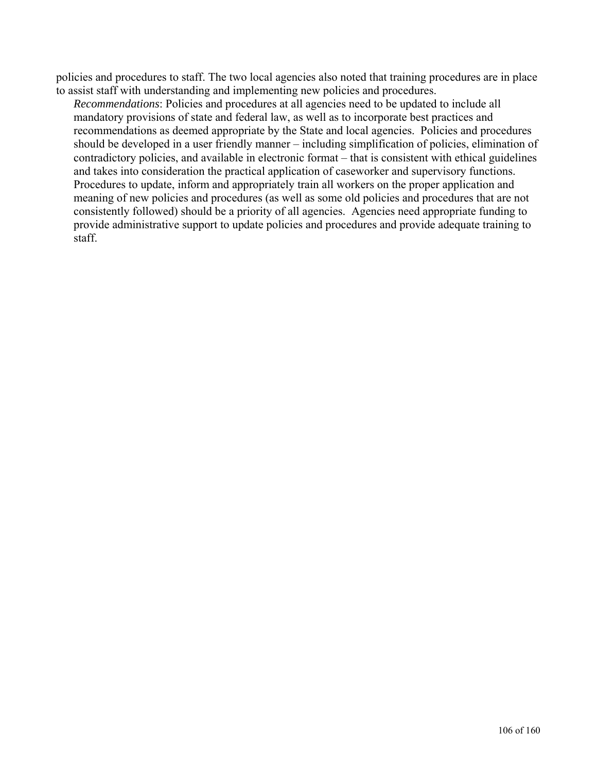policies and procedures to staff. The two local agencies also noted that training procedures are in place to assist staff with understanding and implementing new policies and procedures.

*Recommendations*: Policies and procedures at all agencies need to be updated to include all mandatory provisions of state and federal law, as well as to incorporate best practices and recommendations as deemed appropriate by the State and local agencies. Policies and procedures should be developed in a user friendly manner – including simplification of policies, elimination of contradictory policies, and available in electronic format – that is consistent with ethical guidelines and takes into consideration the practical application of caseworker and supervisory functions. Procedures to update, inform and appropriately train all workers on the proper application and meaning of new policies and procedures (as well as some old policies and procedures that are not consistently followed) should be a priority of all agencies. Agencies need appropriate funding to provide administrative support to update policies and procedures and provide adequate training to staff.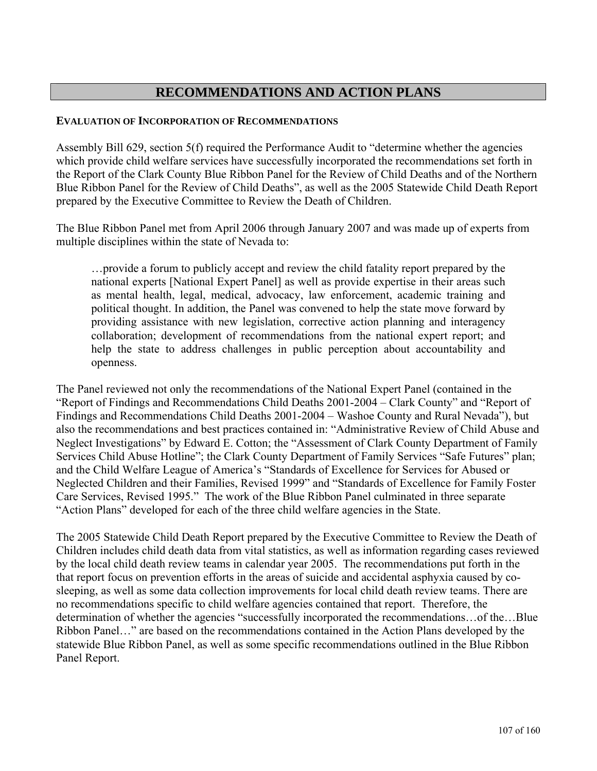# **RECOMMENDATIONS AND ACTION PLANS**

#### **EVALUATION OF INCORPORATION OF RECOMMENDATIONS**

Assembly Bill 629, section 5(f) required the Performance Audit to "determine whether the agencies which provide child welfare services have successfully incorporated the recommendations set forth in the Report of the Clark County Blue Ribbon Panel for the Review of Child Deaths and of the Northern Blue Ribbon Panel for the Review of Child Deaths", as well as the 2005 Statewide Child Death Report prepared by the Executive Committee to Review the Death of Children.

The Blue Ribbon Panel met from April 2006 through January 2007 and was made up of experts from multiple disciplines within the state of Nevada to:

…provide a forum to publicly accept and review the child fatality report prepared by the national experts [National Expert Panel] as well as provide expertise in their areas such as mental health, legal, medical, advocacy, law enforcement, academic training and political thought. In addition, the Panel was convened to help the state move forward by providing assistance with new legislation, corrective action planning and interagency collaboration; development of recommendations from the national expert report; and help the state to address challenges in public perception about accountability and openness.

The Panel reviewed not only the recommendations of the National Expert Panel (contained in the "Report of Findings and Recommendations Child Deaths 2001-2004 – Clark County" and "Report of Findings and Recommendations Child Deaths 2001-2004 – Washoe County and Rural Nevada"), but also the recommendations and best practices contained in: "Administrative Review of Child Abuse and Neglect Investigations" by Edward E. Cotton; the "Assessment of Clark County Department of Family Services Child Abuse Hotline"; the Clark County Department of Family Services "Safe Futures" plan; and the Child Welfare League of America's "Standards of Excellence for Services for Abused or Neglected Children and their Families, Revised 1999" and "Standards of Excellence for Family Foster Care Services, Revised 1995." The work of the Blue Ribbon Panel culminated in three separate "Action Plans" developed for each of the three child welfare agencies in the State.

The 2005 Statewide Child Death Report prepared by the Executive Committee to Review the Death of Children includes child death data from vital statistics, as well as information regarding cases reviewed by the local child death review teams in calendar year 2005. The recommendations put forth in the that report focus on prevention efforts in the areas of suicide and accidental asphyxia caused by cosleeping, as well as some data collection improvements for local child death review teams. There are no recommendations specific to child welfare agencies contained that report. Therefore, the determination of whether the agencies "successfully incorporated the recommendations…of the…Blue Ribbon Panel…" are based on the recommendations contained in the Action Plans developed by the statewide Blue Ribbon Panel, as well as some specific recommendations outlined in the Blue Ribbon Panel Report.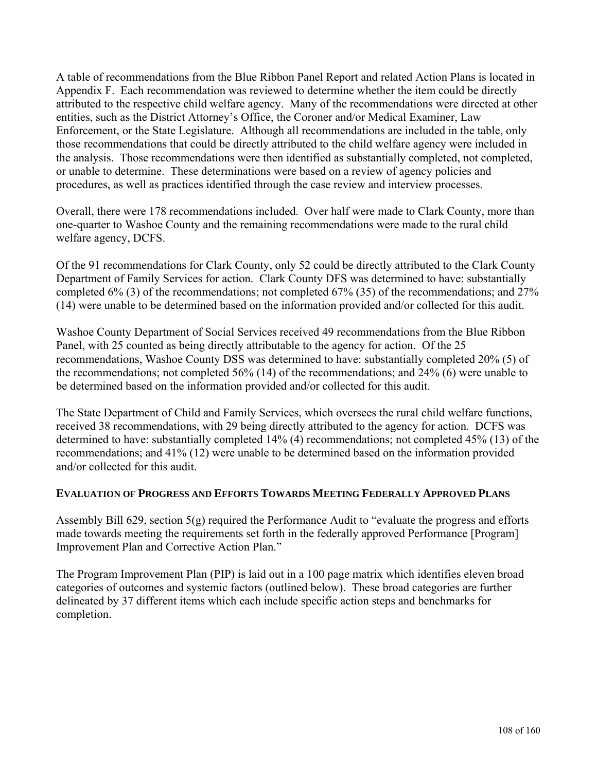A table of recommendations from the Blue Ribbon Panel Report and related Action Plans is located in Appendix F. Each recommendation was reviewed to determine whether the item could be directly attributed to the respective child welfare agency. Many of the recommendations were directed at other entities, such as the District Attorney's Office, the Coroner and/or Medical Examiner, Law Enforcement, or the State Legislature. Although all recommendations are included in the table, only those recommendations that could be directly attributed to the child welfare agency were included in the analysis. Those recommendations were then identified as substantially completed, not completed, or unable to determine. These determinations were based on a review of agency policies and procedures, as well as practices identified through the case review and interview processes.

Overall, there were 178 recommendations included. Over half were made to Clark County, more than one-quarter to Washoe County and the remaining recommendations were made to the rural child welfare agency, DCFS.

Of the 91 recommendations for Clark County, only 52 could be directly attributed to the Clark County Department of Family Services for action. Clark County DFS was determined to have: substantially completed 6% (3) of the recommendations; not completed 67% (35) of the recommendations; and 27% (14) were unable to be determined based on the information provided and/or collected for this audit.

Washoe County Department of Social Services received 49 recommendations from the Blue Ribbon Panel, with 25 counted as being directly attributable to the agency for action. Of the 25 recommendations, Washoe County DSS was determined to have: substantially completed 20% (5) of the recommendations; not completed 56% (14) of the recommendations; and 24% (6) were unable to be determined based on the information provided and/or collected for this audit.

The State Department of Child and Family Services, which oversees the rural child welfare functions, received 38 recommendations, with 29 being directly attributed to the agency for action. DCFS was determined to have: substantially completed 14% (4) recommendations; not completed 45% (13) of the recommendations; and 41% (12) were unable to be determined based on the information provided and/or collected for this audit.

### **EVALUATION OF PROGRESS AND EFFORTS TOWARDS MEETING FEDERALLY APPROVED PLANS**

Assembly Bill 629, section 5(g) required the Performance Audit to "evaluate the progress and efforts made towards meeting the requirements set forth in the federally approved Performance [Program] Improvement Plan and Corrective Action Plan."

The Program Improvement Plan (PIP) is laid out in a 100 page matrix which identifies eleven broad categories of outcomes and systemic factors (outlined below). These broad categories are further delineated by 37 different items which each include specific action steps and benchmarks for completion.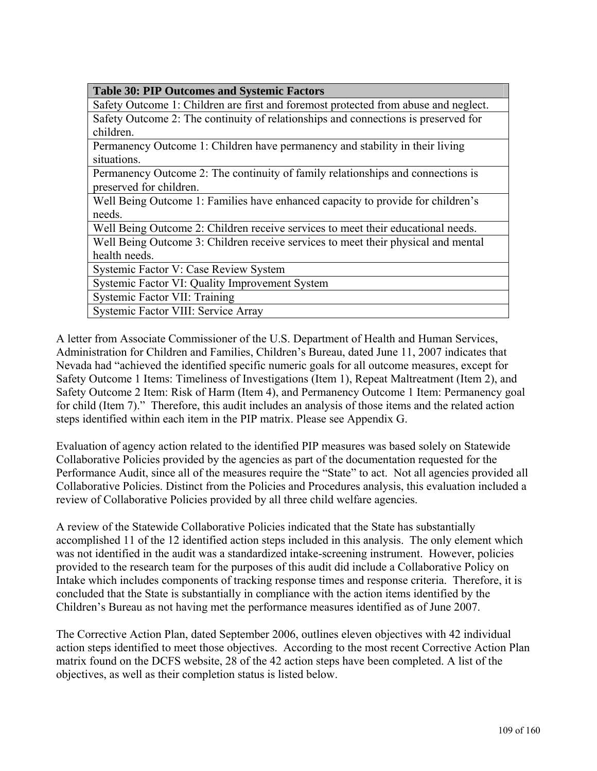### **Table 30: PIP Outcomes and Systemic Factors**  Safety Outcome 1: Children are first and foremost protected from abuse and neglect. Safety Outcome 2: The continuity of relationships and connections is preserved for children. Permanency Outcome 1: Children have permanency and stability in their living situations. Permanency Outcome 2: The continuity of family relationships and connections is preserved for children. Well Being Outcome 1: Families have enhanced capacity to provide for children's needs. Well Being Outcome 2: Children receive services to meet their educational needs. Well Being Outcome 3: Children receive services to meet their physical and mental health needs. Systemic Factor V: Case Review System Systemic Factor VI: Quality Improvement System Systemic Factor VII: Training Systemic Factor VIII: Service Array

A letter from Associate Commissioner of the U.S. Department of Health and Human Services, Administration for Children and Families, Children's Bureau, dated June 11, 2007 indicates that Nevada had "achieved the identified specific numeric goals for all outcome measures, except for Safety Outcome 1 Items: Timeliness of Investigations (Item 1), Repeat Maltreatment (Item 2), and Safety Outcome 2 Item: Risk of Harm (Item 4), and Permanency Outcome 1 Item: Permanency goal for child (Item 7)." Therefore, this audit includes an analysis of those items and the related action steps identified within each item in the PIP matrix. Please see Appendix G.

Evaluation of agency action related to the identified PIP measures was based solely on Statewide Collaborative Policies provided by the agencies as part of the documentation requested for the Performance Audit, since all of the measures require the "State" to act. Not all agencies provided all Collaborative Policies. Distinct from the Policies and Procedures analysis, this evaluation included a review of Collaborative Policies provided by all three child welfare agencies.

A review of the Statewide Collaborative Policies indicated that the State has substantially accomplished 11 of the 12 identified action steps included in this analysis. The only element which was not identified in the audit was a standardized intake-screening instrument. However, policies provided to the research team for the purposes of this audit did include a Collaborative Policy on Intake which includes components of tracking response times and response criteria. Therefore, it is concluded that the State is substantially in compliance with the action items identified by the Children's Bureau as not having met the performance measures identified as of June 2007.

The Corrective Action Plan, dated September 2006, outlines eleven objectives with 42 individual action steps identified to meet those objectives. According to the most recent Corrective Action Plan matrix found on the DCFS website, 28 of the 42 action steps have been completed. A list of the objectives, as well as their completion status is listed below.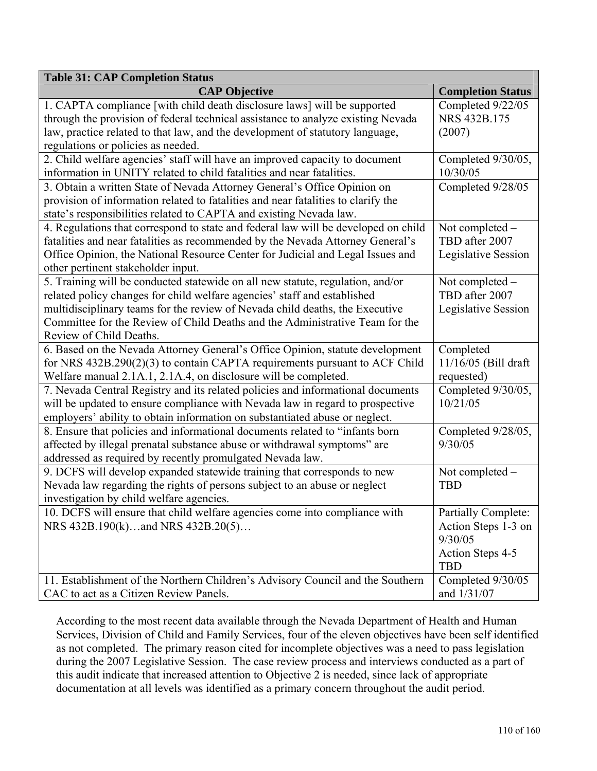| <b>Table 31: CAP Completion Status</b>                                                                                                                                                                                                                                                                                                                |                                                                                         |
|-------------------------------------------------------------------------------------------------------------------------------------------------------------------------------------------------------------------------------------------------------------------------------------------------------------------------------------------------------|-----------------------------------------------------------------------------------------|
| <b>CAP Objective</b>                                                                                                                                                                                                                                                                                                                                  | <b>Completion Status</b>                                                                |
| 1. CAPTA compliance [with child death disclosure laws] will be supported<br>through the provision of federal technical assistance to analyze existing Nevada<br>law, practice related to that law, and the development of statutory language,<br>regulations or policies as needed.                                                                   | Completed 9/22/05<br><b>NRS 432B.175</b><br>(2007)                                      |
| 2. Child welfare agencies' staff will have an improved capacity to document<br>information in UNITY related to child fatalities and near fatalities.                                                                                                                                                                                                  | Completed 9/30/05,<br>10/30/05                                                          |
| 3. Obtain a written State of Nevada Attorney General's Office Opinion on<br>provision of information related to fatalities and near fatalities to clarify the<br>state's responsibilities related to CAPTA and existing Nevada law.                                                                                                                   | Completed 9/28/05                                                                       |
| 4. Regulations that correspond to state and federal law will be developed on child<br>fatalities and near fatalities as recommended by the Nevada Attorney General's<br>Office Opinion, the National Resource Center for Judicial and Legal Issues and<br>other pertinent stakeholder input.                                                          | Not completed $-$<br>TBD after 2007<br><b>Legislative Session</b>                       |
| 5. Training will be conducted statewide on all new statute, regulation, and/or<br>related policy changes for child welfare agencies' staff and established<br>multidisciplinary teams for the review of Nevada child deaths, the Executive<br>Committee for the Review of Child Deaths and the Administrative Team for the<br>Review of Child Deaths. | Not completed -<br>TBD after 2007<br><b>Legislative Session</b>                         |
| 6. Based on the Nevada Attorney General's Office Opinion, statute development<br>for NRS 432B.290(2)(3) to contain CAPTA requirements pursuant to ACF Child<br>Welfare manual 2.1A.1, 2.1A.4, on disclosure will be completed.                                                                                                                        | Completed<br>11/16/05 (Bill draft<br>requested)                                         |
| 7. Nevada Central Registry and its related policies and informational documents<br>will be updated to ensure compliance with Nevada law in regard to prospective<br>employers' ability to obtain information on substantiated abuse or neglect.                                                                                                       | Completed 9/30/05,<br>10/21/05                                                          |
| 8. Ensure that policies and informational documents related to "infants born<br>affected by illegal prenatal substance abuse or withdrawal symptoms" are<br>addressed as required by recently promulgated Nevada law.                                                                                                                                 | Completed 9/28/05,<br>9/30/05                                                           |
| 9. DCFS will develop expanded statewide training that corresponds to new<br>Nevada law regarding the rights of persons subject to an abuse or neglect<br>investigation by child welfare agencies.                                                                                                                                                     | Not completed $-$<br><b>TBD</b>                                                         |
| 10. DCFS will ensure that child welfare agencies come into compliance with<br>NRS 432B.190(k)and NRS 432B.20(5)                                                                                                                                                                                                                                       | Partially Complete:<br>Action Steps 1-3 on<br>9/30/05<br>Action Steps 4-5<br><b>TBD</b> |
| 11. Establishment of the Northern Children's Advisory Council and the Southern<br>CAC to act as a Citizen Review Panels.                                                                                                                                                                                                                              | Completed 9/30/05<br>and 1/31/07                                                        |

According to the most recent data available through the Nevada Department of Health and Human Services, Division of Child and Family Services, four of the eleven objectives have been self identified as not completed. The primary reason cited for incomplete objectives was a need to pass legislation during the 2007 Legislative Session. The case review process and interviews conducted as a part of this audit indicate that increased attention to Objective 2 is needed, since lack of appropriate documentation at all levels was identified as a primary concern throughout the audit period.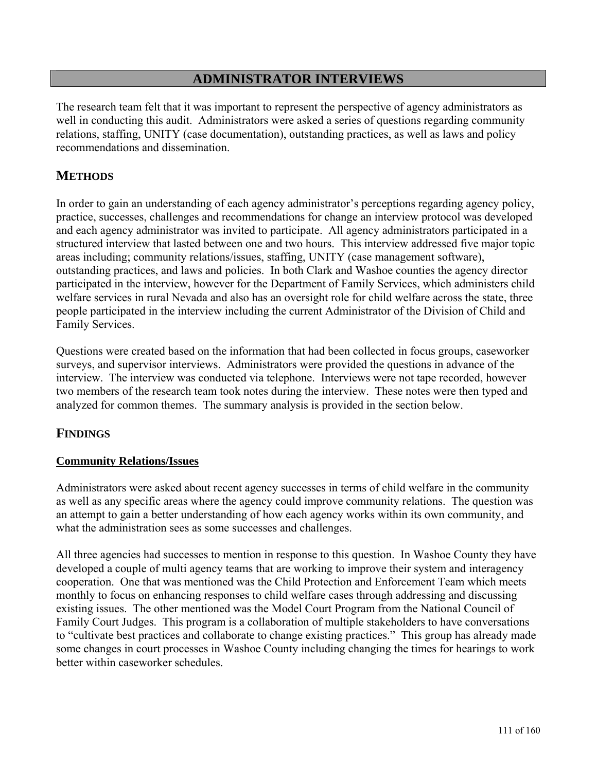### **ADMINISTRATOR INTERVIEWS**

The research team felt that it was important to represent the perspective of agency administrators as well in conducting this audit. Administrators were asked a series of questions regarding community relations, staffing, UNITY (case documentation), outstanding practices, as well as laws and policy recommendations and dissemination.

### **METHODS**

In order to gain an understanding of each agency administrator's perceptions regarding agency policy, practice, successes, challenges and recommendations for change an interview protocol was developed and each agency administrator was invited to participate. All agency administrators participated in a structured interview that lasted between one and two hours. This interview addressed five major topic areas including; community relations/issues, staffing, UNITY (case management software), outstanding practices, and laws and policies. In both Clark and Washoe counties the agency director participated in the interview, however for the Department of Family Services, which administers child welfare services in rural Nevada and also has an oversight role for child welfare across the state, three people participated in the interview including the current Administrator of the Division of Child and Family Services.

Questions were created based on the information that had been collected in focus groups, caseworker surveys, and supervisor interviews. Administrators were provided the questions in advance of the interview. The interview was conducted via telephone. Interviews were not tape recorded, however two members of the research team took notes during the interview. These notes were then typed and analyzed for common themes. The summary analysis is provided in the section below.

### **FINDINGS**

#### **Community Relations/Issues**

Administrators were asked about recent agency successes in terms of child welfare in the community as well as any specific areas where the agency could improve community relations. The question was an attempt to gain a better understanding of how each agency works within its own community, and what the administration sees as some successes and challenges.

All three agencies had successes to mention in response to this question. In Washoe County they have developed a couple of multi agency teams that are working to improve their system and interagency cooperation. One that was mentioned was the Child Protection and Enforcement Team which meets monthly to focus on enhancing responses to child welfare cases through addressing and discussing existing issues. The other mentioned was the Model Court Program from the National Council of Family Court Judges. This program is a collaboration of multiple stakeholders to have conversations to "cultivate best practices and collaborate to change existing practices." This group has already made some changes in court processes in Washoe County including changing the times for hearings to work better within caseworker schedules.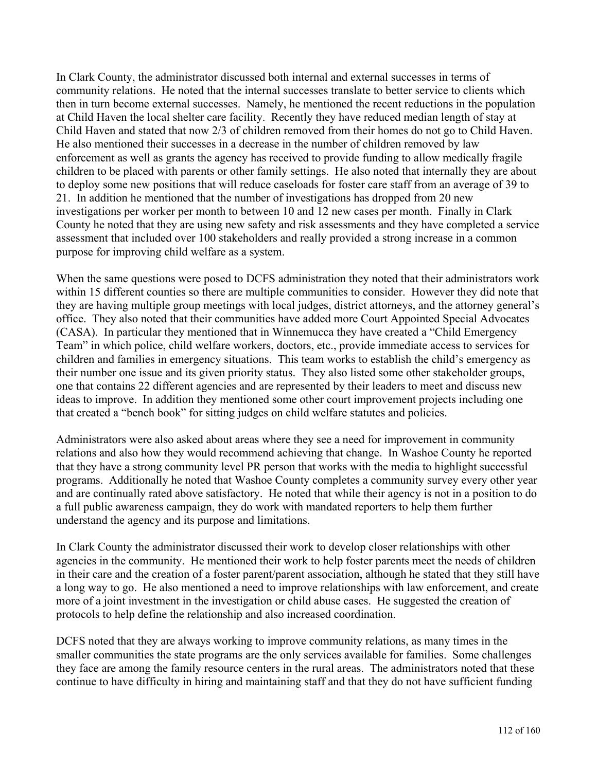In Clark County, the administrator discussed both internal and external successes in terms of community relations. He noted that the internal successes translate to better service to clients which then in turn become external successes. Namely, he mentioned the recent reductions in the population at Child Haven the local shelter care facility. Recently they have reduced median length of stay at Child Haven and stated that now 2/3 of children removed from their homes do not go to Child Haven. He also mentioned their successes in a decrease in the number of children removed by law enforcement as well as grants the agency has received to provide funding to allow medically fragile children to be placed with parents or other family settings. He also noted that internally they are about to deploy some new positions that will reduce caseloads for foster care staff from an average of 39 to 21. In addition he mentioned that the number of investigations has dropped from 20 new investigations per worker per month to between 10 and 12 new cases per month. Finally in Clark County he noted that they are using new safety and risk assessments and they have completed a service assessment that included over 100 stakeholders and really provided a strong increase in a common purpose for improving child welfare as a system.

When the same questions were posed to DCFS administration they noted that their administrators work within 15 different counties so there are multiple communities to consider. However they did note that they are having multiple group meetings with local judges, district attorneys, and the attorney general's office. They also noted that their communities have added more Court Appointed Special Advocates (CASA). In particular they mentioned that in Winnemucca they have created a "Child Emergency Team" in which police, child welfare workers, doctors, etc., provide immediate access to services for children and families in emergency situations. This team works to establish the child's emergency as their number one issue and its given priority status. They also listed some other stakeholder groups, one that contains 22 different agencies and are represented by their leaders to meet and discuss new ideas to improve. In addition they mentioned some other court improvement projects including one that created a "bench book" for sitting judges on child welfare statutes and policies.

Administrators were also asked about areas where they see a need for improvement in community relations and also how they would recommend achieving that change. In Washoe County he reported that they have a strong community level PR person that works with the media to highlight successful programs. Additionally he noted that Washoe County completes a community survey every other year and are continually rated above satisfactory. He noted that while their agency is not in a position to do a full public awareness campaign, they do work with mandated reporters to help them further understand the agency and its purpose and limitations.

In Clark County the administrator discussed their work to develop closer relationships with other agencies in the community. He mentioned their work to help foster parents meet the needs of children in their care and the creation of a foster parent/parent association, although he stated that they still have a long way to go. He also mentioned a need to improve relationships with law enforcement, and create more of a joint investment in the investigation or child abuse cases. He suggested the creation of protocols to help define the relationship and also increased coordination.

DCFS noted that they are always working to improve community relations, as many times in the smaller communities the state programs are the only services available for families. Some challenges they face are among the family resource centers in the rural areas. The administrators noted that these continue to have difficulty in hiring and maintaining staff and that they do not have sufficient funding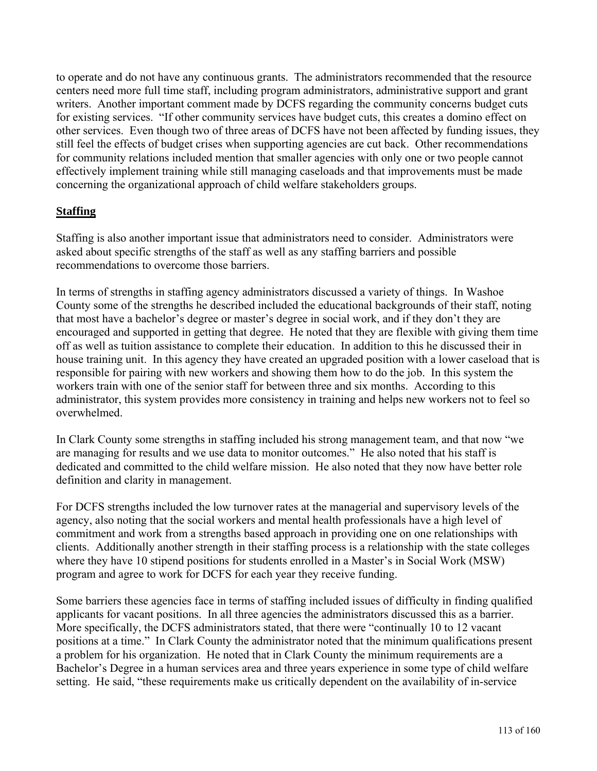to operate and do not have any continuous grants. The administrators recommended that the resource centers need more full time staff, including program administrators, administrative support and grant writers. Another important comment made by DCFS regarding the community concerns budget cuts for existing services. "If other community services have budget cuts, this creates a domino effect on other services. Even though two of three areas of DCFS have not been affected by funding issues, they still feel the effects of budget crises when supporting agencies are cut back. Other recommendations for community relations included mention that smaller agencies with only one or two people cannot effectively implement training while still managing caseloads and that improvements must be made concerning the organizational approach of child welfare stakeholders groups.

### **Staffing**

Staffing is also another important issue that administrators need to consider. Administrators were asked about specific strengths of the staff as well as any staffing barriers and possible recommendations to overcome those barriers.

In terms of strengths in staffing agency administrators discussed a variety of things. In Washoe County some of the strengths he described included the educational backgrounds of their staff, noting that most have a bachelor's degree or master's degree in social work, and if they don't they are encouraged and supported in getting that degree. He noted that they are flexible with giving them time off as well as tuition assistance to complete their education. In addition to this he discussed their in house training unit. In this agency they have created an upgraded position with a lower caseload that is responsible for pairing with new workers and showing them how to do the job. In this system the workers train with one of the senior staff for between three and six months. According to this administrator, this system provides more consistency in training and helps new workers not to feel so overwhelmed.

In Clark County some strengths in staffing included his strong management team, and that now "we are managing for results and we use data to monitor outcomes." He also noted that his staff is dedicated and committed to the child welfare mission. He also noted that they now have better role definition and clarity in management.

For DCFS strengths included the low turnover rates at the managerial and supervisory levels of the agency, also noting that the social workers and mental health professionals have a high level of commitment and work from a strengths based approach in providing one on one relationships with clients. Additionally another strength in their staffing process is a relationship with the state colleges where they have 10 stipend positions for students enrolled in a Master's in Social Work (MSW) program and agree to work for DCFS for each year they receive funding.

Some barriers these agencies face in terms of staffing included issues of difficulty in finding qualified applicants for vacant positions. In all three agencies the administrators discussed this as a barrier. More specifically, the DCFS administrators stated, that there were "continually 10 to 12 vacant positions at a time." In Clark County the administrator noted that the minimum qualifications present a problem for his organization. He noted that in Clark County the minimum requirements are a Bachelor's Degree in a human services area and three years experience in some type of child welfare setting. He said, "these requirements make us critically dependent on the availability of in-service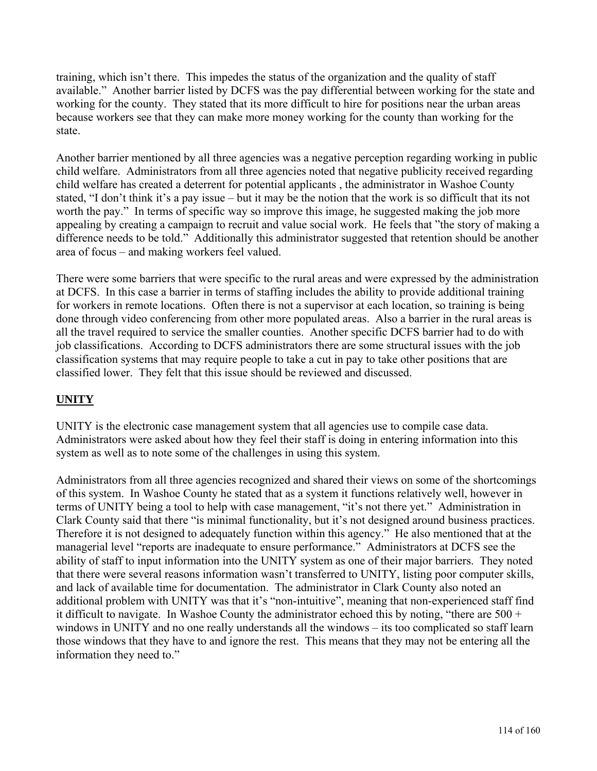training, which isn't there. This impedes the status of the organization and the quality of staff available." Another barrier listed by DCFS was the pay differential between working for the state and working for the county. They stated that its more difficult to hire for positions near the urban areas because workers see that they can make more money working for the county than working for the state.

Another barrier mentioned by all three agencies was a negative perception regarding working in public child welfare. Administrators from all three agencies noted that negative publicity received regarding child welfare has created a deterrent for potential applicants , the administrator in Washoe County stated, "I don't think it's a pay issue – but it may be the notion that the work is so difficult that its not worth the pay." In terms of specific way so improve this image, he suggested making the job more appealing by creating a campaign to recruit and value social work. He feels that "the story of making a difference needs to be told." Additionally this administrator suggested that retention should be another area of focus – and making workers feel valued.

There were some barriers that were specific to the rural areas and were expressed by the administration at DCFS. In this case a barrier in terms of staffing includes the ability to provide additional training for workers in remote locations. Often there is not a supervisor at each location, so training is being done through video conferencing from other more populated areas. Also a barrier in the rural areas is all the travel required to service the smaller counties. Another specific DCFS barrier had to do with job classifications. According to DCFS administrators there are some structural issues with the job classification systems that may require people to take a cut in pay to take other positions that are classified lower. They felt that this issue should be reviewed and discussed.

### **UNITY**

UNITY is the electronic case management system that all agencies use to compile case data. Administrators were asked about how they feel their staff is doing in entering information into this system as well as to note some of the challenges in using this system.

Administrators from all three agencies recognized and shared their views on some of the shortcomings of this system. In Washoe County he stated that as a system it functions relatively well, however in terms of UNITY being a tool to help with case management, "it's not there yet." Administration in Clark County said that there "is minimal functionality, but it's not designed around business practices. Therefore it is not designed to adequately function within this agency." He also mentioned that at the managerial level "reports are inadequate to ensure performance." Administrators at DCFS see the ability of staff to input information into the UNITY system as one of their major barriers. They noted that there were several reasons information wasn't transferred to UNITY, listing poor computer skills, and lack of available time for documentation. The administrator in Clark County also noted an additional problem with UNITY was that it's "non-intuitive", meaning that non-experienced staff find it difficult to navigate. In Washoe County the administrator echoed this by noting, "there are 500 + windows in UNITY and no one really understands all the windows – its too complicated so staff learn those windows that they have to and ignore the rest. This means that they may not be entering all the information they need to."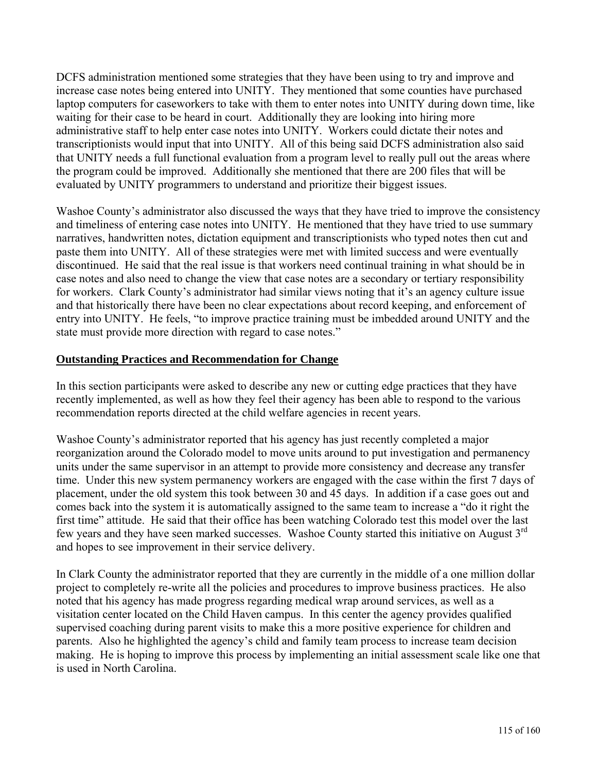DCFS administration mentioned some strategies that they have been using to try and improve and increase case notes being entered into UNITY. They mentioned that some counties have purchased laptop computers for caseworkers to take with them to enter notes into UNITY during down time, like waiting for their case to be heard in court. Additionally they are looking into hiring more administrative staff to help enter case notes into UNITY. Workers could dictate their notes and transcriptionists would input that into UNITY. All of this being said DCFS administration also said that UNITY needs a full functional evaluation from a program level to really pull out the areas where the program could be improved. Additionally she mentioned that there are 200 files that will be evaluated by UNITY programmers to understand and prioritize their biggest issues.

Washoe County's administrator also discussed the ways that they have tried to improve the consistency and timeliness of entering case notes into UNITY. He mentioned that they have tried to use summary narratives, handwritten notes, dictation equipment and transcriptionists who typed notes then cut and paste them into UNITY. All of these strategies were met with limited success and were eventually discontinued. He said that the real issue is that workers need continual training in what should be in case notes and also need to change the view that case notes are a secondary or tertiary responsibility for workers. Clark County's administrator had similar views noting that it's an agency culture issue and that historically there have been no clear expectations about record keeping, and enforcement of entry into UNITY. He feels, "to improve practice training must be imbedded around UNITY and the state must provide more direction with regard to case notes."

### **Outstanding Practices and Recommendation for Change**

In this section participants were asked to describe any new or cutting edge practices that they have recently implemented, as well as how they feel their agency has been able to respond to the various recommendation reports directed at the child welfare agencies in recent years.

Washoe County's administrator reported that his agency has just recently completed a major reorganization around the Colorado model to move units around to put investigation and permanency units under the same supervisor in an attempt to provide more consistency and decrease any transfer time. Under this new system permanency workers are engaged with the case within the first 7 days of placement, under the old system this took between 30 and 45 days. In addition if a case goes out and comes back into the system it is automatically assigned to the same team to increase a "do it right the first time" attitude. He said that their office has been watching Colorado test this model over the last few years and they have seen marked successes. Washoe County started this initiative on August 3<sup>rd</sup> and hopes to see improvement in their service delivery.

In Clark County the administrator reported that they are currently in the middle of a one million dollar project to completely re-write all the policies and procedures to improve business practices. He also noted that his agency has made progress regarding medical wrap around services, as well as a visitation center located on the Child Haven campus. In this center the agency provides qualified supervised coaching during parent visits to make this a more positive experience for children and parents. Also he highlighted the agency's child and family team process to increase team decision making. He is hoping to improve this process by implementing an initial assessment scale like one that is used in North Carolina.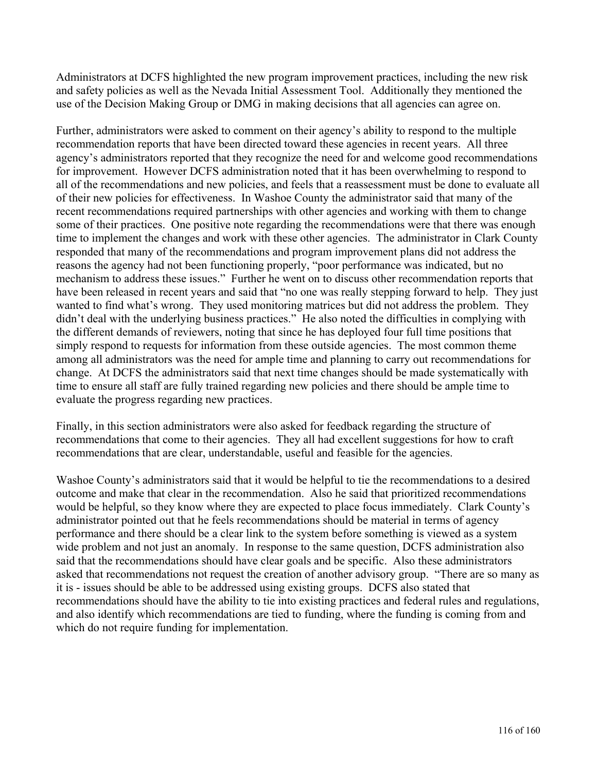Administrators at DCFS highlighted the new program improvement practices, including the new risk and safety policies as well as the Nevada Initial Assessment Tool. Additionally they mentioned the use of the Decision Making Group or DMG in making decisions that all agencies can agree on.

Further, administrators were asked to comment on their agency's ability to respond to the multiple recommendation reports that have been directed toward these agencies in recent years. All three agency's administrators reported that they recognize the need for and welcome good recommendations for improvement. However DCFS administration noted that it has been overwhelming to respond to all of the recommendations and new policies, and feels that a reassessment must be done to evaluate all of their new policies for effectiveness. In Washoe County the administrator said that many of the recent recommendations required partnerships with other agencies and working with them to change some of their practices. One positive note regarding the recommendations were that there was enough time to implement the changes and work with these other agencies. The administrator in Clark County responded that many of the recommendations and program improvement plans did not address the reasons the agency had not been functioning properly, "poor performance was indicated, but no mechanism to address these issues." Further he went on to discuss other recommendation reports that have been released in recent years and said that "no one was really stepping forward to help. They just wanted to find what's wrong. They used monitoring matrices but did not address the problem. They didn't deal with the underlying business practices." He also noted the difficulties in complying with the different demands of reviewers, noting that since he has deployed four full time positions that simply respond to requests for information from these outside agencies. The most common theme among all administrators was the need for ample time and planning to carry out recommendations for change. At DCFS the administrators said that next time changes should be made systematically with time to ensure all staff are fully trained regarding new policies and there should be ample time to evaluate the progress regarding new practices.

Finally, in this section administrators were also asked for feedback regarding the structure of recommendations that come to their agencies. They all had excellent suggestions for how to craft recommendations that are clear, understandable, useful and feasible for the agencies.

Washoe County's administrators said that it would be helpful to tie the recommendations to a desired outcome and make that clear in the recommendation. Also he said that prioritized recommendations would be helpful, so they know where they are expected to place focus immediately. Clark County's administrator pointed out that he feels recommendations should be material in terms of agency performance and there should be a clear link to the system before something is viewed as a system wide problem and not just an anomaly. In response to the same question, DCFS administration also said that the recommendations should have clear goals and be specific. Also these administrators asked that recommendations not request the creation of another advisory group. "There are so many as it is - issues should be able to be addressed using existing groups. DCFS also stated that recommendations should have the ability to tie into existing practices and federal rules and regulations, and also identify which recommendations are tied to funding, where the funding is coming from and which do not require funding for implementation.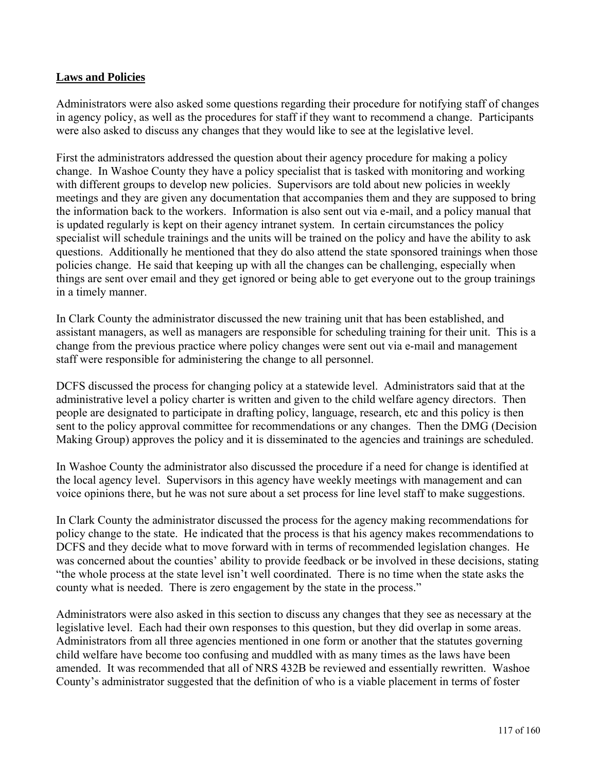#### **Laws and Policies**

Administrators were also asked some questions regarding their procedure for notifying staff of changes in agency policy, as well as the procedures for staff if they want to recommend a change. Participants were also asked to discuss any changes that they would like to see at the legislative level.

First the administrators addressed the question about their agency procedure for making a policy change. In Washoe County they have a policy specialist that is tasked with monitoring and working with different groups to develop new policies. Supervisors are told about new policies in weekly meetings and they are given any documentation that accompanies them and they are supposed to bring the information back to the workers. Information is also sent out via e-mail, and a policy manual that is updated regularly is kept on their agency intranet system. In certain circumstances the policy specialist will schedule trainings and the units will be trained on the policy and have the ability to ask questions. Additionally he mentioned that they do also attend the state sponsored trainings when those policies change. He said that keeping up with all the changes can be challenging, especially when things are sent over email and they get ignored or being able to get everyone out to the group trainings in a timely manner.

In Clark County the administrator discussed the new training unit that has been established, and assistant managers, as well as managers are responsible for scheduling training for their unit. This is a change from the previous practice where policy changes were sent out via e-mail and management staff were responsible for administering the change to all personnel.

DCFS discussed the process for changing policy at a statewide level. Administrators said that at the administrative level a policy charter is written and given to the child welfare agency directors. Then people are designated to participate in drafting policy, language, research, etc and this policy is then sent to the policy approval committee for recommendations or any changes. Then the DMG (Decision Making Group) approves the policy and it is disseminated to the agencies and trainings are scheduled.

In Washoe County the administrator also discussed the procedure if a need for change is identified at the local agency level. Supervisors in this agency have weekly meetings with management and can voice opinions there, but he was not sure about a set process for line level staff to make suggestions.

In Clark County the administrator discussed the process for the agency making recommendations for policy change to the state. He indicated that the process is that his agency makes recommendations to DCFS and they decide what to move forward with in terms of recommended legislation changes. He was concerned about the counties' ability to provide feedback or be involved in these decisions, stating "the whole process at the state level isn't well coordinated. There is no time when the state asks the county what is needed. There is zero engagement by the state in the process."

Administrators were also asked in this section to discuss any changes that they see as necessary at the legislative level. Each had their own responses to this question, but they did overlap in some areas. Administrators from all three agencies mentioned in one form or another that the statutes governing child welfare have become too confusing and muddled with as many times as the laws have been amended. It was recommended that all of NRS 432B be reviewed and essentially rewritten. Washoe County's administrator suggested that the definition of who is a viable placement in terms of foster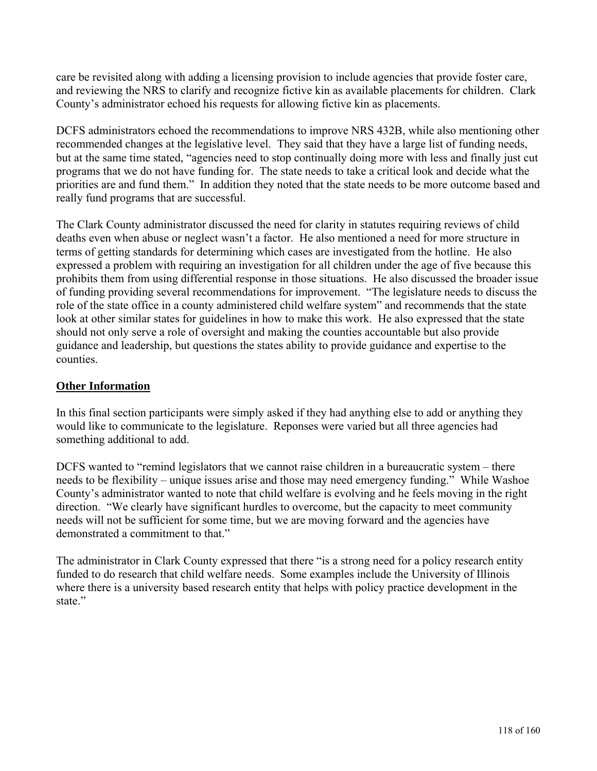care be revisited along with adding a licensing provision to include agencies that provide foster care, and reviewing the NRS to clarify and recognize fictive kin as available placements for children. Clark County's administrator echoed his requests for allowing fictive kin as placements.

DCFS administrators echoed the recommendations to improve NRS 432B, while also mentioning other recommended changes at the legislative level. They said that they have a large list of funding needs, but at the same time stated, "agencies need to stop continually doing more with less and finally just cut programs that we do not have funding for. The state needs to take a critical look and decide what the priorities are and fund them." In addition they noted that the state needs to be more outcome based and really fund programs that are successful.

The Clark County administrator discussed the need for clarity in statutes requiring reviews of child deaths even when abuse or neglect wasn't a factor. He also mentioned a need for more structure in terms of getting standards for determining which cases are investigated from the hotline. He also expressed a problem with requiring an investigation for all children under the age of five because this prohibits them from using differential response in those situations. He also discussed the broader issue of funding providing several recommendations for improvement. "The legislature needs to discuss the role of the state office in a county administered child welfare system" and recommends that the state look at other similar states for guidelines in how to make this work. He also expressed that the state should not only serve a role of oversight and making the counties accountable but also provide guidance and leadership, but questions the states ability to provide guidance and expertise to the counties.

### **Other Information**

In this final section participants were simply asked if they had anything else to add or anything they would like to communicate to the legislature. Reponses were varied but all three agencies had something additional to add.

DCFS wanted to "remind legislators that we cannot raise children in a bureaucratic system – there needs to be flexibility – unique issues arise and those may need emergency funding." While Washoe County's administrator wanted to note that child welfare is evolving and he feels moving in the right direction. "We clearly have significant hurdles to overcome, but the capacity to meet community needs will not be sufficient for some time, but we are moving forward and the agencies have demonstrated a commitment to that."

The administrator in Clark County expressed that there "is a strong need for a policy research entity funded to do research that child welfare needs. Some examples include the University of Illinois where there is a university based research entity that helps with policy practice development in the state."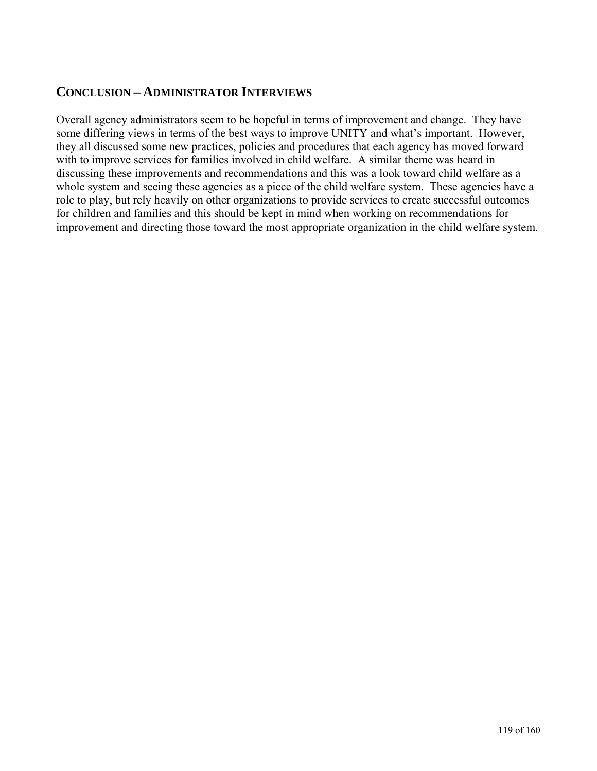### **CONCLUSION – ADMINISTRATOR INTERVIEWS**

Overall agency administrators seem to be hopeful in terms of improvement and change. They have some differing views in terms of the best ways to improve UNITY and what's important. However, they all discussed some new practices, policies and procedures that each agency has moved forward with to improve services for families involved in child welfare. A similar theme was heard in discussing these improvements and recommendations and this was a look toward child welfare as a whole system and seeing these agencies as a piece of the child welfare system. These agencies have a role to play, but rely heavily on other organizations to provide services to create successful outcomes for children and families and this should be kept in mind when working on recommendations for improvement and directing those toward the most appropriate organization in the child welfare system.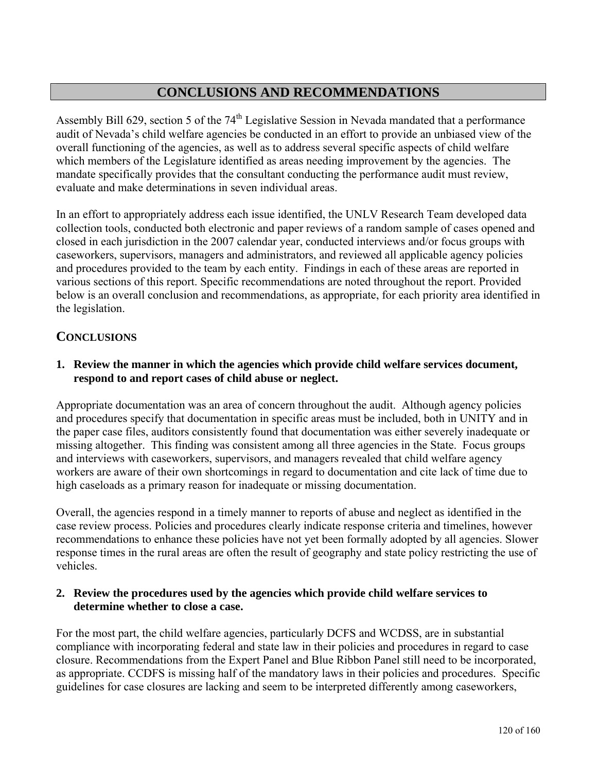## **CONCLUSIONS AND RECOMMENDATIONS**

Assembly Bill 629, section 5 of the 74<sup>th</sup> Legislative Session in Nevada mandated that a performance audit of Nevada's child welfare agencies be conducted in an effort to provide an unbiased view of the overall functioning of the agencies, as well as to address several specific aspects of child welfare which members of the Legislature identified as areas needing improvement by the agencies. The mandate specifically provides that the consultant conducting the performance audit must review, evaluate and make determinations in seven individual areas.

In an effort to appropriately address each issue identified, the UNLV Research Team developed data collection tools, conducted both electronic and paper reviews of a random sample of cases opened and closed in each jurisdiction in the 2007 calendar year, conducted interviews and/or focus groups with caseworkers, supervisors, managers and administrators, and reviewed all applicable agency policies and procedures provided to the team by each entity. Findings in each of these areas are reported in various sections of this report. Specific recommendations are noted throughout the report. Provided below is an overall conclusion and recommendations, as appropriate, for each priority area identified in the legislation.

### **CONCLUSIONS**

### **1. Review the manner in which the agencies which provide child welfare services document, respond to and report cases of child abuse or neglect.**

Appropriate documentation was an area of concern throughout the audit. Although agency policies and procedures specify that documentation in specific areas must be included, both in UNITY and in the paper case files, auditors consistently found that documentation was either severely inadequate or missing altogether. This finding was consistent among all three agencies in the State. Focus groups and interviews with caseworkers, supervisors, and managers revealed that child welfare agency workers are aware of their own shortcomings in regard to documentation and cite lack of time due to high caseloads as a primary reason for inadequate or missing documentation.

Overall, the agencies respond in a timely manner to reports of abuse and neglect as identified in the case review process. Policies and procedures clearly indicate response criteria and timelines, however recommendations to enhance these policies have not yet been formally adopted by all agencies. Slower response times in the rural areas are often the result of geography and state policy restricting the use of vehicles.

#### **2. Review the procedures used by the agencies which provide child welfare services to determine whether to close a case.**

For the most part, the child welfare agencies, particularly DCFS and WCDSS, are in substantial compliance with incorporating federal and state law in their policies and procedures in regard to case closure. Recommendations from the Expert Panel and Blue Ribbon Panel still need to be incorporated, as appropriate. CCDFS is missing half of the mandatory laws in their policies and procedures. Specific guidelines for case closures are lacking and seem to be interpreted differently among caseworkers,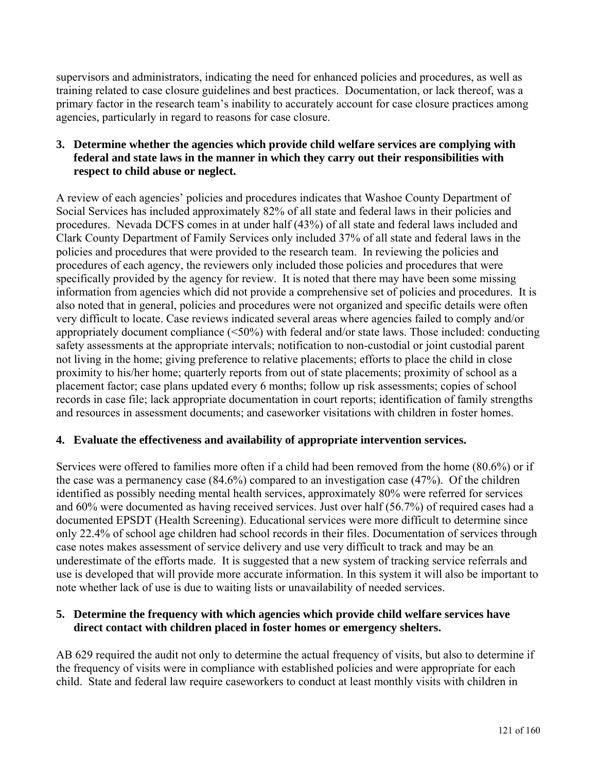supervisors and administrators, indicating the need for enhanced policies and procedures, as well as training related to case closure guidelines and best practices. Documentation, or lack thereof, was a primary factor in the research team's inability to accurately account for case closure practices among agencies, particularly in regard to reasons for case closure.

### **3. Determine whether the agencies which provide child welfare services are complying with federal and state laws in the manner in which they carry out their responsibilities with respect to child abuse or neglect.**

A review of each agencies' policies and procedures indicates that Washoe County Department of Social Services has included approximately 82% of all state and federal laws in their policies and procedures. Nevada DCFS comes in at under half (43%) of all state and federal laws included and Clark County Department of Family Services only included 37% of all state and federal laws in the policies and procedures that were provided to the research team. In reviewing the policies and procedures of each agency, the reviewers only included those policies and procedures that were specifically provided by the agency for review. It is noted that there may have been some missing information from agencies which did not provide a comprehensive set of policies and procedures. It is also noted that in general, policies and procedures were not organized and specific details were often very difficult to locate. Case reviews indicated several areas where agencies failed to comply and/or appropriately document compliance (<50%) with federal and/or state laws. Those included: conducting safety assessments at the appropriate intervals; notification to non-custodial or joint custodial parent not living in the home; giving preference to relative placements; efforts to place the child in close proximity to his/her home; quarterly reports from out of state placements; proximity of school as a placement factor; case plans updated every 6 months; follow up risk assessments; copies of school records in case file; lack appropriate documentation in court reports; identification of family strengths and resources in assessment documents; and caseworker visitations with children in foster homes.

### **4. Evaluate the effectiveness and availability of appropriate intervention services.**

Services were offered to families more often if a child had been removed from the home (80.6%) or if the case was a permanency case (84.6%) compared to an investigation case (47%). Of the children identified as possibly needing mental health services, approximately 80% were referred for services and 60% were documented as having received services. Just over half (56.7%) of required cases had a documented EPSDT (Health Screening). Educational services were more difficult to determine since only 22.4% of school age children had school records in their files. Documentation of services through case notes makes assessment of service delivery and use very difficult to track and may be an underestimate of the efforts made. It is suggested that a new system of tracking service referrals and use is developed that will provide more accurate information. In this system it will also be important to note whether lack of use is due to waiting lists or unavailability of needed services.

### **5. Determine the frequency with which agencies which provide child welfare services have direct contact with children placed in foster homes or emergency shelters.**

AB 629 required the audit not only to determine the actual frequency of visits, but also to determine if the frequency of visits were in compliance with established policies and were appropriate for each child. State and federal law require caseworkers to conduct at least monthly visits with children in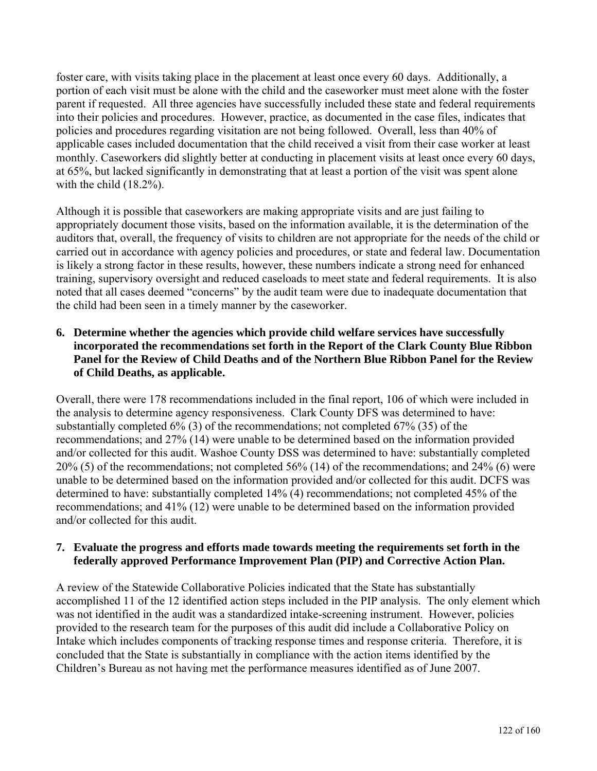foster care, with visits taking place in the placement at least once every 60 days. Additionally, a portion of each visit must be alone with the child and the caseworker must meet alone with the foster parent if requested. All three agencies have successfully included these state and federal requirements into their policies and procedures. However, practice, as documented in the case files, indicates that policies and procedures regarding visitation are not being followed. Overall, less than 40% of applicable cases included documentation that the child received a visit from their case worker at least monthly. Caseworkers did slightly better at conducting in placement visits at least once every 60 days, at 65%, but lacked significantly in demonstrating that at least a portion of the visit was spent alone with the child (18.2%).

Although it is possible that caseworkers are making appropriate visits and are just failing to appropriately document those visits, based on the information available, it is the determination of the auditors that, overall, the frequency of visits to children are not appropriate for the needs of the child or carried out in accordance with agency policies and procedures, or state and federal law. Documentation is likely a strong factor in these results, however, these numbers indicate a strong need for enhanced training, supervisory oversight and reduced caseloads to meet state and federal requirements. It is also noted that all cases deemed "concerns" by the audit team were due to inadequate documentation that the child had been seen in a timely manner by the caseworker.

**6. Determine whether the agencies which provide child welfare services have successfully incorporated the recommendations set forth in the Report of the Clark County Blue Ribbon Panel for the Review of Child Deaths and of the Northern Blue Ribbon Panel for the Review of Child Deaths, as applicable.** 

Overall, there were 178 recommendations included in the final report, 106 of which were included in the analysis to determine agency responsiveness. Clark County DFS was determined to have: substantially completed 6% (3) of the recommendations; not completed 67% (35) of the recommendations; and 27% (14) were unable to be determined based on the information provided and/or collected for this audit. Washoe County DSS was determined to have: substantially completed 20% (5) of the recommendations; not completed 56% (14) of the recommendations; and 24% (6) were unable to be determined based on the information provided and/or collected for this audit. DCFS was determined to have: substantially completed 14% (4) recommendations; not completed 45% of the recommendations; and 41% (12) were unable to be determined based on the information provided and/or collected for this audit.

#### **7. Evaluate the progress and efforts made towards meeting the requirements set forth in the federally approved Performance Improvement Plan (PIP) and Corrective Action Plan.**

A review of the Statewide Collaborative Policies indicated that the State has substantially accomplished 11 of the 12 identified action steps included in the PIP analysis. The only element which was not identified in the audit was a standardized intake-screening instrument. However, policies provided to the research team for the purposes of this audit did include a Collaborative Policy on Intake which includes components of tracking response times and response criteria. Therefore, it is concluded that the State is substantially in compliance with the action items identified by the Children's Bureau as not having met the performance measures identified as of June 2007.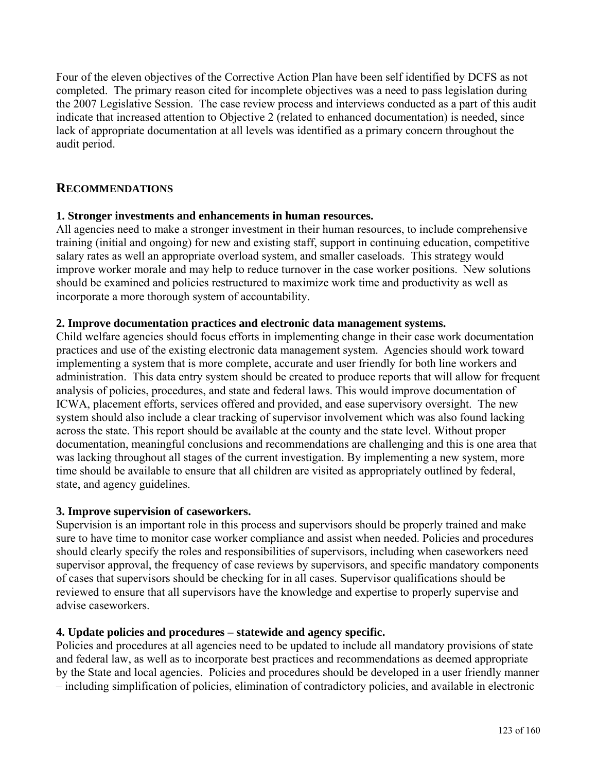Four of the eleven objectives of the Corrective Action Plan have been self identified by DCFS as not completed. The primary reason cited for incomplete objectives was a need to pass legislation during the 2007 Legislative Session. The case review process and interviews conducted as a part of this audit indicate that increased attention to Objective 2 (related to enhanced documentation) is needed, since lack of appropriate documentation at all levels was identified as a primary concern throughout the audit period.

### **RECOMMENDATIONS**

#### **1. Stronger investments and enhancements in human resources.**

All agencies need to make a stronger investment in their human resources, to include comprehensive training (initial and ongoing) for new and existing staff, support in continuing education, competitive salary rates as well an appropriate overload system, and smaller caseloads. This strategy would improve worker morale and may help to reduce turnover in the case worker positions. New solutions should be examined and policies restructured to maximize work time and productivity as well as incorporate a more thorough system of accountability.

#### **2. Improve documentation practices and electronic data management systems.**

Child welfare agencies should focus efforts in implementing change in their case work documentation practices and use of the existing electronic data management system. Agencies should work toward implementing a system that is more complete, accurate and user friendly for both line workers and administration. This data entry system should be created to produce reports that will allow for frequent analysis of policies, procedures, and state and federal laws. This would improve documentation of ICWA, placement efforts, services offered and provided, and ease supervisory oversight. The new system should also include a clear tracking of supervisor involvement which was also found lacking across the state. This report should be available at the county and the state level. Without proper documentation, meaningful conclusions and recommendations are challenging and this is one area that was lacking throughout all stages of the current investigation. By implementing a new system, more time should be available to ensure that all children are visited as appropriately outlined by federal, state, and agency guidelines.

#### **3. Improve supervision of caseworkers.**

Supervision is an important role in this process and supervisors should be properly trained and make sure to have time to monitor case worker compliance and assist when needed. Policies and procedures should clearly specify the roles and responsibilities of supervisors, including when caseworkers need supervisor approval, the frequency of case reviews by supervisors, and specific mandatory components of cases that supervisors should be checking for in all cases. Supervisor qualifications should be reviewed to ensure that all supervisors have the knowledge and expertise to properly supervise and advise caseworkers.

### **4. Update policies and procedures – statewide and agency specific.**

Policies and procedures at all agencies need to be updated to include all mandatory provisions of state and federal law, as well as to incorporate best practices and recommendations as deemed appropriate by the State and local agencies. Policies and procedures should be developed in a user friendly manner – including simplification of policies, elimination of contradictory policies, and available in electronic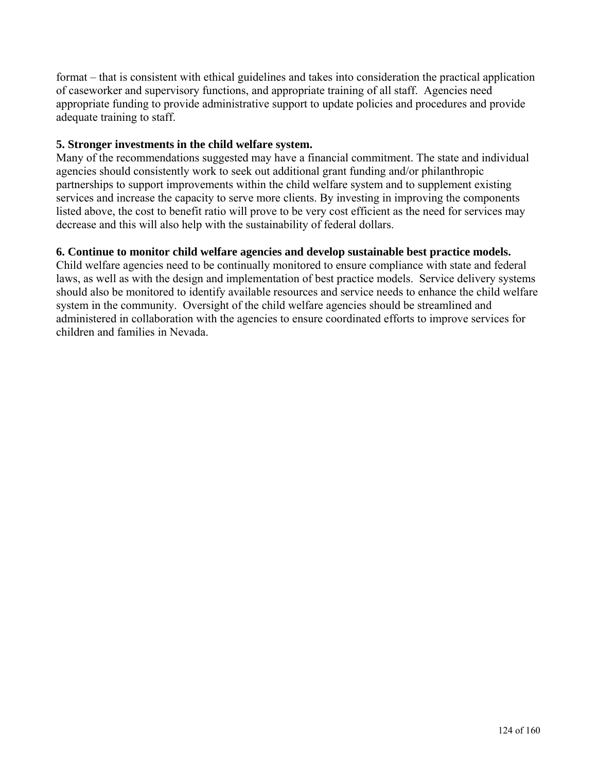format – that is consistent with ethical guidelines and takes into consideration the practical application of caseworker and supervisory functions, and appropriate training of all staff. Agencies need appropriate funding to provide administrative support to update policies and procedures and provide adequate training to staff.

### **5. Stronger investments in the child welfare system.**

Many of the recommendations suggested may have a financial commitment. The state and individual agencies should consistently work to seek out additional grant funding and/or philanthropic partnerships to support improvements within the child welfare system and to supplement existing services and increase the capacity to serve more clients. By investing in improving the components listed above, the cost to benefit ratio will prove to be very cost efficient as the need for services may decrease and this will also help with the sustainability of federal dollars.

### **6. Continue to monitor child welfare agencies and develop sustainable best practice models.**

Child welfare agencies need to be continually monitored to ensure compliance with state and federal laws, as well as with the design and implementation of best practice models. Service delivery systems should also be monitored to identify available resources and service needs to enhance the child welfare system in the community. Oversight of the child welfare agencies should be streamlined and administered in collaboration with the agencies to ensure coordinated efforts to improve services for children and families in Nevada.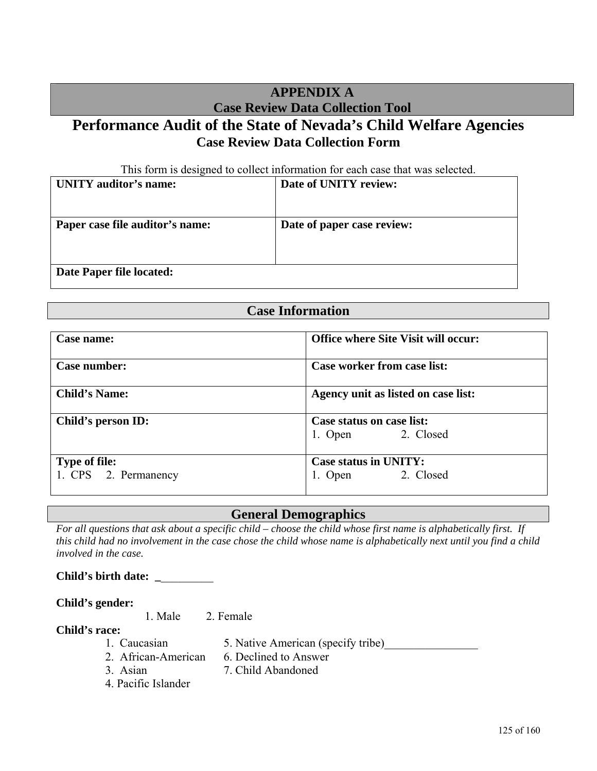# **APPENDIX A Case Review Data Collection Tool**

# **Performance Audit of the State of Nevada's Child Welfare Agencies Case Review Data Collection Form**

This form is designed to collect information for each case that was selected.

| <b>UNITY</b> auditor's name:    | Date of UNITY review:      |
|---------------------------------|----------------------------|
|                                 |                            |
|                                 |                            |
|                                 |                            |
| Paper case file auditor's name: | Date of paper case review: |
|                                 |                            |
|                                 |                            |
|                                 |                            |
|                                 |                            |
| Date Paper file located:        |                            |

### **Case Information**

| Case name:                                   | <b>Office where Site Visit will occur:</b>        |  |  |  |
|----------------------------------------------|---------------------------------------------------|--|--|--|
| Case number:                                 | <b>Case worker from case list:</b>                |  |  |  |
| <b>Child's Name:</b>                         | Agency unit as listed on case list:               |  |  |  |
| Child's person ID:                           | Case status on case list:<br>2. Closed<br>1. Open |  |  |  |
| <b>Type of file:</b><br>1. CPS 2. Permanency | Case status in UNITY:<br>2. Closed<br>1. Open     |  |  |  |

### **General Demographics**

*For all questions that ask about a specific child – choose the child whose first name is alphabetically first. If this child had no involvement in the case chose the child whose name is alphabetically next until you find a child involved in the case.* 

#### **Child's birth date: \_**\_\_\_\_\_\_\_\_\_

#### **Child's gender:**

1. Male 2. Female

**Child's race:** 

- 1. Caucasian 5. Native American (specify tribe)
- 
- 2. African-American 6. Declined to Answer
- 
- 3. Asian 7. Child Abandoned
- 4. Pacific Islander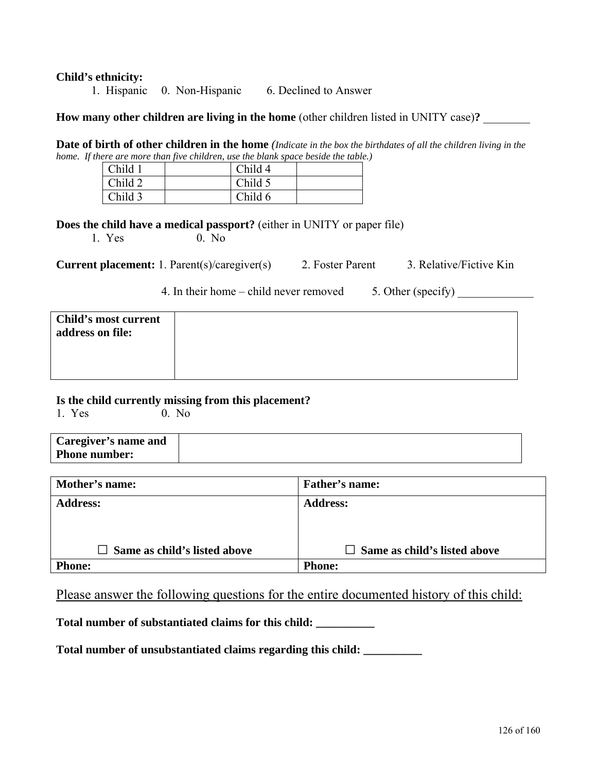#### **Child's ethnicity:**

1. Hispanic 0. Non-Hispanic 6. Declined to Answer

**How many other children are living in the home** (other children listed in UNITY case)**?** \_\_\_\_\_\_\_\_

**Date of birth of other children in the home** *(Indicate in the box the birthdates of all the children living in the home. If there are more than five children, use the blank space beside the table.)* 

| Child   | Child 4 |  |
|---------|---------|--|
| Child 2 | Child 5 |  |
| Child 3 | Child 6 |  |

**Does the child have a medical passport?** (either in UNITY or paper file)

1. Yes 0. No

**Current placement:** 1. Parent(s)/caregiver(s) 2. Foster Parent 3. Relative/Fictive Kin

4. In their home – child never removed 5. Other (specify)

| Child's most current<br>address on file: |  |
|------------------------------------------|--|
|                                          |  |

**Is the child currently missing from this placement?** 

1. Yes 0. No

| Caregiver's name and |  |
|----------------------|--|
| <b>Phone number:</b> |  |

| Mother's name:                      | Father's name:                      |
|-------------------------------------|-------------------------------------|
| <b>Address:</b>                     | <b>Address:</b>                     |
|                                     |                                     |
| $\Box$ Same as child's listed above | $\Box$ Same as child's listed above |
| <b>Phone:</b>                       | <b>Phone:</b>                       |

Please answer the following questions for the entire documented history of this child:

**Total number of substantiated claims for this child: \_\_\_\_\_\_\_\_\_\_** 

**Total number of unsubstantiated claims regarding this child: \_\_\_\_\_\_\_\_\_\_**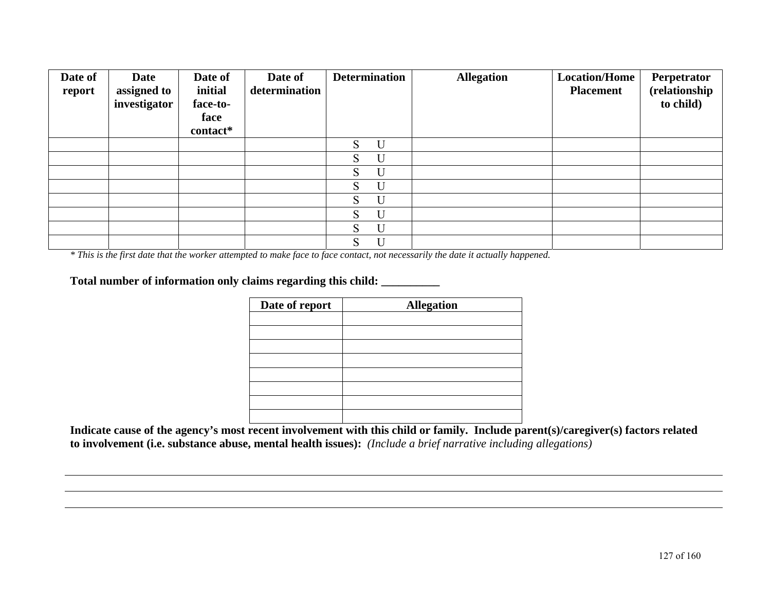| Date of<br>report | <b>Date</b><br>assigned to<br>investigator | Date of<br>initial<br>face-to-<br>face<br>contact* | Date of<br>determination | <b>Determination</b> | <b>Allegation</b> | <b>Location/Home</b><br><b>Placement</b> | Perpetrator<br>(relationship<br>to child) |
|-------------------|--------------------------------------------|----------------------------------------------------|--------------------------|----------------------|-------------------|------------------------------------------|-------------------------------------------|
|                   |                                            |                                                    |                          | S.<br>U              |                   |                                          |                                           |
|                   |                                            |                                                    |                          | S<br>U               |                   |                                          |                                           |
|                   |                                            |                                                    |                          | S<br>U               |                   |                                          |                                           |
|                   |                                            |                                                    |                          | S                    |                   |                                          |                                           |
|                   |                                            |                                                    |                          | S                    |                   |                                          |                                           |
|                   |                                            |                                                    |                          | S<br>U               |                   |                                          |                                           |
|                   |                                            |                                                    |                          | S<br>U               |                   |                                          |                                           |
|                   |                                            |                                                    |                          | S.<br>U              |                   |                                          |                                           |

*\* This is the first date that the worker attempted to make face to face contact, not necessarily the date it actually happened.*

#### **Total number of information only claims regarding this child: \_\_\_\_\_\_\_\_\_\_**

| Date of report | <b>Allegation</b> |
|----------------|-------------------|
|                |                   |
|                |                   |
|                |                   |
|                |                   |
|                |                   |
|                |                   |
|                |                   |
|                |                   |

**Indicate cause of the agency's most recent involvement with this child or family. Include parent(s)/caregiver(s) factors related to involvement (i.e. substance abuse, mental health issues):** *(Include a brief narrative including allegations)*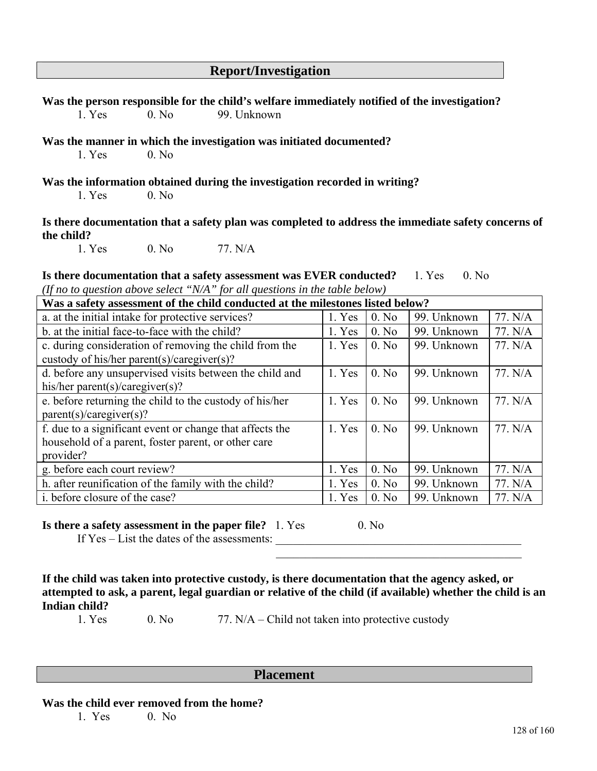### **Report/Investigation**

|                                                   |                                                          | Was the person responsible for the child's welfare immediately notified of the investigation?       |        |       |                   |         |
|---------------------------------------------------|----------------------------------------------------------|-----------------------------------------------------------------------------------------------------|--------|-------|-------------------|---------|
| 1. Yes                                            | 0. No                                                    | 99. Unknown                                                                                         |        |       |                   |         |
|                                                   |                                                          | Was the manner in which the investigation was initiated documented?                                 |        |       |                   |         |
| 1. Yes                                            | 0. No                                                    |                                                                                                     |        |       |                   |         |
|                                                   |                                                          | Was the information obtained during the investigation recorded in writing?                          |        |       |                   |         |
| 1. Yes                                            | 0. No                                                    |                                                                                                     |        |       |                   |         |
| the child?                                        |                                                          | Is there documentation that a safety plan was completed to address the immediate safety concerns of |        |       |                   |         |
| 1. Yes                                            | 0. No                                                    | 77. N/A                                                                                             |        |       |                   |         |
|                                                   |                                                          | Is there documentation that a safety assessment was EVER conducted?                                 |        |       | $0.$ No<br>1. Yes |         |
|                                                   |                                                          | (If no to question above select "N/A" for all questions in the table below)                         |        |       |                   |         |
|                                                   |                                                          | Was a safety assessment of the child conducted at the milestones listed below?                      |        |       |                   |         |
| a. at the initial intake for protective services? |                                                          |                                                                                                     | 1. Yes | 0. No | 99. Unknown       | 77. N/A |
| b. at the initial face-to-face with the child?    |                                                          |                                                                                                     | 1. Yes | 0. No | 99. Unknown       | 77. N/A |
| custody of his/her parent(s)/caregiver(s)?        |                                                          | c. during consideration of removing the child from the                                              | 1. Yes | 0. No | 99. Unknown       | 77. N/A |
|                                                   |                                                          | d. before any unsupervised visits between the child and                                             | 1. Yes | 0. No | 99. Unknown       | 77. N/A |
| his/her parent(s)/caregiver(s)?                   |                                                          |                                                                                                     |        |       |                   |         |
|                                                   |                                                          | e. before returning the child to the custody of his/her                                             | 1. Yes | 0. No | 99. Unknown       | 77. N/A |
| parent(s)/caregiver(s)?                           |                                                          |                                                                                                     | 1. Yes |       |                   |         |
|                                                   | f. due to a significant event or change that affects the |                                                                                                     |        | 0. No | 99. Unknown       | 77. N/A |
|                                                   | household of a parent, foster parent, or other care      |                                                                                                     |        |       |                   |         |
| provider?                                         |                                                          |                                                                                                     |        |       |                   |         |

g. before each court review?  $1. \text{Yes} \mid 0. \text{No} \mid 99. \text{Unknown} \mid 77. \text{N/A}$ h. after reunification of the family with the child?  $1.$  Yes  $\begin{array}{|l|l|} \hline 1.$  Yes  $\begin{array}{|l|l|} \hline 0. \text{No} & \text{99.} \text{Unknown} & \text{77.} \text{N/A} \hline \end{array}$ i. before closure of the case?  $1. \text{Yes} \mid 0. \text{No} \mid 99. \text{Unknown} \mid 77. \text{N/A}$ 

**Is there a safety assessment in the paper file?** 1. Yes 0. No

If  $Yes - List$  the dates of the assessments:

**If the child was taken into protective custody, is there documentation that the agency asked, or attempted to ask, a parent, legal guardian or relative of the child (if available) whether the child is an Indian child?** 

 $\mathcal{L}_\text{max}$  and  $\mathcal{L}_\text{max}$  and  $\mathcal{L}_\text{max}$  and  $\mathcal{L}_\text{max}$  and  $\mathcal{L}_\text{max}$ 

1. Yes 0. No 77. N/A – Child not taken into protective custody

**Placement** 

**Was the child ever removed from the home?**

1. Yes 0. No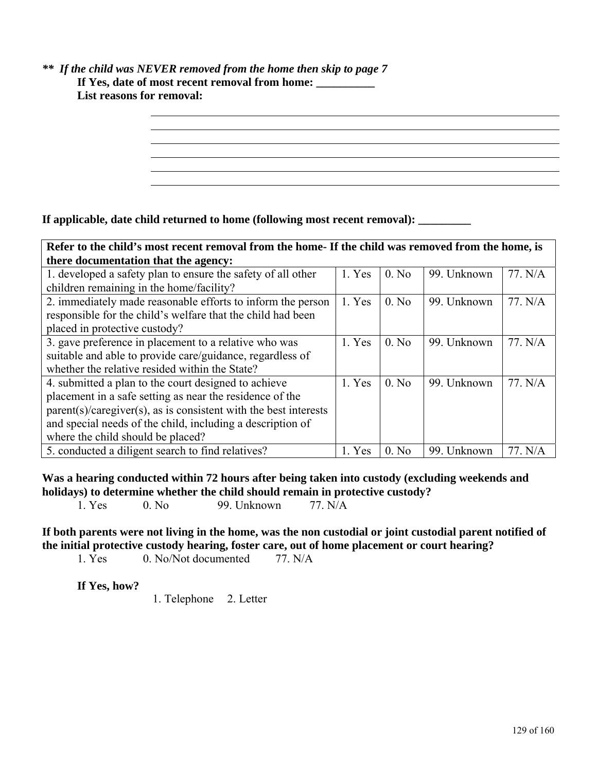*\*\* If the child was NEVER removed from the home then skip to page 7* 

If Yes, date of most recent removal from home: **List reasons for removal:** 

#### If applicable, date child returned to home (following most recent removal):

| Refer to the child's most recent removal from the home- If the child was removed from the home, is |        |         |             |            |  |  |  |
|----------------------------------------------------------------------------------------------------|--------|---------|-------------|------------|--|--|--|
| there documentation that the agency:                                                               |        |         |             |            |  |  |  |
| 1. developed a safety plan to ensure the safety of all other                                       | 1. Yes | $0.$ No | 99. Unknown | 77. N/A    |  |  |  |
| children remaining in the home/facility?                                                           |        |         |             |            |  |  |  |
| 2. immediately made reasonable efforts to inform the person                                        | 1. Yes | $0.$ No | 99. Unknown | 77. N/A    |  |  |  |
| responsible for the child's welfare that the child had been                                        |        |         |             |            |  |  |  |
| placed in protective custody?                                                                      |        |         |             |            |  |  |  |
| 3. gave preference in placement to a relative who was                                              | 1. Yes | $0.$ No | 99. Unknown | $77$ . N/A |  |  |  |
| suitable and able to provide care/guidance, regardless of                                          |        |         |             |            |  |  |  |
| whether the relative resided within the State?                                                     |        |         |             |            |  |  |  |
| 4. submitted a plan to the court designed to achieve                                               | 1. Yes | $0.$ No | 99. Unknown | 77. N/A    |  |  |  |
| placement in a safe setting as near the residence of the                                           |        |         |             |            |  |  |  |
| $parent(s)/caregiver(s)$ , as is consistent with the best interests                                |        |         |             |            |  |  |  |
| and special needs of the child, including a description of                                         |        |         |             |            |  |  |  |
| where the child should be placed?                                                                  |        |         |             |            |  |  |  |
| 5. conducted a diligent search to find relatives?                                                  | 1. Yes | 0. No   | 99. Unknown | 77. N/A    |  |  |  |

**Was a hearing conducted within 72 hours after being taken into custody (excluding weekends and holidays) to determine whether the child should remain in protective custody?** 

1. Yes 0. No 99. Unknown 77. N/A

**If both parents were not living in the home, was the non custodial or joint custodial parent notified of the initial protective custody hearing, foster care, out of home placement or court hearing?** 

1. Yes 0. No/Not documented 77. N/A

 **If Yes, how?** 

1. Telephone 2. Letter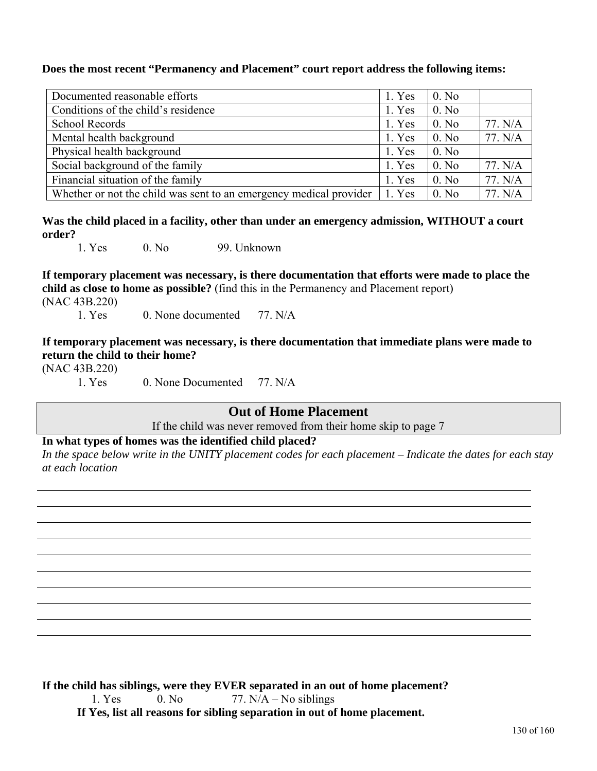#### **Does the most recent "Permanency and Placement" court report address the following items:**

| Documented reasonable efforts                                      | 1. Yes | 0. No   |         |
|--------------------------------------------------------------------|--------|---------|---------|
| Conditions of the child's residence                                | 1. Yes | 0. No   |         |
| School Records                                                     | 1. Yes | $0.$ No | 77. N/A |
| Mental health background                                           | 1. Yes | $0.$ No | 77. N/A |
| Physical health background                                         | 1. Yes | 0. No   |         |
| Social background of the family                                    | 1. Yes | $0.$ No | 77. N/A |
| Financial situation of the family                                  | 1. Yes | $0.$ No | 77. N/A |
| Whether or not the child was sent to an emergency medical provider | 1. Yes | $0.$ No | 77. N/A |

**Was the child placed in a facility, other than under an emergency admission, WITHOUT a court order?** 

1. Yes 0. No 99. Unknown

**If temporary placement was necessary, is there documentation that efforts were made to place the child as close to home as possible?** (find this in the Permanency and Placement report) (NAC 43B.220)

1. Yes 0. None documented 77. N/A

**If temporary placement was necessary, is there documentation that immediate plans were made to return the child to their home?** 

(NAC 43B.220)

1. Yes 0. None Documented 77. N/A

### **Out of Home Placement**

If the child was never removed from their home skip to page 7

#### **In what types of homes was the identified child placed?**

*In the space below write in the UNITY placement codes for each placement – Indicate the dates for each stay at each location* 

**If the child has siblings, were they EVER separated in an out of home placement?** 

1. Yes  $0. No$  77. N/A – No siblings

**If Yes, list all reasons for sibling separation in out of home placement.**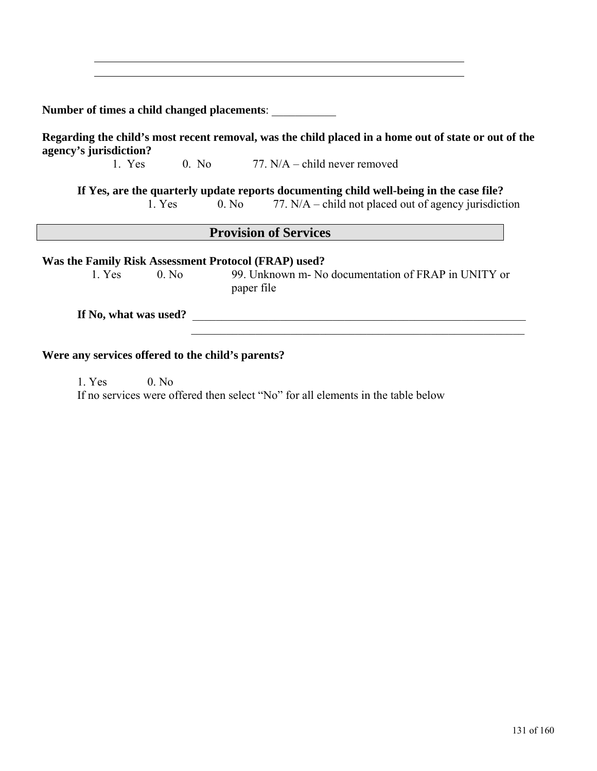**Number of times a child changed placements**: \_\_\_\_\_\_\_\_\_\_\_

**Regarding the child's most recent removal, was the child placed in a home out of state or out of the agency's jurisdiction?** 

1. Yes  $0. No$  77. N/A – child never removed

**If Yes, are the quarterly update reports documenting child well-being in the case file?** 1. Yes  $0. No$  77. N/A – child not placed out of agency jurisdiction

### **Provision of Services**

 $\mathcal{L}_\text{max} = \frac{1}{2} \sum_{i=1}^n \mathcal{L}_\text{max}(\mathbf{z}_i - \mathbf{z}_i)$ 

**Was the Family Risk Assessment Protocol (FRAP) used?** 

1. Yes 0. No 99. Unknown m- No documentation of FRAP in UNITY or paper file

 **If No, what was used?** \_\_\_\_\_\_\_\_\_\_\_\_\_\_\_\_\_\_\_\_\_\_\_\_\_\_\_\_\_\_\_\_\_\_\_\_\_\_\_\_\_\_\_\_\_\_\_\_\_\_\_\_\_\_\_\_\_

**Were any services offered to the child's parents?** 

1. Yes 0. No

If no services were offered then select "No" for all elements in the table below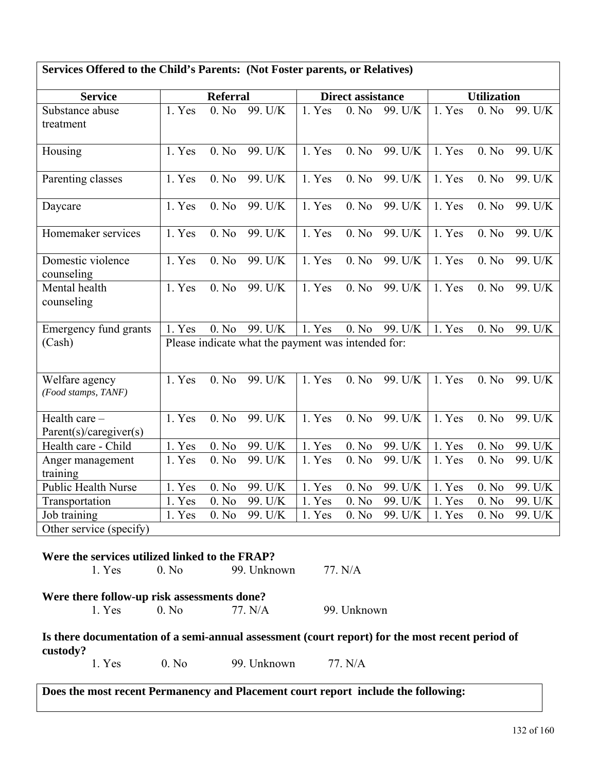### **Services Offered to the Child's Parents: (Not Foster parents, or Relatives)**

| <b>Service</b>                          |        | <b>Referral</b> |                                                    |        | <b>Direct assistance</b> |         |        | <b>Utilization</b> |         |
|-----------------------------------------|--------|-----------------|----------------------------------------------------|--------|--------------------------|---------|--------|--------------------|---------|
| Substance abuse<br>treatment            | 1. Yes | 0. No           | 99. U/K                                            | 1. Yes | 0. No                    | 99. U/K | 1. Yes | 0. No              | 99. U/K |
| Housing                                 | 1. Yes | 0. No           | 99. U/K                                            | 1. Yes | 0. No                    | 99. U/K | 1. Yes | 0. No              | 99. U/K |
| Parenting classes                       | 1. Yes | 0. No           | 99. U/K                                            | 1. Yes | 0. No                    | 99. U/K | 1. Yes | 0. No              | 99. U/K |
| Daycare                                 | 1. Yes | 0. No           | 99. U/K                                            | 1. Yes | 0. No                    | 99. U/K | 1. Yes | 0. No              | 99. U/K |
| Homemaker services                      | 1. Yes | 0. No           | 99. U/K                                            | 1. Yes | 0. No                    | 99. U/K | 1. Yes | 0. No              | 99. U/K |
| Domestic violence<br>counseling         | 1. Yes | 0. No           | 99. U/K                                            | 1. Yes | 0. No                    | 99. U/K | 1. Yes | 0. No              | 99. U/K |
| Mental health<br>counseling             | 1. Yes | 0. No           | 99. U/K                                            | 1. Yes | 0. No                    | 99. U/K | 1. Yes | 0. No              | 99. U/K |
| Emergency fund grants                   | 1. Yes | 0. No           | 99. U/K                                            | 1. Yes | 0. No                    | 99. U/K | 1. Yes | 0. No              | 99. U/K |
| (Cash)                                  |        |                 | Please indicate what the payment was intended for: |        |                          |         |        |                    |         |
| Welfare agency<br>(Food stamps, TANF)   | 1. Yes | 0. No           | 99. U/K                                            | 1. Yes | 0. No                    | 99. U/K | 1. Yes | 0. No              | 99. U/K |
| Health care -<br>Parent(s)/caregiven(s) | 1. Yes | 0. No           | 99. U/K                                            | 1. Yes | 0. No                    | 99. U/K | 1. Yes | 0. No              | 99. U/K |
| Health care - Child                     | 1. Yes | 0. No           | 99. U/K                                            | 1. Yes | 0. No                    | 99. U/K | 1. Yes | 0. No              | 99. U/K |
| Anger management<br>training            | 1. Yes | 0. No           | 99. U/K                                            | 1. Yes | 0. No                    | 99. U/K | 1. Yes | 0. No              | 99. U/K |
| <b>Public Health Nurse</b>              | 1. Yes | 0. No           | 99. U/K                                            | 1. Yes | 0. No                    | 99. U/K | 1. Yes | 0. No              | 99. U/K |
| Transportation                          | 1. Yes | 0. No           | 99. U/K                                            | 1. Yes | 0. No                    | 99. U/K | 1. Yes | 0. No              | 99. U/K |
| Job training                            | 1. Yes | 0. No           | 99. U/K                                            | 1. Yes | 0. No                    | 99. U/K | 1. Yes | 0. No              | 99. U/K |
| Other service (specify)                 |        |                 |                                                    |        |                          |         |        |                    |         |

### **Were the services utilized linked to the FRAP?**

1. Yes 0. No 99. Unknown 77. N/A

**Were there follow-up risk assessments done?** 

1. Yes 0. No 77. N/A 99. Unknown

**Is there documentation of a semi-annual assessment (court report) for the most recent period of custody?**

1. Yes 0. No 99. Unknown 77. N/A

**Does the most recent Permanency and Placement court report include the following:**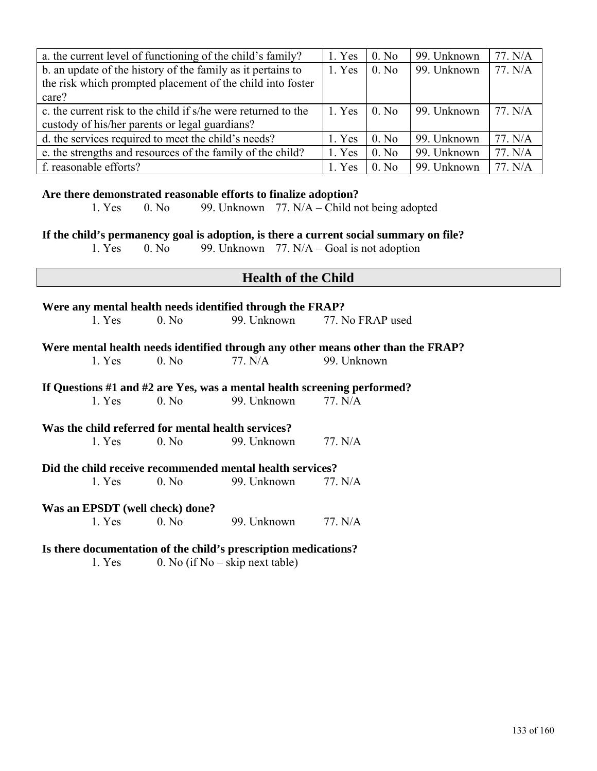| a. the current level of functioning of the child's family?    | 1. Yes | $0.$ No | 99. Unknown | 77. N/A |
|---------------------------------------------------------------|--------|---------|-------------|---------|
| b. an update of the history of the family as it pertains to   | 1. Yes | $0.$ No | 99. Unknown | 77. N/A |
| the risk which prompted placement of the child into foster    |        |         |             |         |
| care?                                                         |        |         |             |         |
| c, the current risk to the child if s/he were returned to the | 1. Yes | $0.$ No | 99. Unknown | 77. N/A |
| custody of his/her parents or legal guardians?                |        |         |             |         |
| d. the services required to meet the child's needs?           | 1. Yes | $0.$ No | 99. Unknown | 77. N/A |
| e. the strengths and resources of the family of the child?    | 1. Yes | $0.$ No | 99. Unknown | 77. N/A |
| f. reasonable efforts?                                        | 1. Yes | $0.$ No | 99. Unknown | 77. N/A |

### **Are there demonstrated reasonable efforts to finalize adoption?**

1. Yes 0. No 99. Unknown 77. N/A – Child not being adopted

**If the child's permanency goal is adoption, is there a current social summary on file?** 

1. Yes  $0.$  No  $99.$  Unknown 77. N/A – Goal is not adoption

## **Health of the Child**

|  |                                                    | Were any mental health needs identified through the FRAP?       |                                                                                  |
|--|----------------------------------------------------|-----------------------------------------------------------------|----------------------------------------------------------------------------------|
|  |                                                    |                                                                 | 1. Yes 0. No 99. Unknown 77. No FRAP used                                        |
|  |                                                    |                                                                 |                                                                                  |
|  |                                                    |                                                                 | Were mental health needs identified through any other means other than the FRAP? |
|  |                                                    | 1. Yes 0. No 77. N/A 99. Unknown                                |                                                                                  |
|  |                                                    |                                                                 | If Questions #1 and #2 are Yes, was a mental health screening performed?         |
|  |                                                    |                                                                 |                                                                                  |
|  |                                                    | 1. Yes 0. No 99. Unknown 77. N/A                                |                                                                                  |
|  | Was the child referred for mental health services? |                                                                 |                                                                                  |
|  |                                                    | 1. Yes 0. No 99. Unknown 77. N/A                                |                                                                                  |
|  |                                                    | Did the child receive recommended mental health services?       |                                                                                  |
|  |                                                    | 1. Yes 0. No 99. Unknown 77. N/A                                |                                                                                  |
|  |                                                    |                                                                 |                                                                                  |
|  | Was an EPSDT (well check) done?                    |                                                                 |                                                                                  |
|  |                                                    | 1. Yes 0. No 99. Unknown 77. N/A                                |                                                                                  |
|  |                                                    | Is there documentation of the child's prescription medications? |                                                                                  |
|  |                                                    |                                                                 |                                                                                  |
|  | 1. Yes $0. No (if No - skip next table)$           |                                                                 |                                                                                  |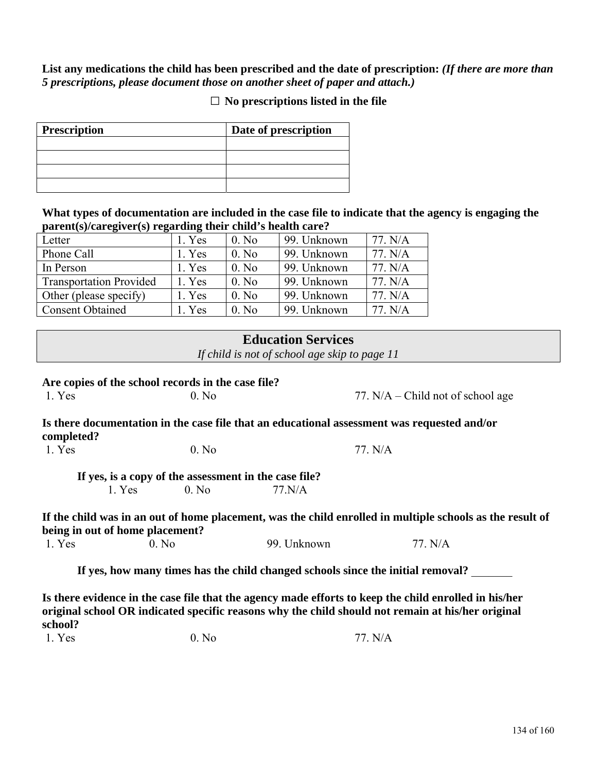**List any medications the child has been prescribed and the date of prescription:** *(If there are more than 5 prescriptions, please document those on another sheet of paper and attach.)* 

□ **No prescriptions listed in the file** 

| <b>Prescription</b> | Date of prescription |
|---------------------|----------------------|
|                     |                      |
|                     |                      |
|                     |                      |
|                     |                      |

**What types of documentation are included in the case file to indicate that the agency is engaging the parent(s)/caregiver(s) regarding their child's health care?** 

| Letter                         | 1. Yes | $0.$ No | 99. Unknown | 77. N/A    |
|--------------------------------|--------|---------|-------------|------------|
| Phone Call                     | 1. Yes | $0.$ No | 99. Unknown | 77. N/A    |
| In Person                      | 1. Yes | $0.$ No | 99. Unknown | 77. N/A    |
| <b>Transportation Provided</b> | 1. Yes | 0. No   | 99. Unknown | $77$ , N/A |
| Other (please specify)         | 1. Yes | 0. No   | 99. Unknown | 77. N/A    |
| <b>Consent Obtained</b>        | 1. Yes | 0. No   | 99. Unknown | $77$ . N/A |

| <b>Education Services</b>                     |
|-----------------------------------------------|
| If child is not of school age skin to page 11 |

*If child is not of school age skip to page 11* 

|                                 | Are copies of the school records in the case file?                               |             |                                                                                                           |
|---------------------------------|----------------------------------------------------------------------------------|-------------|-----------------------------------------------------------------------------------------------------------|
| 1. Yes                          | $0.$ No                                                                          |             | 77. $N/A$ – Child not of school age                                                                       |
| completed?                      |                                                                                  |             | Is there documentation in the case file that an educational assessment was requested and/or               |
| 1. Yes                          | $0.$ No                                                                          |             | 77. N/A                                                                                                   |
| being in out of home placement? | If yes, is a copy of the assessment in the case file?<br>1. Yes $0. N_0$ 77. N/A |             | If the child was in an out of home placement, was the child enrolled in multiple schools as the result of |
| 1. Yes                          | $0.$ No                                                                          | 99. Unknown | 77. N/A                                                                                                   |
|                                 |                                                                                  |             | If yes, how many times has the child changed schools since the initial removal?                           |
|                                 |                                                                                  |             |                                                                                                           |

**Is there evidence in the case file that the agency made efforts to keep the child enrolled in his/her original school OR indicated specific reasons why the child should not remain at his/her original school?** 

1. Yes 0. No 77. N/A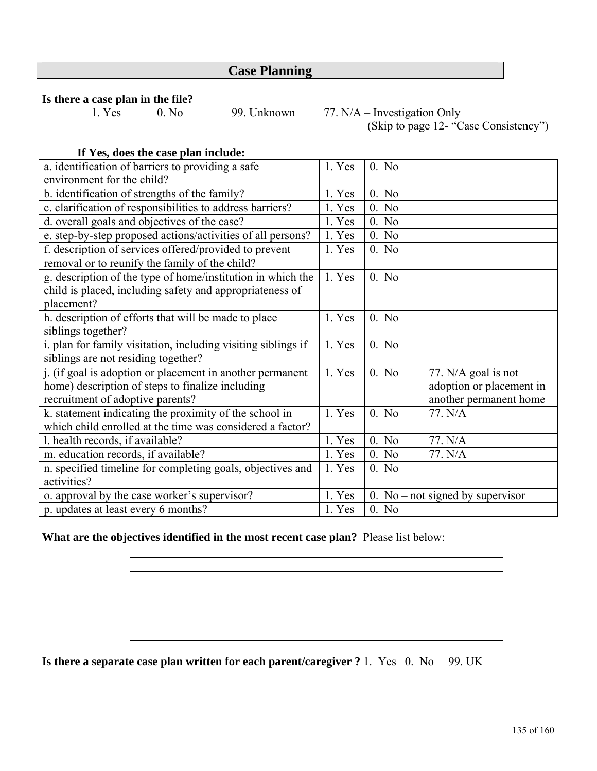## **Case Planning**

#### **Is there a case plan in the file?**

1. Yes 0. No 99. Unknown 77. N/A – Investigation Only (Skip to page 12- "Case Consistency")

### **If Yes, does the case plan include:**

| a. identification of barriers to providing a safe             | 1. Yes | 0. No |                                  |
|---------------------------------------------------------------|--------|-------|----------------------------------|
| environment for the child?                                    |        |       |                                  |
| b. identification of strengths of the family?                 | 1. Yes | 0. No |                                  |
| c. clarification of responsibilities to address barriers?     | 1. Yes | 0. No |                                  |
| d. overall goals and objectives of the case?                  | 1. Yes | 0. No |                                  |
| e. step-by-step proposed actions/activities of all persons?   | 1. Yes | 0. No |                                  |
| f. description of services offered/provided to prevent        | 1. Yes | 0. No |                                  |
| removal or to reunify the family of the child?                |        |       |                                  |
| g. description of the type of home/institution in which the   | 1. Yes | 0. No |                                  |
| child is placed, including safety and appropriateness of      |        |       |                                  |
| placement?                                                    |        |       |                                  |
| h. description of efforts that will be made to place          | 1. Yes | 0. No |                                  |
| siblings together?                                            |        |       |                                  |
| i. plan for family visitation, including visiting siblings if | 1. Yes | 0. No |                                  |
| siblings are not residing together?                           |        |       |                                  |
| j. (if goal is adoption or placement in another permanent     | 1. Yes | 0. No | 77. N/A goal is not              |
| home) description of steps to finalize including              |        |       | adoption or placement in         |
| recruitment of adoptive parents?                              |        |       | another permanent home           |
| k. statement indicating the proximity of the school in        | 1. Yes | 0. No | 77. N/A                          |
| which child enrolled at the time was considered a factor?     |        |       |                                  |
| 1. health records, if available?                              | 1. Yes | 0. No | 77. N/A                          |
| m. education records, if available?                           | 1. Yes | 0. No | 77. N/A                          |
| n. specified timeline for completing goals, objectives and    | 1. Yes | 0. No |                                  |
| activities?                                                   |        |       |                                  |
| o. approval by the case worker's supervisor?                  | 1. Yes |       | 0. No – not signed by supervisor |
| p. updates at least every 6 months?                           | 1. Yes | 0. No |                                  |

**What are the objectives identified in the most recent case plan?** Please list below:

**Is there a separate case plan written for each parent/caregiver ?** 1. Yes 0. No 99. UK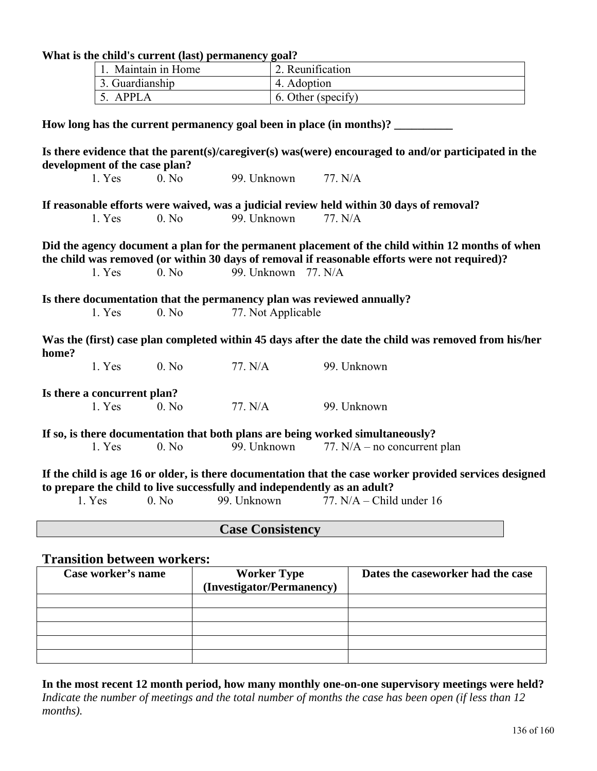|       |                               |                     | What is the child's current (last) permanency goal? |             |                                                                                                                                                                                                   |  |
|-------|-------------------------------|---------------------|-----------------------------------------------------|-------------|---------------------------------------------------------------------------------------------------------------------------------------------------------------------------------------------------|--|
|       |                               | 1. Maintain in Home |                                                     |             | 2. Reunification                                                                                                                                                                                  |  |
|       | 3. Guardianship               |                     |                                                     | 4. Adoption |                                                                                                                                                                                                   |  |
|       | 5. APPLA                      |                     |                                                     |             | 6. Other (specify)                                                                                                                                                                                |  |
|       |                               |                     |                                                     |             |                                                                                                                                                                                                   |  |
|       |                               |                     |                                                     |             | How long has the current permanency goal been in place (in months)?                                                                                                                               |  |
|       |                               |                     |                                                     |             | Is there evidence that the parent(s)/caregiver(s) was (were) encouraged to and/or participated in the                                                                                             |  |
|       | development of the case plan? |                     |                                                     |             |                                                                                                                                                                                                   |  |
|       | 1. Yes                        | 0. No               | 99. Unknown                                         |             | 77. N/A                                                                                                                                                                                           |  |
|       | 1. Yes                        | 0. No               | 99. Unknown                                         |             | If reasonable efforts were waived, was a judicial review held within 30 days of removal?<br>77. N/A                                                                                               |  |
|       | 1. Yes                        | $0.$ No             | 99. Unknown 77. N/A                                 |             | Did the agency document a plan for the permanent placement of the child within 12 months of when<br>the child was removed (or within 30 days of removal if reasonable efforts were not required)? |  |
|       |                               |                     |                                                     |             |                                                                                                                                                                                                   |  |
|       |                               |                     |                                                     |             | Is there documentation that the permanency plan was reviewed annually?                                                                                                                            |  |
|       | 1. Yes                        | 0. No               | 77. Not Applicable                                  |             |                                                                                                                                                                                                   |  |
| home? |                               |                     |                                                     |             | Was the (first) case plan completed within 45 days after the date the child was removed from his/her                                                                                              |  |
|       | 1. Yes                        | 0. No               | 77. N/A                                             |             | 99. Unknown                                                                                                                                                                                       |  |
|       | Is there a concurrent plan?   |                     |                                                     |             |                                                                                                                                                                                                   |  |
|       | 1. Yes                        | 0. No               | 77. N/A                                             |             | 99. Unknown                                                                                                                                                                                       |  |
|       |                               |                     |                                                     |             | If so, is there documentation that both plans are being worked simultaneously?                                                                                                                    |  |
|       | 1. Yes                        | 0. No               | 99. Unknown                                         |             | 77. $N/A$ – no concurrent plan                                                                                                                                                                    |  |
|       |                               |                     |                                                     |             | If the child is age 16 or older, is there documentation that the case worker provided services designed<br>to prepare the child to live successfully and independently as an adult?               |  |
|       | 1. Yes                        | 0. No               | 99. Unknown                                         |             | 77. $N/A$ – Child under 16                                                                                                                                                                        |  |
|       |                               |                     | <b>Case Consistency</b>                             |             |                                                                                                                                                                                                   |  |
|       |                               |                     |                                                     |             |                                                                                                                                                                                                   |  |

# **Transition between workers:**

| Case worker's name | <b>Worker Type</b><br>(Investigator/Permanency) | Dates the caseworker had the case |
|--------------------|-------------------------------------------------|-----------------------------------|
|                    |                                                 |                                   |
|                    |                                                 |                                   |
|                    |                                                 |                                   |
|                    |                                                 |                                   |
|                    |                                                 |                                   |

**In the most recent 12 month period, how many monthly one-on-one supervisory meetings were held?** *Indicate the number of meetings and the total number of months the case has been open (if less than 12 months).*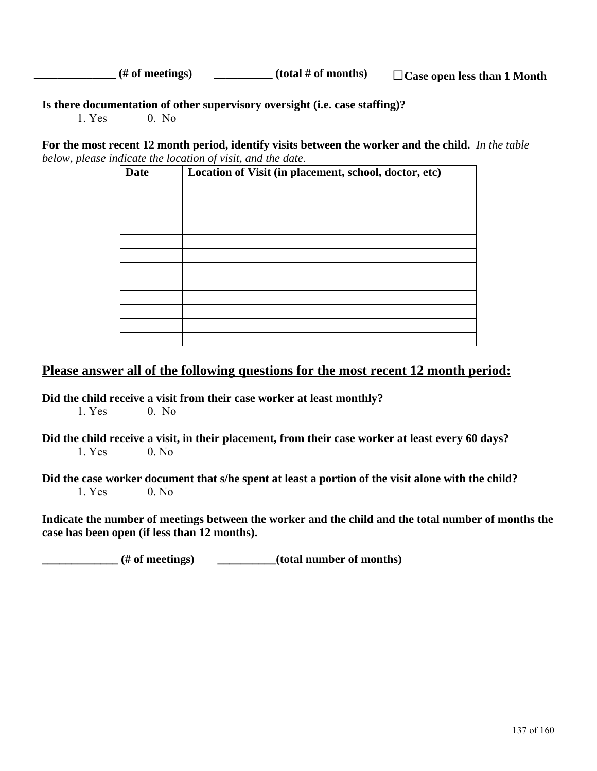$\left(\frac{\text{# of meetings}}{\text{# of meetings}}\right)$  \_\_\_\_\_\_\_\_\_\_\_\_ (total # of months)  $\qquad \Box$  Case open less than 1 Month

**Is there documentation of other supervisory oversight (i.e. case staffing)?** 

1. Yes 0. No

**For the most recent 12 month period, identify visits between the worker and the child.** *In the table below, please indicate the location of visit, and the date*.

| <b>Date</b> | Location of Visit (in placement, school, doctor, etc) |
|-------------|-------------------------------------------------------|
|             |                                                       |
|             |                                                       |
|             |                                                       |
|             |                                                       |
|             |                                                       |
|             |                                                       |
|             |                                                       |
|             |                                                       |
|             |                                                       |
|             |                                                       |
|             |                                                       |
|             |                                                       |

### **Please answer all of the following questions for the most recent 12 month period:**

**Did the child receive a visit from their case worker at least monthly?**

1. Yes 0. No

**Did the child receive a visit, in their placement, from their case worker at least every 60 days?**   $1 \text{ Yes}$  0 No

**Did the case worker document that s/he spent at least a portion of the visit alone with the child?**  1. Yes 0. No

**Indicate the number of meetings between the worker and the child and the total number of months the case has been open (if less than 12 months).** 

**\_\_\_\_\_\_\_\_\_\_\_\_\_ (# of meetings) \_\_\_\_\_\_\_\_\_\_(total number of months)**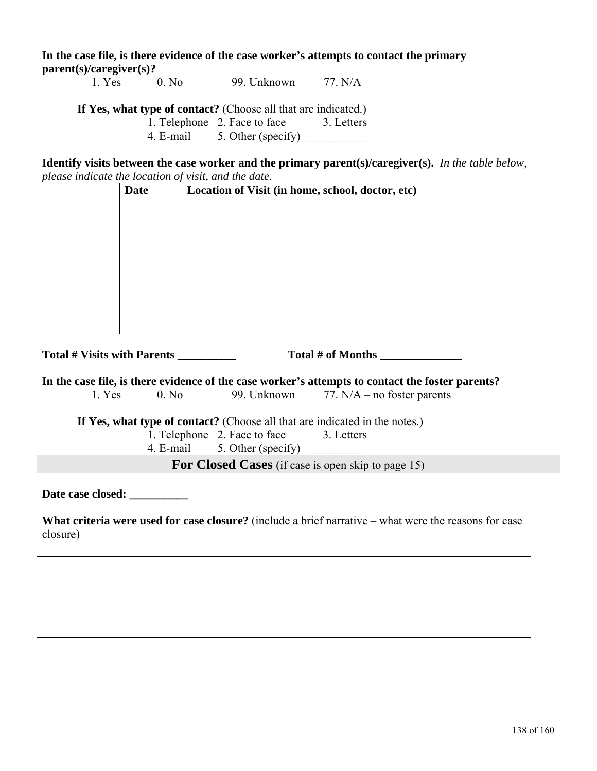**In the case file, is there evidence of the case worker's attempts to contact the primary parent(s)/caregiver(s)?** 

1. Yes 0. No 99. Unknown 77. N/A

 **If Yes, what type of contact?** (Choose all that are indicated.) 1. Telephone 2. Face to face 3. Letters 4. E-mail 5. Other (specify)

**Identify visits between the case worker and the primary parent(s)/caregiver(s).** *In the table below, please indicate the location of visit, and the date*.

| <b>Date</b> | Location of Visit (in home, school, doctor, etc) |  |
|-------------|--------------------------------------------------|--|
|             |                                                  |  |
|             |                                                  |  |
|             |                                                  |  |
|             |                                                  |  |
|             |                                                  |  |
|             |                                                  |  |
|             |                                                  |  |
|             |                                                  |  |
|             |                                                  |  |
|             |                                                  |  |
|             |                                                  |  |
|             |                                                  |  |

**Total # Visits with Parents \_\_\_\_\_\_\_\_\_\_ Total # of Months \_\_\_\_\_\_\_\_\_\_\_\_\_\_** 

**In the case file, is there evidence of the case worker's attempts to contact the foster parents?** 

1. Yes  $0.$  No  $99.$  Unknown  $77.$  N/A – no foster parents

**If Yes, what type of contact?** (Choose all that are indicated in the notes.)

1. Telephone 2. Face to face 3. Letters

4. E-mail 5. Other (specify)

For Closed Cases (if case is open skip to page 15)

Date case closed:

**What criteria were used for case closure?** (include a brief narrative – what were the reasons for case closure)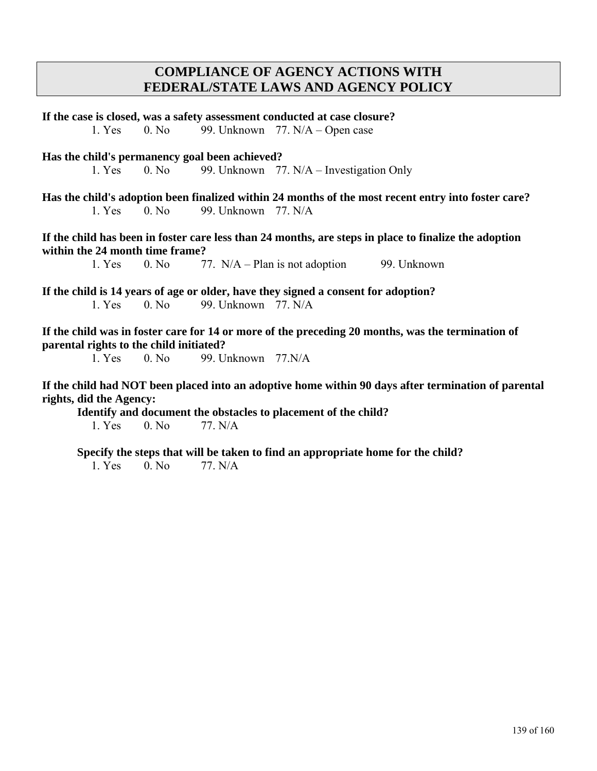# **COMPLIANCE OF AGENCY ACTIONS WITH FEDERAL/STATE LAWS AND AGENCY POLICY**

| If the case is closed, was a safety assessment conducted at case closure?                                                                    |                |                   |                                  |                                                                |
|----------------------------------------------------------------------------------------------------------------------------------------------|----------------|-------------------|----------------------------------|----------------------------------------------------------------|
|                                                                                                                                              |                | $1. Yes$ $0. No$  |                                  | 99. Unknown 77. N/A – Open case                                |
| Has the child's permanency goal been achieved?                                                                                               |                |                   |                                  |                                                                |
|                                                                                                                                              |                |                   |                                  | 1. Yes 0. No 99. Unknown 77. N/A – Investigation Only          |
| Has the child's adoption been finalized within 24 months of the most recent entry into foster care?                                          |                |                   |                                  |                                                                |
|                                                                                                                                              | 1. Yes         | 0. N <sub>0</sub> | 99. Unknown 77. N/A              |                                                                |
| If the child has been in foster care less than 24 months, are steps in place to finalize the adoption                                        |                |                   |                                  |                                                                |
| within the 24 month time frame?                                                                                                              |                |                   |                                  |                                                                |
|                                                                                                                                              |                |                   |                                  | 1. Yes $0. No$ 77. N/A – Plan is not adoption 99. Unknown      |
| If the child is 14 years of age or older, have they signed a consent for adoption?                                                           |                |                   |                                  |                                                                |
|                                                                                                                                              |                |                   | 1. Yes 0. No 99. Unknown 77. N/A |                                                                |
| If the child was in foster care for 14 or more of the preceding 20 months, was the termination of<br>parental rights to the child initiated? |                |                   |                                  |                                                                |
|                                                                                                                                              | $1. Yes$ 0. No |                   | 99. Unknown 77. N/A              |                                                                |
| If the child had NOT been placed into an adoptive home within 90 days after termination of parental<br>rights, did the Agency:               |                |                   |                                  |                                                                |
|                                                                                                                                              |                |                   |                                  | Identify and document the obstacles to placement of the child? |
|                                                                                                                                              | 1. Yes         | $0.$ No           | 77. N/A                          |                                                                |
| Specify the steps that will be taken to find an appropriate home for the child?                                                              |                |                   |                                  |                                                                |
|                                                                                                                                              | 1. Yes         | $0.$ No           | 77. N/A                          |                                                                |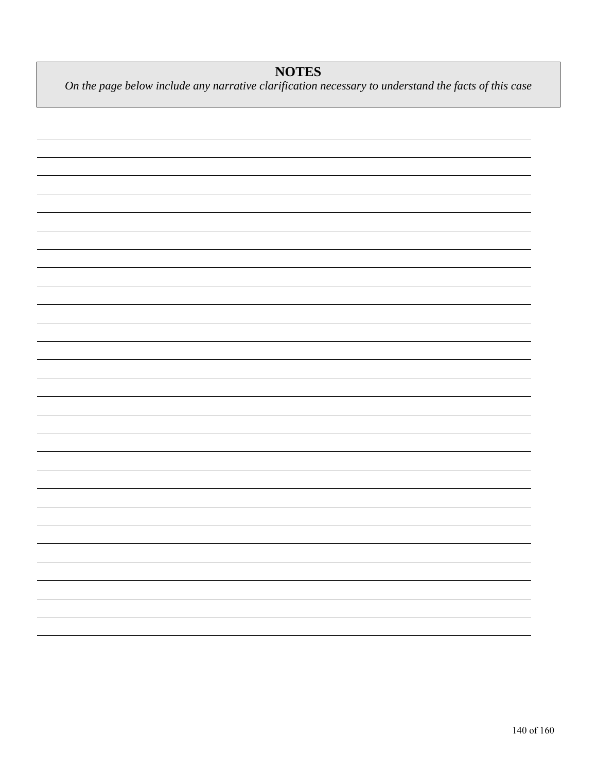*On the page below include any narrative clarification necessary to understand the facts of this case* 

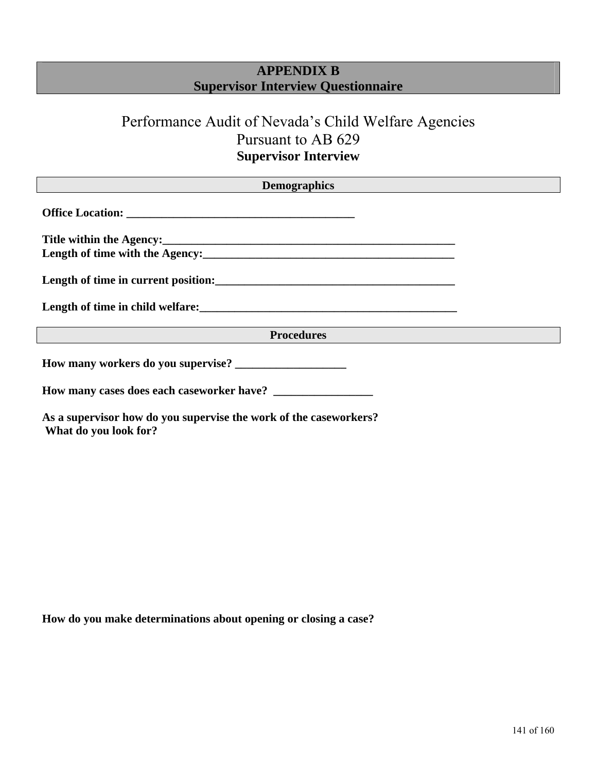# **APPENDIX B Supervisor Interview Questionnaire**

# Performance Audit of Nevada's Child Welfare Agencies Pursuant to AB 629 **Supervisor Interview**

| <b>Demographics</b>                                                               |  |  |  |  |
|-----------------------------------------------------------------------------------|--|--|--|--|
|                                                                                   |  |  |  |  |
|                                                                                   |  |  |  |  |
|                                                                                   |  |  |  |  |
| Length of time in current position:<br><u>Length</u> of time in current position: |  |  |  |  |
| Length of time in child welfare:<br><u>Length</u> of time in child welfare:       |  |  |  |  |
| <b>Procedures</b>                                                                 |  |  |  |  |
|                                                                                   |  |  |  |  |
| How many cases does each caseworker have?                                         |  |  |  |  |
| As a supervisor how do you supervise the work of the caseworkers?                 |  |  |  |  |

 **What do you look for?** 

**How do you make determinations about opening or closing a case?**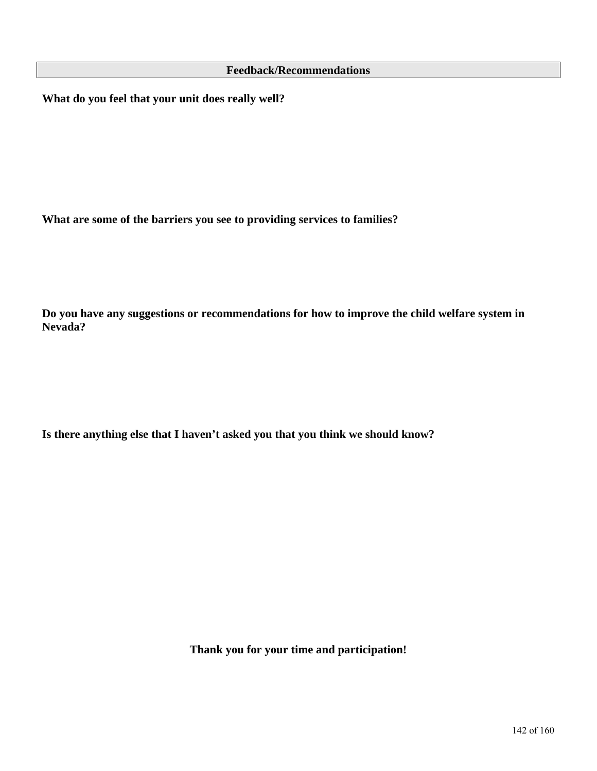**What do you feel that your unit does really well?** 

**What are some of the barriers you see to providing services to families?** 

**Do you have any suggestions or recommendations for how to improve the child welfare system in Nevada?** 

**Is there anything else that I haven't asked you that you think we should know?** 

**Thank you for your time and participation!**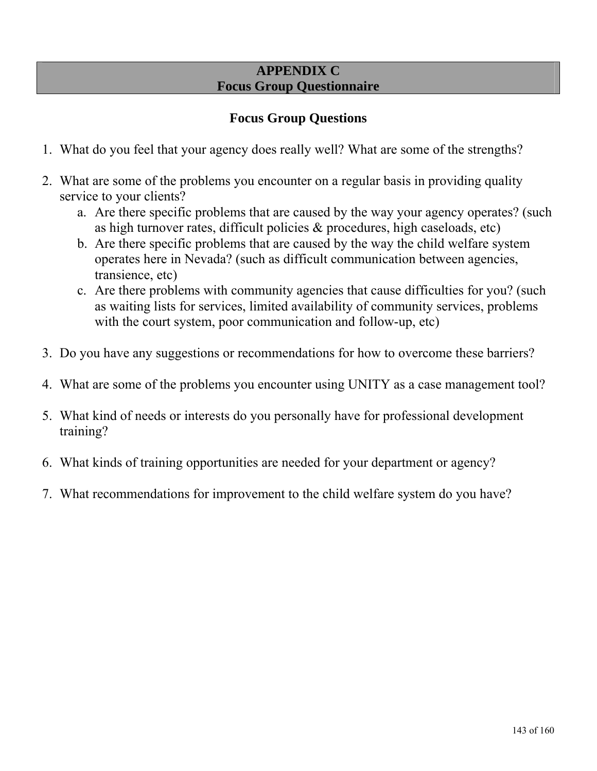## **APPENDIX C Focus Group Questionnaire**

# **Focus Group Questions**

- 1. What do you feel that your agency does really well? What are some of the strengths?
- 2. What are some of the problems you encounter on a regular basis in providing quality service to your clients?
	- a. Are there specific problems that are caused by the way your agency operates? (such as high turnover rates, difficult policies & procedures, high caseloads, etc)
	- b. Are there specific problems that are caused by the way the child welfare system operates here in Nevada? (such as difficult communication between agencies, transience, etc)
	- c. Are there problems with community agencies that cause difficulties for you? (such as waiting lists for services, limited availability of community services, problems with the court system, poor communication and follow-up, etc)
- 3. Do you have any suggestions or recommendations for how to overcome these barriers?
- 4. What are some of the problems you encounter using UNITY as a case management tool?
- 5. What kind of needs or interests do you personally have for professional development training?
- 6. What kinds of training opportunities are needed for your department or agency?
- 7. What recommendations for improvement to the child welfare system do you have?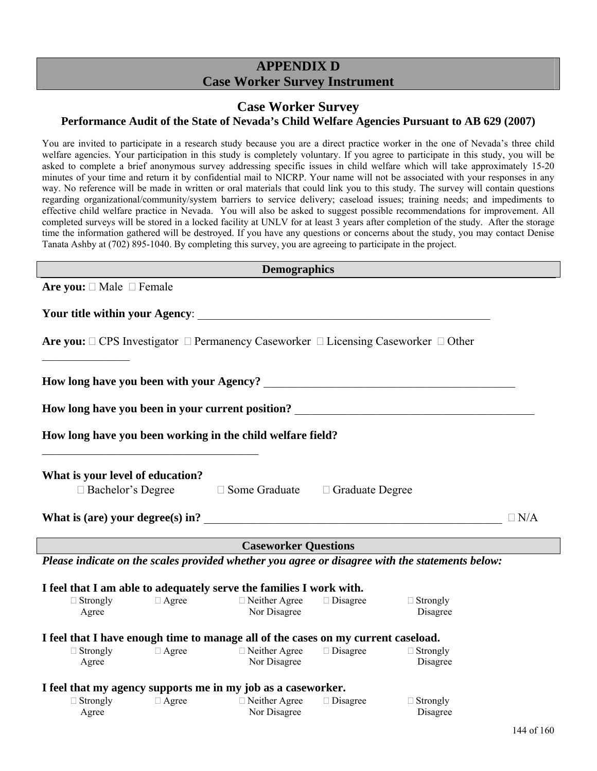# **APPENDIX D Case Worker Survey Instrument**

#### **Case Worker Survey**

#### **Performance Audit of the State of Nevada's Child Welfare Agencies Pursuant to AB 629 (2007)**

You are invited to participate in a research study because you are a direct practice worker in the one of Nevada's three child welfare agencies. Your participation in this study is completely voluntary. If you agree to participate in this study, you will be asked to complete a brief anonymous survey addressing specific issues in child welfare which will take approximately 15-20 minutes of your time and return it by confidential mail to NICRP. Your name will not be associated with your responses in any way. No reference will be made in written or oral materials that could link you to this study. The survey will contain questions regarding organizational/community/system barriers to service delivery; caseload issues; training needs; and impediments to effective child welfare practice in Nevada. You will also be asked to suggest possible recommendations for improvement. All completed surveys will be stored in a locked facility at UNLV for at least 3 years after completion of the study. After the storage time the information gathered will be destroyed. If you have any questions or concerns about the study, you may contact Denise Tanata Ashby at (702) 895-1040. By completing this survey, you are agreeing to participate in the project.

 $\overline{\phantom{a}}$ 

|                                                                                   |              | <b>Demographics</b>                                                                                           |                 |                                                                                                 |            |
|-----------------------------------------------------------------------------------|--------------|---------------------------------------------------------------------------------------------------------------|-----------------|-------------------------------------------------------------------------------------------------|------------|
| Are you: $\Box$ Male $\Box$ Female                                                |              |                                                                                                               |                 |                                                                                                 |            |
|                                                                                   |              | Your title within your Agency:                                                                                |                 |                                                                                                 |            |
|                                                                                   |              | <b>Are you:</b> $\Box$ CPS Investigator $\Box$ Permanency Caseworker $\Box$ Licensing Caseworker $\Box$ Other |                 |                                                                                                 |            |
|                                                                                   |              |                                                                                                               |                 |                                                                                                 |            |
|                                                                                   |              |                                                                                                               |                 | How long have you been in your current position? ________________________________               |            |
|                                                                                   |              | How long have you been working in the child welfare field?                                                    |                 |                                                                                                 |            |
| What is your level of education?<br>$\Box$ Bachelor's Degree                      |              | $\Box$ Some Graduate $\Box$ Graduate Degree                                                                   |                 |                                                                                                 |            |
|                                                                                   |              |                                                                                                               |                 |                                                                                                 | $\Box$ N/A |
|                                                                                   |              | <b>Caseworker Questions</b>                                                                                   |                 |                                                                                                 |            |
|                                                                                   |              |                                                                                                               |                 | Please indicate on the scales provided whether you agree or disagree with the statements below: |            |
|                                                                                   |              | I feel that I am able to adequately serve the families I work with.                                           |                 |                                                                                                 |            |
| $\Box$ Strongly<br>Agree                                                          | $\Box$ Agree | $\Box$ Neither Agree<br>Nor Disagree                                                                          | $\Box$ Disagree | $\Box$ Strongly<br>Disagree                                                                     |            |
| I feel that I have enough time to manage all of the cases on my current caseload. |              |                                                                                                               |                 |                                                                                                 |            |
| $\Box$ Strongly<br>Agree                                                          | $\Box$ Agree | $\Box$ Neither Agree<br>Nor Disagree                                                                          | $\Box$ Disagree | $\Box$ Strongly<br>Disagree                                                                     |            |
|                                                                                   |              | I feel that my agency supports me in my job as a caseworker.                                                  |                 |                                                                                                 |            |
| $\Box$ Strongly<br>Agree                                                          | $\Box$ Agree | $\Box$ Neither Agree<br>Nor Disagree                                                                          | $\Box$ Disagree | $\Box$ Strongly<br>Disagree                                                                     |            |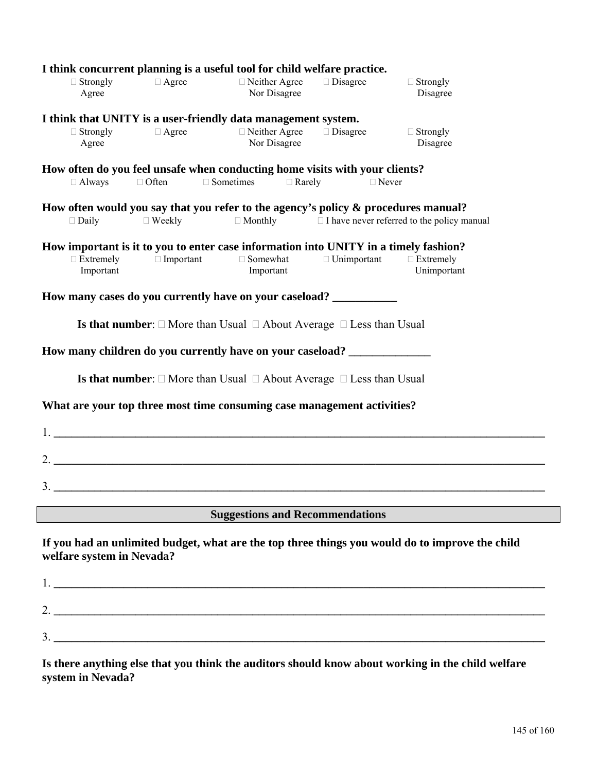| I think concurrent planning is a useful tool for child welfare practice.                                                                                                                    |                  |                                                                                                                           |                    |                                                                  |
|---------------------------------------------------------------------------------------------------------------------------------------------------------------------------------------------|------------------|---------------------------------------------------------------------------------------------------------------------------|--------------------|------------------------------------------------------------------|
| $\Box$ Strongly<br>Agree                                                                                                                                                                    | $\Box$ Agree     | $\Box$ Neither Agree<br>Nor Disagree                                                                                      | $\Box$ Disagree    | $\Box$ Strongly<br>Disagree                                      |
| I think that UNITY is a user-friendly data management system.                                                                                                                               |                  |                                                                                                                           |                    |                                                                  |
| $\Box$ Strongly<br>Agree                                                                                                                                                                    | $\Box$ Agree     | $\Box$ Neither Agree<br>Nor Disagree                                                                                      | $\Box$ Disagree    | $\Box$ Strongly<br>Disagree                                      |
| How often do you feel unsafe when conducting home visits with your clients?                                                                                                                 |                  |                                                                                                                           |                    |                                                                  |
| $\Box$ Always                                                                                                                                                                               | $\Box$ Often     | $\Box$ Sometimes<br>$\Box$ Rarely                                                                                         | $\Box$ Never       |                                                                  |
| How often would you say that you refer to the agency's policy & procedures manual?                                                                                                          |                  |                                                                                                                           |                    |                                                                  |
| $\Box$ Daily                                                                                                                                                                                | $\Box$ Weekly    |                                                                                                                           |                    | $\Box$ Monthly $\Box$ I have never referred to the policy manual |
| How important is it to you to enter case information into UNITY in a timely fashion?<br>$\Box$ Extremely<br>Important<br>How many cases do you currently have on your caseload? ___________ | $\Box$ Important | $\Box$ Somewhat<br>Important<br><b>Is that number:</b> $\Box$ More than Usual $\Box$ About Average $\Box$ Less than Usual | $\Box$ Unimportant | $\Box$ Extremely<br>Unimportant                                  |
| How many children do you currently have on your caseload? ______________                                                                                                                    |                  |                                                                                                                           |                    |                                                                  |
|                                                                                                                                                                                             |                  | <b>Is that number:</b> $\Box$ More than Usual $\Box$ About Average $\Box$ Less than Usual                                 |                    |                                                                  |
| What are your top three most time consuming case management activities?                                                                                                                     |                  |                                                                                                                           |                    |                                                                  |
|                                                                                                                                                                                             |                  |                                                                                                                           |                    |                                                                  |
| 2.                                                                                                                                                                                          |                  |                                                                                                                           |                    |                                                                  |
|                                                                                                                                                                                             |                  |                                                                                                                           |                    |                                                                  |
| <b>Suggestions and Recommendations</b>                                                                                                                                                      |                  |                                                                                                                           |                    |                                                                  |
| If you had an unlimited budget, what are the top three things you would do to improve the child<br>welfare system in Nevada?                                                                |                  |                                                                                                                           |                    |                                                                  |
|                                                                                                                                                                                             |                  |                                                                                                                           |                    |                                                                  |

2. **\_\_\_\_\_\_\_\_\_\_\_\_\_\_\_\_\_\_\_\_\_\_\_\_\_\_\_\_\_\_\_\_\_\_\_\_\_\_\_\_\_\_\_\_\_\_\_\_\_\_\_\_\_\_\_\_\_\_\_\_\_\_\_\_\_\_\_\_\_\_\_\_\_\_\_\_\_\_\_\_\_\_\_\_** 3. **\_\_\_\_\_\_\_\_\_\_\_\_\_\_\_\_\_\_\_\_\_\_\_\_\_\_\_\_\_\_\_\_\_\_\_\_\_\_\_\_\_\_\_\_\_\_\_\_\_\_\_\_\_\_\_\_\_\_\_\_\_\_\_\_\_\_\_\_\_\_\_\_\_\_\_\_\_\_\_\_\_\_\_\_**

**Is there anything else that you think the auditors should know about working in the child welfare system in Nevada?**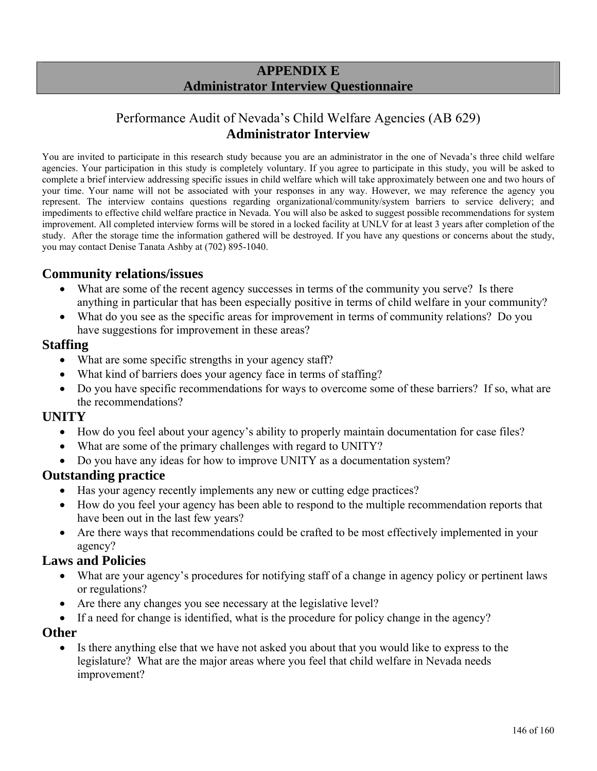## **APPENDIX E Administrator Interview Questionnaire**

# Performance Audit of Nevada's Child Welfare Agencies (AB 629) **Administrator Interview**

You are invited to participate in this research study because you are an administrator in the one of Nevada's three child welfare agencies. Your participation in this study is completely voluntary. If you agree to participate in this study, you will be asked to complete a brief interview addressing specific issues in child welfare which will take approximately between one and two hours of your time. Your name will not be associated with your responses in any way. However, we may reference the agency you represent. The interview contains questions regarding organizational/community/system barriers to service delivery; and impediments to effective child welfare practice in Nevada. You will also be asked to suggest possible recommendations for system improvement. All completed interview forms will be stored in a locked facility at UNLV for at least 3 years after completion of the study. After the storage time the information gathered will be destroyed. If you have any questions or concerns about the study, you may contact Denise Tanata Ashby at (702) 895-1040.

## **Community relations/issues**

- What are some of the recent agency successes in terms of the community you serve? Is there anything in particular that has been especially positive in terms of child welfare in your community?
- What do you see as the specific areas for improvement in terms of community relations? Do you have suggestions for improvement in these areas?

## **Staffing**

- What are some specific strengths in your agency staff?
- What kind of barriers does your agency face in terms of staffing?
- Do you have specific recommendations for ways to overcome some of these barriers? If so, what are the recommendations?

## **UNITY**

- How do you feel about your agency's ability to properly maintain documentation for case files?
- What are some of the primary challenges with regard to UNITY?
- Do you have any ideas for how to improve UNITY as a documentation system?

## **Outstanding practice**

- Has your agency recently implements any new or cutting edge practices?
- How do you feel your agency has been able to respond to the multiple recommendation reports that have been out in the last few years?
- Are there ways that recommendations could be crafted to be most effectively implemented in your agency?

## **Laws and Policies**

- What are your agency's procedures for notifying staff of a change in agency policy or pertinent laws or regulations?
- Are there any changes you see necessary at the legislative level?
- If a need for change is identified, what is the procedure for policy change in the agency?

## **Other**

• Is there anything else that we have not asked you about that you would like to express to the legislature? What are the major areas where you feel that child welfare in Nevada needs improvement?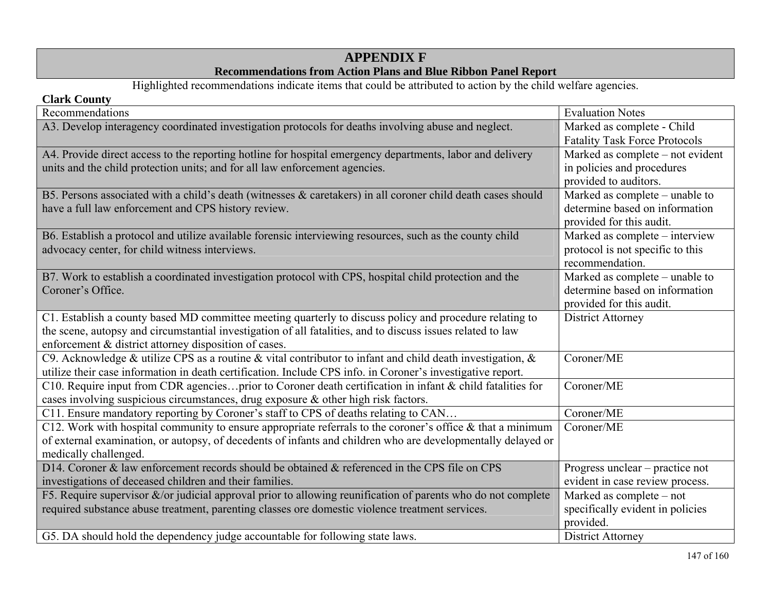## **APPENDIX F Recommendations from Action Plans and Blue Ribbon Panel Report**

Highlighted recommendations indicate items that could be attributed to action by the child welfare agencies.

| <b>Clark County</b>                                                                                              |                                                    |
|------------------------------------------------------------------------------------------------------------------|----------------------------------------------------|
| Recommendations                                                                                                  | <b>Evaluation Notes</b>                            |
| A3. Develop interagency coordinated investigation protocols for deaths involving abuse and neglect.              | Marked as complete - Child                         |
|                                                                                                                  | <b>Fatality Task Force Protocols</b>               |
| A4. Provide direct access to the reporting hotline for hospital emergency departments, labor and delivery        | Marked as complete – not evident                   |
| units and the child protection units; and for all law enforcement agencies.                                      | in policies and procedures                         |
|                                                                                                                  | provided to auditors.                              |
| B5. Persons associated with a child's death (witnesses & caretakers) in all coroner child death cases should     | Marked as complete – unable to                     |
| have a full law enforcement and CPS history review.                                                              | determine based on information                     |
|                                                                                                                  | provided for this audit.                           |
| B6. Establish a protocol and utilize available forensic interviewing resources, such as the county child         | Marked as complete - interview                     |
| advocacy center, for child witness interviews.                                                                   | protocol is not specific to this                   |
|                                                                                                                  | recommendation.                                    |
| B7. Work to establish a coordinated investigation protocol with CPS, hospital child protection and the           | $\overline{\text{Market}}$ as complete – unable to |
| Coroner's Office.                                                                                                | determine based on information                     |
|                                                                                                                  | provided for this audit.                           |
| C1. Establish a county based MD committee meeting quarterly to discuss policy and procedure relating to          | <b>District Attorney</b>                           |
| the scene, autopsy and circumstantial investigation of all fatalities, and to discuss issues related to law      |                                                    |
| enforcement & district attorney disposition of cases.                                                            |                                                    |
| C9. Acknowledge & utilize CPS as a routine & vital contributor to infant and child death investigation, $\&$     | Coroner/ME                                         |
| utilize their case information in death certification. Include CPS info. in Coroner's investigative report.      |                                                    |
| C10. Require input from CDR agenciesprior to Coroner death certification in infant & child fatalities for        | Coroner/ME                                         |
| cases involving suspicious circumstances, drug exposure & other high risk factors.                               |                                                    |
| C11. Ensure mandatory reporting by Coroner's staff to CPS of deaths relating to CAN                              | Coroner/ME                                         |
| C12. Work with hospital community to ensure appropriate referrals to the coroner's office $\&$ that a minimum    | Coroner/ME                                         |
| of external examination, or autopsy, of decedents of infants and children who are developmentally delayed or     |                                                    |
| medically challenged.                                                                                            |                                                    |
| D14. Coroner & law enforcement records should be obtained & referenced in the CPS file on CPS                    | Progress unclear - practice not                    |
| investigations of deceased children and their families.                                                          | evident in case review process.                    |
| F5. Require supervisor $\&$ /or judicial approval prior to allowing reunification of parents who do not complete | Marked as complete – not                           |
| required substance abuse treatment, parenting classes ore domestic violence treatment services.                  | specifically evident in policies                   |
|                                                                                                                  | provided.                                          |
| G5. DA should hold the dependency judge accountable for following state laws.                                    | <b>District Attorney</b>                           |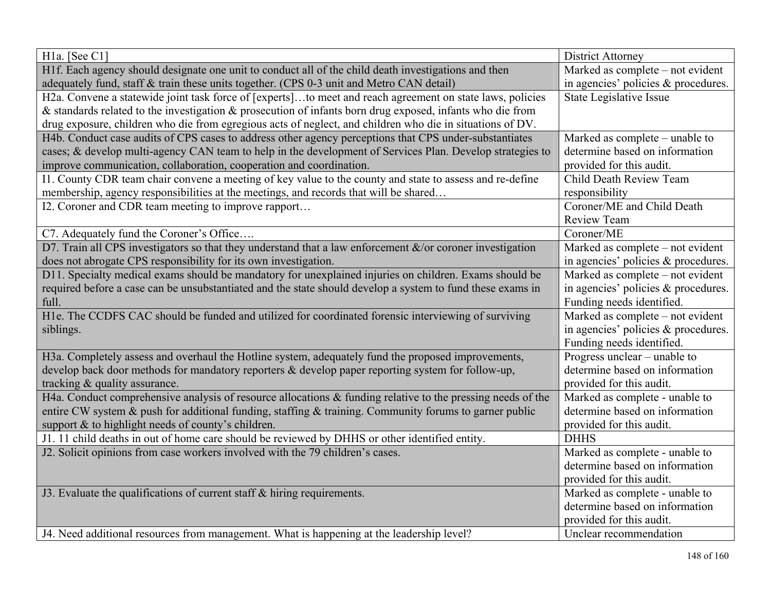| H <sub>1</sub> a. [See C <sub>1</sub> ]                                                                         | <b>District Attorney</b>            |
|-----------------------------------------------------------------------------------------------------------------|-------------------------------------|
| H1f. Each agency should designate one unit to conduct all of the child death investigations and then            | Marked as complete – not evident    |
| adequately fund, staff & train these units together. (CPS 0-3 unit and Metro CAN detail)                        | in agencies' policies & procedures. |
| H2a. Convene a statewide joint task force of [experts]to meet and reach agreement on state laws, policies       | State Legislative Issue             |
| $\&$ standards related to the investigation $\&$ prosecution of infants born drug exposed, infants who die from |                                     |
| drug exposure, children who die from egregious acts of neglect, and children who die in situations of DV.       |                                     |
| H4b. Conduct case audits of CPS cases to address other agency perceptions that CPS under-substantiates          | Marked as complete – unable to      |
| cases; & develop multi-agency CAN team to help in the development of Services Plan. Develop strategies to       | determine based on information      |
| improve communication, collaboration, cooperation and coordination.                                             | provided for this audit.            |
| I1. County CDR team chair convene a meeting of key value to the county and state to assess and re-define        | Child Death Review Team             |
| membership, agency responsibilities at the meetings, and records that will be shared                            | responsibility                      |
| I2. Coroner and CDR team meeting to improve rapport                                                             | Coroner/ME and Child Death          |
|                                                                                                                 | <b>Review Team</b>                  |
| C7. Adequately fund the Coroner's Office                                                                        | Coroner/ME                          |
| D7. Train all CPS investigators so that they understand that a law enforcement $\&$ /or coroner investigation   | Marked as complete - not evident    |
| does not abrogate CPS responsibility for its own investigation.                                                 | in agencies' policies & procedures. |
| D11. Specialty medical exams should be mandatory for unexplained injuries on children. Exams should be          | Marked as complete – not evident    |
| required before a case can be unsubstantiated and the state should develop a system to fund these exams in      | in agencies' policies & procedures. |
| full.                                                                                                           | Funding needs identified.           |
| H1e. The CCDFS CAC should be funded and utilized for coordinated forensic interviewing of surviving             | Marked as complete – not evident    |
| siblings.                                                                                                       | in agencies' policies & procedures. |
|                                                                                                                 | Funding needs identified.           |
| H3a. Completely assess and overhaul the Hotline system, adequately fund the proposed improvements,              | Progress unclear – unable to        |
| develop back door methods for mandatory reporters & develop paper reporting system for follow-up,               | determine based on information      |
| tracking & quality assurance.                                                                                   | provided for this audit.            |
| H4a. Conduct comprehensive analysis of resource allocations & funding relative to the pressing needs of the     | Marked as complete - unable to      |
| entire CW system & push for additional funding, staffing & training. Community forums to garner public          | determine based on information      |
| support & to highlight needs of county's children.                                                              | provided for this audit.            |
| J1. 11 child deaths in out of home care should be reviewed by DHHS or other identified entity.                  | <b>DHHS</b>                         |
| J2. Solicit opinions from case workers involved with the 79 children's cases.                                   | Marked as complete - unable to      |
|                                                                                                                 | determine based on information      |
|                                                                                                                 | provided for this audit.            |
| J3. Evaluate the qualifications of current staff $\&$ hiring requirements.                                      | Marked as complete - unable to      |
|                                                                                                                 | determine based on information      |
|                                                                                                                 | provided for this audit.            |
| J4. Need additional resources from management. What is happening at the leadership level?                       | Unclear recommendation              |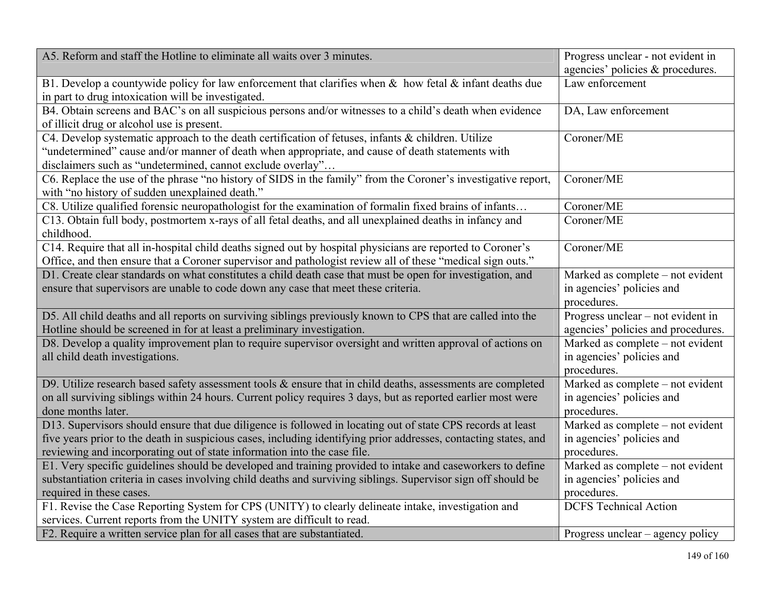| A5. Reform and staff the Hotline to eliminate all waits over 3 minutes.                                          | Progress unclear - not evident in  |
|------------------------------------------------------------------------------------------------------------------|------------------------------------|
|                                                                                                                  | agencies' policies & procedures.   |
| B1. Develop a countywide policy for law enforcement that clarifies when $\&$ how fetal $\&$ infant deaths due    | Law enforcement                    |
| in part to drug intoxication will be investigated.                                                               |                                    |
| B4. Obtain screens and BAC's on all suspicious persons and/or witnesses to a child's death when evidence         | DA, Law enforcement                |
| of illicit drug or alcohol use is present.                                                                       |                                    |
| C4. Develop systematic approach to the death certification of fetuses, infants & children. Utilize               | Coroner/ME                         |
| "undetermined" cause and/or manner of death when appropriate, and cause of death statements with                 |                                    |
| disclaimers such as "undetermined, cannot exclude overlay"                                                       |                                    |
| C6. Replace the use of the phrase "no history of SIDS in the family" from the Coroner's investigative report,    | Coroner/ME                         |
| with "no history of sudden unexplained death."                                                                   |                                    |
| C8. Utilize qualified forensic neuropathologist for the examination of formalin fixed brains of infants          | Coroner/ME                         |
| C13. Obtain full body, postmortem x-rays of all fetal deaths, and all unexplained deaths in infancy and          | Coroner/ME                         |
| childhood.                                                                                                       |                                    |
| C14. Require that all in-hospital child deaths signed out by hospital physicians are reported to Coroner's       | Coroner/ME                         |
| Office, and then ensure that a Coroner supervisor and pathologist review all of these "medical sign outs."       |                                    |
| D1. Create clear standards on what constitutes a child death case that must be open for investigation, and       | Marked as complete – not evident   |
| ensure that supervisors are unable to code down any case that meet these criteria.                               | in agencies' policies and          |
|                                                                                                                  | procedures.                        |
| D5. All child deaths and all reports on surviving siblings previously known to CPS that are called into the      | Progress unclear – not evident in  |
| Hotline should be screened in for at least a preliminary investigation.                                          | agencies' policies and procedures. |
| D8. Develop a quality improvement plan to require supervisor oversight and written approval of actions on        | Marked as complete – not evident   |
| all child death investigations.                                                                                  | in agencies' policies and          |
|                                                                                                                  | procedures.                        |
| D9. Utilize research based safety assessment tools $\&$ ensure that in child deaths, assessments are completed   | Marked as complete - not evident   |
| on all surviving siblings within 24 hours. Current policy requires 3 days, but as reported earlier most were     | in agencies' policies and          |
| done months later.                                                                                               | procedures.                        |
| D13. Supervisors should ensure that due diligence is followed in locating out of state CPS records at least      | Marked as complete – not evident   |
| five years prior to the death in suspicious cases, including identifying prior addresses, contacting states, and | in agencies' policies and          |
| reviewing and incorporating out of state information into the case file.                                         | procedures.                        |
| E1. Very specific guidelines should be developed and training provided to intake and caseworkers to define       | Marked as complete – not evident   |
| substantiation criteria in cases involving child deaths and surviving siblings. Supervisor sign off should be    | in agencies' policies and          |
| required in these cases.                                                                                         | procedures.                        |
| F1. Revise the Case Reporting System for CPS (UNITY) to clearly delineate intake, investigation and              | <b>DCFS</b> Technical Action       |
| services. Current reports from the UNITY system are difficult to read.                                           |                                    |
| F2. Require a written service plan for all cases that are substantiated.                                         | Progress unclear – agency policy   |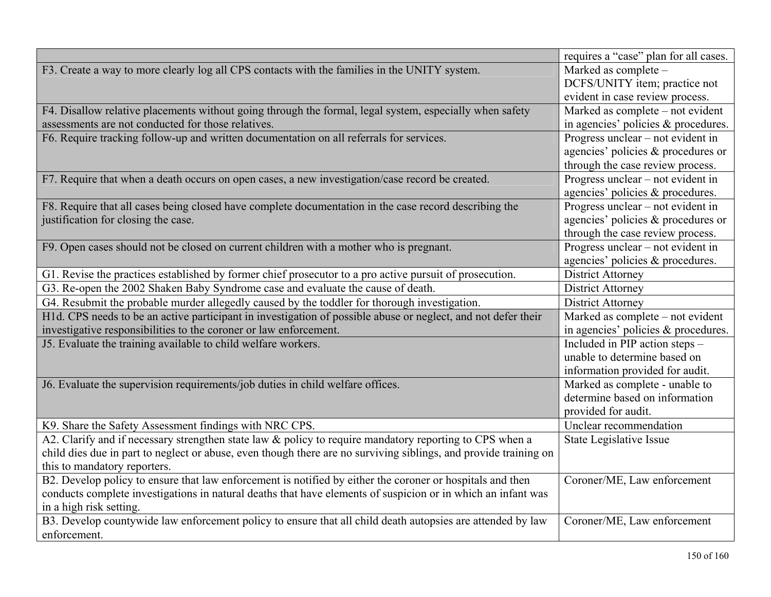|                                                                                                                  | requires a "case" plan for all cases. |
|------------------------------------------------------------------------------------------------------------------|---------------------------------------|
| F3. Create a way to more clearly log all CPS contacts with the families in the UNITY system.                     | Marked as complete -                  |
|                                                                                                                  | DCFS/UNITY item; practice not         |
|                                                                                                                  | evident in case review process.       |
| F4. Disallow relative placements without going through the formal, legal system, especially when safety          | Marked as complete – not evident      |
| assessments are not conducted for those relatives.                                                               | in agencies' policies & procedures.   |
| F6. Require tracking follow-up and written documentation on all referrals for services.                          | Progress unclear – not evident in     |
|                                                                                                                  | agencies' policies & procedures or    |
|                                                                                                                  | through the case review process.      |
| F7. Require that when a death occurs on open cases, a new investigation/case record be created.                  | Progress unclear – not evident in     |
|                                                                                                                  | agencies' policies & procedures.      |
| F8. Require that all cases being closed have complete documentation in the case record describing the            | Progress unclear – not evident in     |
| justification for closing the case.                                                                              | agencies' policies & procedures or    |
|                                                                                                                  | through the case review process.      |
| F9. Open cases should not be closed on current children with a mother who is pregnant.                           | Progress unclear – not evident in     |
|                                                                                                                  | agencies' policies & procedures.      |
| G1. Revise the practices established by former chief prosecutor to a pro active pursuit of prosecution.          | <b>District Attorney</b>              |
| G3. Re-open the 2002 Shaken Baby Syndrome case and evaluate the cause of death.                                  | <b>District Attorney</b>              |
| G4. Resubmit the probable murder allegedly caused by the toddler for thorough investigation.                     | <b>District Attorney</b>              |
| H1d. CPS needs to be an active participant in investigation of possible abuse or neglect, and not defer their    | Marked as complete - not evident      |
| investigative responsibilities to the coroner or law enforcement.                                                | in agencies' policies & procedures.   |
| J5. Evaluate the training available to child welfare workers.                                                    | Included in PIP action steps -        |
|                                                                                                                  | unable to determine based on          |
|                                                                                                                  | information provided for audit.       |
| J6. Evaluate the supervision requirements/job duties in child welfare offices.                                   | Marked as complete - unable to        |
|                                                                                                                  | determine based on information        |
|                                                                                                                  | provided for audit.                   |
| K9. Share the Safety Assessment findings with NRC CPS.                                                           | Unclear recommendation                |
| A2. Clarify and if necessary strengthen state law & policy to require mandatory reporting to CPS when a          | State Legislative Issue               |
| child dies due in part to neglect or abuse, even though there are no surviving siblings, and provide training on |                                       |
| this to mandatory reporters.                                                                                     |                                       |
| B2. Develop policy to ensure that law enforcement is notified by either the coroner or hospitals and then        | Coroner/ME, Law enforcement           |
| conducts complete investigations in natural deaths that have elements of suspicion or in which an infant was     |                                       |
| in a high risk setting.                                                                                          |                                       |
| B3. Develop countywide law enforcement policy to ensure that all child death autopsies are attended by law       | Coroner/ME, Law enforcement           |
| enforcement.                                                                                                     |                                       |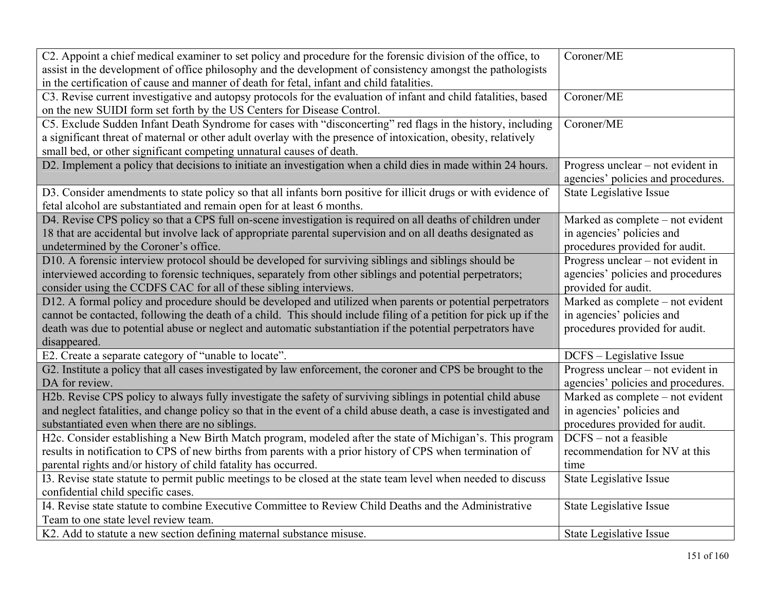| C2. Appoint a chief medical examiner to set policy and procedure for the forensic division of the office, to<br>assist in the development of office philosophy and the development of consistency amongst the pathologists | Coroner/ME                         |
|----------------------------------------------------------------------------------------------------------------------------------------------------------------------------------------------------------------------------|------------------------------------|
| in the certification of cause and manner of death for fetal, infant and child fatalities.                                                                                                                                  |                                    |
| C3. Revise current investigative and autopsy protocols for the evaluation of infant and child fatalities, based                                                                                                            | Coroner/ME                         |
| on the new SUIDI form set forth by the US Centers for Disease Control.                                                                                                                                                     |                                    |
| C5. Exclude Sudden Infant Death Syndrome for cases with "disconcerting" red flags in the history, including                                                                                                                | Coroner/ME                         |
| a significant threat of maternal or other adult overlay with the presence of intoxication, obesity, relatively                                                                                                             |                                    |
| small bed, or other significant competing unnatural causes of death.                                                                                                                                                       |                                    |
| D2. Implement a policy that decisions to initiate an investigation when a child dies in made within 24 hours.                                                                                                              | Progress unclear – not evident in  |
|                                                                                                                                                                                                                            | agencies' policies and procedures. |
| D3. Consider amendments to state policy so that all infants born positive for illicit drugs or with evidence of<br>fetal alcohol are substantiated and remain open for at least 6 months.                                  | State Legislative Issue            |
| D4. Revise CPS policy so that a CPS full on-scene investigation is required on all deaths of children under                                                                                                                | Marked as complete – not evident   |
| 18 that are accidental but involve lack of appropriate parental supervision and on all deaths designated as                                                                                                                | in agencies' policies and          |
| undetermined by the Coroner's office.                                                                                                                                                                                      | procedures provided for audit.     |
| D10. A forensic interview protocol should be developed for surviving siblings and siblings should be                                                                                                                       | Progress unclear – not evident in  |
| interviewed according to forensic techniques, separately from other siblings and potential perpetrators;                                                                                                                   | agencies' policies and procedures  |
| consider using the CCDFS CAC for all of these sibling interviews.                                                                                                                                                          | provided for audit.                |
| D12. A formal policy and procedure should be developed and utilized when parents or potential perpetrators                                                                                                                 | Marked as complete – not evident   |
| cannot be contacted, following the death of a child. This should include filing of a petition for pick up if the                                                                                                           | in agencies' policies and          |
| death was due to potential abuse or neglect and automatic substantiation if the potential perpetrators have                                                                                                                | procedures provided for audit.     |
| disappeared.                                                                                                                                                                                                               |                                    |
| E2. Create a separate category of "unable to locate".                                                                                                                                                                      | DCFS - Legislative Issue           |
| G2. Institute a policy that all cases investigated by law enforcement, the coroner and CPS be brought to the                                                                                                               | Progress unclear – not evident in  |
| DA for review.                                                                                                                                                                                                             | agencies' policies and procedures. |
| H2b. Revise CPS policy to always fully investigate the safety of surviving siblings in potential child abuse                                                                                                               | Marked as complete - not evident   |
| and neglect fatalities, and change policy so that in the event of a child abuse death, a case is investigated and                                                                                                          | in agencies' policies and          |
| substantiated even when there are no siblings.                                                                                                                                                                             | procedures provided for audit.     |
| H2c. Consider establishing a New Birth Match program, modeled after the state of Michigan's. This program                                                                                                                  | $DCFS - not a feasible$            |
| results in notification to CPS of new births from parents with a prior history of CPS when termination of                                                                                                                  | recommendation for NV at this      |
| parental rights and/or history of child fatality has occurred.                                                                                                                                                             | time                               |
| I3. Revise state statute to permit public meetings to be closed at the state team level when needed to discuss                                                                                                             | State Legislative Issue            |
| confidential child specific cases.                                                                                                                                                                                         |                                    |
| I4. Revise state statute to combine Executive Committee to Review Child Deaths and the Administrative                                                                                                                      | State Legislative Issue            |
| Team to one state level review team.                                                                                                                                                                                       |                                    |
| K2. Add to statute a new section defining maternal substance misuse.                                                                                                                                                       | State Legislative Issue            |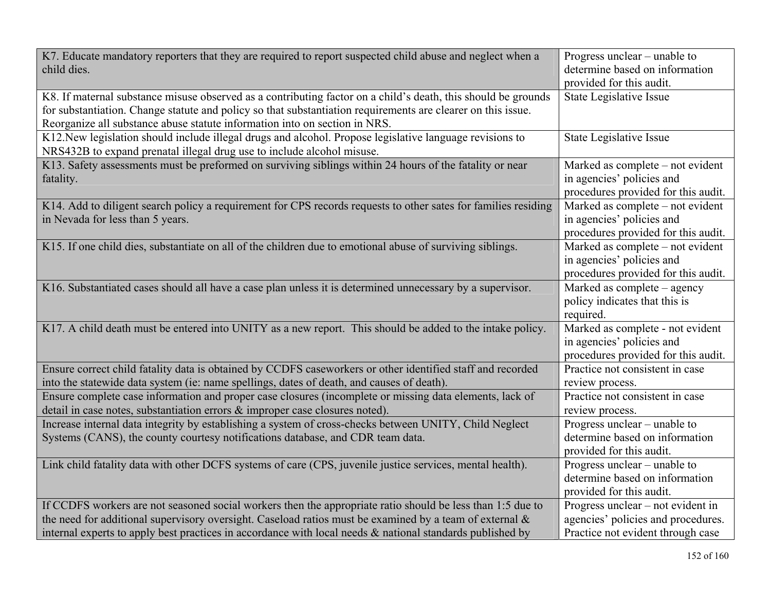| K7. Educate mandatory reporters that they are required to report suspected child abuse and neglect when a      | Progress unclear – unable to        |
|----------------------------------------------------------------------------------------------------------------|-------------------------------------|
| child dies.                                                                                                    | determine based on information      |
|                                                                                                                | provided for this audit.            |
| K8. If maternal substance misuse observed as a contributing factor on a child's death, this should be grounds  | State Legislative Issue             |
| for substantiation. Change statute and policy so that substantiation requirements are clearer on this issue.   |                                     |
| Reorganize all substance abuse statute information into on section in NRS.                                     |                                     |
| K12. New legislation should include illegal drugs and alcohol. Propose legislative language revisions to       | State Legislative Issue             |
| NRS432B to expand prenatal illegal drug use to include alcohol misuse.                                         |                                     |
| K13. Safety assessments must be preformed on surviving siblings within 24 hours of the fatality or near        | Marked as complete – not evident    |
| fatality.                                                                                                      | in agencies' policies and           |
|                                                                                                                | procedures provided for this audit. |
| K14. Add to diligent search policy a requirement for CPS records requests to other sates for families residing | Marked as complete – not evident    |
| in Nevada for less than 5 years.                                                                               | in agencies' policies and           |
|                                                                                                                | procedures provided for this audit. |
| K15. If one child dies, substantiate on all of the children due to emotional abuse of surviving siblings.      | Marked as complete - not evident    |
|                                                                                                                | in agencies' policies and           |
|                                                                                                                | procedures provided for this audit. |
| K16. Substantiated cases should all have a case plan unless it is determined unnecessary by a supervisor.      | Marked as complete - agency         |
|                                                                                                                | policy indicates that this is       |
|                                                                                                                | required.                           |
| K17. A child death must be entered into UNITY as a new report. This should be added to the intake policy.      | Marked as complete - not evident    |
|                                                                                                                | in agencies' policies and           |
|                                                                                                                | procedures provided for this audit. |
| Ensure correct child fatality data is obtained by CCDFS caseworkers or other identified staff and recorded     | Practice not consistent in case     |
| into the statewide data system (ie: name spellings, dates of death, and causes of death).                      | review process.                     |
| Ensure complete case information and proper case closures (incomplete or missing data elements, lack of        | Practice not consistent in case     |
| detail in case notes, substantiation errors & improper case closures noted).                                   | review process.                     |
| Increase internal data integrity by establishing a system of cross-checks between UNITY, Child Neglect         | Progress unclear – unable to        |
| Systems (CANS), the county courtesy notifications database, and CDR team data.                                 | determine based on information      |
|                                                                                                                | provided for this audit.            |
| Link child fatality data with other DCFS systems of care (CPS, juvenile justice services, mental health).      | Progress unclear – unable to        |
|                                                                                                                | determine based on information      |
|                                                                                                                | provided for this audit.            |
| If CCDFS workers are not seasoned social workers then the appropriate ratio should be less than 1:5 due to     | Progress unclear – not evident in   |
| the need for additional supervisory oversight. Caseload ratios must be examined by a team of external $\&$     | agencies' policies and procedures.  |
| internal experts to apply best practices in accordance with local needs $\&$ national standards published by   | Practice not evident through case   |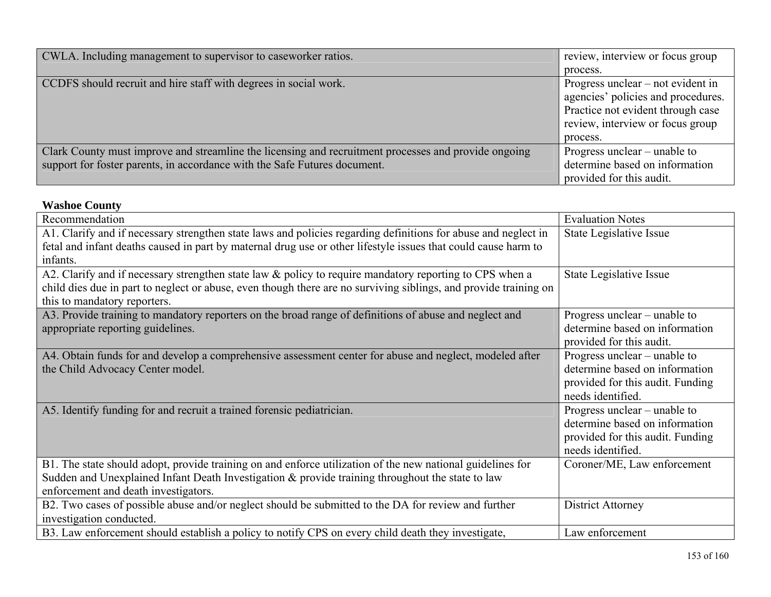| CWLA. Including management to supervisor to caseworker ratios.                                       | review, interview or focus group    |
|------------------------------------------------------------------------------------------------------|-------------------------------------|
|                                                                                                      | process.                            |
| CCDFS should recruit and hire staff with degrees in social work.                                     | Progress unclear $-$ not evident in |
|                                                                                                      | agencies' policies and procedures.  |
|                                                                                                      | Practice not evident through case   |
|                                                                                                      | review, interview or focus group    |
|                                                                                                      | process.                            |
| Clark County must improve and streamline the licensing and recruitment processes and provide ongoing | Progress unclear $-$ unable to      |
| support for foster parents, in accordance with the Safe Futures document.                            | determine based on information      |
|                                                                                                      | provided for this audit.            |

## **Washoe County**

| Recommendation                                                                                                   | <b>Evaluation Notes</b>          |
|------------------------------------------------------------------------------------------------------------------|----------------------------------|
| A1. Clarify and if necessary strengthen state laws and policies regarding definitions for abuse and neglect in   | State Legislative Issue          |
| fetal and infant deaths caused in part by maternal drug use or other lifestyle issues that could cause harm to   |                                  |
| infants.                                                                                                         |                                  |
| A2. Clarify and if necessary strengthen state law & policy to require mandatory reporting to CPS when a          | State Legislative Issue          |
| child dies due in part to neglect or abuse, even though there are no surviving siblings, and provide training on |                                  |
| this to mandatory reporters.                                                                                     |                                  |
| A3. Provide training to mandatory reporters on the broad range of definitions of abuse and neglect and           | Progress unclear – unable to     |
| appropriate reporting guidelines.                                                                                | determine based on information   |
|                                                                                                                  | provided for this audit.         |
| A4. Obtain funds for and develop a comprehensive assessment center for abuse and neglect, modeled after          | Progress unclear – unable to     |
| the Child Advocacy Center model.                                                                                 | determine based on information   |
|                                                                                                                  | provided for this audit. Funding |
|                                                                                                                  | needs identified.                |
| A5. Identify funding for and recruit a trained forensic pediatrician.                                            | Progress unclear – unable to     |
|                                                                                                                  | determine based on information   |
|                                                                                                                  | provided for this audit. Funding |
|                                                                                                                  | needs identified.                |
| B1. The state should adopt, provide training on and enforce utilization of the new national guidelines for       | Coroner/ME, Law enforcement      |
| Sudden and Unexplained Infant Death Investigation $\&$ provide training throughout the state to law              |                                  |
| enforcement and death investigators.                                                                             |                                  |
| B2. Two cases of possible abuse and/or neglect should be submitted to the DA for review and further              | <b>District Attorney</b>         |
| investigation conducted.                                                                                         |                                  |
| B3. Law enforcement should establish a policy to notify CPS on every child death they investigate,               | Law enforcement                  |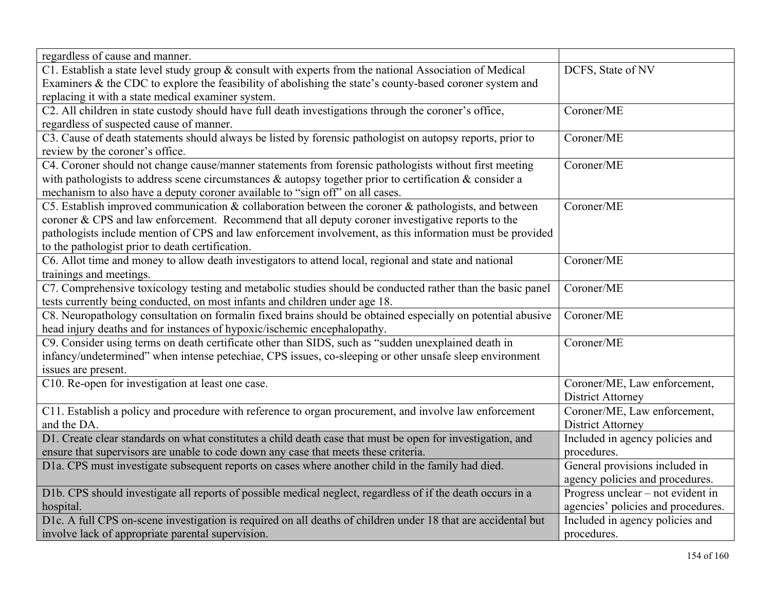| regardless of cause and manner.                                                                               |                                    |
|---------------------------------------------------------------------------------------------------------------|------------------------------------|
| C1. Establish a state level study group & consult with experts from the national Association of Medical       | DCFS, State of NV                  |
| Examiners & the CDC to explore the feasibility of abolishing the state's county-based coroner system and      |                                    |
| replacing it with a state medical examiner system.                                                            |                                    |
| C2. All children in state custody should have full death investigations through the coroner's office,         | Coroner/ME                         |
| regardless of suspected cause of manner.                                                                      |                                    |
| C3. Cause of death statements should always be listed by forensic pathologist on autopsy reports, prior to    | Coroner/ME                         |
| review by the coroner's office.                                                                               |                                    |
| C4. Coroner should not change cause/manner statements from forensic pathologists without first meeting        | Coroner/ME                         |
| with pathologists to address scene circumstances $\&$ autopsy together prior to certification $\&$ consider a |                                    |
| mechanism to also have a deputy coroner available to "sign off" on all cases.                                 |                                    |
| C5. Establish improved communication $\&$ collaboration between the coroner $\&$ pathologists, and between    | Coroner/ME                         |
| coroner & CPS and law enforcement. Recommend that all deputy coroner investigative reports to the             |                                    |
| pathologists include mention of CPS and law enforcement involvement, as this information must be provided     |                                    |
| to the pathologist prior to death certification.                                                              |                                    |
| C6. Allot time and money to allow death investigators to attend local, regional and state and national        | Coroner/ME                         |
| trainings and meetings.                                                                                       |                                    |
| C7. Comprehensive toxicology testing and metabolic studies should be conducted rather than the basic panel    | Coroner/ME                         |
| tests currently being conducted, on most infants and children under age 18.                                   |                                    |
| C8. Neuropathology consultation on formal in fixed brains should be obtained especially on potential abusive  | Coroner/ME                         |
| head injury deaths and for instances of hypoxic/ischemic encephalopathy.                                      |                                    |
| C9. Consider using terms on death certificate other than SIDS, such as "sudden unexplained death in           | Coroner/ME                         |
| infancy/undetermined" when intense petechiae, CPS issues, co-sleeping or other unsafe sleep environment       |                                    |
| issues are present.                                                                                           |                                    |
| C10. Re-open for investigation at least one case.                                                             | Coroner/ME, Law enforcement,       |
|                                                                                                               | <b>District Attorney</b>           |
| C11. Establish a policy and procedure with reference to organ procurement, and involve law enforcement        | Coroner/ME, Law enforcement,       |
| and the DA.                                                                                                   | <b>District Attorney</b>           |
| D1. Create clear standards on what constitutes a child death case that must be open for investigation, and    | Included in agency policies and    |
| ensure that supervisors are unable to code down any case that meets these criteria.                           | procedures.                        |
| D1a. CPS must investigate subsequent reports on cases where another child in the family had died.             | General provisions included in     |
|                                                                                                               | agency policies and procedures.    |
| D1b. CPS should investigate all reports of possible medical neglect, regardless of if the death occurs in a   | Progress unclear – not evident in  |
| hospital.                                                                                                     | agencies' policies and procedures. |
| D1c. A full CPS on-scene investigation is required on all deaths of children under 18 that are accidental but | Included in agency policies and    |
| involve lack of appropriate parental supervision.                                                             | procedures.                        |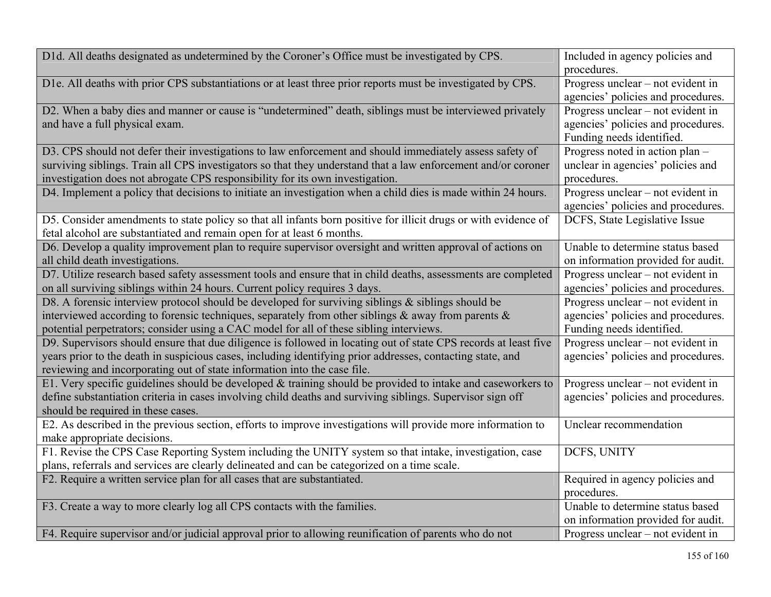| D1d. All deaths designated as undetermined by the Coroner's Office must be investigated by CPS.                 | Included in agency policies and                      |
|-----------------------------------------------------------------------------------------------------------------|------------------------------------------------------|
|                                                                                                                 | procedures.                                          |
| D1e. All deaths with prior CPS substantiations or at least three prior reports must be investigated by CPS.     | Progress unclear – not evident in                    |
|                                                                                                                 | agencies' policies and procedures.                   |
| D2. When a baby dies and manner or cause is "undetermined" death, siblings must be interviewed privately        | Progress unclear – not evident in                    |
| and have a full physical exam.                                                                                  | agencies' policies and procedures.                   |
|                                                                                                                 | Funding needs identified.                            |
| D3. CPS should not defer their investigations to law enforcement and should immediately assess safety of        | $\overline{\text{Prog}}$ ress noted in action plan - |
| surviving siblings. Train all CPS investigators so that they understand that a law enforcement and/or coroner   | unclear in agencies' policies and                    |
| investigation does not abrogate CPS responsibility for its own investigation.                                   | procedures.                                          |
| D4. Implement a policy that decisions to initiate an investigation when a child dies is made within 24 hours.   | Progress unclear – not evident in                    |
|                                                                                                                 | agencies' policies and procedures.                   |
| D5. Consider amendments to state policy so that all infants born positive for illicit drugs or with evidence of | DCFS, State Legislative Issue                        |
| fetal alcohol are substantiated and remain open for at least 6 months.                                          |                                                      |
| D6. Develop a quality improvement plan to require supervisor oversight and written approval of actions on       | Unable to determine status based                     |
| all child death investigations.                                                                                 | on information provided for audit.                   |
| D7. Utilize research based safety assessment tools and ensure that in child deaths, assessments are completed   | Progress unclear – not evident in                    |
| on all surviving siblings within 24 hours. Current policy requires 3 days.                                      | agencies' policies and procedures.                   |
| D8. A forensic interview protocol should be developed for surviving siblings $\&$ siblings should be            | Progress unclear – not evident in                    |
| interviewed according to forensic techniques, separately from other siblings $\&$ away from parents $\&$        | agencies' policies and procedures.                   |
| potential perpetrators; consider using a CAC model for all of these sibling interviews.                         | Funding needs identified.                            |
| D9. Supervisors should ensure that due diligence is followed in locating out of state CPS records at least five | Progress unclear – not evident in                    |
| years prior to the death in suspicious cases, including identifying prior addresses, contacting state, and      | agencies' policies and procedures.                   |
| reviewing and incorporating out of state information into the case file.                                        |                                                      |
| E1. Very specific guidelines should be developed & training should be provided to intake and caseworkers to     | Progress unclear – not evident in                    |
| define substantiation criteria in cases involving child deaths and surviving siblings. Supervisor sign off      | agencies' policies and procedures.                   |
| should be required in these cases.                                                                              |                                                      |
| E2. As described in the previous section, efforts to improve investigations will provide more information to    | Unclear recommendation                               |
| make appropriate decisions.                                                                                     |                                                      |
| F1. Revise the CPS Case Reporting System including the UNITY system so that intake, investigation, case         | DCFS, UNITY                                          |
| plans, referrals and services are clearly delineated and can be categorized on a time scale.                    |                                                      |
| F2. Require a written service plan for all cases that are substantiated.                                        | Required in agency policies and                      |
|                                                                                                                 | procedures.                                          |
| F3. Create a way to more clearly log all CPS contacts with the families.                                        | Unable to determine status based                     |
|                                                                                                                 | on information provided for audit.                   |
| F4. Require supervisor and/or judicial approval prior to allowing reunification of parents who do not           | Progress unclear – not evident in                    |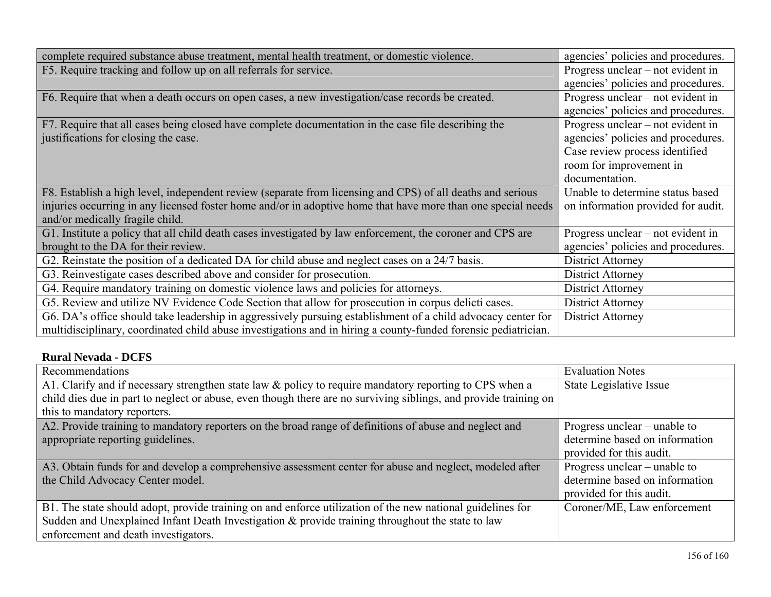| complete required substance abuse treatment, mental health treatment, or domestic violence.                    | agencies' policies and procedures.  |
|----------------------------------------------------------------------------------------------------------------|-------------------------------------|
| F5. Require tracking and follow up on all referrals for service.                                               | Progress unclear – not evident in   |
|                                                                                                                | agencies' policies and procedures.  |
| F6. Require that when a death occurs on open cases, a new investigation/case records be created.               | Progress unclear – not evident in   |
|                                                                                                                | agencies' policies and procedures.  |
| F7. Require that all cases being closed have complete documentation in the case file describing the            | Progress unclear – not evident in   |
| justifications for closing the case.                                                                           | agencies' policies and procedures.  |
|                                                                                                                | Case review process identified      |
|                                                                                                                | room for improvement in             |
|                                                                                                                | documentation.                      |
| F8. Establish a high level, independent review (separate from licensing and CPS) of all deaths and serious     | Unable to determine status based    |
| injuries occurring in any licensed foster home and/or in adoptive home that have more than one special needs   | on information provided for audit.  |
| and/or medically fragile child.                                                                                |                                     |
| G1. Institute a policy that all child death cases investigated by law enforcement, the coroner and CPS are     | Progress unclear $-$ not evident in |
| brought to the DA for their review.                                                                            | agencies' policies and procedures.  |
| G2. Reinstate the position of a dedicated DA for child abuse and neglect cases on a 24/7 basis.                | <b>District Attorney</b>            |
| G3. Reinvestigate cases described above and consider for prosecution.                                          | District Attorney                   |
| G4. Require mandatory training on domestic violence laws and policies for attorneys.                           | District Attorney                   |
| G5. Review and utilize NV Evidence Code Section that allow for prosecution in corpus delicti cases.            | District Attorney                   |
| G6. DA's office should take leadership in aggressively pursuing establishment of a child advocacy center for   | District Attorney                   |
| multidisciplinary, coordinated child abuse investigations and in hiring a county-funded forensic pediatrician. |                                     |

#### **Rural Nevada - DCFS**

| Recommendations                                                                                                  | <b>Evaluation Notes</b>        |
|------------------------------------------------------------------------------------------------------------------|--------------------------------|
| A1. Clarify and if necessary strengthen state law & policy to require mandatory reporting to CPS when a          | State Legislative Issue        |
| child dies due in part to neglect or abuse, even though there are no surviving siblings, and provide training on |                                |
| this to mandatory reporters.                                                                                     |                                |
| A2. Provide training to mandatory reporters on the broad range of definitions of abuse and neglect and           | Progress unclear $-$ unable to |
| appropriate reporting guidelines.                                                                                | determine based on information |
|                                                                                                                  | provided for this audit.       |
| A3. Obtain funds for and develop a comprehensive assessment center for abuse and neglect, modeled after          | Progress unclear – unable to   |
| the Child Advocacy Center model.                                                                                 | determine based on information |
|                                                                                                                  | provided for this audit.       |
| B1. The state should adopt, provide training on and enforce utilization of the new national guidelines for       | Coroner/ME, Law enforcement    |
| Sudden and Unexplained Infant Death Investigation $\&$ provide training throughout the state to law              |                                |
| enforcement and death investigators.                                                                             |                                |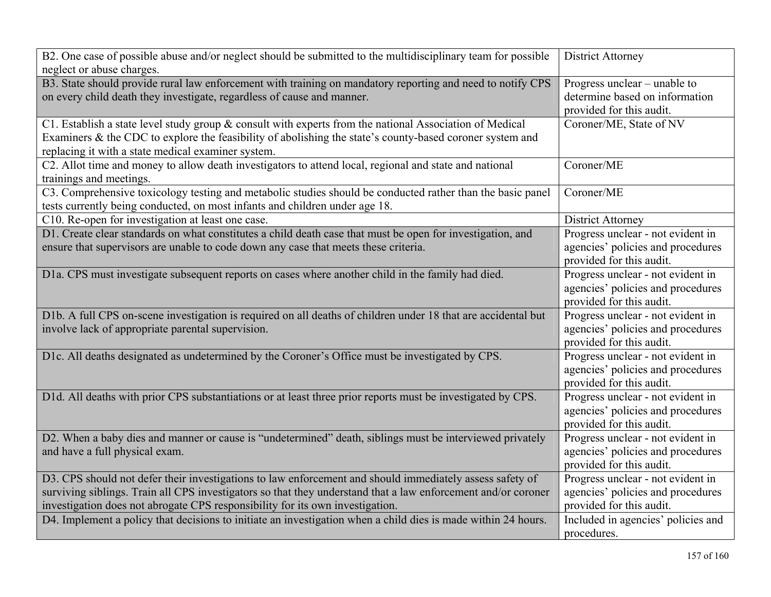| B2. One case of possible abuse and/or neglect should be submitted to the multidisciplinary team for possible<br>neglect or abuse charges.                                                                                                                                    | <b>District Attorney</b>                                                                           |
|------------------------------------------------------------------------------------------------------------------------------------------------------------------------------------------------------------------------------------------------------------------------------|----------------------------------------------------------------------------------------------------|
| B3. State should provide rural law enforcement with training on mandatory reporting and need to notify CPS<br>on every child death they investigate, regardless of cause and manner.                                                                                         | Progress unclear – unable to<br>determine based on information<br>provided for this audit.         |
| C1. Establish a state level study group $\&$ consult with experts from the national Association of Medical<br>Examiners & the CDC to explore the feasibility of abolishing the state's county-based coroner system and<br>replacing it with a state medical examiner system. | Coroner/ME, State of NV                                                                            |
| C2. Allot time and money to allow death investigators to attend local, regional and state and national<br>trainings and meetings.                                                                                                                                            | Coroner/ME                                                                                         |
| C3. Comprehensive toxicology testing and metabolic studies should be conducted rather than the basic panel<br>tests currently being conducted, on most infants and children under age 18.                                                                                    | Coroner/ME                                                                                         |
| C10. Re-open for investigation at least one case.                                                                                                                                                                                                                            | <b>District Attorney</b>                                                                           |
| D1. Create clear standards on what constitutes a child death case that must be open for investigation, and<br>ensure that supervisors are unable to code down any case that meets these criteria.                                                                            | Progress unclear - not evident in<br>agencies' policies and procedures<br>provided for this audit. |
| D1a. CPS must investigate subsequent reports on cases where another child in the family had died.                                                                                                                                                                            | Progress unclear - not evident in<br>agencies' policies and procedures<br>provided for this audit. |
| D1b. A full CPS on-scene investigation is required on all deaths of children under 18 that are accidental but<br>involve lack of appropriate parental supervision.                                                                                                           | Progress unclear - not evident in<br>agencies' policies and procedures<br>provided for this audit. |
| D1c. All deaths designated as undetermined by the Coroner's Office must be investigated by CPS.                                                                                                                                                                              | Progress unclear - not evident in<br>agencies' policies and procedures<br>provided for this audit. |
| D1d. All deaths with prior CPS substantiations or at least three prior reports must be investigated by CPS.                                                                                                                                                                  | Progress unclear - not evident in<br>agencies' policies and procedures<br>provided for this audit. |
| D2. When a baby dies and manner or cause is "undetermined" death, siblings must be interviewed privately<br>and have a full physical exam.                                                                                                                                   | Progress unclear - not evident in<br>agencies' policies and procedures<br>provided for this audit. |
| D3. CPS should not defer their investigations to law enforcement and should immediately assess safety of                                                                                                                                                                     | Progress unclear - not evident in                                                                  |
| surviving siblings. Train all CPS investigators so that they understand that a law enforcement and/or coroner                                                                                                                                                                | agencies' policies and procedures                                                                  |
| investigation does not abrogate CPS responsibility for its own investigation.                                                                                                                                                                                                | provided for this audit.                                                                           |
| D4. Implement a policy that decisions to initiate an investigation when a child dies is made within 24 hours.                                                                                                                                                                | Included in agencies' policies and<br>procedures.                                                  |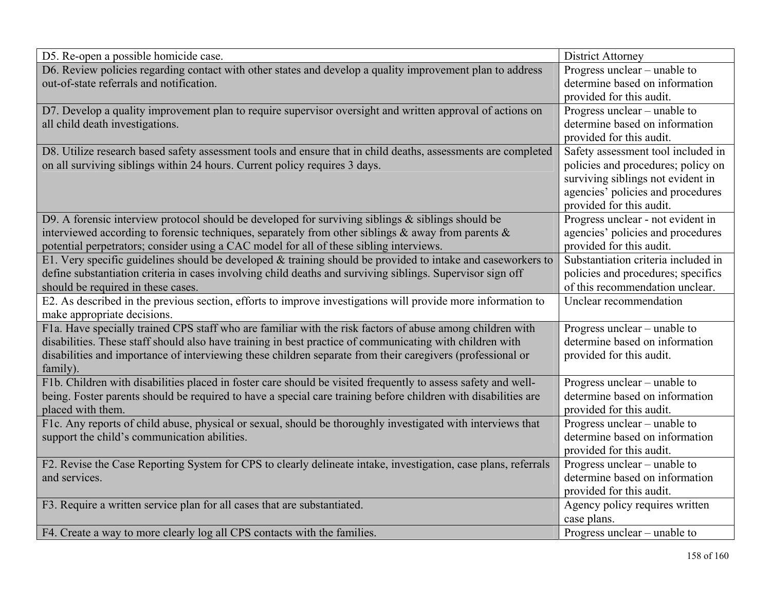| D5. Re-open a possible homicide case.                                                                          | <b>District Attorney</b>            |
|----------------------------------------------------------------------------------------------------------------|-------------------------------------|
| D6. Review policies regarding contact with other states and develop a quality improvement plan to address      | Progress unclear – unable to        |
| out-of-state referrals and notification.                                                                       | determine based on information      |
|                                                                                                                | provided for this audit.            |
| D7. Develop a quality improvement plan to require supervisor oversight and written approval of actions on      | Progress unclear – unable to        |
| all child death investigations.                                                                                | determine based on information      |
|                                                                                                                | provided for this audit.            |
| D8. Utilize research based safety assessment tools and ensure that in child deaths, assessments are completed  | Safety assessment tool included in  |
| on all surviving siblings within 24 hours. Current policy requires 3 days.                                     | policies and procedures; policy on  |
|                                                                                                                | surviving siblings not evident in   |
|                                                                                                                | agencies' policies and procedures   |
|                                                                                                                | provided for this audit.            |
| D9. A forensic interview protocol should be developed for surviving siblings $\&$ siblings should be           | Progress unclear - not evident in   |
| interviewed according to forensic techniques, separately from other siblings $\&$ away from parents $\&$       | agencies' policies and procedures   |
| potential perpetrators; consider using a CAC model for all of these sibling interviews.                        | provided for this audit.            |
| E1. Very specific guidelines should be developed & training should be provided to intake and caseworkers to    | Substantiation criteria included in |
| define substantiation criteria in cases involving child deaths and surviving siblings. Supervisor sign off     | policies and procedures; specifics  |
| should be required in these cases.                                                                             | of this recommendation unclear.     |
| E2. As described in the previous section, efforts to improve investigations will provide more information to   | Unclear recommendation              |
| make appropriate decisions.                                                                                    |                                     |
| F1a. Have specially trained CPS staff who are familiar with the risk factors of abuse among children with      | Progress unclear – unable to        |
| disabilities. These staff should also have training in best practice of communicating with children with       | determine based on information      |
| disabilities and importance of interviewing these children separate from their caregivers (professional or     | provided for this audit.            |
| family).                                                                                                       |                                     |
| F1b. Children with disabilities placed in foster care should be visited frequently to assess safety and well-  | Progress unclear – unable to        |
| being. Foster parents should be required to have a special care training before children with disabilities are | determine based on information      |
| placed with them.                                                                                              | provided for this audit.            |
| F1c. Any reports of child abuse, physical or sexual, should be thoroughly investigated with interviews that    | Progress unclear – unable to        |
| support the child's communication abilities.                                                                   | determine based on information      |
|                                                                                                                | provided for this audit.            |
| F2. Revise the Case Reporting System for CPS to clearly delineate intake, investigation, case plans, referrals | Progress unclear – unable to        |
| and services.                                                                                                  | determine based on information      |
|                                                                                                                | provided for this audit.            |
| F3. Require a written service plan for all cases that are substantiated.                                       | Agency policy requires written      |
|                                                                                                                | case plans.                         |
| F4. Create a way to more clearly log all CPS contacts with the families.                                       | Progress unclear – unable to        |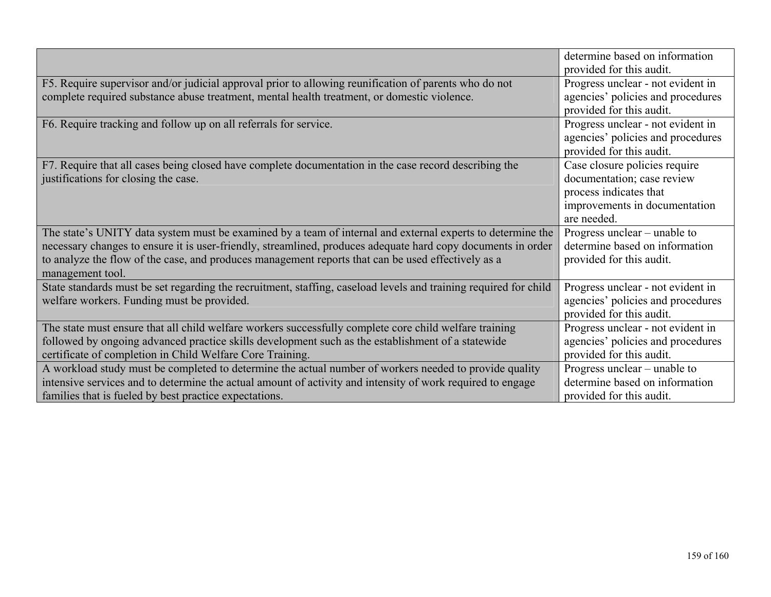|                                                                                                                                                                                                                                                                                                                                                      | determine based on information<br>provided for this audit.                                                                            |
|------------------------------------------------------------------------------------------------------------------------------------------------------------------------------------------------------------------------------------------------------------------------------------------------------------------------------------------------------|---------------------------------------------------------------------------------------------------------------------------------------|
| F5. Require supervisor and/or judicial approval prior to allowing reunification of parents who do not<br>complete required substance abuse treatment, mental health treatment, or domestic violence.                                                                                                                                                 | Progress unclear - not evident in<br>agencies' policies and procedures<br>provided for this audit.                                    |
| F6. Require tracking and follow up on all referrals for service.                                                                                                                                                                                                                                                                                     | Progress unclear - not evident in<br>agencies' policies and procedures<br>provided for this audit.                                    |
| F7. Require that all cases being closed have complete documentation in the case record describing the<br>justifications for closing the case.                                                                                                                                                                                                        | Case closure policies require<br>documentation; case review<br>process indicates that<br>improvements in documentation<br>are needed. |
| The state's UNITY data system must be examined by a team of internal and external experts to determine the<br>necessary changes to ensure it is user-friendly, streamlined, produces adequate hard copy documents in order<br>to analyze the flow of the case, and produces management reports that can be used effectively as a<br>management tool. | Progress unclear – unable to<br>determine based on information<br>provided for this audit.                                            |
| State standards must be set regarding the recruitment, staffing, caseload levels and training required for child<br>welfare workers. Funding must be provided.                                                                                                                                                                                       | Progress unclear - not evident in<br>agencies' policies and procedures<br>provided for this audit.                                    |
| The state must ensure that all child welfare workers successfully complete core child welfare training<br>followed by ongoing advanced practice skills development such as the establishment of a statewide<br>certificate of completion in Child Welfare Core Training.                                                                             | Progress unclear - not evident in<br>agencies' policies and procedures<br>provided for this audit.                                    |
| A workload study must be completed to determine the actual number of workers needed to provide quality<br>intensive services and to determine the actual amount of activity and intensity of work required to engage<br>families that is fueled by best practice expectations.                                                                       | Progress unclear – unable to<br>determine based on information<br>provided for this audit.                                            |